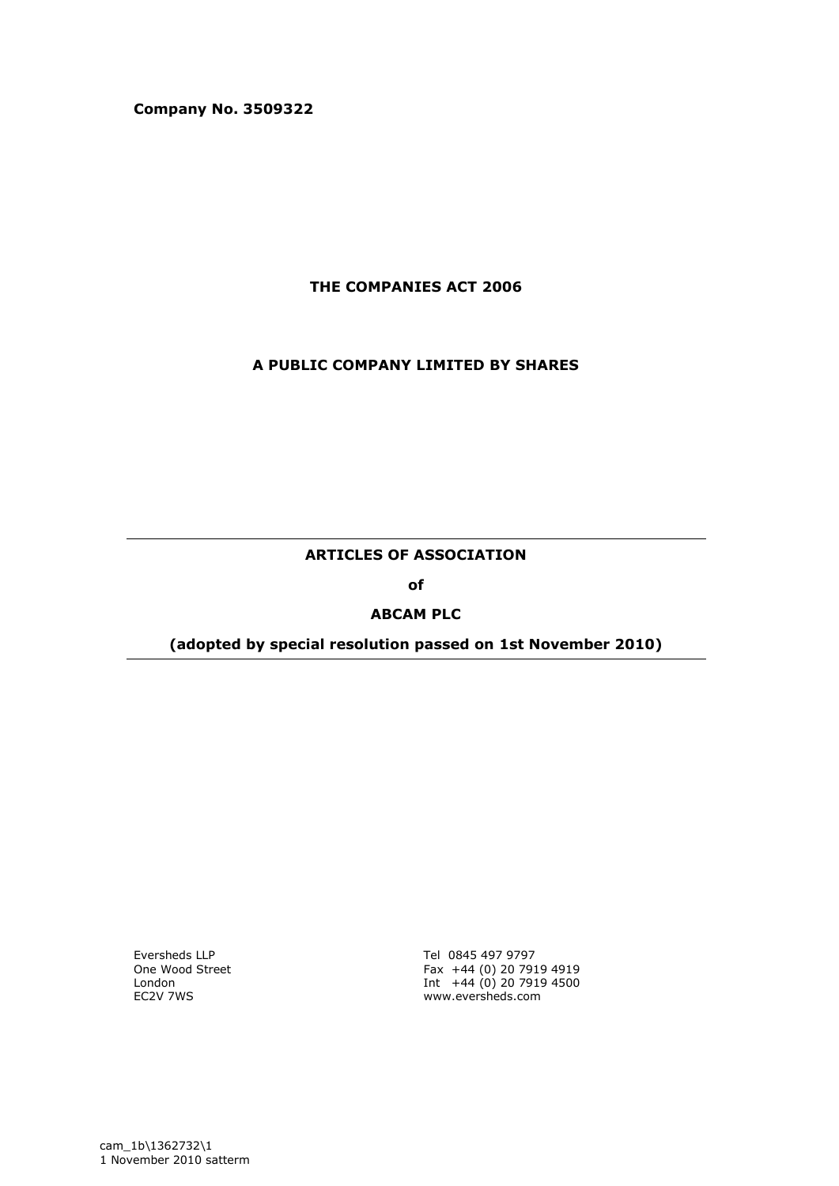**Company No. 3509322** 

**THE COMPANIES ACT 2006**

### **A PUBLIC COMPANY LIMITED BY SHARES**

## **ARTICLES OF ASSOCIATION**

**of**

#### **ABCAM PLC**

### **(adopted by special resolution passed on 1st November 2010)**

Eversheds LLP One Wood Street London EC2V 7WS

Tel 0845 497 9797 Fax +44 (0) 20 7919 4919 Int +44 (0) 20 7919 4500 www.eversheds.com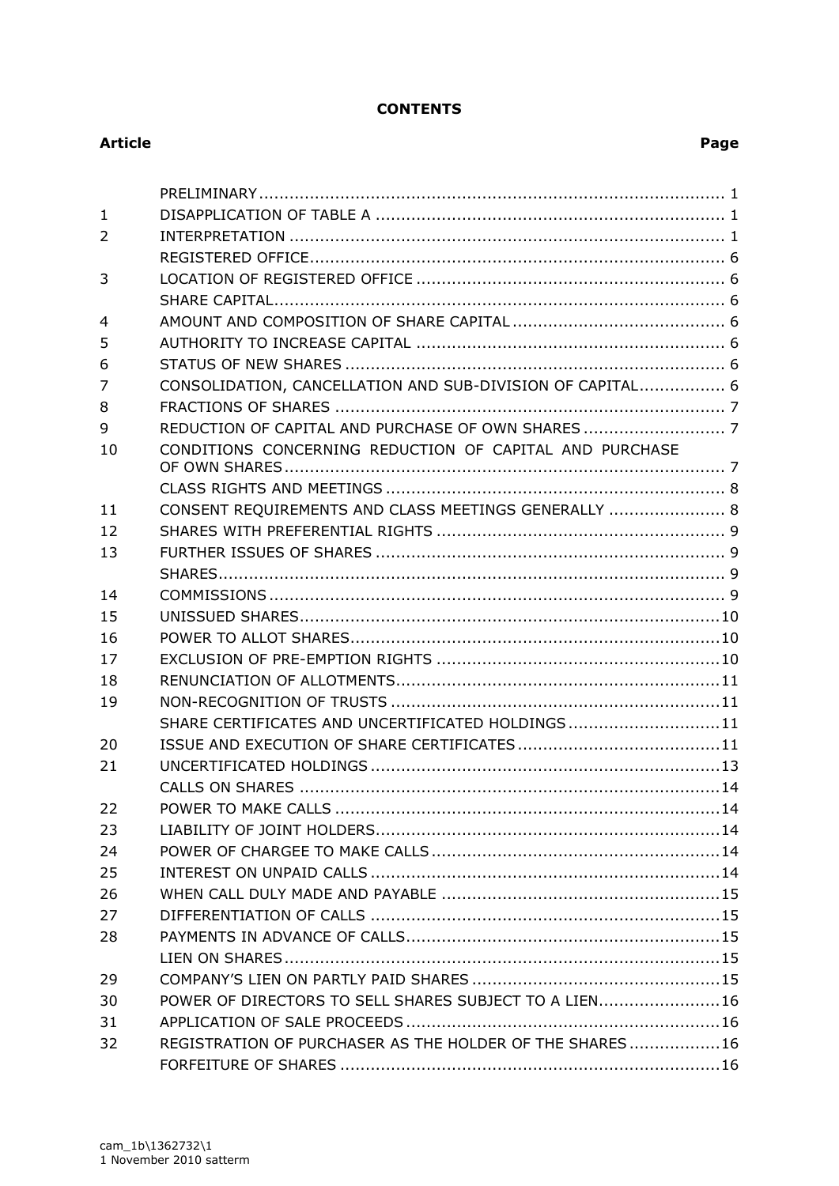## **CONTENTS**

### **Article Page**

| $\mathbf{1}$ |                                                           |
|--------------|-----------------------------------------------------------|
| 2            |                                                           |
|              |                                                           |
| 3            |                                                           |
|              |                                                           |
| 4            |                                                           |
| 5            |                                                           |
| 6            |                                                           |
| 7            | CONSOLIDATION, CANCELLATION AND SUB-DIVISION OF CAPITAL 6 |
| 8            |                                                           |
| 9            |                                                           |
| 10           | CONDITIONS CONCERNING REDUCTION OF CAPITAL AND PURCHASE   |
|              |                                                           |
| 11           | CONSENT REQUIREMENTS AND CLASS MEETINGS GENERALLY  8      |
| 12           |                                                           |
| 13           |                                                           |
|              |                                                           |
| 14           |                                                           |
| 15           |                                                           |
| 16           |                                                           |
| 17           |                                                           |
| 18           |                                                           |
| 19           |                                                           |
|              | SHARE CERTIFICATES AND UNCERTIFICATED HOLDINGS 11         |
| 20           |                                                           |
| 21           |                                                           |
|              |                                                           |
| 22           |                                                           |
| 23           |                                                           |
| 24           |                                                           |
| 25           |                                                           |
| 26           |                                                           |
| 27           |                                                           |
| 28           |                                                           |
|              |                                                           |
| 29           |                                                           |
| 30           | POWER OF DIRECTORS TO SELL SHARES SUBJECT TO A LIEN16     |
| 31           |                                                           |
| 32           | REGISTRATION OF PURCHASER AS THE HOLDER OF THE SHARES 16  |
|              |                                                           |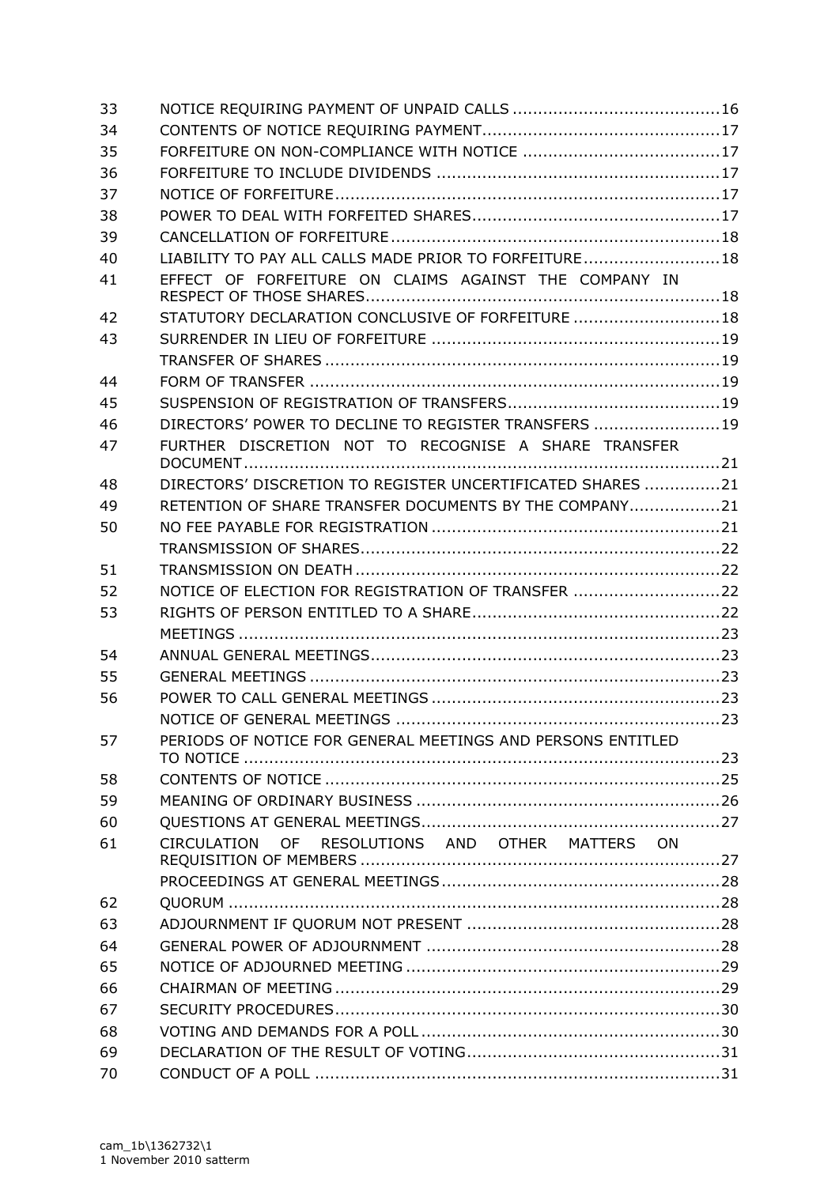| 33 |                                                             |  |
|----|-------------------------------------------------------------|--|
| 34 |                                                             |  |
| 35 |                                                             |  |
| 36 |                                                             |  |
| 37 |                                                             |  |
| 38 |                                                             |  |
| 39 |                                                             |  |
| 40 | LIABILITY TO PAY ALL CALLS MADE PRIOR TO FORFEITURE18       |  |
| 41 | EFFECT OF FORFEITURE ON CLAIMS AGAINST THE COMPANY IN       |  |
| 42 | STATUTORY DECLARATION CONCLUSIVE OF FORFEITURE  18          |  |
| 43 |                                                             |  |
|    |                                                             |  |
| 44 |                                                             |  |
| 45 |                                                             |  |
| 46 | DIRECTORS' POWER TO DECLINE TO REGISTER TRANSFERS 19        |  |
| 47 | FURTHER DISCRETION NOT TO RECOGNISE A SHARE TRANSFER        |  |
| 48 | DIRECTORS' DISCRETION TO REGISTER UNCERTIFICATED SHARES 21  |  |
| 49 | RETENTION OF SHARE TRANSFER DOCUMENTS BY THE COMPANY21      |  |
| 50 |                                                             |  |
|    |                                                             |  |
| 51 |                                                             |  |
| 52 | NOTICE OF ELECTION FOR REGISTRATION OF TRANSFER 22          |  |
| 53 |                                                             |  |
|    |                                                             |  |
| 54 |                                                             |  |
| 55 |                                                             |  |
| 56 |                                                             |  |
|    |                                                             |  |
| 57 | PERIODS OF NOTICE FOR GENERAL MEETINGS AND PERSONS ENTITLED |  |
| 58 |                                                             |  |
| 59 |                                                             |  |
| 60 |                                                             |  |
| 61 | OF RESOLUTIONS AND OTHER MATTERS ON<br><b>CIRCULATION</b>   |  |
|    |                                                             |  |
| 62 |                                                             |  |
| 63 |                                                             |  |
| 64 |                                                             |  |
| 65 |                                                             |  |
| 66 |                                                             |  |
| 67 |                                                             |  |
| 68 |                                                             |  |
| 69 |                                                             |  |
| 70 |                                                             |  |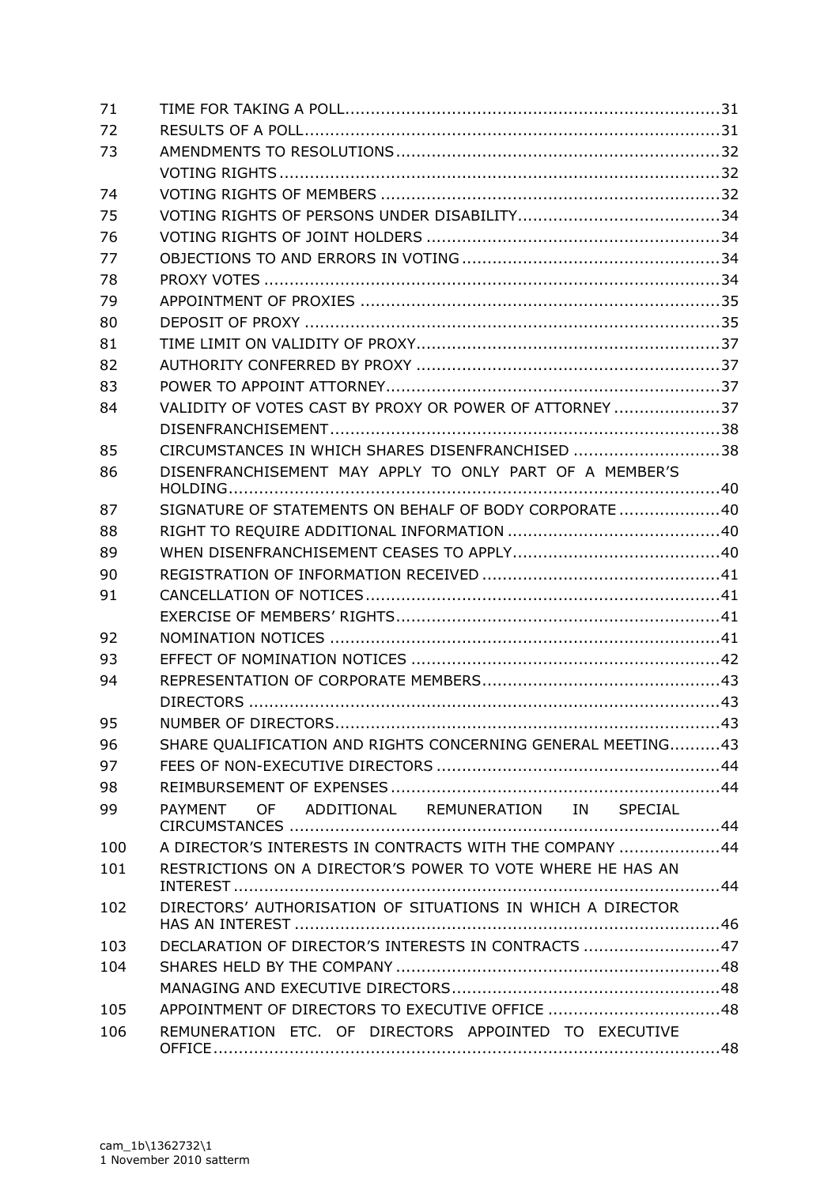| 71  |                                                             |  |
|-----|-------------------------------------------------------------|--|
| 72  |                                                             |  |
| 73  |                                                             |  |
|     |                                                             |  |
| 74  |                                                             |  |
| 75  |                                                             |  |
| 76  |                                                             |  |
| 77  |                                                             |  |
| 78  |                                                             |  |
| 79  |                                                             |  |
| 80  |                                                             |  |
| 81  |                                                             |  |
| 82  |                                                             |  |
| 83  |                                                             |  |
| 84  | VALIDITY OF VOTES CAST BY PROXY OR POWER OF ATTORNEY 37     |  |
|     |                                                             |  |
| 85  | CIRCUMSTANCES IN WHICH SHARES DISENFRANCHISED 38            |  |
| 86  | DISENFRANCHISEMENT MAY APPLY TO ONLY PART OF A MEMBER'S     |  |
|     |                                                             |  |
| 87  | SIGNATURE OF STATEMENTS ON BEHALF OF BODY CORPORATE 40      |  |
| 88  |                                                             |  |
| 89  |                                                             |  |
| 90  |                                                             |  |
| 91  |                                                             |  |
|     |                                                             |  |
| 92  |                                                             |  |
| 93  |                                                             |  |
| 94  |                                                             |  |
|     |                                                             |  |
| 95  |                                                             |  |
| 96  | SHARE QUALIFICATION AND RIGHTS CONCERNING GENERAL MEETING43 |  |
| 97  |                                                             |  |
| 98  |                                                             |  |
| 99  | PAYMENT OF ADDITIONAL REMUNERATION IN SPECIAL               |  |
| 100 | A DIRECTOR'S INTERESTS IN CONTRACTS WITH THE COMPANY  44    |  |
| 101 | RESTRICTIONS ON A DIRECTOR'S POWER TO VOTE WHERE HE HAS AN  |  |
| 102 | DIRECTORS' AUTHORISATION OF SITUATIONS IN WHICH A DIRECTOR  |  |
| 103 | DECLARATION OF DIRECTOR'S INTERESTS IN CONTRACTS 47         |  |
| 104 |                                                             |  |
|     |                                                             |  |
| 105 | APPOINTMENT OF DIRECTORS TO EXECUTIVE OFFICE 48             |  |
| 106 | REMUNERATION ETC. OF DIRECTORS APPOINTED TO EXECUTIVE       |  |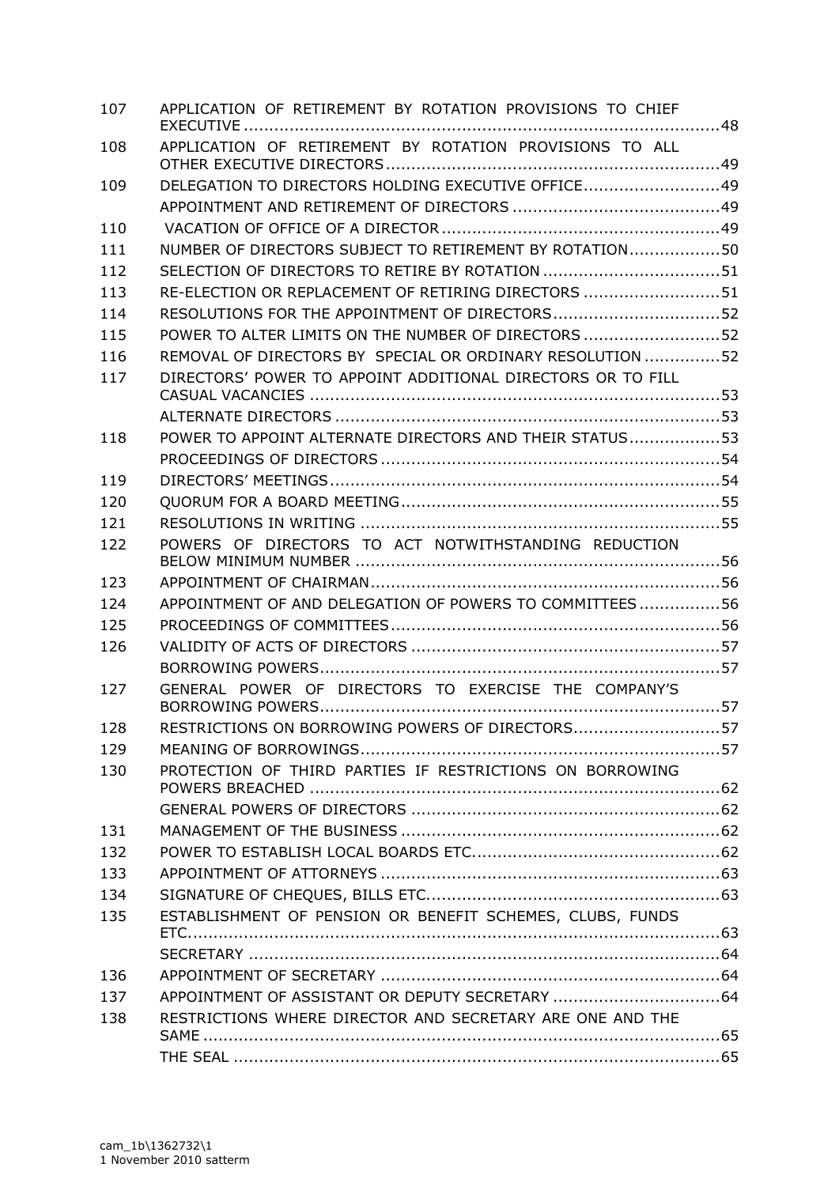| 107 | APPLICATION OF RETIREMENT BY ROTATION PROVISIONS TO CHIEF   |  |
|-----|-------------------------------------------------------------|--|
| 108 | APPLICATION OF RETIREMENT BY ROTATION PROVISIONS TO ALL     |  |
| 109 | DELEGATION TO DIRECTORS HOLDING EXECUTIVE OFFICE49          |  |
|     |                                                             |  |
| 110 |                                                             |  |
| 111 | NUMBER OF DIRECTORS SUBJECT TO RETIREMENT BY ROTATION50     |  |
| 112 |                                                             |  |
| 113 | RE-ELECTION OR REPLACEMENT OF RETIRING DIRECTORS 51         |  |
| 114 | RESOLUTIONS FOR THE APPOINTMENT OF DIRECTORS52              |  |
| 115 | POWER TO ALTER LIMITS ON THE NUMBER OF DIRECTORS 52         |  |
| 116 | REMOVAL OF DIRECTORS BY SPECIAL OR ORDINARY RESOLUTION 52   |  |
| 117 | DIRECTORS' POWER TO APPOINT ADDITIONAL DIRECTORS OR TO FILL |  |
|     |                                                             |  |
| 118 | POWER TO APPOINT ALTERNATE DIRECTORS AND THEIR STATUS53     |  |
|     |                                                             |  |
| 119 |                                                             |  |
| 120 |                                                             |  |
| 121 |                                                             |  |
| 122 | POWERS OF DIRECTORS TO ACT NOTWITHSTANDING REDUCTION        |  |
| 123 |                                                             |  |
| 124 | APPOINTMENT OF AND DELEGATION OF POWERS TO COMMITTEES56     |  |
| 125 |                                                             |  |
| 126 |                                                             |  |
|     |                                                             |  |
| 127 | GENERAL POWER OF DIRECTORS TO EXERCISE THE COMPANY'S        |  |
| 128 | RESTRICTIONS ON BORROWING POWERS OF DIRECTORS57             |  |
| 129 |                                                             |  |
| 130 | PROTECTION OF THIRD PARTIES IF RESTRICTIONS ON BORROWING    |  |
|     |                                                             |  |
| 131 |                                                             |  |
| 132 |                                                             |  |
| 133 |                                                             |  |
| 134 |                                                             |  |
| 135 | ESTABLISHMENT OF PENSION OR BENEFIT SCHEMES, CLUBS, FUNDS   |  |
|     |                                                             |  |
| 136 |                                                             |  |
| 137 |                                                             |  |
| 138 | RESTRICTIONS WHERE DIRECTOR AND SECRETARY ARE ONE AND THE   |  |
|     |                                                             |  |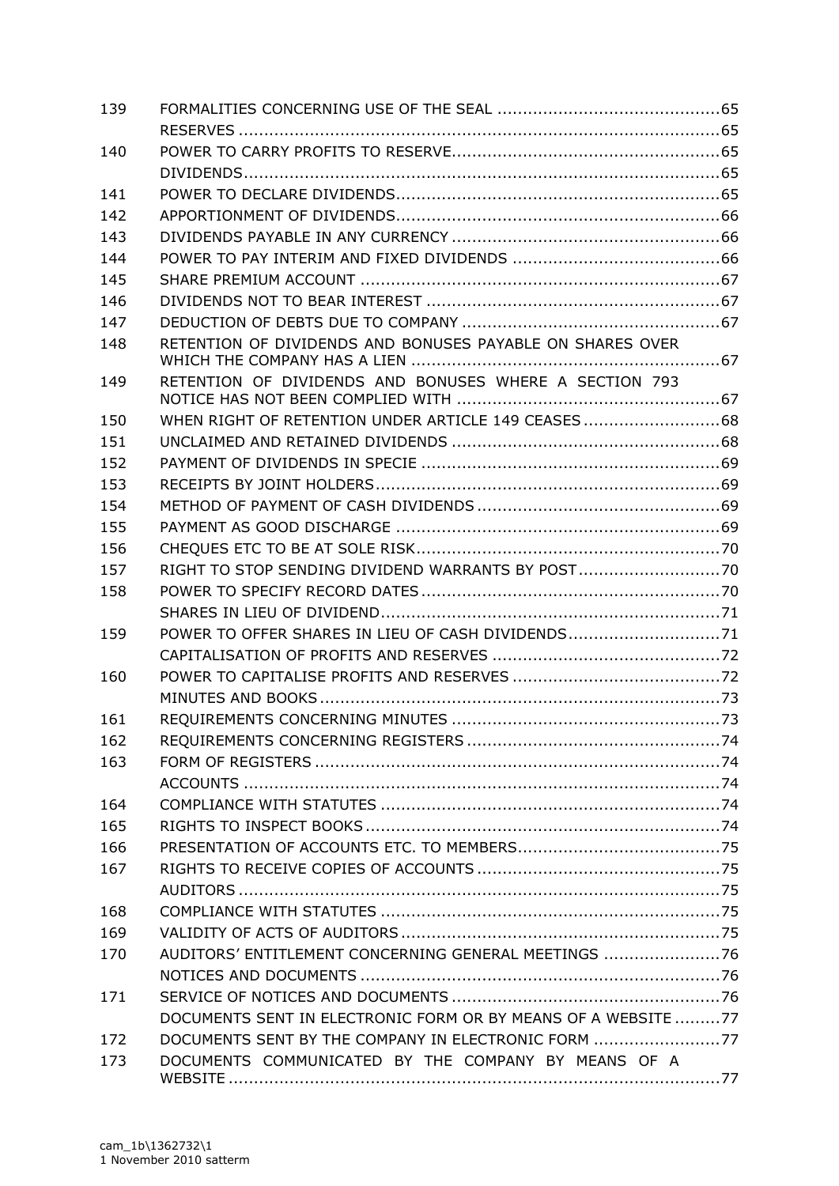| 139 |                                                               |  |
|-----|---------------------------------------------------------------|--|
|     |                                                               |  |
| 140 |                                                               |  |
|     |                                                               |  |
| 141 |                                                               |  |
| 142 |                                                               |  |
| 143 |                                                               |  |
| 144 |                                                               |  |
| 145 |                                                               |  |
| 146 |                                                               |  |
| 147 |                                                               |  |
| 148 | RETENTION OF DIVIDENDS AND BONUSES PAYABLE ON SHARES OVER     |  |
| 149 | RETENTION OF DIVIDENDS AND BONUSES WHERE A SECTION 793        |  |
| 150 | WHEN RIGHT OF RETENTION UNDER ARTICLE 149 CEASES  68          |  |
| 151 |                                                               |  |
| 152 |                                                               |  |
| 153 |                                                               |  |
| 154 |                                                               |  |
| 155 |                                                               |  |
| 156 |                                                               |  |
| 157 | RIGHT TO STOP SENDING DIVIDEND WARRANTS BY POST               |  |
| 158 |                                                               |  |
|     |                                                               |  |
| 159 | POWER TO OFFER SHARES IN LIEU OF CASH DIVIDENDS71             |  |
|     |                                                               |  |
| 160 |                                                               |  |
|     |                                                               |  |
| 161 |                                                               |  |
| 162 |                                                               |  |
| 163 |                                                               |  |
|     |                                                               |  |
| 164 |                                                               |  |
| 165 |                                                               |  |
| 166 |                                                               |  |
| 167 |                                                               |  |
|     |                                                               |  |
| 168 |                                                               |  |
| 169 |                                                               |  |
| 170 | AUDITORS' ENTITLEMENT CONCERNING GENERAL MEETINGS 76          |  |
|     |                                                               |  |
| 171 |                                                               |  |
|     | DOCUMENTS SENT IN ELECTRONIC FORM OR BY MEANS OF A WEBSITE 77 |  |
| 172 | DOCUMENTS SENT BY THE COMPANY IN ELECTRONIC FORM 77           |  |
| 173 | DOCUMENTS COMMUNICATED BY THE COMPANY BY MEANS OF A           |  |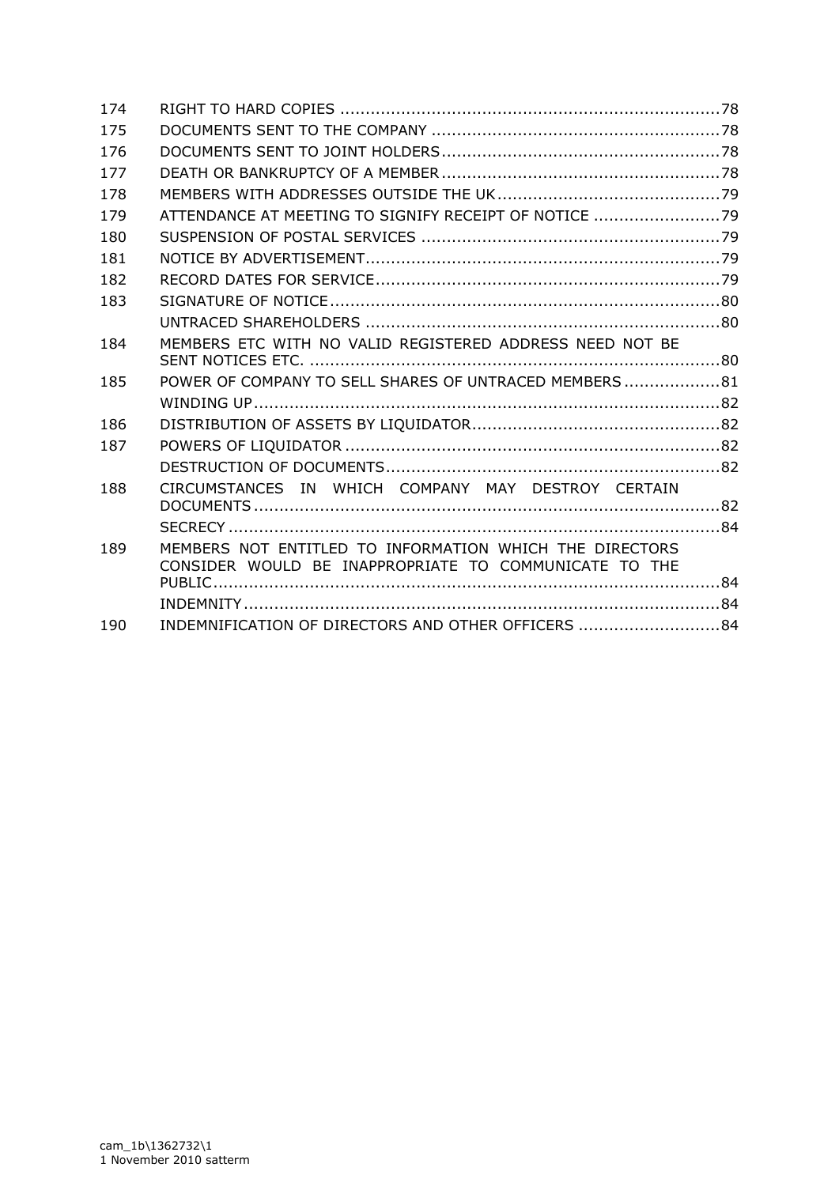| 174 |                                                                                                                  |  |
|-----|------------------------------------------------------------------------------------------------------------------|--|
| 175 |                                                                                                                  |  |
| 176 |                                                                                                                  |  |
| 177 |                                                                                                                  |  |
| 178 |                                                                                                                  |  |
| 179 | ATTENDANCE AT MEETING TO SIGNIFY RECEIPT OF NOTICE 79                                                            |  |
| 180 |                                                                                                                  |  |
| 181 |                                                                                                                  |  |
| 182 |                                                                                                                  |  |
| 183 |                                                                                                                  |  |
|     |                                                                                                                  |  |
| 184 | MEMBERS ETC WITH NO VALID REGISTERED ADDRESS NEED NOT BE                                                         |  |
| 185 | POWER OF COMPANY TO SELL SHARES OF UNTRACED MEMBERS  81                                                          |  |
|     |                                                                                                                  |  |
| 186 |                                                                                                                  |  |
| 187 |                                                                                                                  |  |
|     |                                                                                                                  |  |
| 188 | CIRCUMSTANCES IN WHICH COMPANY MAY DESTROY CERTAIN                                                               |  |
|     |                                                                                                                  |  |
| 189 | MEMBERS NOT ENTITLED TO INFORMATION WHICH THE DIRECTORS<br>CONSIDER WOULD BE INAPPROPRIATE TO COMMUNICATE TO THE |  |
|     |                                                                                                                  |  |
|     |                                                                                                                  |  |
| 190 | INDEMNIFICATION OF DIRECTORS AND OTHER OFFICERS 84                                                               |  |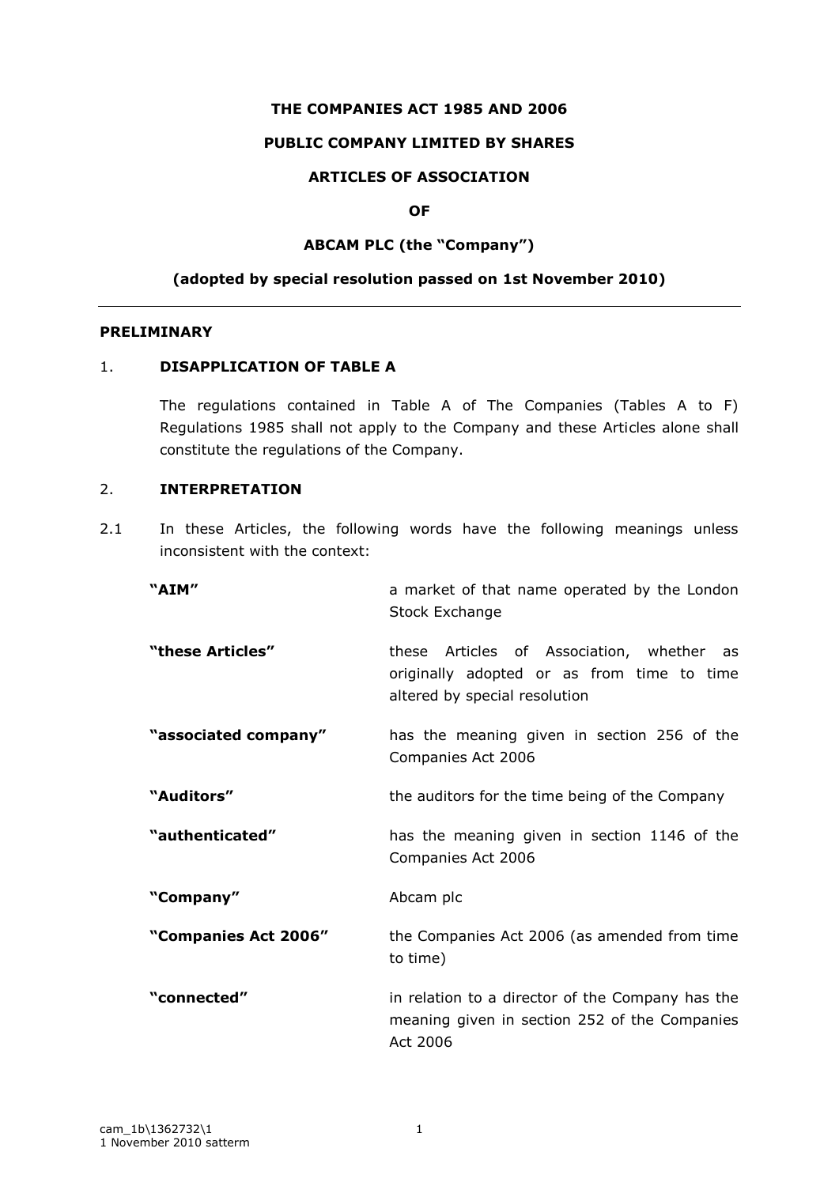### **THE COMPANIES ACT 1985 AND 2006**

#### **PUBLIC COMPANY LIMITED BY SHARES**

## **ARTICLES OF ASSOCIATION**

### **OF**

## **ABCAM PLC (the "Company")**

#### **(adopted by special resolution passed on 1st November 2010)**

### **PRELIMINARY**

## 1. **DISAPPLICATION OF TABLE A**

The regulations contained in Table A of The Companies (Tables A to F) Regulations 1985 shall not apply to the Company and these Articles alone shall constitute the regulations of the Company.

## 2. **INTERPRETATION**

2.1 In these Articles, the following words have the following meanings unless inconsistent with the context:

| "AIM"                | a market of that name operated by the London<br><b>Stock Exchange</b>                                                    |
|----------------------|--------------------------------------------------------------------------------------------------------------------------|
| "these Articles"     | these Articles of Association, whether as<br>originally adopted or as from time to time<br>altered by special resolution |
| "associated company" | has the meaning given in section 256 of the<br>Companies Act 2006                                                        |
| "Auditors"           | the auditors for the time being of the Company                                                                           |
| "authenticated"      | has the meaning given in section 1146 of the<br>Companies Act 2006                                                       |
| "Company"            | Abcam plc                                                                                                                |
| "Companies Act 2006" | the Companies Act 2006 (as amended from time<br>to time)                                                                 |
| "connected"          | in relation to a director of the Company has the<br>meaning given in section 252 of the Companies<br>Act 2006            |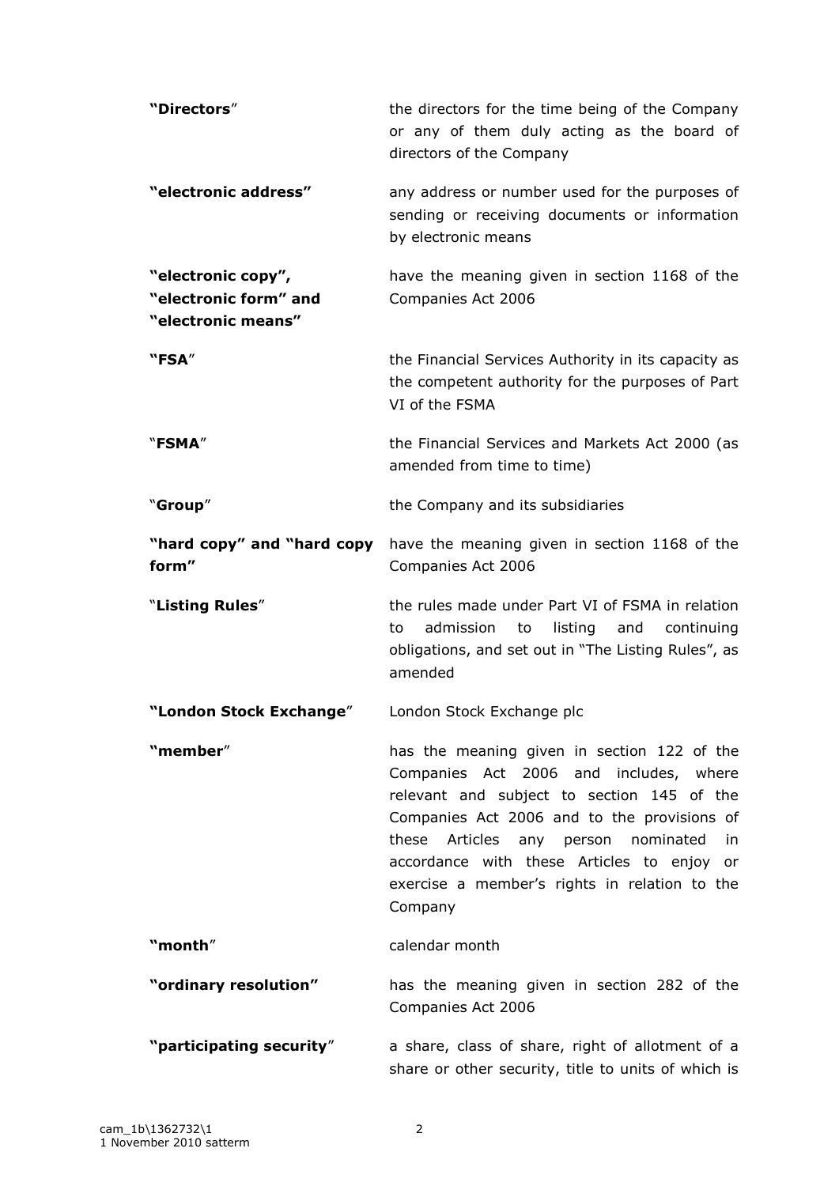| "Directors"                                                       | the directors for the time being of the Company<br>or any of them duly acting as the board of<br>directors of the Company                                                                                                                                                                  |
|-------------------------------------------------------------------|--------------------------------------------------------------------------------------------------------------------------------------------------------------------------------------------------------------------------------------------------------------------------------------------|
| "electronic address"                                              | any address or number used for the purposes of<br>sending or receiving documents or information<br>by electronic means                                                                                                                                                                     |
| "electronic copy",<br>"electronic form" and<br>"electronic means" | have the meaning given in section 1168 of the<br>Companies Act 2006                                                                                                                                                                                                                        |
| "FSA"                                                             | the Financial Services Authority in its capacity as<br>the competent authority for the purposes of Part<br>VI of the FSMA                                                                                                                                                                  |
| "FSMA"                                                            | the Financial Services and Markets Act 2000 (as<br>amended from time to time)                                                                                                                                                                                                              |
| "Group"                                                           | the Company and its subsidiaries                                                                                                                                                                                                                                                           |
| "hard copy" and "hard copy<br>form"                               | have the meaning given in section 1168 of the<br>Companies Act 2006                                                                                                                                                                                                                        |
| "Listing Rules"                                                   | the rules made under Part VI of FSMA in relation<br>admission<br>listing<br>to<br>and<br>continuing<br>to<br>obligations, and set out in "The Listing Rules", as<br>amended                                                                                                                |
| "London Stock Exchange"                                           | London Stock Exchange plc                                                                                                                                                                                                                                                                  |
| "member"                                                          | has the meaning given in section 122 of the                                                                                                                                                                                                                                                |
|                                                                   | Companies Act 2006 and includes, where<br>relevant and subject to section 145 of the<br>Companies Act 2006 and to the provisions of<br>these Articles any person nominated<br>in<br>accordance with these Articles to enjoy or<br>exercise a member's rights in relation to the<br>Company |
| "month"                                                           | calendar month                                                                                                                                                                                                                                                                             |
| "ordinary resolution"                                             | has the meaning given in section 282 of the<br>Companies Act 2006                                                                                                                                                                                                                          |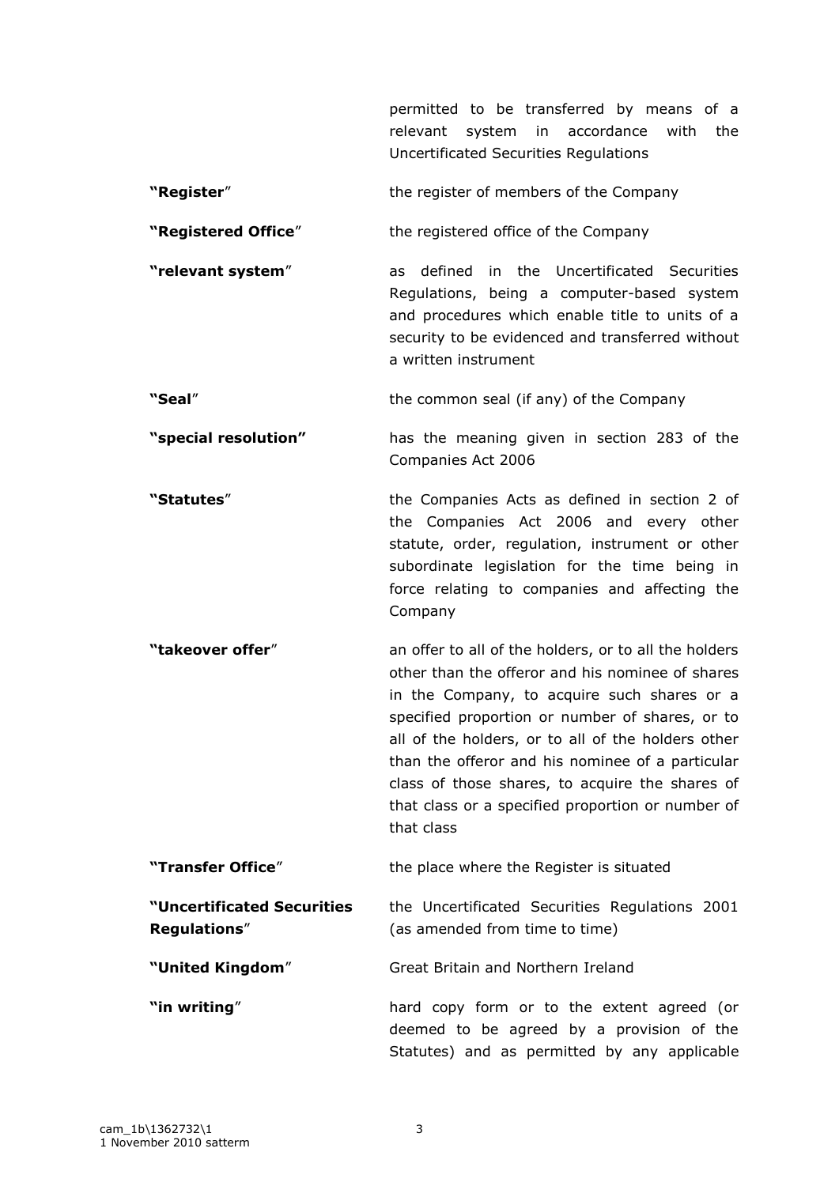permitted to be transferred by means of a relevant system in accordance with the Uncertificated Securities Regulations

- **"Register"** the register of members of the Company
- **"Registered Office**" the registered office of the Company

**"relevant system**" as defined in the Uncertificated Securities Regulations, being a computer-based system and procedures which enable title to units of a security to be evidenced and transferred without a written instrument

**"Seal**" the common seal (if any) of the Company

**"special resolution"** has the meaning given in section 283 of the Companies Act 2006

**"Statutes**" the Companies Acts as defined in section 2 of the Companies Act 2006 and every other statute, order, regulation, instrument or other subordinate legislation for the time being in force relating to companies and affecting the Company

**"takeover offer**" an offer to all of the holders, or to all the holders other than the offeror and his nominee of shares in the Company, to acquire such shares or a specified proportion or number of shares, or to all of the holders, or to all of the holders other than the offeror and his nominee of a particular class of those shares, to acquire the shares of that class or a specified proportion or number of that class

**"Transfer Office"** the place where the Register is situated **"Uncertificated Securities Regulations**" the Uncertificated Securities Regulations 2001 (as amended from time to time)

Statutes) and as permitted by any applicable

**"United Kingdom**" Great Britain and Northern Ireland

**"in writing**" **hard copy form or to the extent agreed (or** deemed to be agreed by a provision of the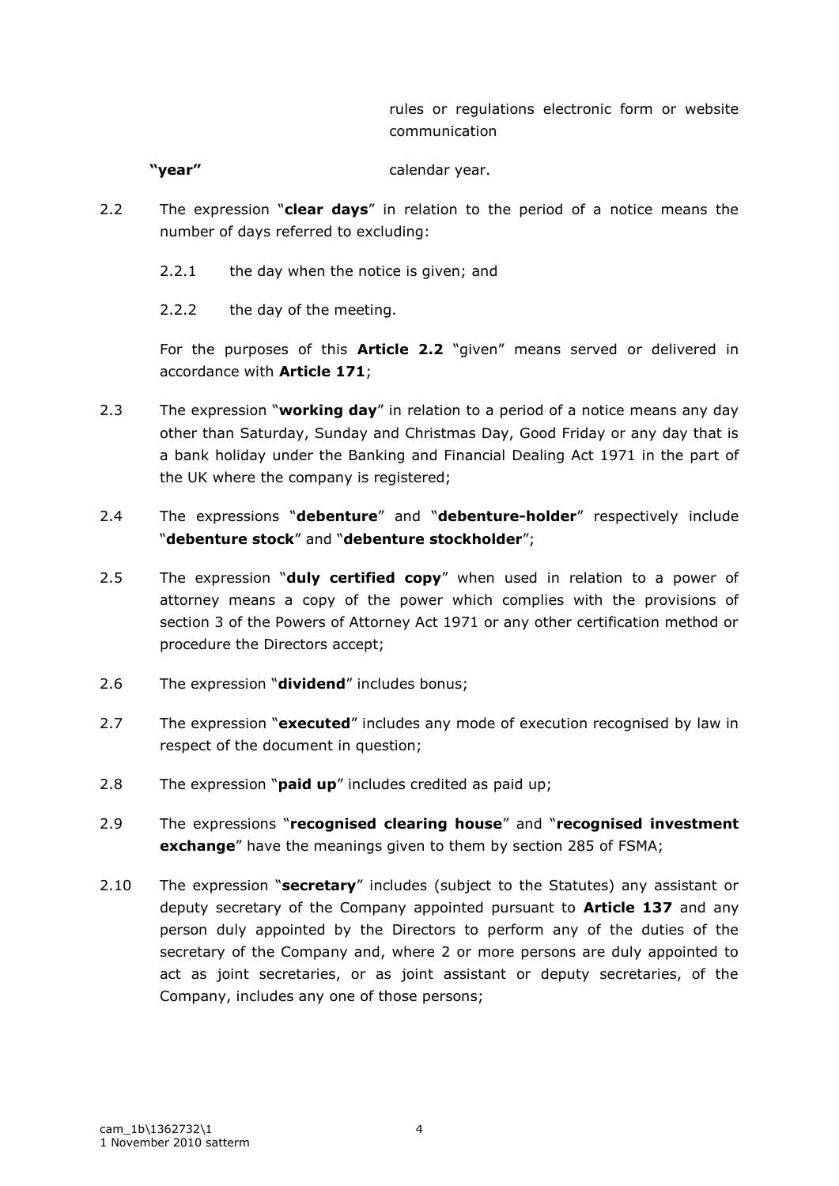rules or regulations electronic form or website communication

**"year"** calendar year.

- 2.2 The expression "**clear days**" in relation to the period of a notice means the number of days referred to excluding:
	- 2.2.1 the day when the notice is given; and
	- 2.2.2 the day of the meeting.

For the purposes of this **Article 2.2** "given" means served or delivered in accordance with **Article 171**;

- 2.3 The expression "**working day**" in relation to a period of a notice means any day other than Saturday, Sunday and Christmas Day, Good Friday or any day that is a bank holiday under the Banking and Financial Dealing Act 1971 in the part of the UK where the company is registered;
- 2.4 The expressions "**debenture**" and "**debenture-holder**" respectively include "**debenture stock**" and "**debenture stockholder**";
- 2.5 The expression "**duly certified copy**" when used in relation to a power of attorney means a copy of the power which complies with the provisions of section 3 of the Powers of Attorney Act 1971 or any other certification method or procedure the Directors accept;
- 2.6 The expression "**dividend**" includes bonus;
- 2.7 The expression "**executed**" includes any mode of execution recognised by law in respect of the document in question;
- 2.8 The expression "**paid up**" includes credited as paid up;
- 2.9 The expressions "**recognised clearing house**" and "**recognised investment exchange**" have the meanings given to them by section 285 of FSMA;
- 2.10 The expression "**secretary**" includes (subject to the Statutes) any assistant or deputy secretary of the Company appointed pursuant to **Article 137** and any person duly appointed by the Directors to perform any of the duties of the secretary of the Company and, where 2 or more persons are duly appointed to act as joint secretaries, or as joint assistant or deputy secretaries, of the Company, includes any one of those persons;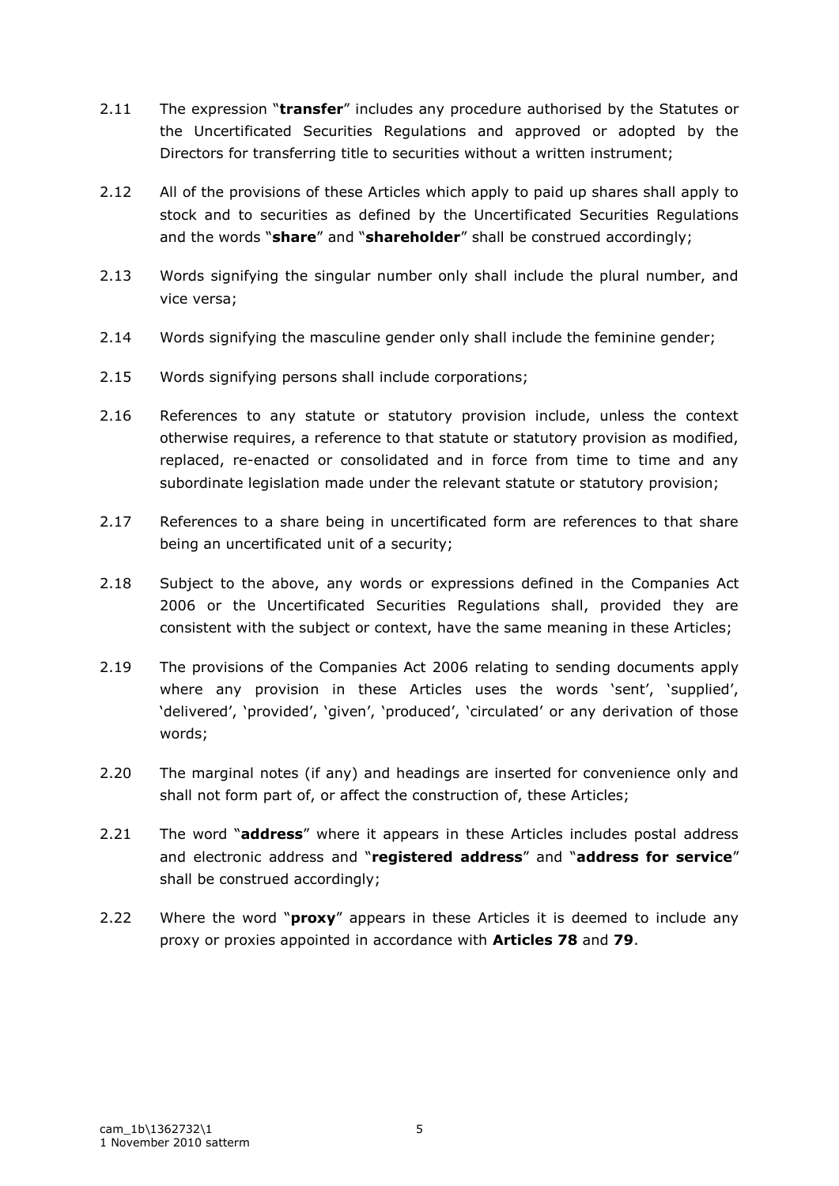- 2.11 The expression "**transfer**" includes any procedure authorised by the Statutes or the Uncertificated Securities Regulations and approved or adopted by the Directors for transferring title to securities without a written instrument;
- 2.12 All of the provisions of these Articles which apply to paid up shares shall apply to stock and to securities as defined by the Uncertificated Securities Regulations and the words "**share**" and "**shareholder**" shall be construed accordingly;
- 2.13 Words signifying the singular number only shall include the plural number, and vice versa;
- 2.14 Words signifying the masculine gender only shall include the feminine gender;
- 2.15 Words signifying persons shall include corporations;
- 2.16 References to any statute or statutory provision include, unless the context otherwise requires, a reference to that statute or statutory provision as modified, replaced, re-enacted or consolidated and in force from time to time and any subordinate legislation made under the relevant statute or statutory provision;
- 2.17 References to a share being in uncertificated form are references to that share being an uncertificated unit of a security;
- 2.18 Subject to the above, any words or expressions defined in the Companies Act 2006 or the Uncertificated Securities Regulations shall, provided they are consistent with the subject or context, have the same meaning in these Articles;
- 2.19 The provisions of the Companies Act 2006 relating to sending documents apply where any provision in these Articles uses the words 'sent', 'supplied', 'delivered', 'provided', 'given', 'produced', 'circulated' or any derivation of those words;
- 2.20 The marginal notes (if any) and headings are inserted for convenience only and shall not form part of, or affect the construction of, these Articles;
- 2.21 The word "**address**" where it appears in these Articles includes postal address and electronic address and "**registered address**" and "**address for service**" shall be construed accordingly;
- 2.22 Where the word "**proxy**" appears in these Articles it is deemed to include any proxy or proxies appointed in accordance with **Articles 78** and **79**.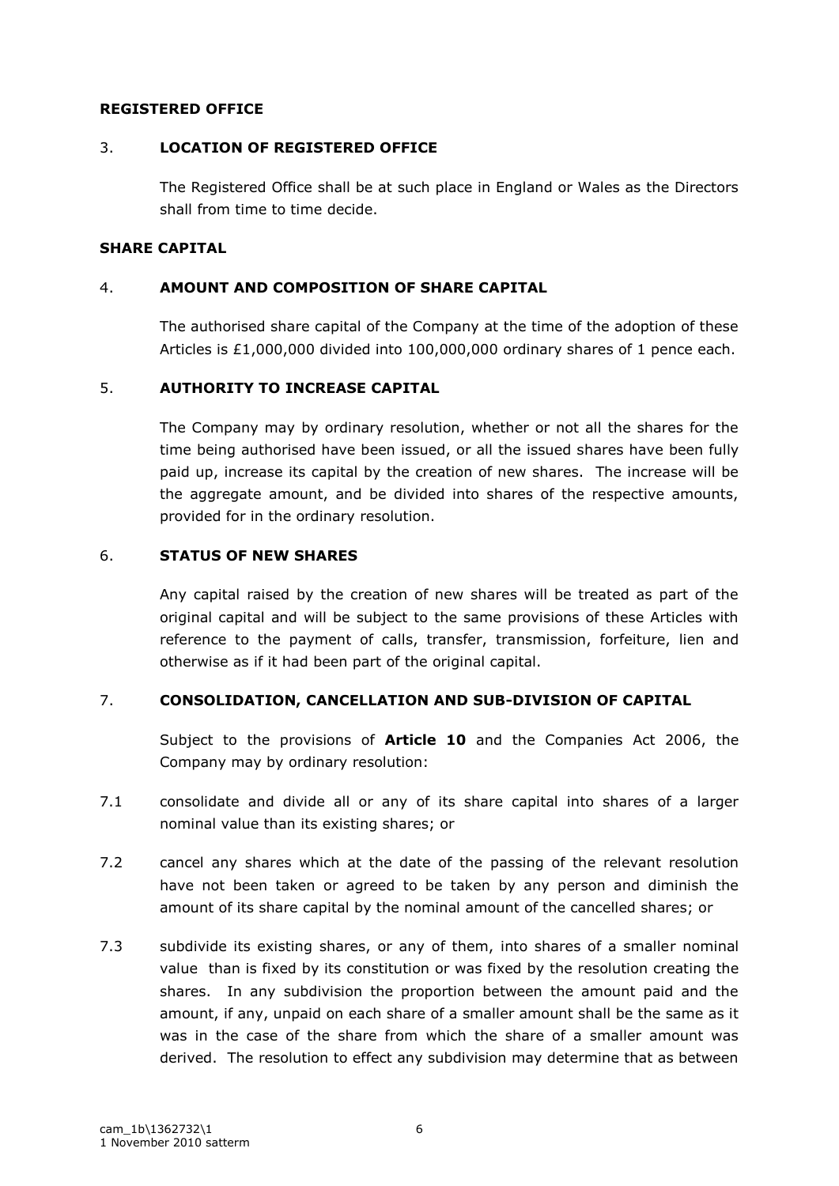### **REGISTERED OFFICE**

### 3. **LOCATION OF REGISTERED OFFICE**

The Registered Office shall be at such place in England or Wales as the Directors shall from time to time decide.

#### **SHARE CAPITAL**

### 4. **AMOUNT AND COMPOSITION OF SHARE CAPITAL**

The authorised share capital of the Company at the time of the adoption of these Articles is £1,000,000 divided into 100,000,000 ordinary shares of 1 pence each.

### 5. **AUTHORITY TO INCREASE CAPITAL**

The Company may by ordinary resolution, whether or not all the shares for the time being authorised have been issued, or all the issued shares have been fully paid up, increase its capital by the creation of new shares. The increase will be the aggregate amount, and be divided into shares of the respective amounts, provided for in the ordinary resolution.

### 6. **STATUS OF NEW SHARES**

Any capital raised by the creation of new shares will be treated as part of the original capital and will be subject to the same provisions of these Articles with reference to the payment of calls, transfer, transmission, forfeiture, lien and otherwise as if it had been part of the original capital.

#### 7. **CONSOLIDATION, CANCELLATION AND SUB-DIVISION OF CAPITAL**

Subject to the provisions of **Article 10** and the Companies Act 2006, the Company may by ordinary resolution:

- 7.1 consolidate and divide all or any of its share capital into shares of a larger nominal value than its existing shares; or
- 7.2 cancel any shares which at the date of the passing of the relevant resolution have not been taken or agreed to be taken by any person and diminish the amount of its share capital by the nominal amount of the cancelled shares; or
- 7.3 subdivide its existing shares, or any of them, into shares of a smaller nominal value than is fixed by its constitution or was fixed by the resolution creating the shares. In any subdivision the proportion between the amount paid and the amount, if any, unpaid on each share of a smaller amount shall be the same as it was in the case of the share from which the share of a smaller amount was derived. The resolution to effect any subdivision may determine that as between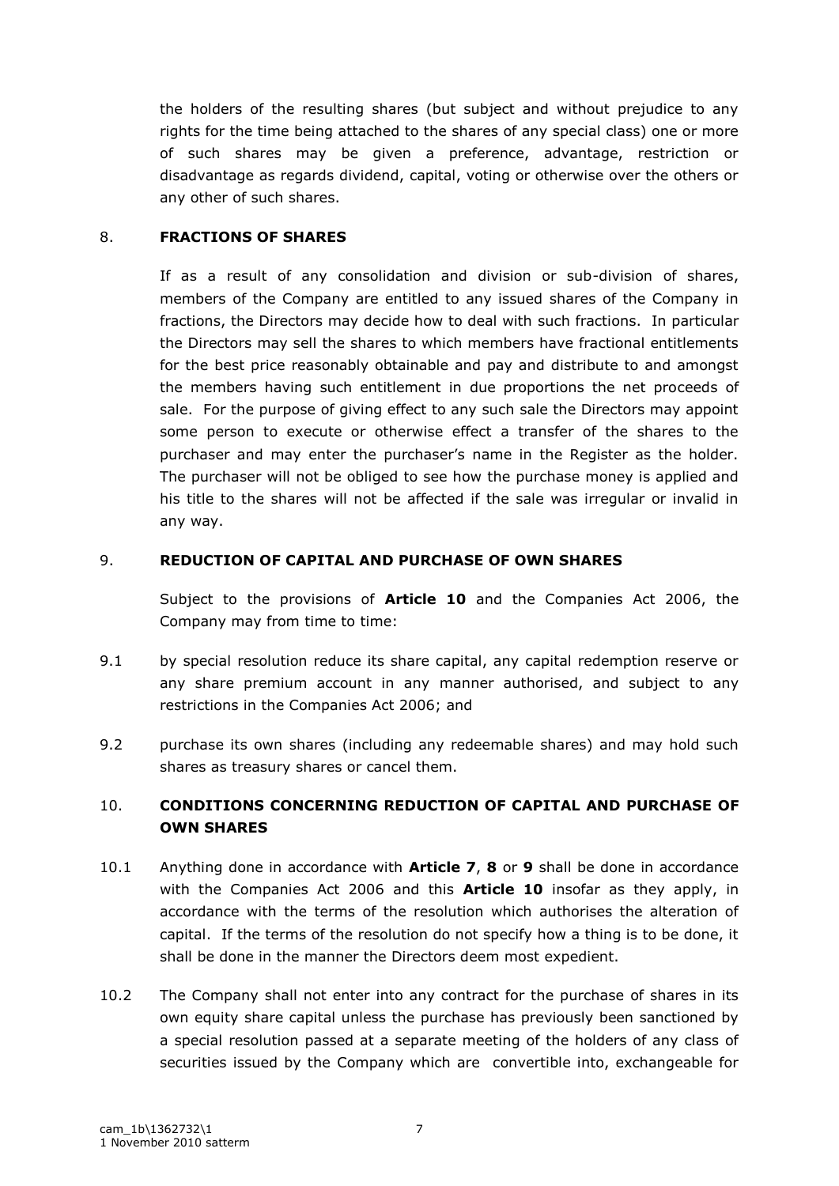the holders of the resulting shares (but subject and without prejudice to any rights for the time being attached to the shares of any special class) one or more of such shares may be given a preference, advantage, restriction or disadvantage as regards dividend, capital, voting or otherwise over the others or any other of such shares.

## 8. **FRACTIONS OF SHARES**

If as a result of any consolidation and division or sub-division of shares, members of the Company are entitled to any issued shares of the Company in fractions, the Directors may decide how to deal with such fractions. In particular the Directors may sell the shares to which members have fractional entitlements for the best price reasonably obtainable and pay and distribute to and amongst the members having such entitlement in due proportions the net proceeds of sale. For the purpose of giving effect to any such sale the Directors may appoint some person to execute or otherwise effect a transfer of the shares to the purchaser and may enter the purchaser's name in the Register as the holder. The purchaser will not be obliged to see how the purchase money is applied and his title to the shares will not be affected if the sale was irregular or invalid in any way.

## 9. **REDUCTION OF CAPITAL AND PURCHASE OF OWN SHARES**

Subject to the provisions of **Article 10** and the Companies Act 2006, the Company may from time to time:

- 9.1 by special resolution reduce its share capital, any capital redemption reserve or any share premium account in any manner authorised, and subject to any restrictions in the Companies Act 2006; and
- 9.2 purchase its own shares (including any redeemable shares) and may hold such shares as treasury shares or cancel them.

# 10. **CONDITIONS CONCERNING REDUCTION OF CAPITAL AND PURCHASE OF OWN SHARES**

- 10.1 Anything done in accordance with **Article 7**, **8** or **9** shall be done in accordance with the Companies Act 2006 and this **Article 10** insofar as they apply, in accordance with the terms of the resolution which authorises the alteration of capital. If the terms of the resolution do not specify how a thing is to be done, it shall be done in the manner the Directors deem most expedient.
- 10.2 The Company shall not enter into any contract for the purchase of shares in its own equity share capital unless the purchase has previously been sanctioned by a special resolution passed at a separate meeting of the holders of any class of securities issued by the Company which are convertible into, exchangeable for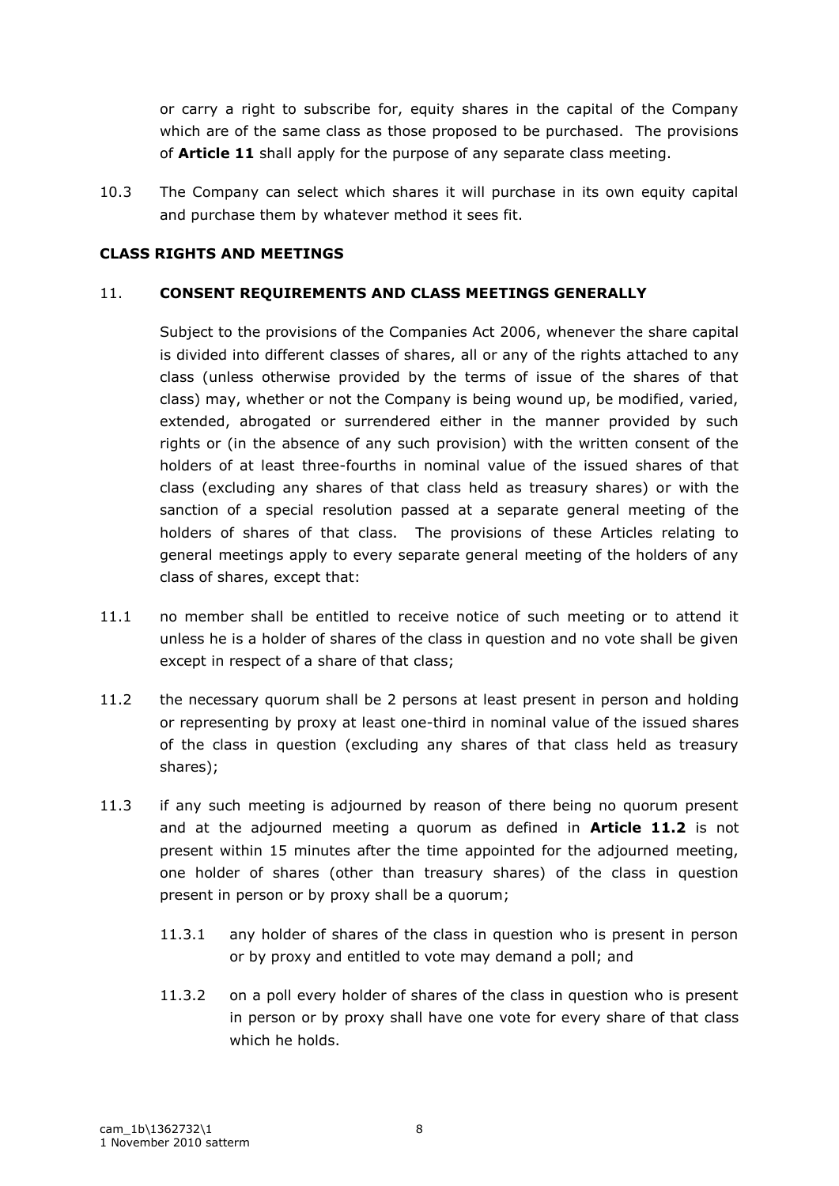or carry a right to subscribe for, equity shares in the capital of the Company which are of the same class as those proposed to be purchased. The provisions of **Article 11** shall apply for the purpose of any separate class meeting.

10.3 The Company can select which shares it will purchase in its own equity capital and purchase them by whatever method it sees fit.

## **CLASS RIGHTS AND MEETINGS**

## 11. **CONSENT REQUIREMENTS AND CLASS MEETINGS GENERALLY**

Subject to the provisions of the Companies Act 2006, whenever the share capital is divided into different classes of shares, all or any of the rights attached to any class (unless otherwise provided by the terms of issue of the shares of that class) may, whether or not the Company is being wound up, be modified, varied, extended, abrogated or surrendered either in the manner provided by such rights or (in the absence of any such provision) with the written consent of the holders of at least three-fourths in nominal value of the issued shares of that class (excluding any shares of that class held as treasury shares) or with the sanction of a special resolution passed at a separate general meeting of the holders of shares of that class. The provisions of these Articles relating to general meetings apply to every separate general meeting of the holders of any class of shares, except that:

- 11.1 no member shall be entitled to receive notice of such meeting or to attend it unless he is a holder of shares of the class in question and no vote shall be given except in respect of a share of that class;
- 11.2 the necessary quorum shall be 2 persons at least present in person and holding or representing by proxy at least one-third in nominal value of the issued shares of the class in question (excluding any shares of that class held as treasury shares);
- 11.3 if any such meeting is adjourned by reason of there being no quorum present and at the adjourned meeting a quorum as defined in **Article 11.2** is not present within 15 minutes after the time appointed for the adjourned meeting, one holder of shares (other than treasury shares) of the class in question present in person or by proxy shall be a quorum;
	- 11.3.1 any holder of shares of the class in question who is present in person or by proxy and entitled to vote may demand a poll; and
	- 11.3.2 on a poll every holder of shares of the class in question who is present in person or by proxy shall have one vote for every share of that class which he holds.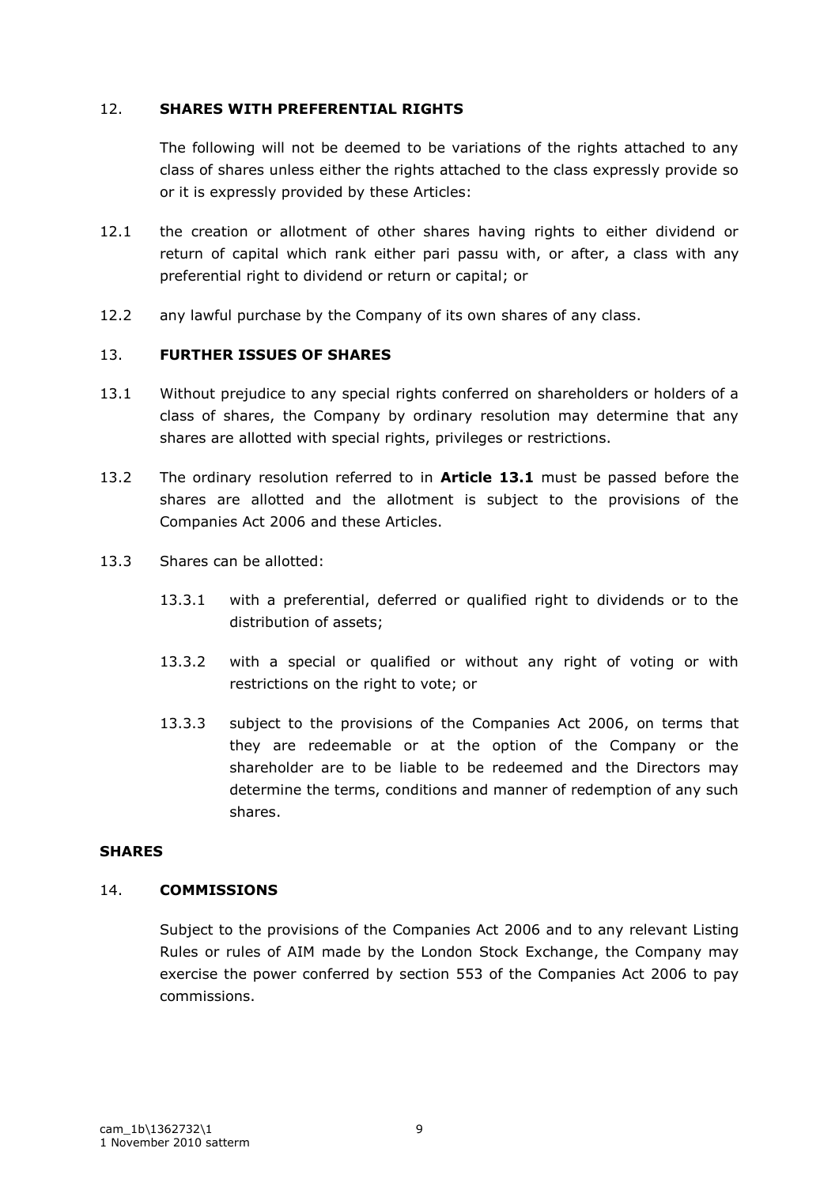### 12. **SHARES WITH PREFERENTIAL RIGHTS**

The following will not be deemed to be variations of the rights attached to any class of shares unless either the rights attached to the class expressly provide so or it is expressly provided by these Articles:

- 12.1 the creation or allotment of other shares having rights to either dividend or return of capital which rank either pari passu with, or after, a class with any preferential right to dividend or return or capital; or
- 12.2 any lawful purchase by the Company of its own shares of any class.

## 13. **FURTHER ISSUES OF SHARES**

- 13.1 Without prejudice to any special rights conferred on shareholders or holders of a class of shares, the Company by ordinary resolution may determine that any shares are allotted with special rights, privileges or restrictions.
- 13.2 The ordinary resolution referred to in **Article 13.1** must be passed before the shares are allotted and the allotment is subject to the provisions of the Companies Act 2006 and these Articles.
- 13.3 Shares can be allotted:
	- 13.3.1 with a preferential, deferred or qualified right to dividends or to the distribution of assets;
	- 13.3.2 with a special or qualified or without any right of voting or with restrictions on the right to vote; or
	- 13.3.3 subject to the provisions of the Companies Act 2006, on terms that they are redeemable or at the option of the Company or the shareholder are to be liable to be redeemed and the Directors may determine the terms, conditions and manner of redemption of any such shares.

## **SHARES**

## 14. **COMMISSIONS**

Subject to the provisions of the Companies Act 2006 and to any relevant Listing Rules or rules of AIM made by the London Stock Exchange, the Company may exercise the power conferred by section 553 of the Companies Act 2006 to pay commissions.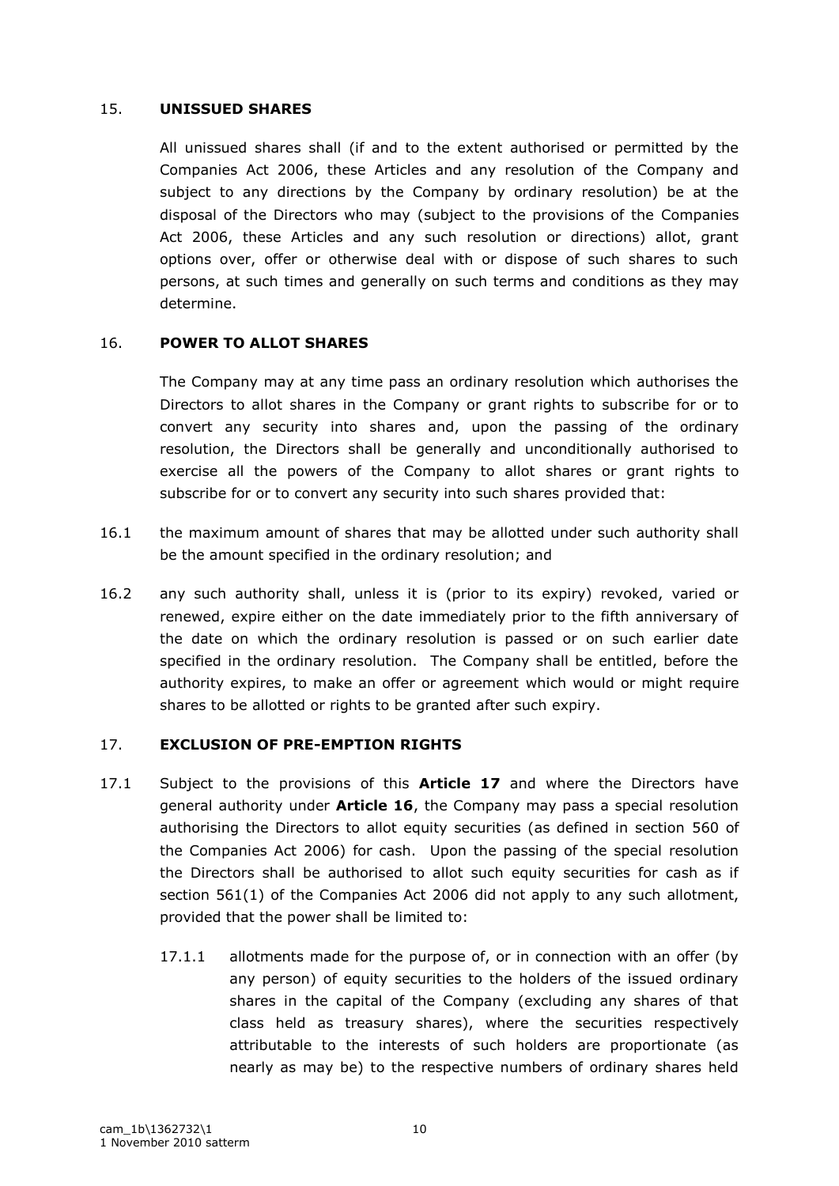### 15. **UNISSUED SHARES**

All unissued shares shall (if and to the extent authorised or permitted by the Companies Act 2006, these Articles and any resolution of the Company and subject to any directions by the Company by ordinary resolution) be at the disposal of the Directors who may (subject to the provisions of the Companies Act 2006, these Articles and any such resolution or directions) allot, grant options over, offer or otherwise deal with or dispose of such shares to such persons, at such times and generally on such terms and conditions as they may determine.

## 16. **POWER TO ALLOT SHARES**

The Company may at any time pass an ordinary resolution which authorises the Directors to allot shares in the Company or grant rights to subscribe for or to convert any security into shares and, upon the passing of the ordinary resolution, the Directors shall be generally and unconditionally authorised to exercise all the powers of the Company to allot shares or grant rights to subscribe for or to convert any security into such shares provided that:

- 16.1 the maximum amount of shares that may be allotted under such authority shall be the amount specified in the ordinary resolution; and
- 16.2 any such authority shall, unless it is (prior to its expiry) revoked, varied or renewed, expire either on the date immediately prior to the fifth anniversary of the date on which the ordinary resolution is passed or on such earlier date specified in the ordinary resolution. The Company shall be entitled, before the authority expires, to make an offer or agreement which would or might require shares to be allotted or rights to be granted after such expiry.

#### 17. **EXCLUSION OF PRE-EMPTION RIGHTS**

- 17.1 Subject to the provisions of this **Article 17** and where the Directors have general authority under **Article 16**, the Company may pass a special resolution authorising the Directors to allot equity securities (as defined in section 560 of the Companies Act 2006) for cash. Upon the passing of the special resolution the Directors shall be authorised to allot such equity securities for cash as if section 561(1) of the Companies Act 2006 did not apply to any such allotment, provided that the power shall be limited to:
	- 17.1.1 allotments made for the purpose of, or in connection with an offer (by any person) of equity securities to the holders of the issued ordinary shares in the capital of the Company (excluding any shares of that class held as treasury shares), where the securities respectively attributable to the interests of such holders are proportionate (as nearly as may be) to the respective numbers of ordinary shares held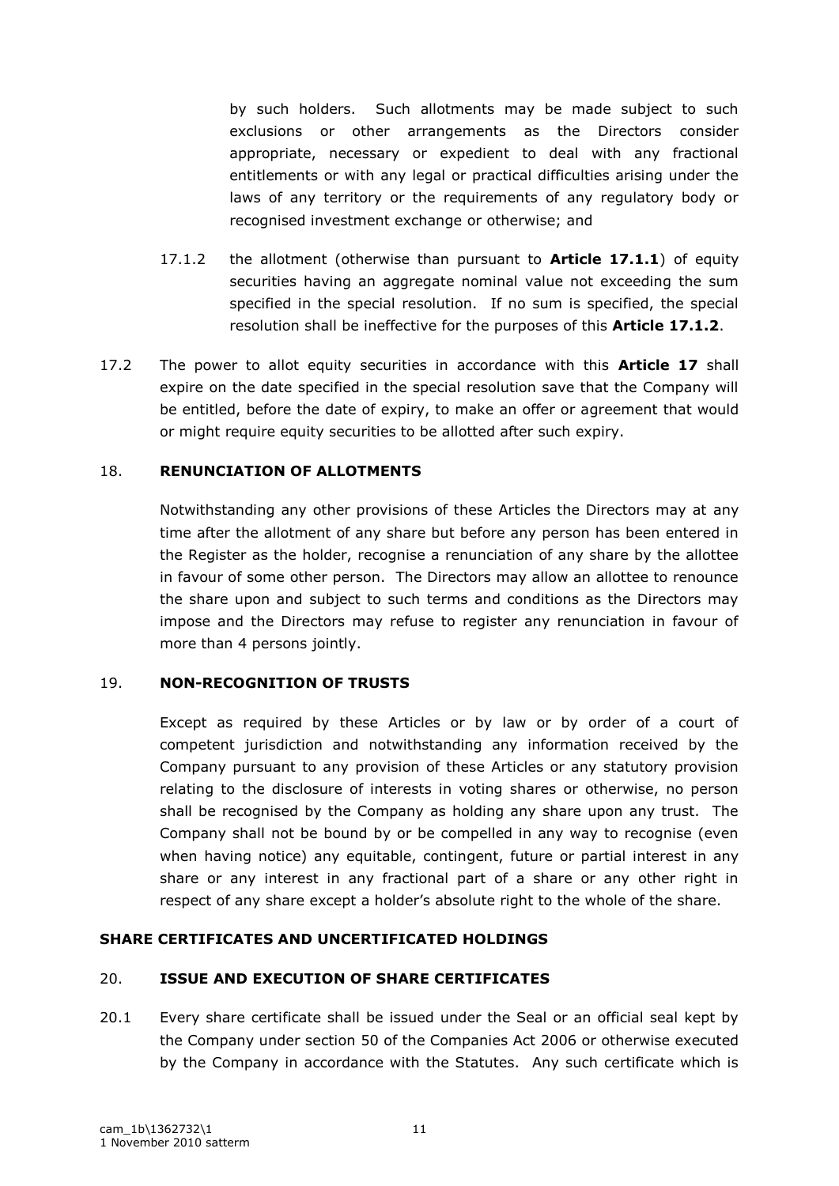by such holders. Such allotments may be made subject to such exclusions or other arrangements as the Directors consider appropriate, necessary or expedient to deal with any fractional entitlements or with any legal or practical difficulties arising under the laws of any territory or the requirements of any regulatory body or recognised investment exchange or otherwise; and

- 17.1.2 the allotment (otherwise than pursuant to **Article 17.1.1**) of equity securities having an aggregate nominal value not exceeding the sum specified in the special resolution. If no sum is specified, the special resolution shall be ineffective for the purposes of this **Article 17.1.2**.
- 17.2 The power to allot equity securities in accordance with this **Article 17** shall expire on the date specified in the special resolution save that the Company will be entitled, before the date of expiry, to make an offer or agreement that would or might require equity securities to be allotted after such expiry.

## 18. **RENUNCIATION OF ALLOTMENTS**

Notwithstanding any other provisions of these Articles the Directors may at any time after the allotment of any share but before any person has been entered in the Register as the holder, recognise a renunciation of any share by the allottee in favour of some other person. The Directors may allow an allottee to renounce the share upon and subject to such terms and conditions as the Directors may impose and the Directors may refuse to register any renunciation in favour of more than 4 persons jointly.

## 19. **NON-RECOGNITION OF TRUSTS**

Except as required by these Articles or by law or by order of a court of competent jurisdiction and notwithstanding any information received by the Company pursuant to any provision of these Articles or any statutory provision relating to the disclosure of interests in voting shares or otherwise, no person shall be recognised by the Company as holding any share upon any trust. The Company shall not be bound by or be compelled in any way to recognise (even when having notice) any equitable, contingent, future or partial interest in any share or any interest in any fractional part of a share or any other right in respect of any share except a holder"s absolute right to the whole of the share.

## **SHARE CERTIFICATES AND UNCERTIFICATED HOLDINGS**

## 20. **ISSUE AND EXECUTION OF SHARE CERTIFICATES**

20.1 Every share certificate shall be issued under the Seal or an official seal kept by the Company under section 50 of the Companies Act 2006 or otherwise executed by the Company in accordance with the Statutes. Any such certificate which is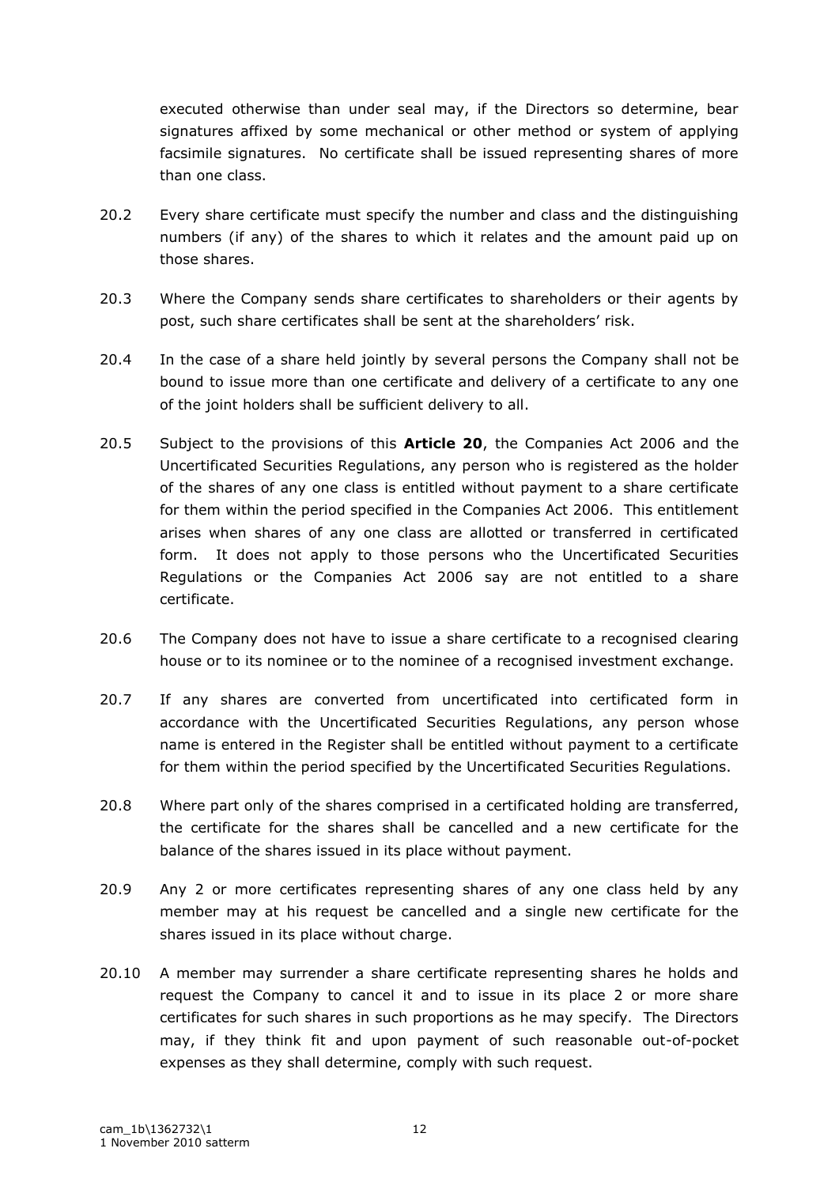executed otherwise than under seal may, if the Directors so determine, bear signatures affixed by some mechanical or other method or system of applying facsimile signatures. No certificate shall be issued representing shares of more than one class.

- 20.2 Every share certificate must specify the number and class and the distinguishing numbers (if any) of the shares to which it relates and the amount paid up on those shares.
- 20.3 Where the Company sends share certificates to shareholders or their agents by post, such share certificates shall be sent at the shareholders' risk.
- 20.4 In the case of a share held jointly by several persons the Company shall not be bound to issue more than one certificate and delivery of a certificate to any one of the joint holders shall be sufficient delivery to all.
- 20.5 Subject to the provisions of this **Article 20**, the Companies Act 2006 and the Uncertificated Securities Regulations, any person who is registered as the holder of the shares of any one class is entitled without payment to a share certificate for them within the period specified in the Companies Act 2006. This entitlement arises when shares of any one class are allotted or transferred in certificated form. It does not apply to those persons who the Uncertificated Securities Regulations or the Companies Act 2006 say are not entitled to a share certificate.
- 20.6 The Company does not have to issue a share certificate to a recognised clearing house or to its nominee or to the nominee of a recognised investment exchange.
- 20.7 If any shares are converted from uncertificated into certificated form in accordance with the Uncertificated Securities Regulations, any person whose name is entered in the Register shall be entitled without payment to a certificate for them within the period specified by the Uncertificated Securities Regulations.
- 20.8 Where part only of the shares comprised in a certificated holding are transferred, the certificate for the shares shall be cancelled and a new certificate for the balance of the shares issued in its place without payment.
- 20.9 Any 2 or more certificates representing shares of any one class held by any member may at his request be cancelled and a single new certificate for the shares issued in its place without charge.
- 20.10 A member may surrender a share certificate representing shares he holds and request the Company to cancel it and to issue in its place 2 or more share certificates for such shares in such proportions as he may specify. The Directors may, if they think fit and upon payment of such reasonable out-of-pocket expenses as they shall determine, comply with such request.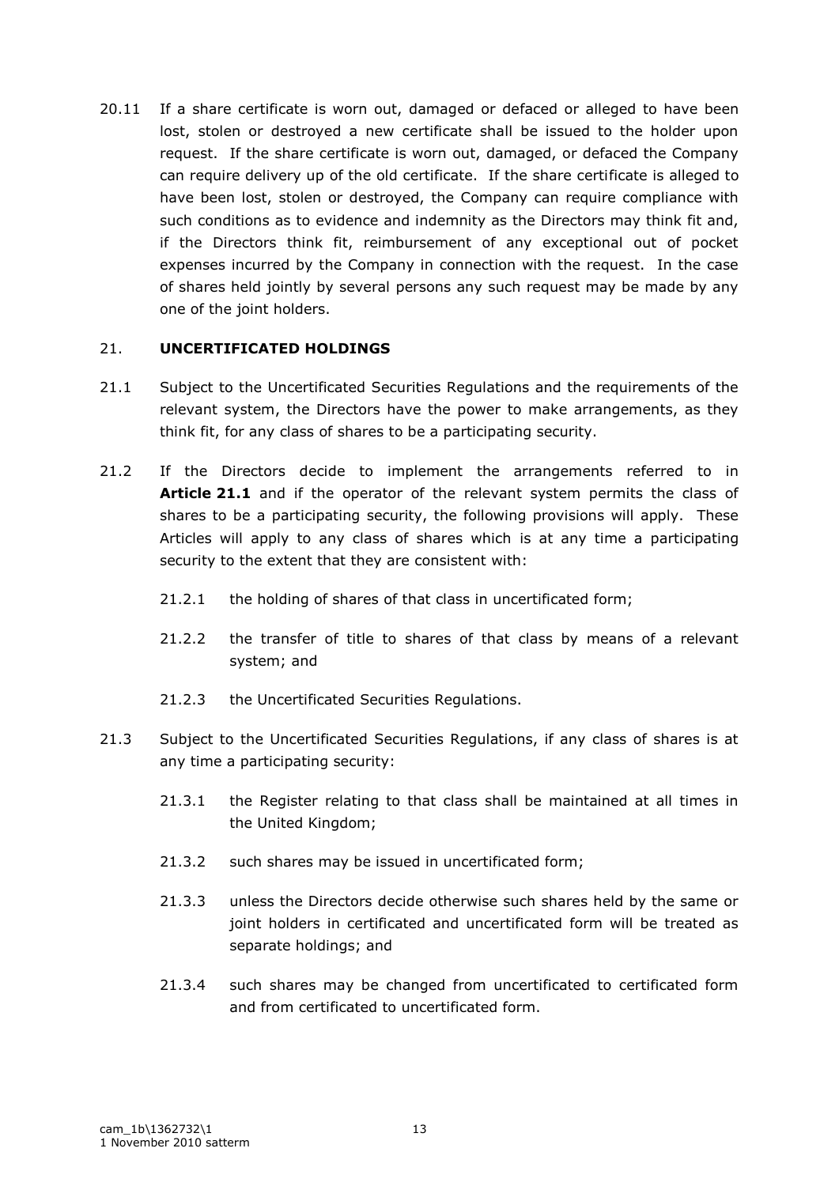20.11 If a share certificate is worn out, damaged or defaced or alleged to have been lost, stolen or destroyed a new certificate shall be issued to the holder upon request. If the share certificate is worn out, damaged, or defaced the Company can require delivery up of the old certificate. If the share certificate is alleged to have been lost, stolen or destroyed, the Company can require compliance with such conditions as to evidence and indemnity as the Directors may think fit and, if the Directors think fit, reimbursement of any exceptional out of pocket expenses incurred by the Company in connection with the request. In the case of shares held jointly by several persons any such request may be made by any one of the joint holders.

### 21. **UNCERTIFICATED HOLDINGS**

- 21.1 Subject to the Uncertificated Securities Regulations and the requirements of the relevant system, the Directors have the power to make arrangements, as they think fit, for any class of shares to be a participating security.
- 21.2 If the Directors decide to implement the arrangements referred to in **Article 21.1** and if the operator of the relevant system permits the class of shares to be a participating security, the following provisions will apply. These Articles will apply to any class of shares which is at any time a participating security to the extent that they are consistent with:
	- 21.2.1 the holding of shares of that class in uncertificated form;
	- 21.2.2 the transfer of title to shares of that class by means of a relevant system; and
	- 21.2.3 the Uncertificated Securities Regulations.
- 21.3 Subject to the Uncertificated Securities Regulations, if any class of shares is at any time a participating security:
	- 21.3.1 the Register relating to that class shall be maintained at all times in the United Kingdom;
	- 21.3.2 such shares may be issued in uncertificated form;
	- 21.3.3 unless the Directors decide otherwise such shares held by the same or joint holders in certificated and uncertificated form will be treated as separate holdings; and
	- 21.3.4 such shares may be changed from uncertificated to certificated form and from certificated to uncertificated form.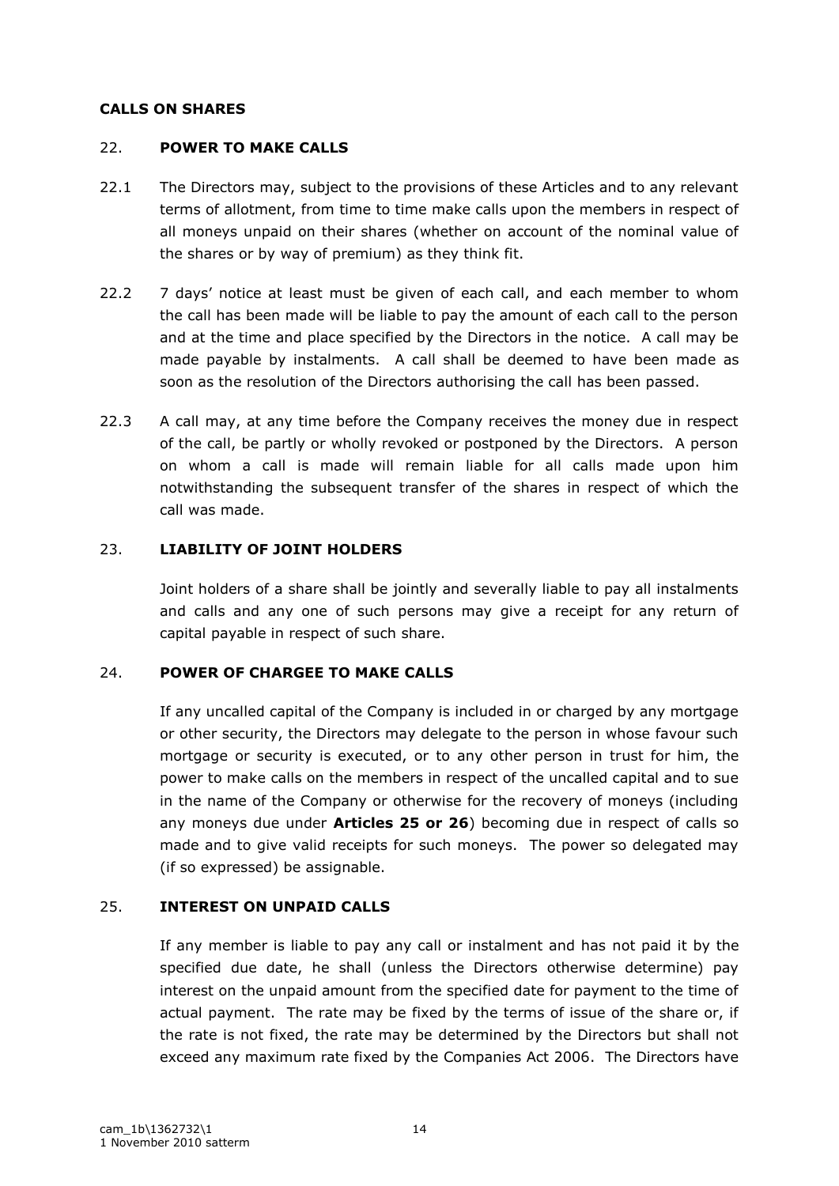### **CALLS ON SHARES**

## 22. **POWER TO MAKE CALLS**

- 22.1 The Directors may, subject to the provisions of these Articles and to any relevant terms of allotment, from time to time make calls upon the members in respect of all moneys unpaid on their shares (whether on account of the nominal value of the shares or by way of premium) as they think fit.
- 22.2 7 days' notice at least must be given of each call, and each member to whom the call has been made will be liable to pay the amount of each call to the person and at the time and place specified by the Directors in the notice. A call may be made payable by instalments. A call shall be deemed to have been made as soon as the resolution of the Directors authorising the call has been passed.
- 22.3 A call may, at any time before the Company receives the money due in respect of the call, be partly or wholly revoked or postponed by the Directors. A person on whom a call is made will remain liable for all calls made upon him notwithstanding the subsequent transfer of the shares in respect of which the call was made.

### 23. **LIABILITY OF JOINT HOLDERS**

Joint holders of a share shall be jointly and severally liable to pay all instalments and calls and any one of such persons may give a receipt for any return of capital payable in respect of such share.

#### 24. **POWER OF CHARGEE TO MAKE CALLS**

If any uncalled capital of the Company is included in or charged by any mortgage or other security, the Directors may delegate to the person in whose favour such mortgage or security is executed, or to any other person in trust for him, the power to make calls on the members in respect of the uncalled capital and to sue in the name of the Company or otherwise for the recovery of moneys (including any moneys due under **Articles 25 or 26**) becoming due in respect of calls so made and to give valid receipts for such moneys. The power so delegated may (if so expressed) be assignable.

## 25. **INTEREST ON UNPAID CALLS**

If any member is liable to pay any call or instalment and has not paid it by the specified due date, he shall (unless the Directors otherwise determine) pay interest on the unpaid amount from the specified date for payment to the time of actual payment. The rate may be fixed by the terms of issue of the share or, if the rate is not fixed, the rate may be determined by the Directors but shall not exceed any maximum rate fixed by the Companies Act 2006. The Directors have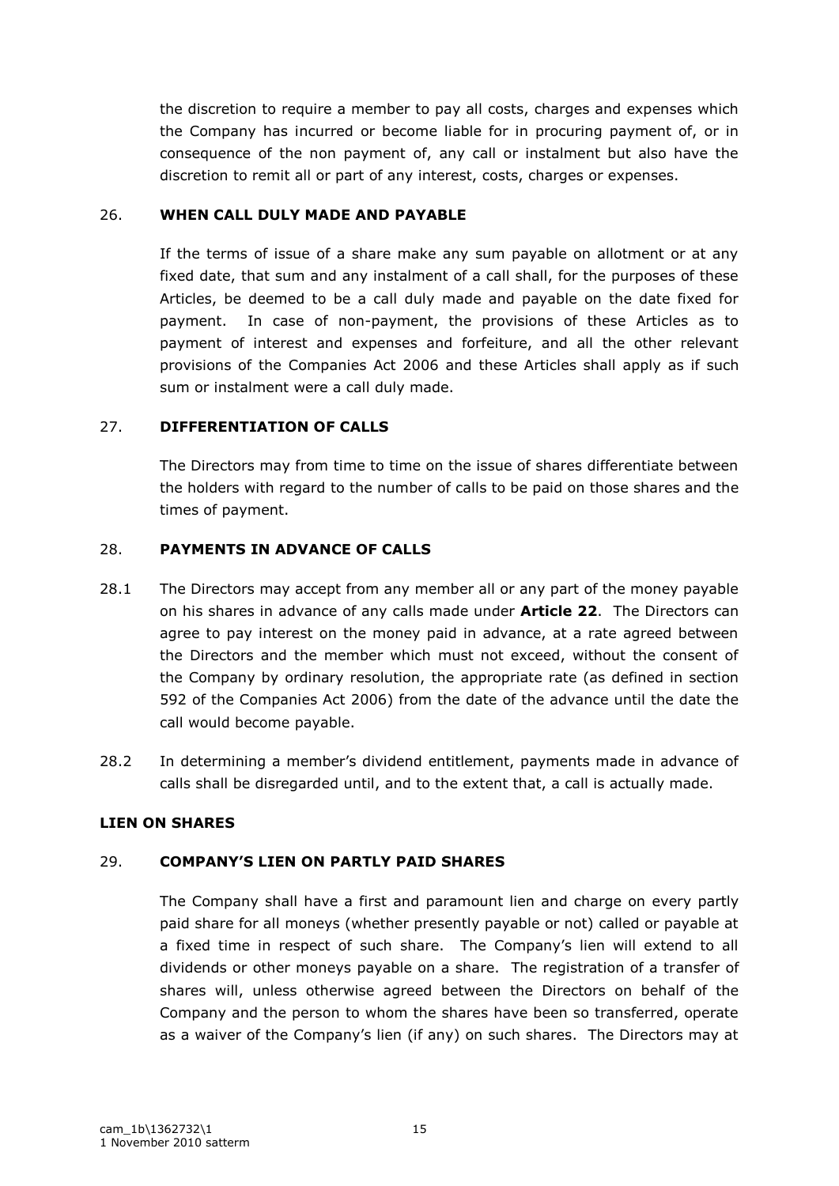the discretion to require a member to pay all costs, charges and expenses which the Company has incurred or become liable for in procuring payment of, or in consequence of the non payment of, any call or instalment but also have the discretion to remit all or part of any interest, costs, charges or expenses.

## 26. **WHEN CALL DULY MADE AND PAYABLE**

If the terms of issue of a share make any sum payable on allotment or at any fixed date, that sum and any instalment of a call shall, for the purposes of these Articles, be deemed to be a call duly made and payable on the date fixed for payment. In case of non-payment, the provisions of these Articles as to payment of interest and expenses and forfeiture, and all the other relevant provisions of the Companies Act 2006 and these Articles shall apply as if such sum or instalment were a call duly made.

## 27. **DIFFERENTIATION OF CALLS**

The Directors may from time to time on the issue of shares differentiate between the holders with regard to the number of calls to be paid on those shares and the times of payment.

## 28. **PAYMENTS IN ADVANCE OF CALLS**

- 28.1 The Directors may accept from any member all or any part of the money payable on his shares in advance of any calls made under **Article 22**. The Directors can agree to pay interest on the money paid in advance, at a rate agreed between the Directors and the member which must not exceed, without the consent of the Company by ordinary resolution, the appropriate rate (as defined in section 592 of the Companies Act 2006) from the date of the advance until the date the call would become payable.
- 28.2 In determining a member's dividend entitlement, payments made in advance of calls shall be disregarded until, and to the extent that, a call is actually made.

# **LIEN ON SHARES**

# 29. **COMPANY'S LIEN ON PARTLY PAID SHARES**

The Company shall have a first and paramount lien and charge on every partly paid share for all moneys (whether presently payable or not) called or payable at a fixed time in respect of such share. The Company's lien will extend to all dividends or other moneys payable on a share. The registration of a transfer of shares will, unless otherwise agreed between the Directors on behalf of the Company and the person to whom the shares have been so transferred, operate as a waiver of the Company's lien (if any) on such shares. The Directors may at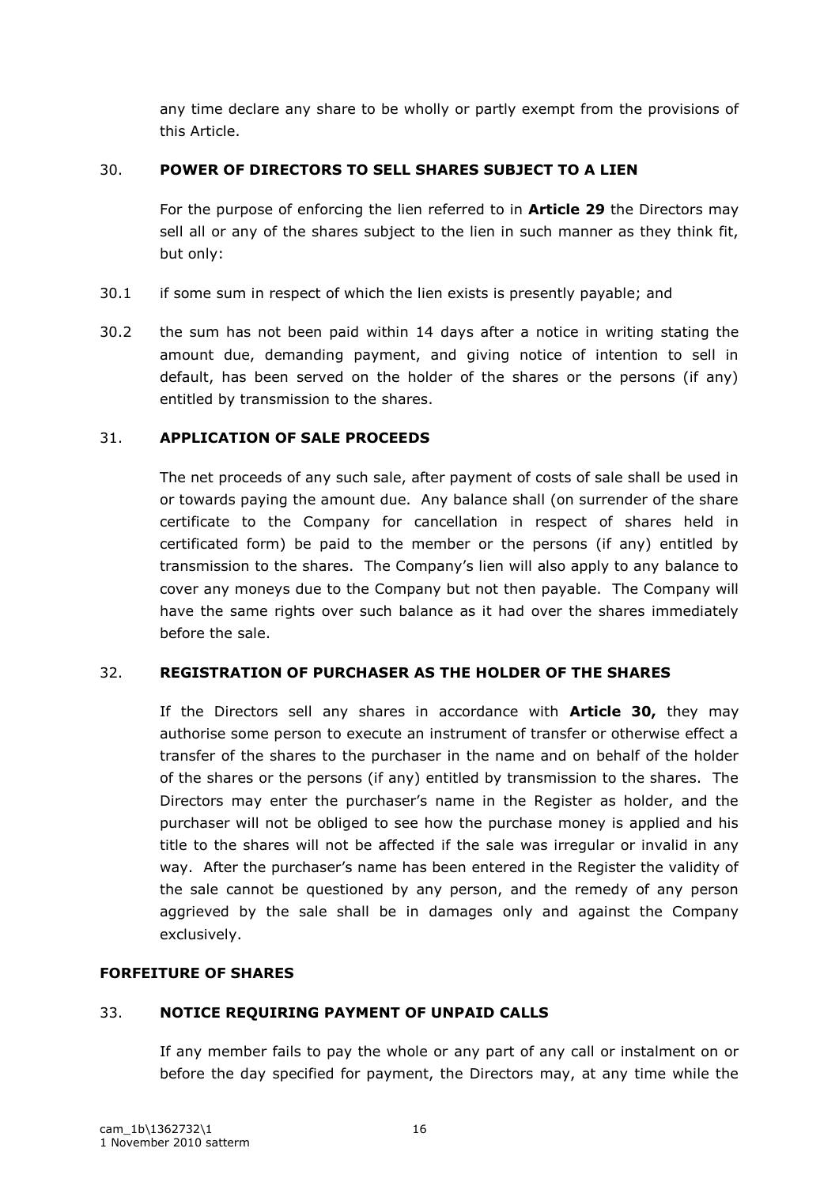any time declare any share to be wholly or partly exempt from the provisions of this Article.

## 30. **POWER OF DIRECTORS TO SELL SHARES SUBJECT TO A LIEN**

For the purpose of enforcing the lien referred to in **Article 29** the Directors may sell all or any of the shares subject to the lien in such manner as they think fit, but only:

- 30.1 if some sum in respect of which the lien exists is presently payable; and
- 30.2 the sum has not been paid within 14 days after a notice in writing stating the amount due, demanding payment, and giving notice of intention to sell in default, has been served on the holder of the shares or the persons (if any) entitled by transmission to the shares.

## 31. **APPLICATION OF SALE PROCEEDS**

The net proceeds of any such sale, after payment of costs of sale shall be used in or towards paying the amount due. Any balance shall (on surrender of the share certificate to the Company for cancellation in respect of shares held in certificated form) be paid to the member or the persons (if any) entitled by transmission to the shares. The Company"s lien will also apply to any balance to cover any moneys due to the Company but not then payable. The Company will have the same rights over such balance as it had over the shares immediately before the sale.

## 32. **REGISTRATION OF PURCHASER AS THE HOLDER OF THE SHARES**

If the Directors sell any shares in accordance with **Article 30,** they may authorise some person to execute an instrument of transfer or otherwise effect a transfer of the shares to the purchaser in the name and on behalf of the holder of the shares or the persons (if any) entitled by transmission to the shares. The Directors may enter the purchaser"s name in the Register as holder, and the purchaser will not be obliged to see how the purchase money is applied and his title to the shares will not be affected if the sale was irregular or invalid in any way. After the purchaser"s name has been entered in the Register the validity of the sale cannot be questioned by any person, and the remedy of any person aggrieved by the sale shall be in damages only and against the Company exclusively.

## **FORFEITURE OF SHARES**

## 33. **NOTICE REQUIRING PAYMENT OF UNPAID CALLS**

If any member fails to pay the whole or any part of any call or instalment on or before the day specified for payment, the Directors may, at any time while the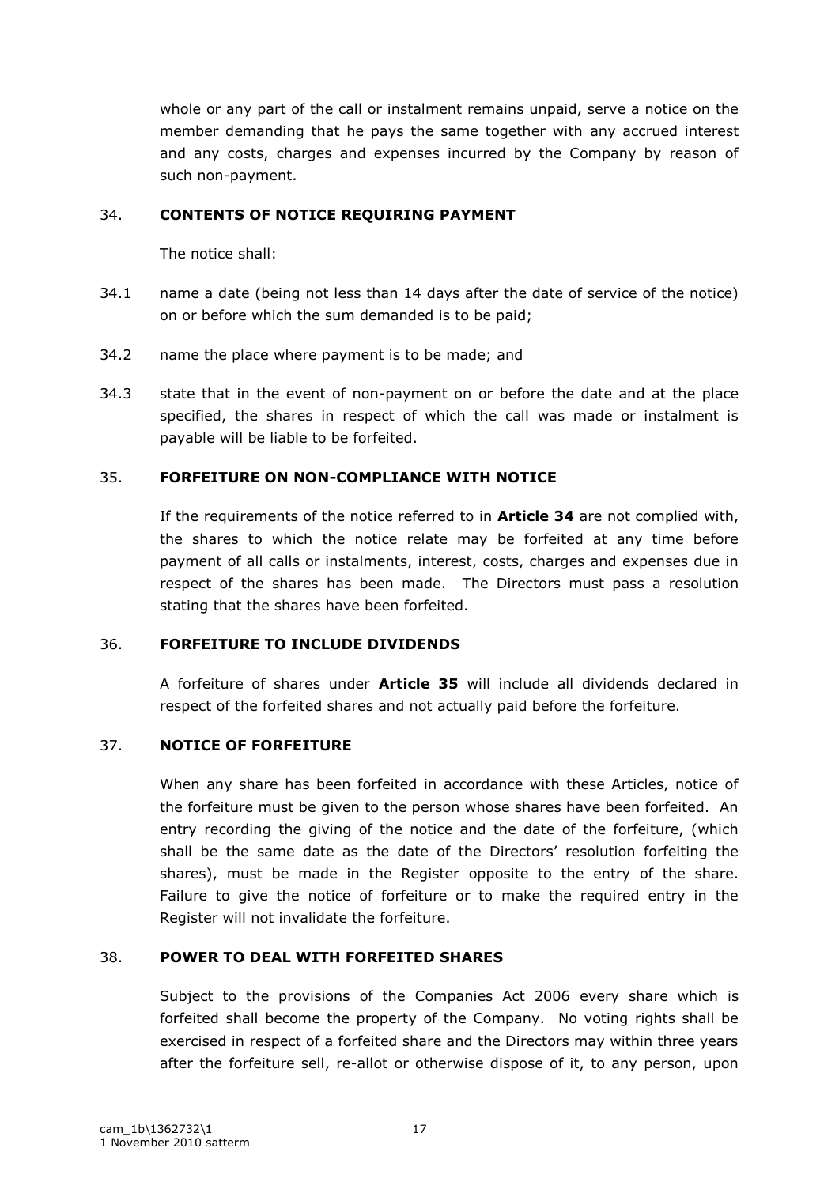whole or any part of the call or instalment remains unpaid, serve a notice on the member demanding that he pays the same together with any accrued interest and any costs, charges and expenses incurred by the Company by reason of such non-payment.

## 34. **CONTENTS OF NOTICE REQUIRING PAYMENT**

The notice shall:

- 34.1 name a date (being not less than 14 days after the date of service of the notice) on or before which the sum demanded is to be paid;
- 34.2 name the place where payment is to be made; and
- 34.3 state that in the event of non-payment on or before the date and at the place specified, the shares in respect of which the call was made or instalment is payable will be liable to be forfeited.

# 35. **FORFEITURE ON NON-COMPLIANCE WITH NOTICE**

If the requirements of the notice referred to in **Article 34** are not complied with, the shares to which the notice relate may be forfeited at any time before payment of all calls or instalments, interest, costs, charges and expenses due in respect of the shares has been made. The Directors must pass a resolution stating that the shares have been forfeited.

## 36. **FORFEITURE TO INCLUDE DIVIDENDS**

A forfeiture of shares under **Article 35** will include all dividends declared in respect of the forfeited shares and not actually paid before the forfeiture.

# 37. **NOTICE OF FORFEITURE**

When any share has been forfeited in accordance with these Articles, notice of the forfeiture must be given to the person whose shares have been forfeited. An entry recording the giving of the notice and the date of the forfeiture, (which shall be the same date as the date of the Directors' resolution forfeiting the shares), must be made in the Register opposite to the entry of the share. Failure to give the notice of forfeiture or to make the required entry in the Register will not invalidate the forfeiture.

# 38. **POWER TO DEAL WITH FORFEITED SHARES**

Subject to the provisions of the Companies Act 2006 every share which is forfeited shall become the property of the Company. No voting rights shall be exercised in respect of a forfeited share and the Directors may within three years after the forfeiture sell, re-allot or otherwise dispose of it, to any person, upon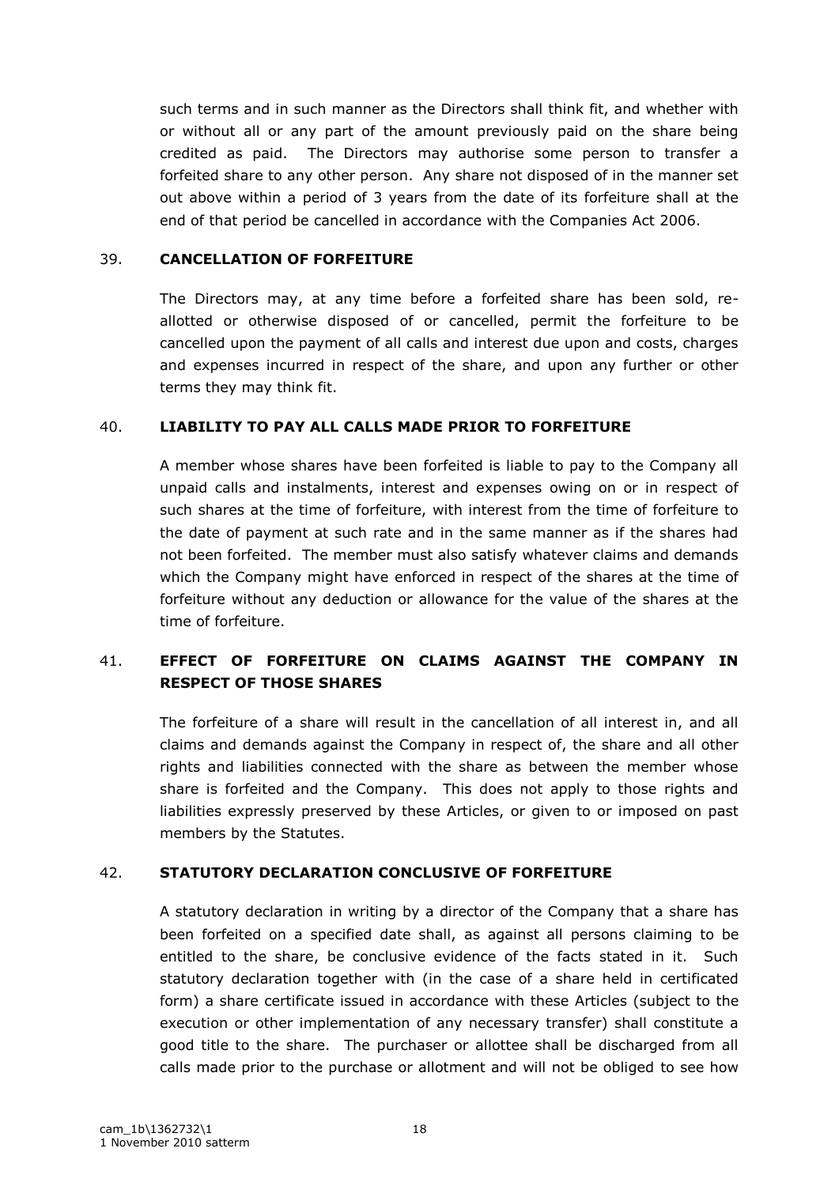such terms and in such manner as the Directors shall think fit, and whether with or without all or any part of the amount previously paid on the share being credited as paid. The Directors may authorise some person to transfer a forfeited share to any other person. Any share not disposed of in the manner set out above within a period of 3 years from the date of its forfeiture shall at the end of that period be cancelled in accordance with the Companies Act 2006.

### 39. **CANCELLATION OF FORFEITURE**

The Directors may, at any time before a forfeited share has been sold, reallotted or otherwise disposed of or cancelled, permit the forfeiture to be cancelled upon the payment of all calls and interest due upon and costs, charges and expenses incurred in respect of the share, and upon any further or other terms they may think fit.

## 40. **LIABILITY TO PAY ALL CALLS MADE PRIOR TO FORFEITURE**

A member whose shares have been forfeited is liable to pay to the Company all unpaid calls and instalments, interest and expenses owing on or in respect of such shares at the time of forfeiture, with interest from the time of forfeiture to the date of payment at such rate and in the same manner as if the shares had not been forfeited. The member must also satisfy whatever claims and demands which the Company might have enforced in respect of the shares at the time of forfeiture without any deduction or allowance for the value of the shares at the time of forfeiture.

# 41. **EFFECT OF FORFEITURE ON CLAIMS AGAINST THE COMPANY IN RESPECT OF THOSE SHARES**

The forfeiture of a share will result in the cancellation of all interest in, and all claims and demands against the Company in respect of, the share and all other rights and liabilities connected with the share as between the member whose share is forfeited and the Company. This does not apply to those rights and liabilities expressly preserved by these Articles, or given to or imposed on past members by the Statutes.

## 42. **STATUTORY DECLARATION CONCLUSIVE OF FORFEITURE**

A statutory declaration in writing by a director of the Company that a share has been forfeited on a specified date shall, as against all persons claiming to be entitled to the share, be conclusive evidence of the facts stated in it. Such statutory declaration together with (in the case of a share held in certificated form) a share certificate issued in accordance with these Articles (subject to the execution or other implementation of any necessary transfer) shall constitute a good title to the share. The purchaser or allottee shall be discharged from all calls made prior to the purchase or allotment and will not be obliged to see how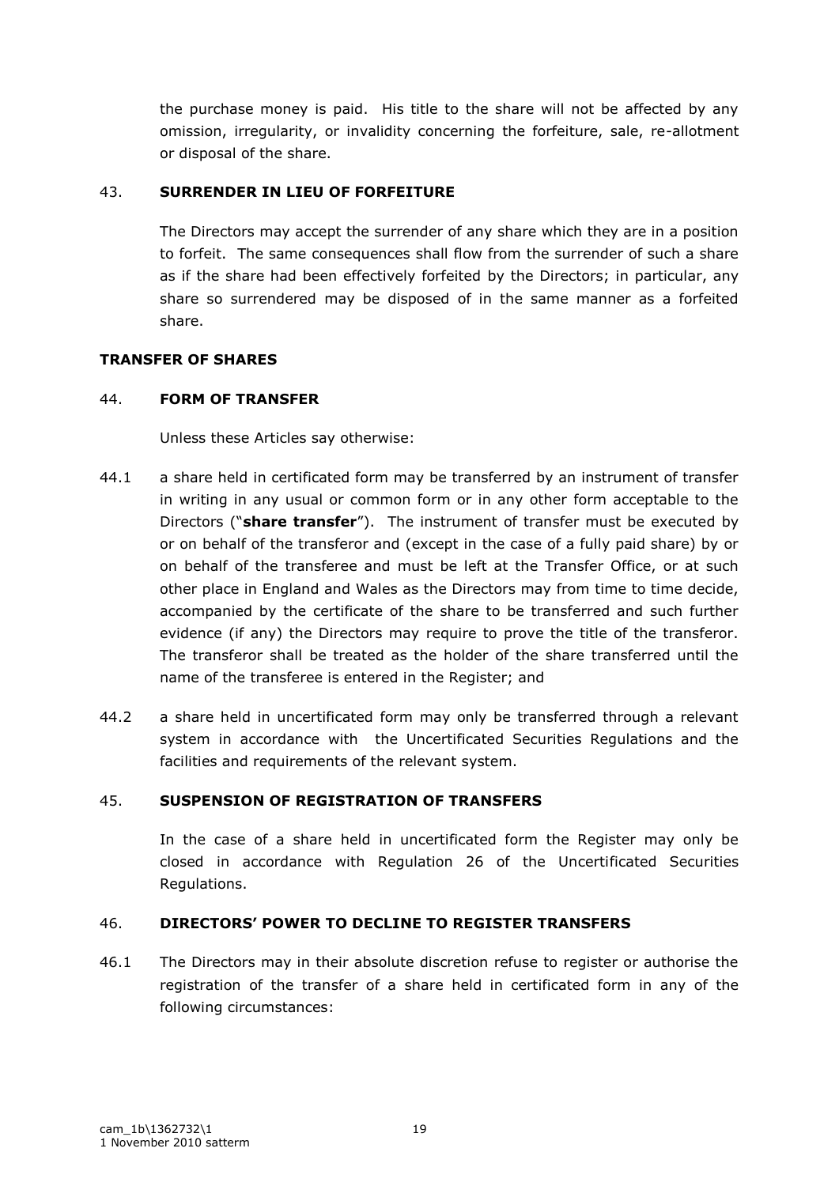the purchase money is paid. His title to the share will not be affected by any omission, irregularity, or invalidity concerning the forfeiture, sale, re-allotment or disposal of the share.

## 43. **SURRENDER IN LIEU OF FORFEITURE**

The Directors may accept the surrender of any share which they are in a position to forfeit. The same consequences shall flow from the surrender of such a share as if the share had been effectively forfeited by the Directors; in particular, any share so surrendered may be disposed of in the same manner as a forfeited share.

## **TRANSFER OF SHARES**

## 44. **FORM OF TRANSFER**

Unless these Articles say otherwise:

- 44.1 a share held in certificated form may be transferred by an instrument of transfer in writing in any usual or common form or in any other form acceptable to the Directors ("**share transfer**"). The instrument of transfer must be executed by or on behalf of the transferor and (except in the case of a fully paid share) by or on behalf of the transferee and must be left at the Transfer Office, or at such other place in England and Wales as the Directors may from time to time decide, accompanied by the certificate of the share to be transferred and such further evidence (if any) the Directors may require to prove the title of the transferor. The transferor shall be treated as the holder of the share transferred until the name of the transferee is entered in the Register; and
- 44.2 a share held in uncertificated form may only be transferred through a relevant system in accordance with the Uncertificated Securities Regulations and the facilities and requirements of the relevant system.

## 45. **SUSPENSION OF REGISTRATION OF TRANSFERS**

In the case of a share held in uncertificated form the Register may only be closed in accordance with Regulation 26 of the Uncertificated Securities Regulations.

## 46. **DIRECTORS' POWER TO DECLINE TO REGISTER TRANSFERS**

46.1 The Directors may in their absolute discretion refuse to register or authorise the registration of the transfer of a share held in certificated form in any of the following circumstances: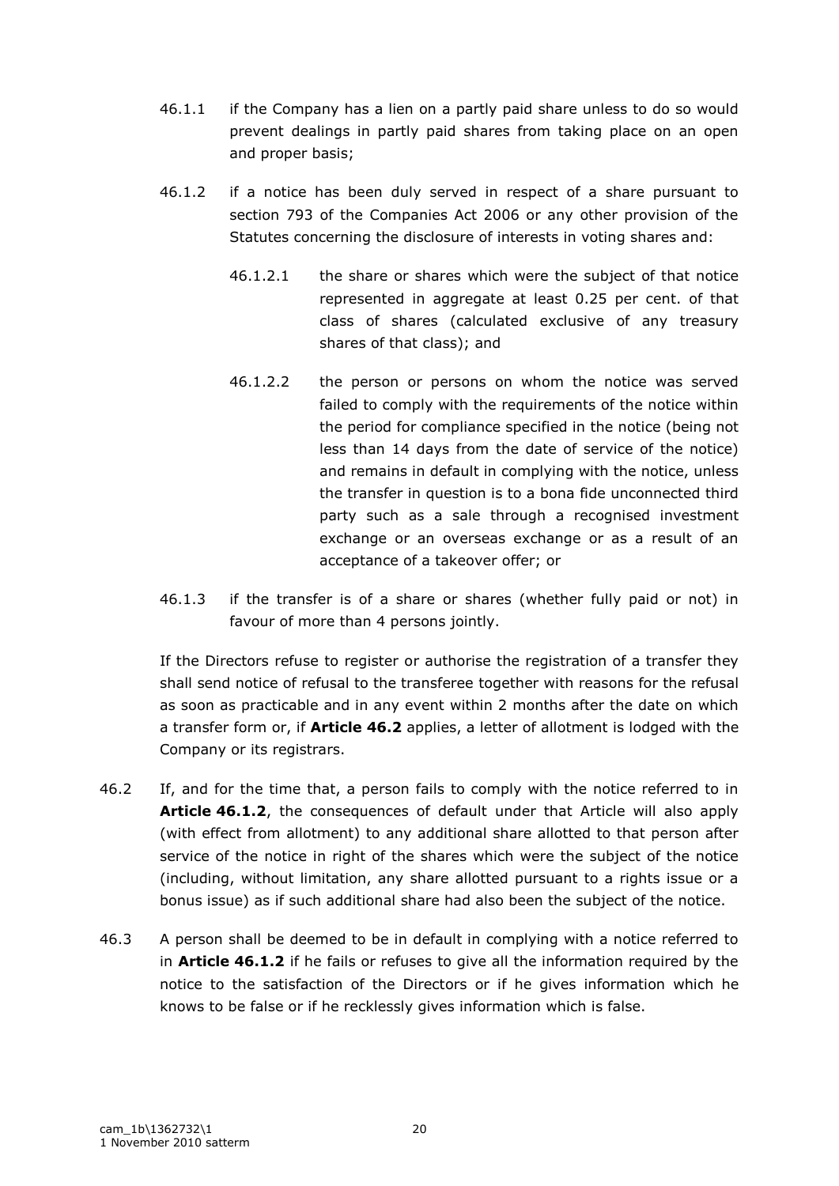- 46.1.1 if the Company has a lien on a partly paid share unless to do so would prevent dealings in partly paid shares from taking place on an open and proper basis;
- 46.1.2 if a notice has been duly served in respect of a share pursuant to section 793 of the Companies Act 2006 or any other provision of the Statutes concerning the disclosure of interests in voting shares and:
	- 46.1.2.1 the share or shares which were the subject of that notice represented in aggregate at least 0.25 per cent. of that class of shares (calculated exclusive of any treasury shares of that class); and
	- 46.1.2.2 the person or persons on whom the notice was served failed to comply with the requirements of the notice within the period for compliance specified in the notice (being not less than 14 days from the date of service of the notice) and remains in default in complying with the notice, unless the transfer in question is to a bona fide unconnected third party such as a sale through a recognised investment exchange or an overseas exchange or as a result of an acceptance of a takeover offer; or
- 46.1.3 if the transfer is of a share or shares (whether fully paid or not) in favour of more than 4 persons jointly.

If the Directors refuse to register or authorise the registration of a transfer they shall send notice of refusal to the transferee together with reasons for the refusal as soon as practicable and in any event within 2 months after the date on which a transfer form or, if **Article 46.2** applies, a letter of allotment is lodged with the Company or its registrars.

- 46.2 If, and for the time that, a person fails to comply with the notice referred to in **Article 46.1.2**, the consequences of default under that Article will also apply (with effect from allotment) to any additional share allotted to that person after service of the notice in right of the shares which were the subject of the notice (including, without limitation, any share allotted pursuant to a rights issue or a bonus issue) as if such additional share had also been the subject of the notice.
- 46.3 A person shall be deemed to be in default in complying with a notice referred to in **Article 46.1.2** if he fails or refuses to give all the information required by the notice to the satisfaction of the Directors or if he gives information which he knows to be false or if he recklessly gives information which is false.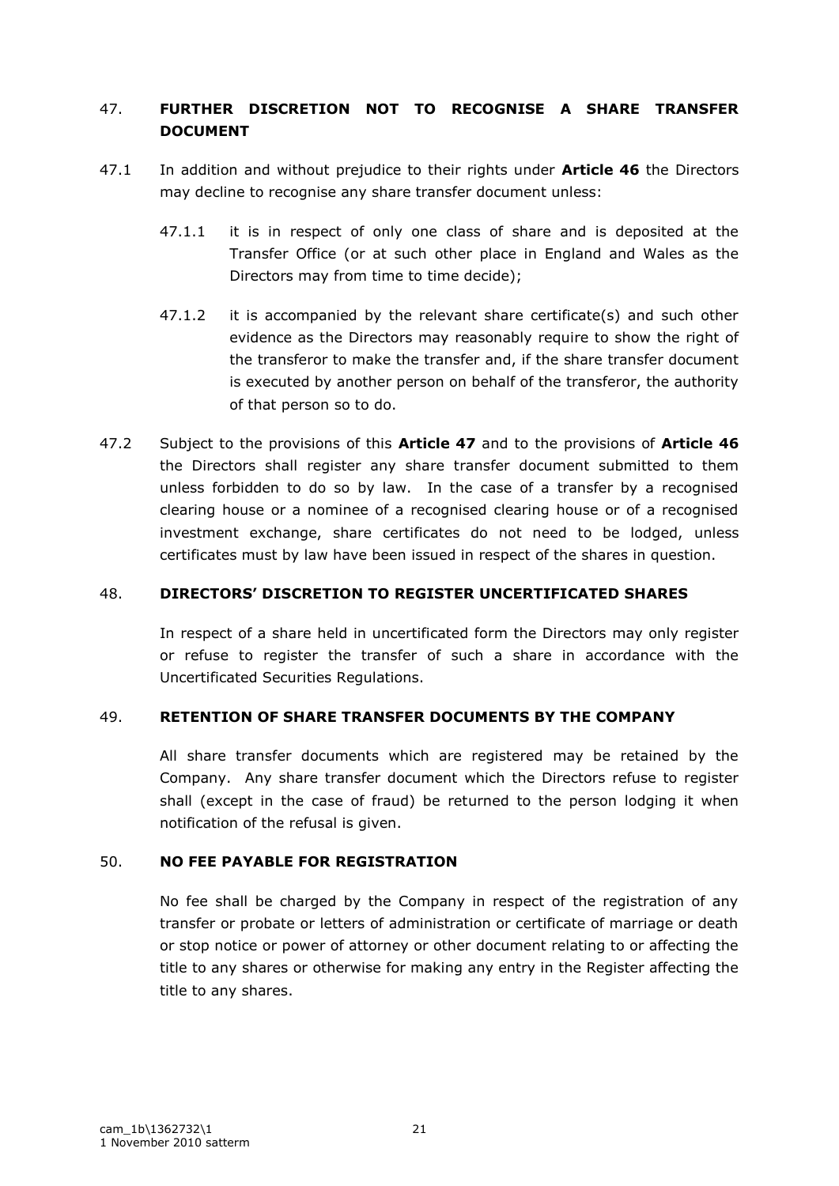# 47. **FURTHER DISCRETION NOT TO RECOGNISE A SHARE TRANSFER DOCUMENT**

- 47.1 In addition and without prejudice to their rights under **Article 46** the Directors may decline to recognise any share transfer document unless:
	- 47.1.1 it is in respect of only one class of share and is deposited at the Transfer Office (or at such other place in England and Wales as the Directors may from time to time decide);
	- 47.1.2 it is accompanied by the relevant share certificate(s) and such other evidence as the Directors may reasonably require to show the right of the transferor to make the transfer and, if the share transfer document is executed by another person on behalf of the transferor, the authority of that person so to do.
- 47.2 Subject to the provisions of this **Article 47** and to the provisions of **Article 46** the Directors shall register any share transfer document submitted to them unless forbidden to do so by law. In the case of a transfer by a recognised clearing house or a nominee of a recognised clearing house or of a recognised investment exchange, share certificates do not need to be lodged, unless certificates must by law have been issued in respect of the shares in question.

## 48. **DIRECTORS' DISCRETION TO REGISTER UNCERTIFICATED SHARES**

In respect of a share held in uncertificated form the Directors may only register or refuse to register the transfer of such a share in accordance with the Uncertificated Securities Regulations.

## 49. **RETENTION OF SHARE TRANSFER DOCUMENTS BY THE COMPANY**

All share transfer documents which are registered may be retained by the Company. Any share transfer document which the Directors refuse to register shall (except in the case of fraud) be returned to the person lodging it when notification of the refusal is given.

## 50. **NO FEE PAYABLE FOR REGISTRATION**

No fee shall be charged by the Company in respect of the registration of any transfer or probate or letters of administration or certificate of marriage or death or stop notice or power of attorney or other document relating to or affecting the title to any shares or otherwise for making any entry in the Register affecting the title to any shares.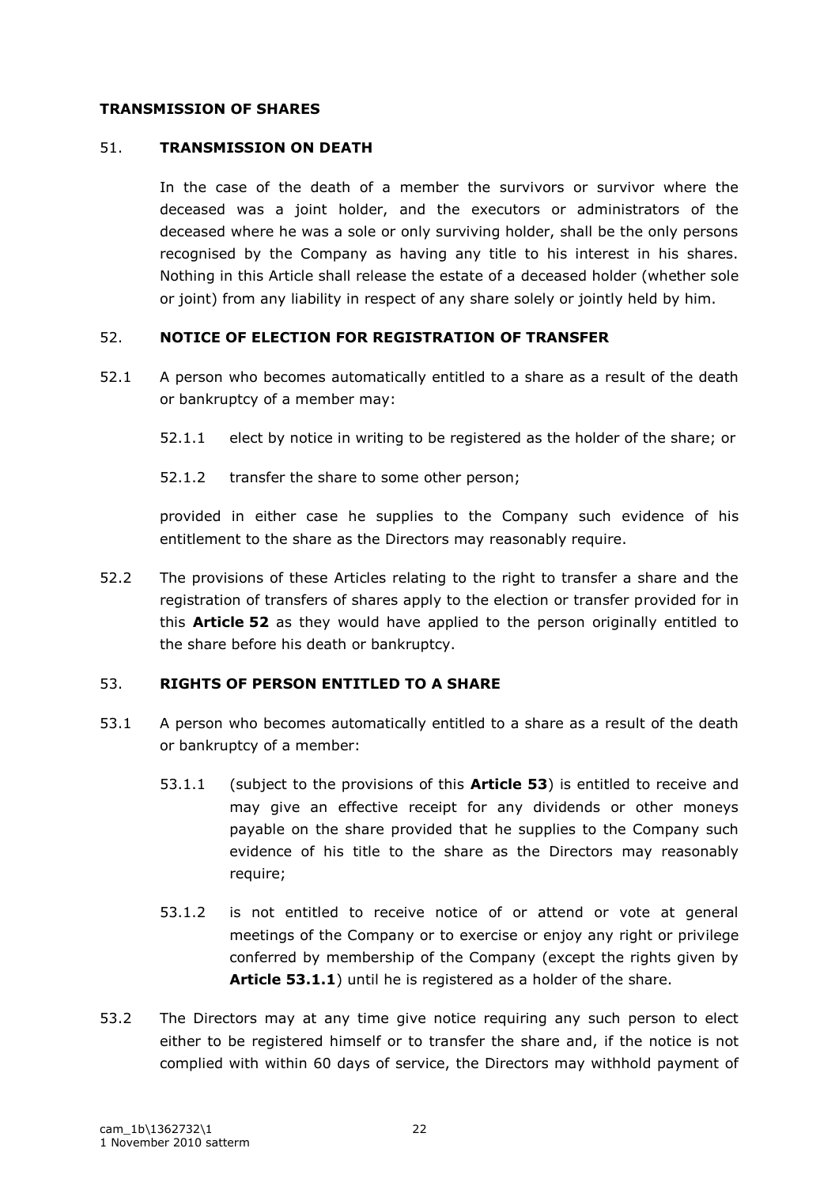### **TRANSMISSION OF SHARES**

### 51. **TRANSMISSION ON DEATH**

In the case of the death of a member the survivors or survivor where the deceased was a joint holder, and the executors or administrators of the deceased where he was a sole or only surviving holder, shall be the only persons recognised by the Company as having any title to his interest in his shares. Nothing in this Article shall release the estate of a deceased holder (whether sole or joint) from any liability in respect of any share solely or jointly held by him.

## 52. **NOTICE OF ELECTION FOR REGISTRATION OF TRANSFER**

- 52.1 A person who becomes automatically entitled to a share as a result of the death or bankruptcy of a member may:
	- 52.1.1 elect by notice in writing to be registered as the holder of the share; or
	- 52.1.2 transfer the share to some other person;

provided in either case he supplies to the Company such evidence of his entitlement to the share as the Directors may reasonably require.

52.2 The provisions of these Articles relating to the right to transfer a share and the registration of transfers of shares apply to the election or transfer provided for in this **Article 52** as they would have applied to the person originally entitled to the share before his death or bankruptcy.

## 53. **RIGHTS OF PERSON ENTITLED TO A SHARE**

- 53.1 A person who becomes automatically entitled to a share as a result of the death or bankruptcy of a member:
	- 53.1.1 (subject to the provisions of this **Article 53**) is entitled to receive and may give an effective receipt for any dividends or other moneys payable on the share provided that he supplies to the Company such evidence of his title to the share as the Directors may reasonably require;
	- 53.1.2 is not entitled to receive notice of or attend or vote at general meetings of the Company or to exercise or enjoy any right or privilege conferred by membership of the Company (except the rights given by **Article 53.1.1**) until he is registered as a holder of the share.
- 53.2 The Directors may at any time give notice requiring any such person to elect either to be registered himself or to transfer the share and, if the notice is not complied with within 60 days of service, the Directors may withhold payment of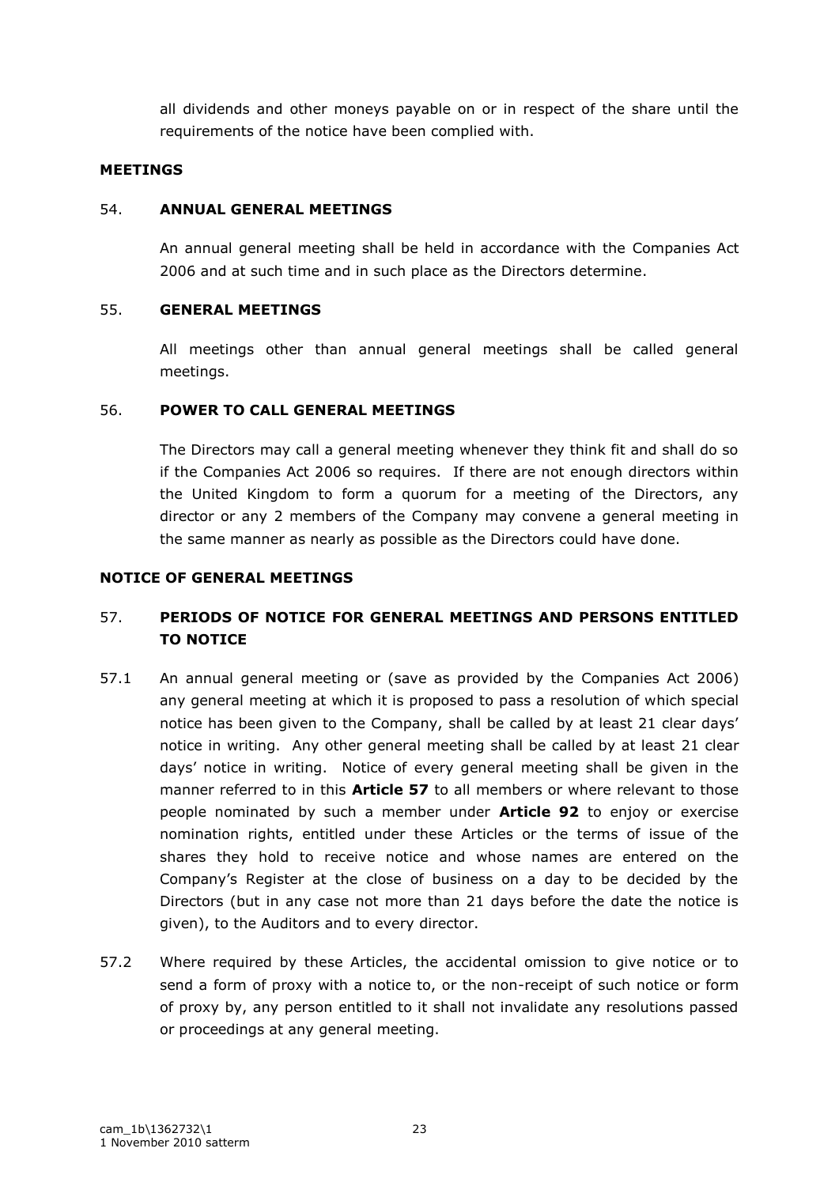all dividends and other moneys payable on or in respect of the share until the requirements of the notice have been complied with.

### **MEETINGS**

### 54. **ANNUAL GENERAL MEETINGS**

An annual general meeting shall be held in accordance with the Companies Act 2006 and at such time and in such place as the Directors determine.

## 55. **GENERAL MEETINGS**

All meetings other than annual general meetings shall be called general meetings.

### 56. **POWER TO CALL GENERAL MEETINGS**

The Directors may call a general meeting whenever they think fit and shall do so if the Companies Act 2006 so requires. If there are not enough directors within the United Kingdom to form a quorum for a meeting of the Directors, any director or any 2 members of the Company may convene a general meeting in the same manner as nearly as possible as the Directors could have done.

### **NOTICE OF GENERAL MEETINGS**

# 57. **PERIODS OF NOTICE FOR GENERAL MEETINGS AND PERSONS ENTITLED TO NOTICE**

- 57.1 An annual general meeting or (save as provided by the Companies Act 2006) any general meeting at which it is proposed to pass a resolution of which special notice has been given to the Company, shall be called by at least 21 clear days" notice in writing. Any other general meeting shall be called by at least 21 clear days" notice in writing. Notice of every general meeting shall be given in the manner referred to in this **Article 57** to all members or where relevant to those people nominated by such a member under **Article 92** to enjoy or exercise nomination rights, entitled under these Articles or the terms of issue of the shares they hold to receive notice and whose names are entered on the Company"s Register at the close of business on a day to be decided by the Directors (but in any case not more than 21 days before the date the notice is given), to the Auditors and to every director.
- 57.2 Where required by these Articles, the accidental omission to give notice or to send a form of proxy with a notice to, or the non-receipt of such notice or form of proxy by, any person entitled to it shall not invalidate any resolutions passed or proceedings at any general meeting.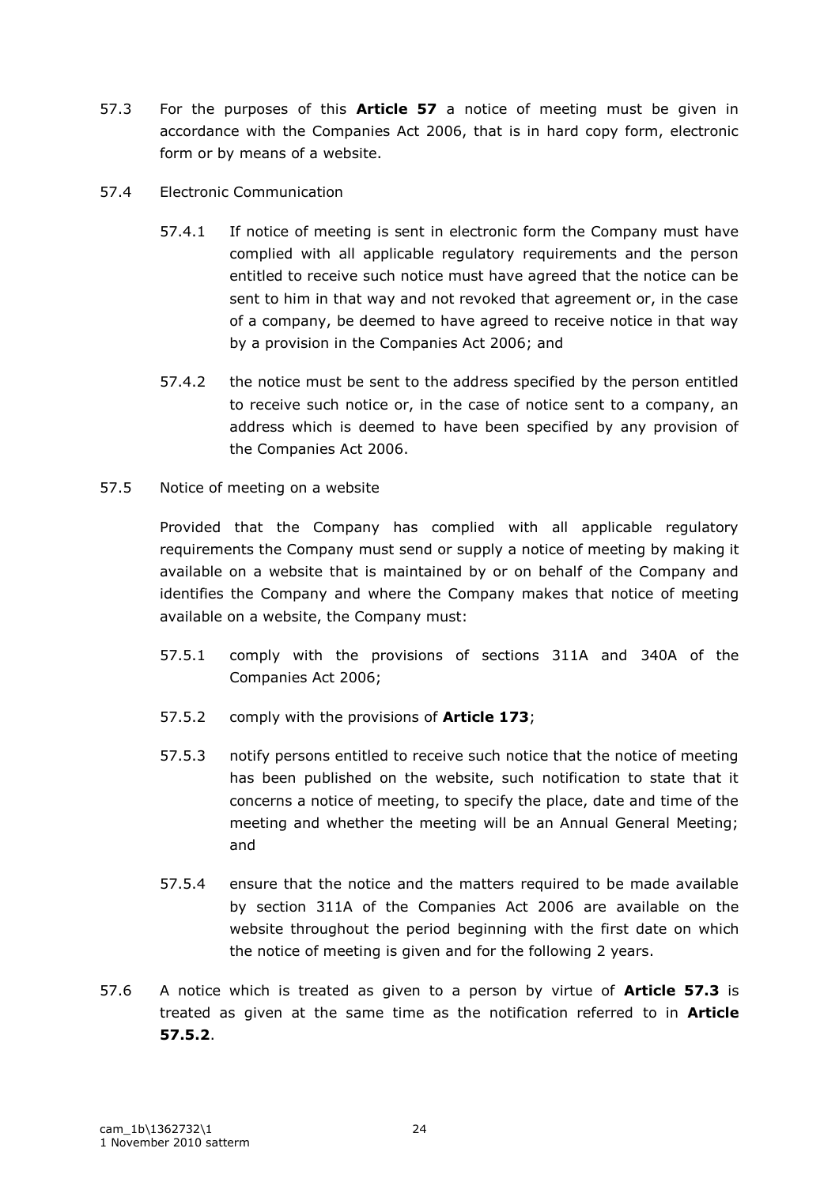- 57.3 For the purposes of this **Article 57** a notice of meeting must be given in accordance with the Companies Act 2006, that is in hard copy form, electronic form or by means of a website.
- 57.4 Electronic Communication
	- 57.4.1 If notice of meeting is sent in electronic form the Company must have complied with all applicable regulatory requirements and the person entitled to receive such notice must have agreed that the notice can be sent to him in that way and not revoked that agreement or, in the case of a company, be deemed to have agreed to receive notice in that way by a provision in the Companies Act 2006; and
	- 57.4.2 the notice must be sent to the address specified by the person entitled to receive such notice or, in the case of notice sent to a company, an address which is deemed to have been specified by any provision of the Companies Act 2006.
- 57.5 Notice of meeting on a website

Provided that the Company has complied with all applicable regulatory requirements the Company must send or supply a notice of meeting by making it available on a website that is maintained by or on behalf of the Company and identifies the Company and where the Company makes that notice of meeting available on a website, the Company must:

- 57.5.1 comply with the provisions of sections 311A and 340A of the Companies Act 2006;
- 57.5.2 comply with the provisions of **Article 173**;
- 57.5.3 notify persons entitled to receive such notice that the notice of meeting has been published on the website, such notification to state that it concerns a notice of meeting, to specify the place, date and time of the meeting and whether the meeting will be an Annual General Meeting; and
- 57.5.4 ensure that the notice and the matters required to be made available by section 311A of the Companies Act 2006 are available on the website throughout the period beginning with the first date on which the notice of meeting is given and for the following 2 years.
- 57.6 A notice which is treated as given to a person by virtue of **Article 57.3** is treated as given at the same time as the notification referred to in **Article 57.5.2**.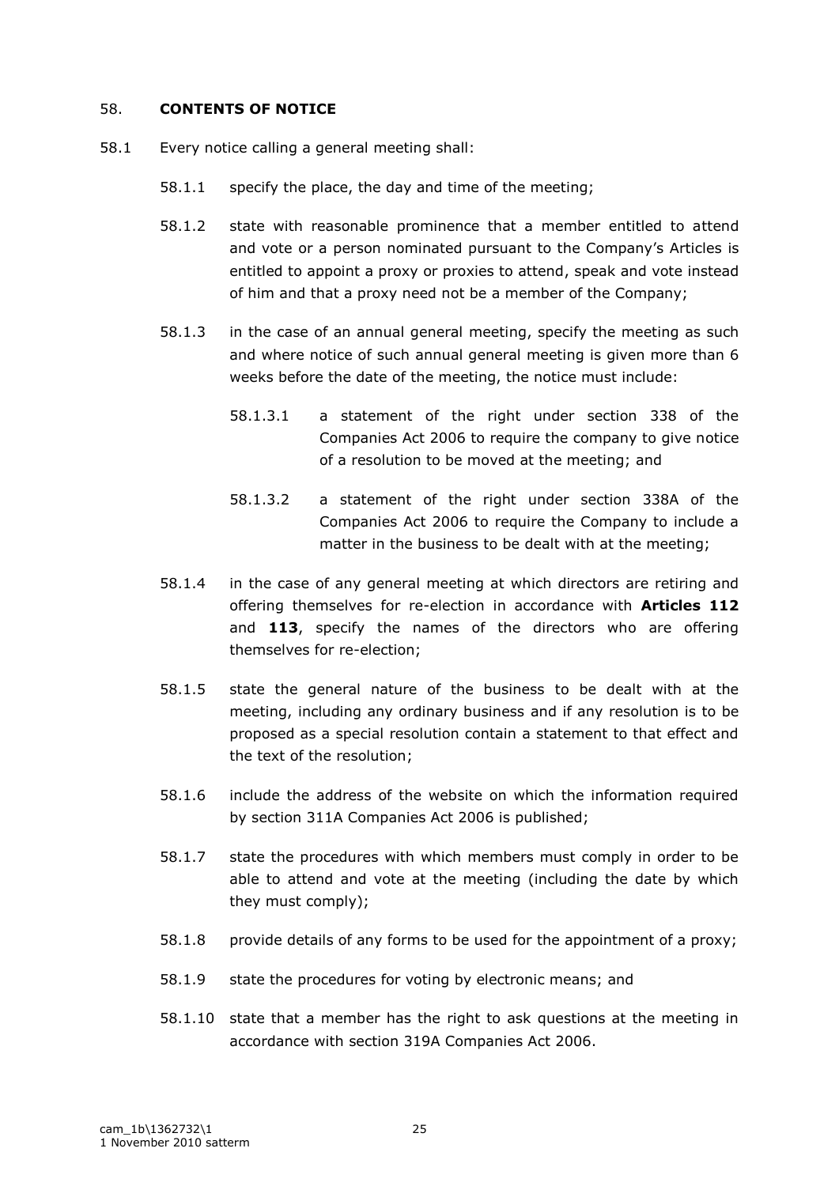### 58. **CONTENTS OF NOTICE**

- 58.1 Every notice calling a general meeting shall:
	- 58.1.1 specify the place, the day and time of the meeting;
	- 58.1.2 state with reasonable prominence that a member entitled to attend and vote or a person nominated pursuant to the Company"s Articles is entitled to appoint a proxy or proxies to attend, speak and vote instead of him and that a proxy need not be a member of the Company;
	- 58.1.3 in the case of an annual general meeting, specify the meeting as such and where notice of such annual general meeting is given more than 6 weeks before the date of the meeting, the notice must include:
		- 58.1.3.1 a statement of the right under section 338 of the Companies Act 2006 to require the company to give notice of a resolution to be moved at the meeting; and
		- 58.1.3.2 a statement of the right under section 338A of the Companies Act 2006 to require the Company to include a matter in the business to be dealt with at the meeting;
	- 58.1.4 in the case of any general meeting at which directors are retiring and offering themselves for re-election in accordance with **Articles 112** and **113**, specify the names of the directors who are offering themselves for re-election;
	- 58.1.5 state the general nature of the business to be dealt with at the meeting, including any ordinary business and if any resolution is to be proposed as a special resolution contain a statement to that effect and the text of the resolution;
	- 58.1.6 include the address of the website on which the information required by section 311A Companies Act 2006 is published;
	- 58.1.7 state the procedures with which members must comply in order to be able to attend and vote at the meeting (including the date by which they must comply);
	- 58.1.8 provide details of any forms to be used for the appointment of a proxy;
	- 58.1.9 state the procedures for voting by electronic means; and
	- 58.1.10 state that a member has the right to ask questions at the meeting in accordance with section 319A Companies Act 2006.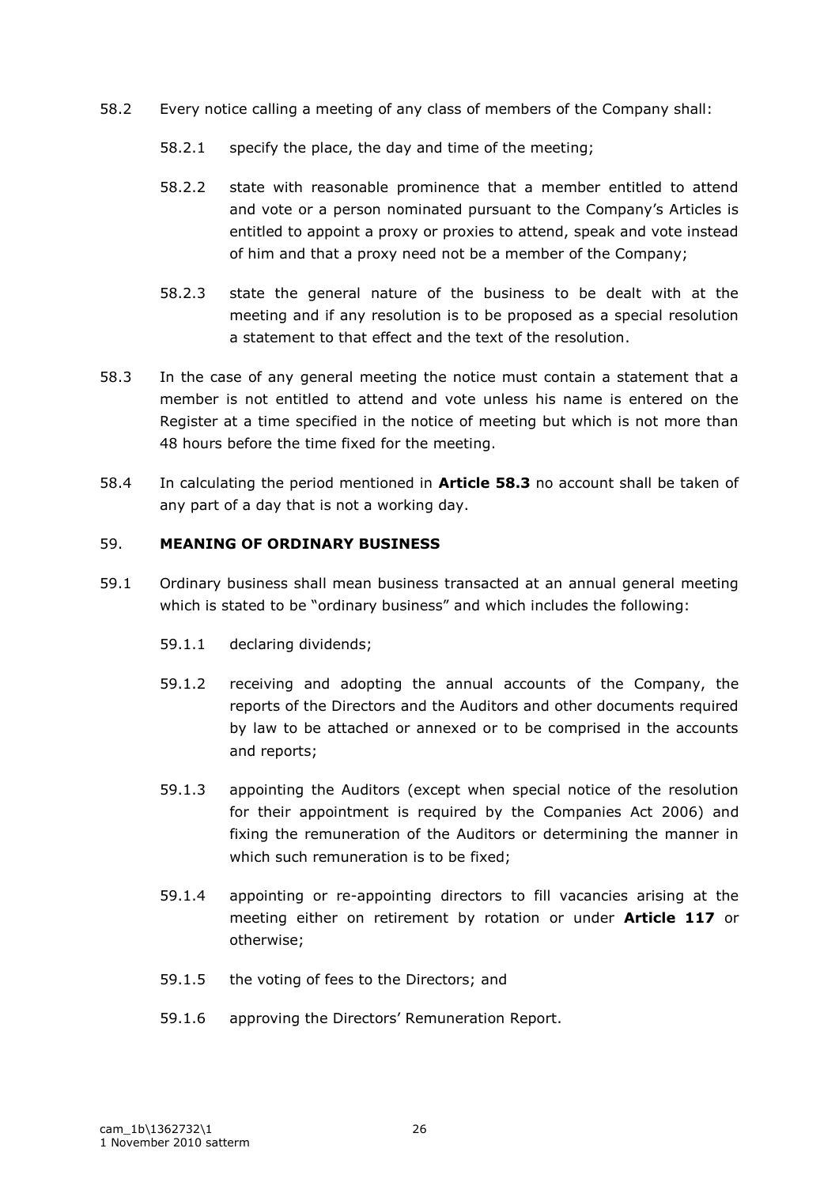- 58.2 Every notice calling a meeting of any class of members of the Company shall:
	- 58.2.1 specify the place, the day and time of the meeting;
	- 58.2.2 state with reasonable prominence that a member entitled to attend and vote or a person nominated pursuant to the Company's Articles is entitled to appoint a proxy or proxies to attend, speak and vote instead of him and that a proxy need not be a member of the Company;
	- 58.2.3 state the general nature of the business to be dealt with at the meeting and if any resolution is to be proposed as a special resolution a statement to that effect and the text of the resolution.
- 58.3 In the case of any general meeting the notice must contain a statement that a member is not entitled to attend and vote unless his name is entered on the Register at a time specified in the notice of meeting but which is not more than 48 hours before the time fixed for the meeting.
- 58.4 In calculating the period mentioned in **Article 58.3** no account shall be taken of any part of a day that is not a working day.

### 59. **MEANING OF ORDINARY BUSINESS**

- 59.1 Ordinary business shall mean business transacted at an annual general meeting which is stated to be "ordinary business" and which includes the following:
	- 59.1.1 declaring dividends;
	- 59.1.2 receiving and adopting the annual accounts of the Company, the reports of the Directors and the Auditors and other documents required by law to be attached or annexed or to be comprised in the accounts and reports;
	- 59.1.3 appointing the Auditors (except when special notice of the resolution for their appointment is required by the Companies Act 2006) and fixing the remuneration of the Auditors or determining the manner in which such remuneration is to be fixed:
	- 59.1.4 appointing or re-appointing directors to fill vacancies arising at the meeting either on retirement by rotation or under **Article 117** or otherwise;
	- 59.1.5 the voting of fees to the Directors; and
	- 59.1.6 approving the Directors" Remuneration Report.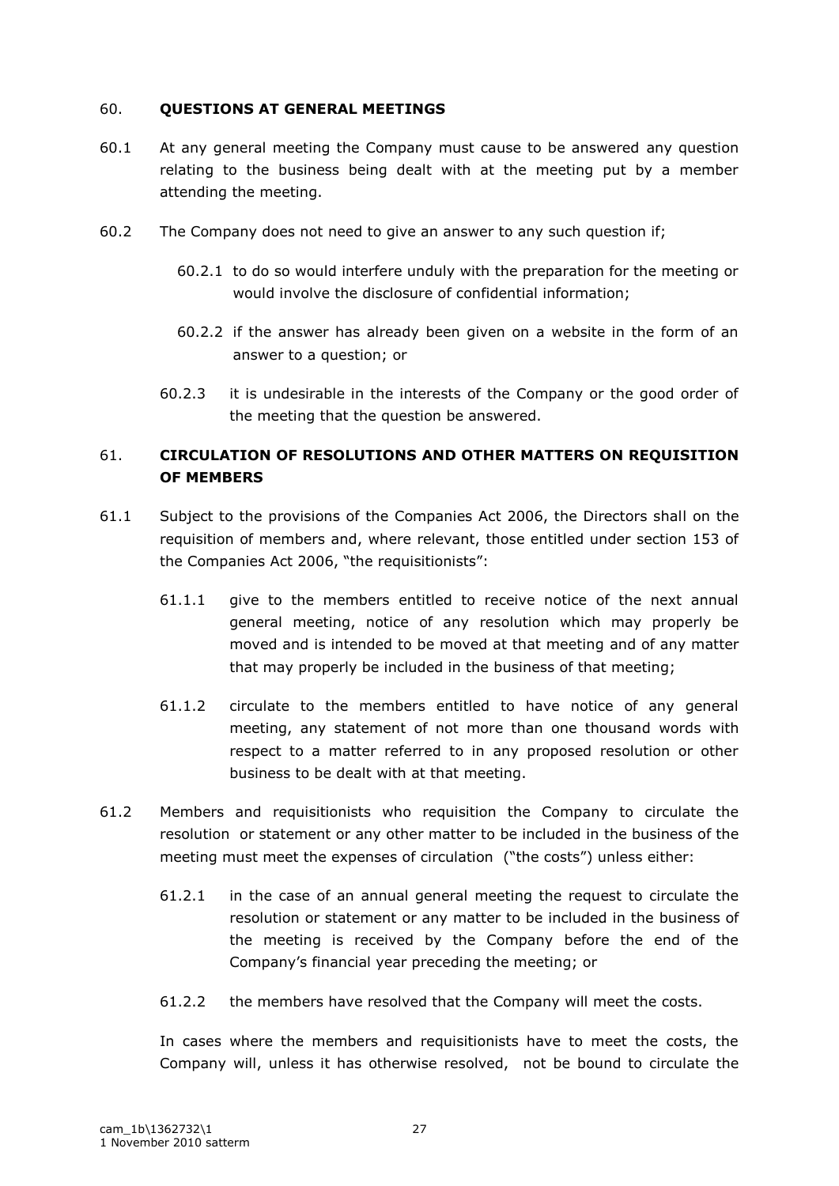### 60. **QUESTIONS AT GENERAL MEETINGS**

- 60.1 At any general meeting the Company must cause to be answered any question relating to the business being dealt with at the meeting put by a member attending the meeting.
- 60.2 The Company does not need to give an answer to any such question if;
	- 60.2.1 to do so would interfere unduly with the preparation for the meeting or would involve the disclosure of confidential information;
	- 60.2.2 if the answer has already been given on a website in the form of an answer to a question; or
	- 60.2.3 it is undesirable in the interests of the Company or the good order of the meeting that the question be answered.

# 61. **CIRCULATION OF RESOLUTIONS AND OTHER MATTERS ON REQUISITION OF MEMBERS**

- 61.1 Subject to the provisions of the Companies Act 2006, the Directors shall on the requisition of members and, where relevant, those entitled under section 153 of the Companies Act 2006, "the requisitionists":
	- 61.1.1 give to the members entitled to receive notice of the next annual general meeting, notice of any resolution which may properly be moved and is intended to be moved at that meeting and of any matter that may properly be included in the business of that meeting;
	- 61.1.2 circulate to the members entitled to have notice of any general meeting, any statement of not more than one thousand words with respect to a matter referred to in any proposed resolution or other business to be dealt with at that meeting.
- 61.2 Members and requisitionists who requisition the Company to circulate the resolution or statement or any other matter to be included in the business of the meeting must meet the expenses of circulation ("the costs") unless either:
	- 61.2.1 in the case of an annual general meeting the request to circulate the resolution or statement or any matter to be included in the business of the meeting is received by the Company before the end of the Company"s financial year preceding the meeting; or
	- 61.2.2 the members have resolved that the Company will meet the costs.

In cases where the members and requisitionists have to meet the costs, the Company will, unless it has otherwise resolved, not be bound to circulate the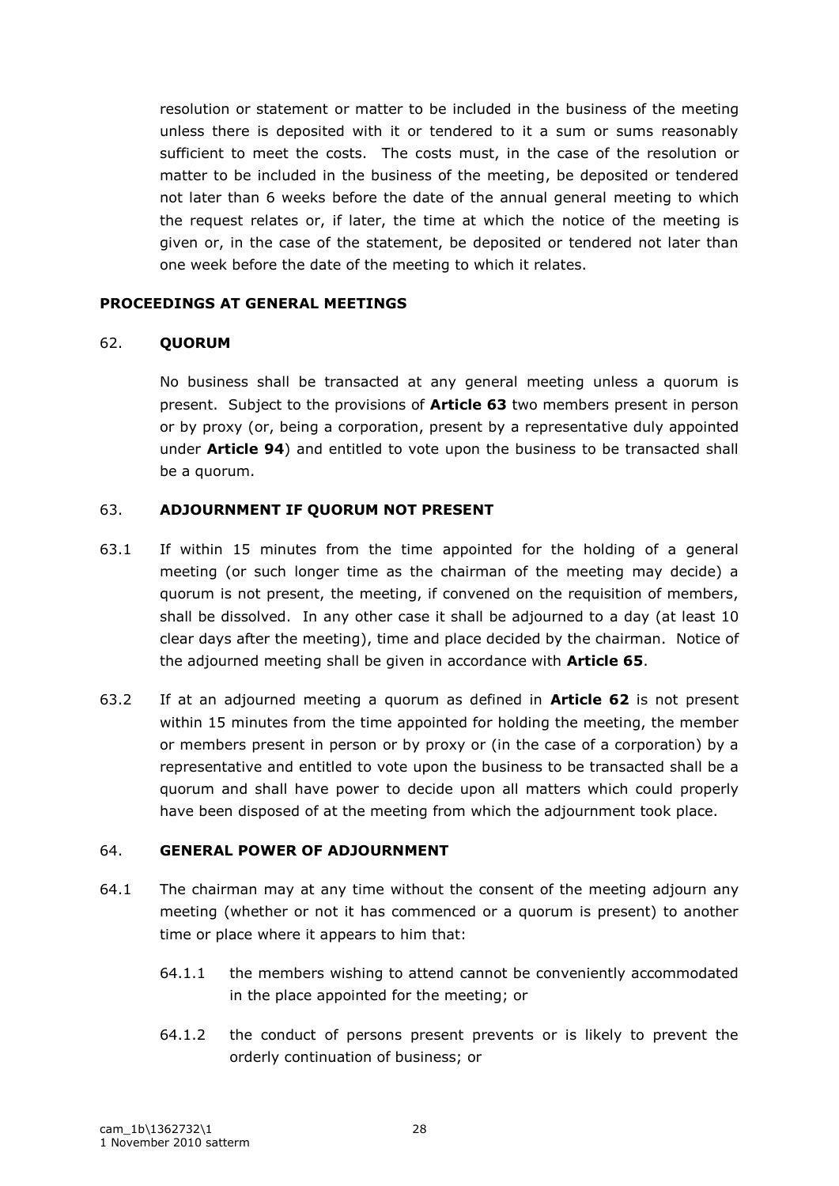resolution or statement or matter to be included in the business of the meeting unless there is deposited with it or tendered to it a sum or sums reasonably sufficient to meet the costs. The costs must, in the case of the resolution or matter to be included in the business of the meeting, be deposited or tendered not later than 6 weeks before the date of the annual general meeting to which the request relates or, if later, the time at which the notice of the meeting is given or, in the case of the statement, be deposited or tendered not later than one week before the date of the meeting to which it relates.

### **PROCEEDINGS AT GENERAL MEETINGS**

### 62. **QUORUM**

No business shall be transacted at any general meeting unless a quorum is present. Subject to the provisions of **Article 63** two members present in person or by proxy (or, being a corporation, present by a representative duly appointed under **Article 94**) and entitled to vote upon the business to be transacted shall be a quorum.

## 63. **ADJOURNMENT IF QUORUM NOT PRESENT**

- 63.1 If within 15 minutes from the time appointed for the holding of a general meeting (or such longer time as the chairman of the meeting may decide) a quorum is not present, the meeting, if convened on the requisition of members, shall be dissolved. In any other case it shall be adjourned to a day (at least 10 clear days after the meeting), time and place decided by the chairman. Notice of the adjourned meeting shall be given in accordance with **Article 65**.
- 63.2 If at an adjourned meeting a quorum as defined in **Article 62** is not present within 15 minutes from the time appointed for holding the meeting, the member or members present in person or by proxy or (in the case of a corporation) by a representative and entitled to vote upon the business to be transacted shall be a quorum and shall have power to decide upon all matters which could properly have been disposed of at the meeting from which the adjournment took place.

#### 64. **GENERAL POWER OF ADJOURNMENT**

- 64.1 The chairman may at any time without the consent of the meeting adjourn any meeting (whether or not it has commenced or a quorum is present) to another time or place where it appears to him that:
	- 64.1.1 the members wishing to attend cannot be conveniently accommodated in the place appointed for the meeting; or
	- 64.1.2 the conduct of persons present prevents or is likely to prevent the orderly continuation of business; or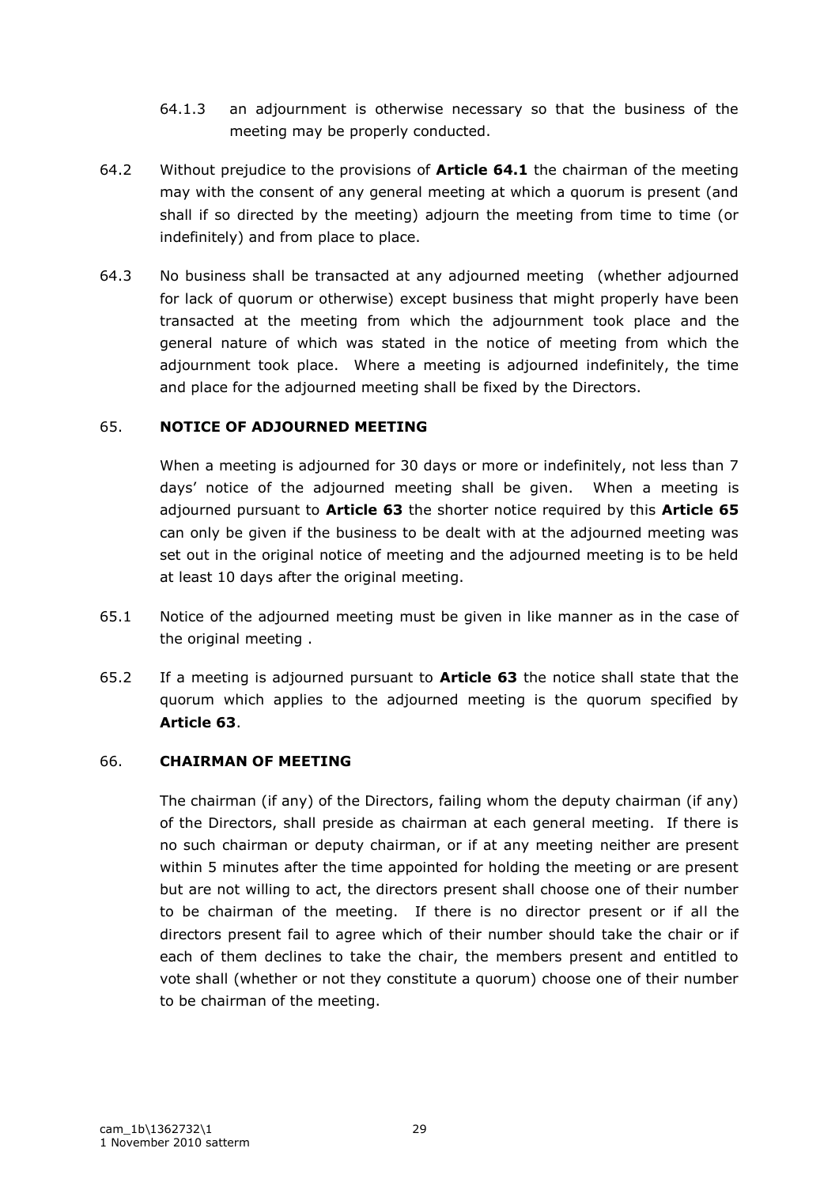- 64.1.3 an adjournment is otherwise necessary so that the business of the meeting may be properly conducted.
- 64.2 Without prejudice to the provisions of **Article 64.1** the chairman of the meeting may with the consent of any general meeting at which a quorum is present (and shall if so directed by the meeting) adjourn the meeting from time to time (or indefinitely) and from place to place.
- 64.3 No business shall be transacted at any adjourned meeting (whether adjourned for lack of quorum or otherwise) except business that might properly have been transacted at the meeting from which the adjournment took place and the general nature of which was stated in the notice of meeting from which the adjournment took place. Where a meeting is adjourned indefinitely, the time and place for the adjourned meeting shall be fixed by the Directors.

## 65. **NOTICE OF ADJOURNED MEETING**

When a meeting is adjourned for 30 days or more or indefinitely, not less than 7 days" notice of the adjourned meeting shall be given. When a meeting is adjourned pursuant to **Article 63** the shorter notice required by this **Article 65** can only be given if the business to be dealt with at the adjourned meeting was set out in the original notice of meeting and the adjourned meeting is to be held at least 10 days after the original meeting.

- 65.1 Notice of the adjourned meeting must be given in like manner as in the case of the original meeting .
- 65.2 If a meeting is adjourned pursuant to **Article 63** the notice shall state that the quorum which applies to the adjourned meeting is the quorum specified by **Article 63**.

## 66. **CHAIRMAN OF MEETING**

The chairman (if any) of the Directors, failing whom the deputy chairman (if any) of the Directors, shall preside as chairman at each general meeting. If there is no such chairman or deputy chairman, or if at any meeting neither are present within 5 minutes after the time appointed for holding the meeting or are present but are not willing to act, the directors present shall choose one of their number to be chairman of the meeting. If there is no director present or if all the directors present fail to agree which of their number should take the chair or if each of them declines to take the chair, the members present and entitled to vote shall (whether or not they constitute a quorum) choose one of their number to be chairman of the meeting.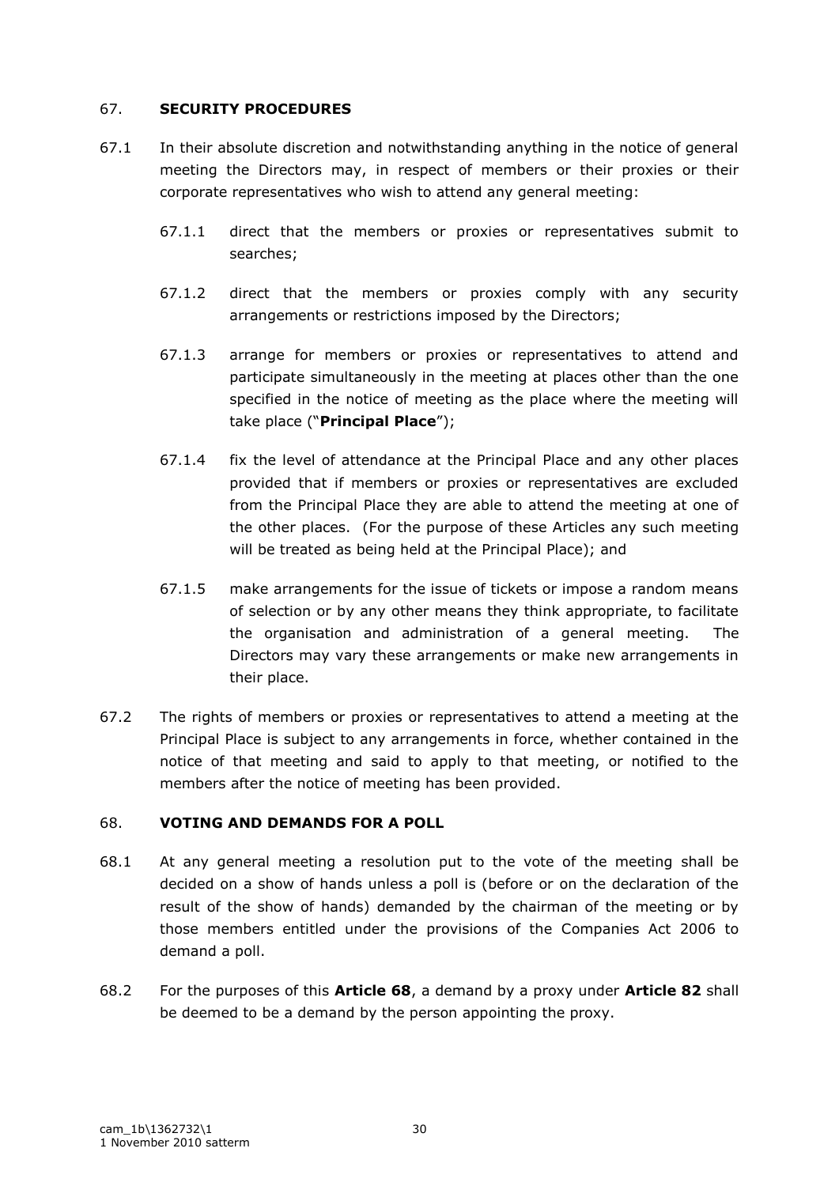## 67. **SECURITY PROCEDURES**

- 67.1 In their absolute discretion and notwithstanding anything in the notice of general meeting the Directors may, in respect of members or their proxies or their corporate representatives who wish to attend any general meeting:
	- 67.1.1 direct that the members or proxies or representatives submit to searches;
	- 67.1.2 direct that the members or proxies comply with any security arrangements or restrictions imposed by the Directors;
	- 67.1.3 arrange for members or proxies or representatives to attend and participate simultaneously in the meeting at places other than the one specified in the notice of meeting as the place where the meeting will take place ("**Principal Place**");
	- 67.1.4 fix the level of attendance at the Principal Place and any other places provided that if members or proxies or representatives are excluded from the Principal Place they are able to attend the meeting at one of the other places. (For the purpose of these Articles any such meeting will be treated as being held at the Principal Place); and
	- 67.1.5 make arrangements for the issue of tickets or impose a random means of selection or by any other means they think appropriate, to facilitate the organisation and administration of a general meeting. The Directors may vary these arrangements or make new arrangements in their place.
- 67.2 The rights of members or proxies or representatives to attend a meeting at the Principal Place is subject to any arrangements in force, whether contained in the notice of that meeting and said to apply to that meeting, or notified to the members after the notice of meeting has been provided.

## 68. **VOTING AND DEMANDS FOR A POLL**

- 68.1 At any general meeting a resolution put to the vote of the meeting shall be decided on a show of hands unless a poll is (before or on the declaration of the result of the show of hands) demanded by the chairman of the meeting or by those members entitled under the provisions of the Companies Act 2006 to demand a poll.
- 68.2 For the purposes of this **Article 68**, a demand by a proxy under **Article 82** shall be deemed to be a demand by the person appointing the proxy.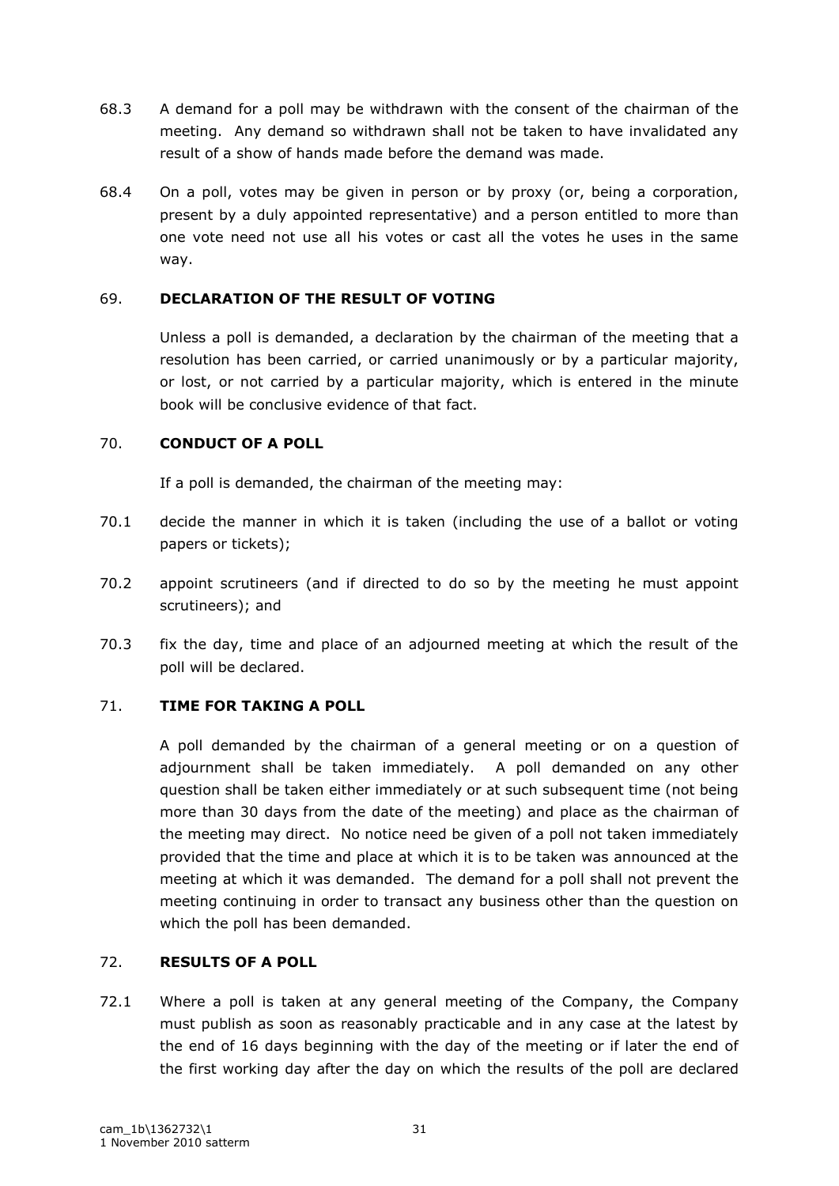- 68.3 A demand for a poll may be withdrawn with the consent of the chairman of the meeting. Any demand so withdrawn shall not be taken to have invalidated any result of a show of hands made before the demand was made.
- 68.4 On a poll, votes may be given in person or by proxy (or, being a corporation, present by a duly appointed representative) and a person entitled to more than one vote need not use all his votes or cast all the votes he uses in the same way.

## 69. **DECLARATION OF THE RESULT OF VOTING**

Unless a poll is demanded, a declaration by the chairman of the meeting that a resolution has been carried, or carried unanimously or by a particular majority, or lost, or not carried by a particular majority, which is entered in the minute book will be conclusive evidence of that fact.

## 70. **CONDUCT OF A POLL**

If a poll is demanded, the chairman of the meeting may:

- 70.1 decide the manner in which it is taken (including the use of a ballot or voting papers or tickets);
- 70.2 appoint scrutineers (and if directed to do so by the meeting he must appoint scrutineers); and
- 70.3 fix the day, time and place of an adjourned meeting at which the result of the poll will be declared.

## 71. **TIME FOR TAKING A POLL**

A poll demanded by the chairman of a general meeting or on a question of adjournment shall be taken immediately. A poll demanded on any other question shall be taken either immediately or at such subsequent time (not being more than 30 days from the date of the meeting) and place as the chairman of the meeting may direct. No notice need be given of a poll not taken immediately provided that the time and place at which it is to be taken was announced at the meeting at which it was demanded. The demand for a poll shall not prevent the meeting continuing in order to transact any business other than the question on which the poll has been demanded.

## 72. **RESULTS OF A POLL**

72.1 Where a poll is taken at any general meeting of the Company, the Company must publish as soon as reasonably practicable and in any case at the latest by the end of 16 days beginning with the day of the meeting or if later the end of the first working day after the day on which the results of the poll are declared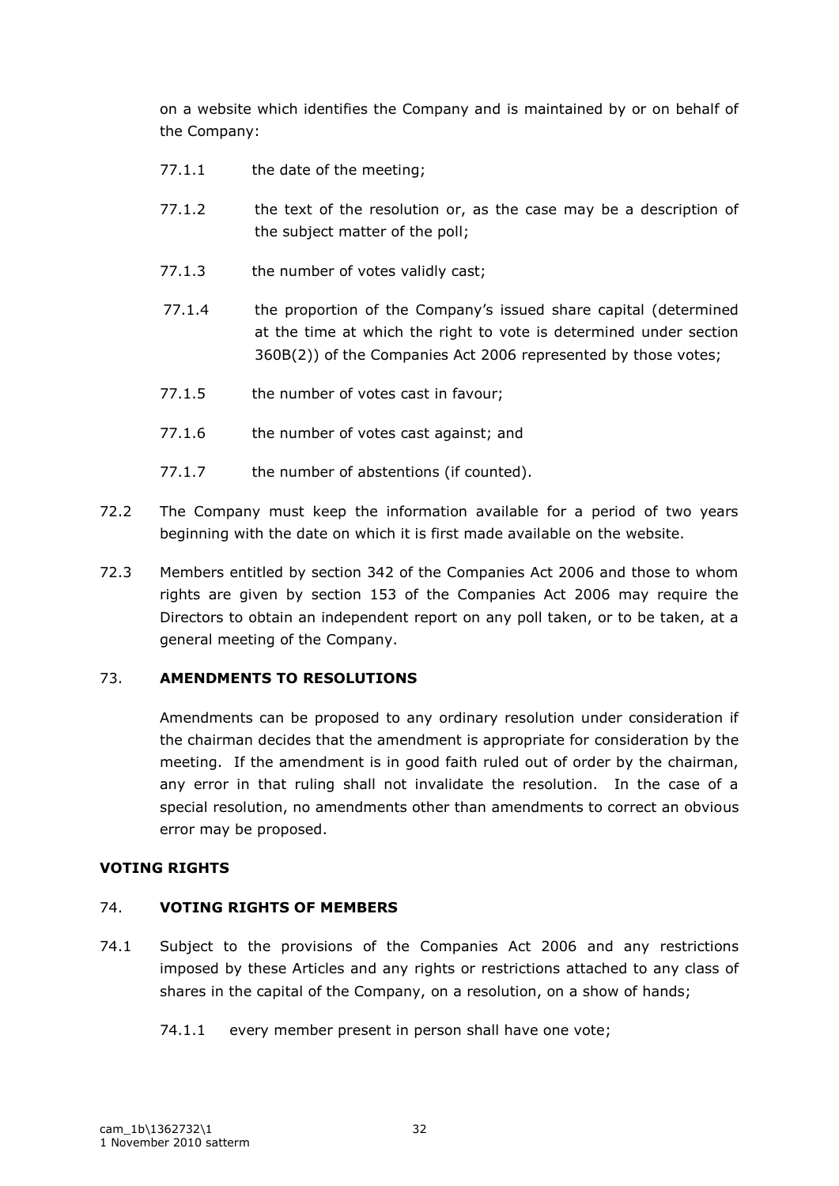on a website which identifies the Company and is maintained by or on behalf of the Company:

- 77.1.1 the date of the meeting;
- 77.1.2 the text of the resolution or, as the case may be a description of the subject matter of the poll;
- 77.1.3 the number of votes validly cast;
- 77.1.4 the proportion of the Company"s issued share capital (determined at the time at which the right to vote is determined under section 360B(2)) of the Companies Act 2006 represented by those votes;
- 77.1.5 the number of votes cast in favour;
- 77.1.6 the number of votes cast against; and
- 77.1.7 the number of abstentions (if counted).
- 72.2 The Company must keep the information available for a period of two years beginning with the date on which it is first made available on the website.
- 72.3 Members entitled by section 342 of the Companies Act 2006 and those to whom rights are given by section 153 of the Companies Act 2006 may require the Directors to obtain an independent report on any poll taken, or to be taken, at a general meeting of the Company.

## 73. **AMENDMENTS TO RESOLUTIONS**

Amendments can be proposed to any ordinary resolution under consideration if the chairman decides that the amendment is appropriate for consideration by the meeting. If the amendment is in good faith ruled out of order by the chairman, any error in that ruling shall not invalidate the resolution. In the case of a special resolution, no amendments other than amendments to correct an obvious error may be proposed.

## **VOTING RIGHTS**

## 74. **VOTING RIGHTS OF MEMBERS**

- 74.1 Subject to the provisions of the Companies Act 2006 and any restrictions imposed by these Articles and any rights or restrictions attached to any class of shares in the capital of the Company, on a resolution, on a show of hands;
	- 74.1.1 every member present in person shall have one vote;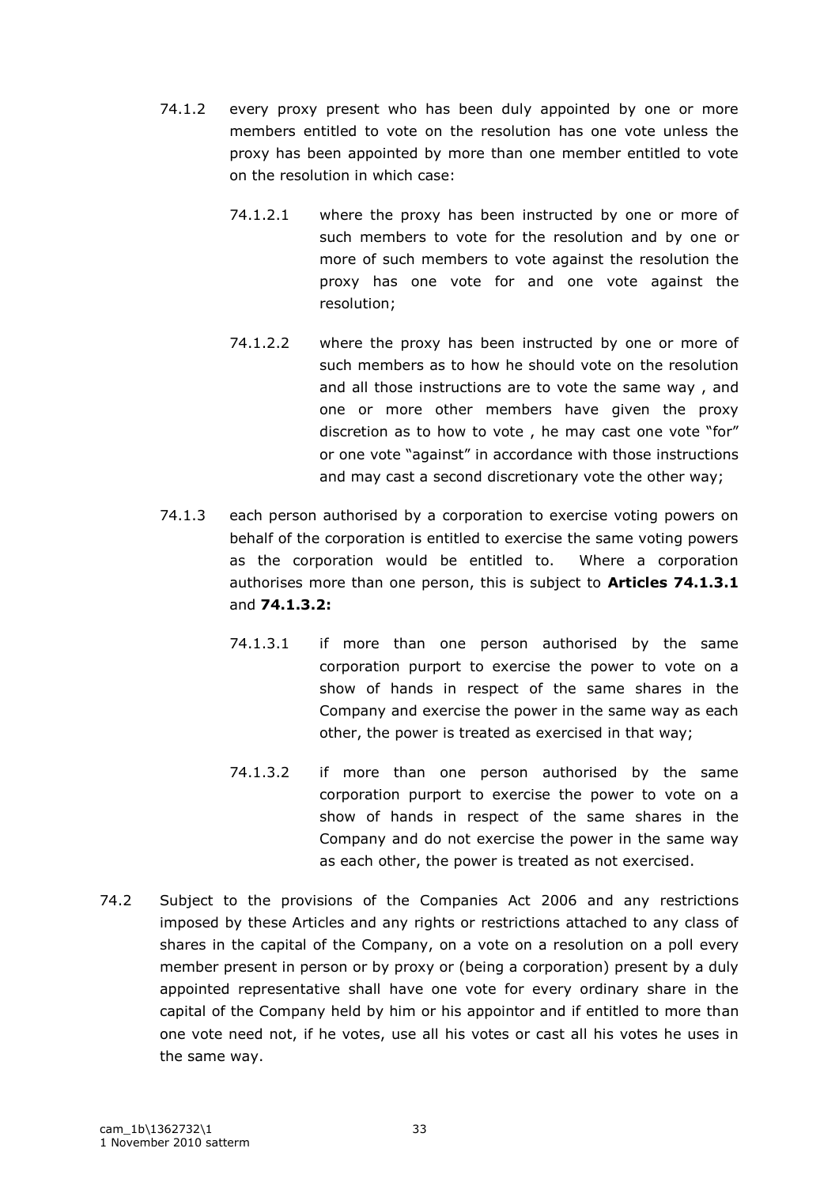- 74.1.2 every proxy present who has been duly appointed by one or more members entitled to vote on the resolution has one vote unless the proxy has been appointed by more than one member entitled to vote on the resolution in which case:
	- 74.1.2.1 where the proxy has been instructed by one or more of such members to vote for the resolution and by one or more of such members to vote against the resolution the proxy has one vote for and one vote against the resolution;
	- 74.1.2.2 where the proxy has been instructed by one or more of such members as to how he should vote on the resolution and all those instructions are to vote the same way , and one or more other members have given the proxy discretion as to how to vote , he may cast one vote "for" or one vote "against" in accordance with those instructions and may cast a second discretionary vote the other way;
- 74.1.3 each person authorised by a corporation to exercise voting powers on behalf of the corporation is entitled to exercise the same voting powers as the corporation would be entitled to. Where a corporation authorises more than one person, this is subject to **Articles 74.1.3.1** and **74.1.3.2:**
	- 74.1.3.1 if more than one person authorised by the same corporation purport to exercise the power to vote on a show of hands in respect of the same shares in the Company and exercise the power in the same way as each other, the power is treated as exercised in that way;
	- 74.1.3.2 if more than one person authorised by the same corporation purport to exercise the power to vote on a show of hands in respect of the same shares in the Company and do not exercise the power in the same way as each other, the power is treated as not exercised.
- 74.2 Subject to the provisions of the Companies Act 2006 and any restrictions imposed by these Articles and any rights or restrictions attached to any class of shares in the capital of the Company, on a vote on a resolution on a poll every member present in person or by proxy or (being a corporation) present by a duly appointed representative shall have one vote for every ordinary share in the capital of the Company held by him or his appointor and if entitled to more than one vote need not, if he votes, use all his votes or cast all his votes he uses in the same way.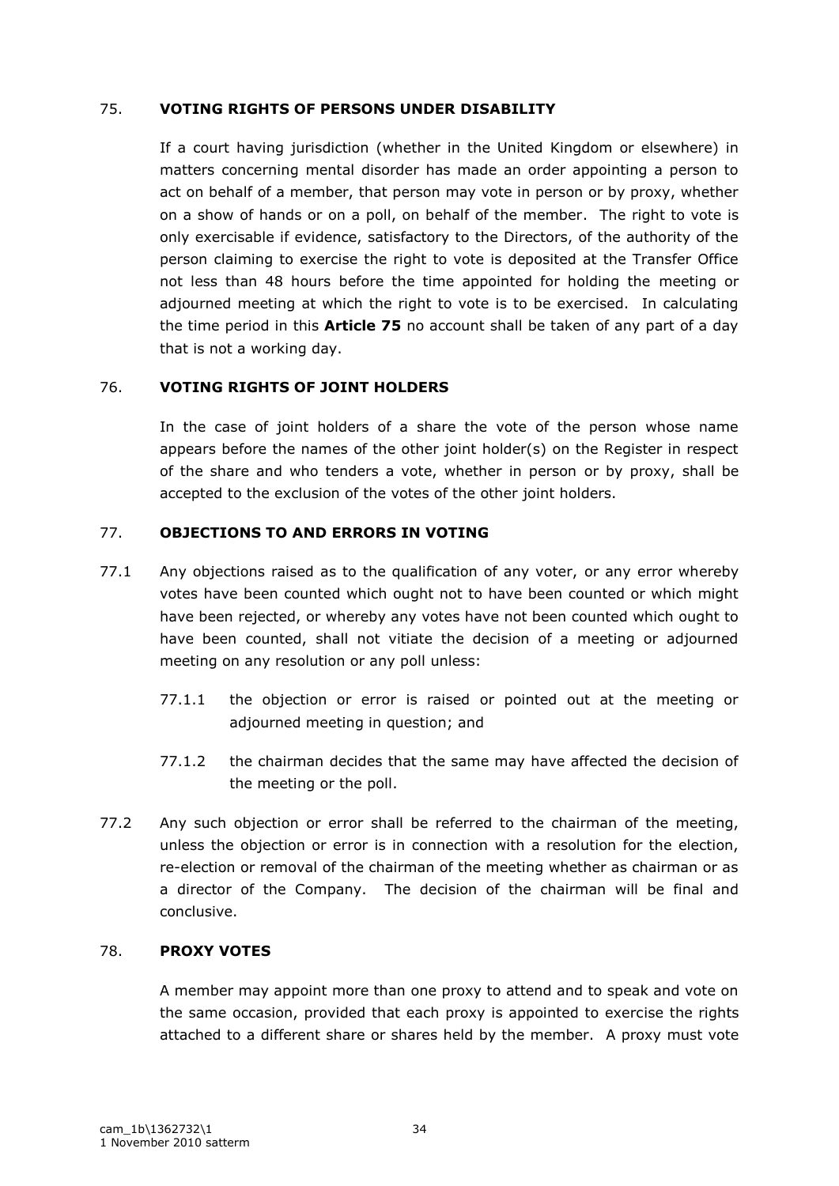## 75. **VOTING RIGHTS OF PERSONS UNDER DISABILITY**

If a court having jurisdiction (whether in the United Kingdom or elsewhere) in matters concerning mental disorder has made an order appointing a person to act on behalf of a member, that person may vote in person or by proxy, whether on a show of hands or on a poll, on behalf of the member. The right to vote is only exercisable if evidence, satisfactory to the Directors, of the authority of the person claiming to exercise the right to vote is deposited at the Transfer Office not less than 48 hours before the time appointed for holding the meeting or adjourned meeting at which the right to vote is to be exercised. In calculating the time period in this **Article 75** no account shall be taken of any part of a day that is not a working day.

## 76. **VOTING RIGHTS OF JOINT HOLDERS**

In the case of joint holders of a share the vote of the person whose name appears before the names of the other joint holder(s) on the Register in respect of the share and who tenders a vote, whether in person or by proxy, shall be accepted to the exclusion of the votes of the other joint holders.

## 77. **OBJECTIONS TO AND ERRORS IN VOTING**

- 77.1 Any objections raised as to the qualification of any voter, or any error whereby votes have been counted which ought not to have been counted or which might have been rejected, or whereby any votes have not been counted which ought to have been counted, shall not vitiate the decision of a meeting or adjourned meeting on any resolution or any poll unless:
	- 77.1.1 the objection or error is raised or pointed out at the meeting or adjourned meeting in question; and
	- 77.1.2 the chairman decides that the same may have affected the decision of the meeting or the poll.
- 77.2 Any such objection or error shall be referred to the chairman of the meeting, unless the objection or error is in connection with a resolution for the election, re-election or removal of the chairman of the meeting whether as chairman or as a director of the Company. The decision of the chairman will be final and conclusive.

## 78. **PROXY VOTES**

A member may appoint more than one proxy to attend and to speak and vote on the same occasion, provided that each proxy is appointed to exercise the rights attached to a different share or shares held by the member. A proxy must vote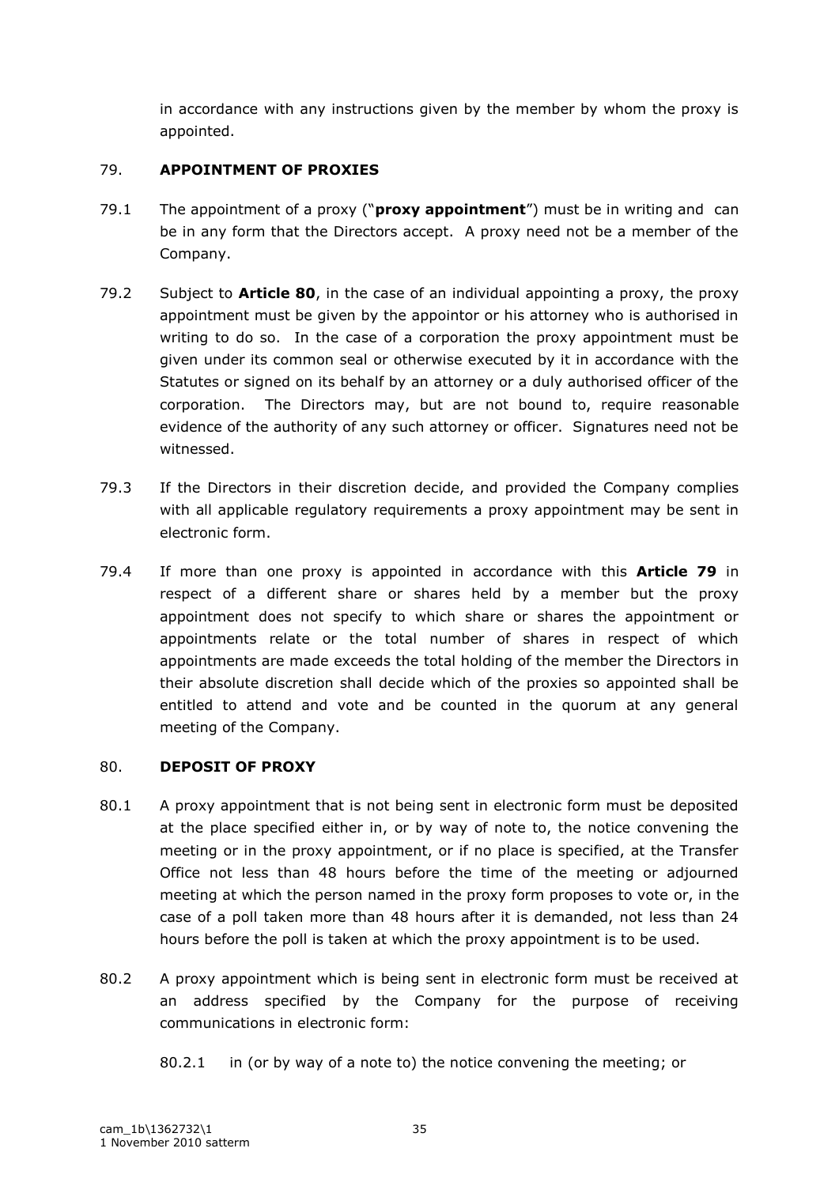in accordance with any instructions given by the member by whom the proxy is appointed.

## 79. **APPOINTMENT OF PROXIES**

- 79.1 The appointment of a proxy ("**proxy appointment**") must be in writing and can be in any form that the Directors accept. A proxy need not be a member of the Company.
- 79.2 Subject to **Article 80**, in the case of an individual appointing a proxy, the proxy appointment must be given by the appointor or his attorney who is authorised in writing to do so. In the case of a corporation the proxy appointment must be given under its common seal or otherwise executed by it in accordance with the Statutes or signed on its behalf by an attorney or a duly authorised officer of the corporation. The Directors may, but are not bound to, require reasonable evidence of the authority of any such attorney or officer. Signatures need not be witnessed.
- 79.3 If the Directors in their discretion decide, and provided the Company complies with all applicable regulatory requirements a proxy appointment may be sent in electronic form.
- 79.4 If more than one proxy is appointed in accordance with this **Article 79** in respect of a different share or shares held by a member but the proxy appointment does not specify to which share or shares the appointment or appointments relate or the total number of shares in respect of which appointments are made exceeds the total holding of the member the Directors in their absolute discretion shall decide which of the proxies so appointed shall be entitled to attend and vote and be counted in the quorum at any general meeting of the Company.

## 80. **DEPOSIT OF PROXY**

- 80.1 A proxy appointment that is not being sent in electronic form must be deposited at the place specified either in, or by way of note to, the notice convening the meeting or in the proxy appointment, or if no place is specified, at the Transfer Office not less than 48 hours before the time of the meeting or adjourned meeting at which the person named in the proxy form proposes to vote or, in the case of a poll taken more than 48 hours after it is demanded, not less than 24 hours before the poll is taken at which the proxy appointment is to be used.
- 80.2 A proxy appointment which is being sent in electronic form must be received at an address specified by the Company for the purpose of receiving communications in electronic form:

<sup>80.2.1</sup> in (or by way of a note to) the notice convening the meeting; or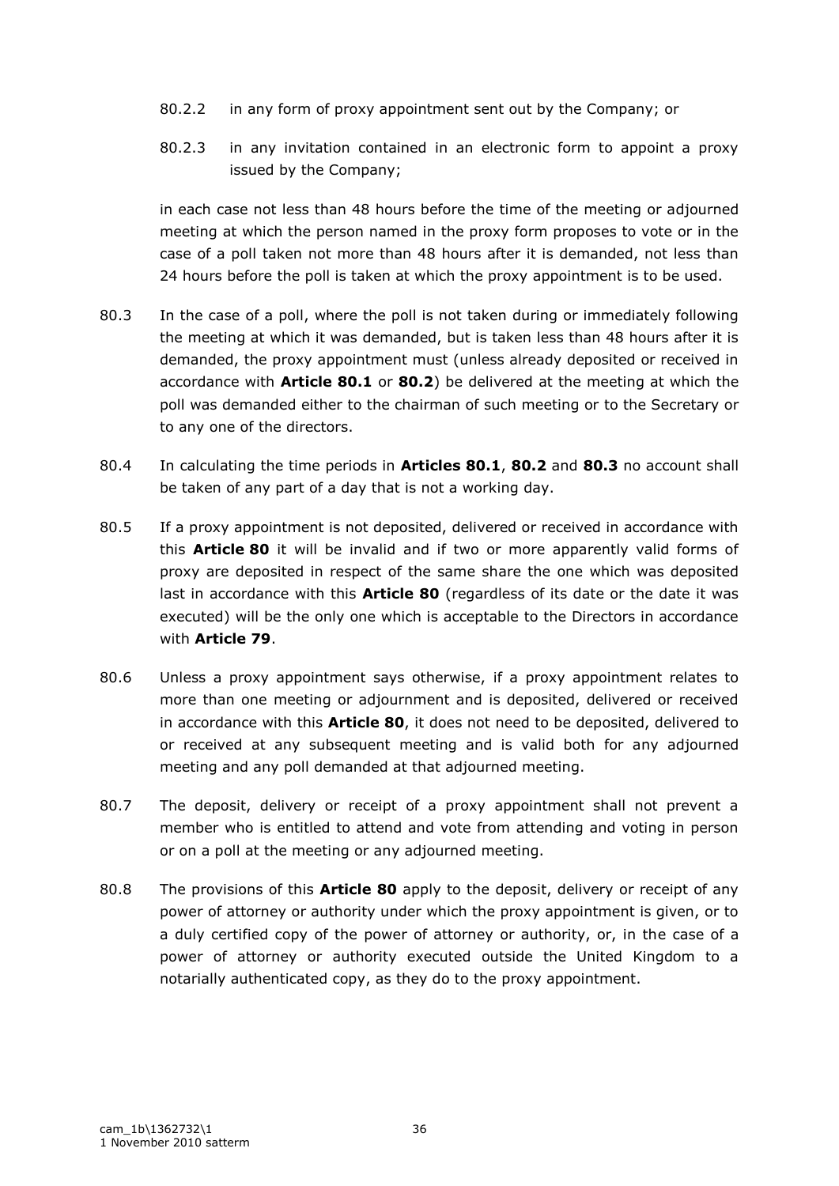- 80.2.2 in any form of proxy appointment sent out by the Company; or
- 80.2.3 in any invitation contained in an electronic form to appoint a proxy issued by the Company;

in each case not less than 48 hours before the time of the meeting or adjourned meeting at which the person named in the proxy form proposes to vote or in the case of a poll taken not more than 48 hours after it is demanded, not less than 24 hours before the poll is taken at which the proxy appointment is to be used.

- 80.3 In the case of a poll, where the poll is not taken during or immediately following the meeting at which it was demanded, but is taken less than 48 hours after it is demanded, the proxy appointment must (unless already deposited or received in accordance with **Article 80.1** or **80.2**) be delivered at the meeting at which the poll was demanded either to the chairman of such meeting or to the Secretary or to any one of the directors.
- 80.4 In calculating the time periods in **Articles 80.1**, **80.2** and **80.3** no account shall be taken of any part of a day that is not a working day.
- 80.5 If a proxy appointment is not deposited, delivered or received in accordance with this **Article 80** it will be invalid and if two or more apparently valid forms of proxy are deposited in respect of the same share the one which was deposited last in accordance with this **Article 80** (regardless of its date or the date it was executed) will be the only one which is acceptable to the Directors in accordance with **Article 79**.
- 80.6 Unless a proxy appointment says otherwise, if a proxy appointment relates to more than one meeting or adjournment and is deposited, delivered or received in accordance with this **Article 80**, it does not need to be deposited, delivered to or received at any subsequent meeting and is valid both for any adjourned meeting and any poll demanded at that adjourned meeting.
- 80.7 The deposit, delivery or receipt of a proxy appointment shall not prevent a member who is entitled to attend and vote from attending and voting in person or on a poll at the meeting or any adjourned meeting.
- 80.8 The provisions of this **Article 80** apply to the deposit, delivery or receipt of any power of attorney or authority under which the proxy appointment is given, or to a duly certified copy of the power of attorney or authority, or, in the case of a power of attorney or authority executed outside the United Kingdom to a notarially authenticated copy, as they do to the proxy appointment.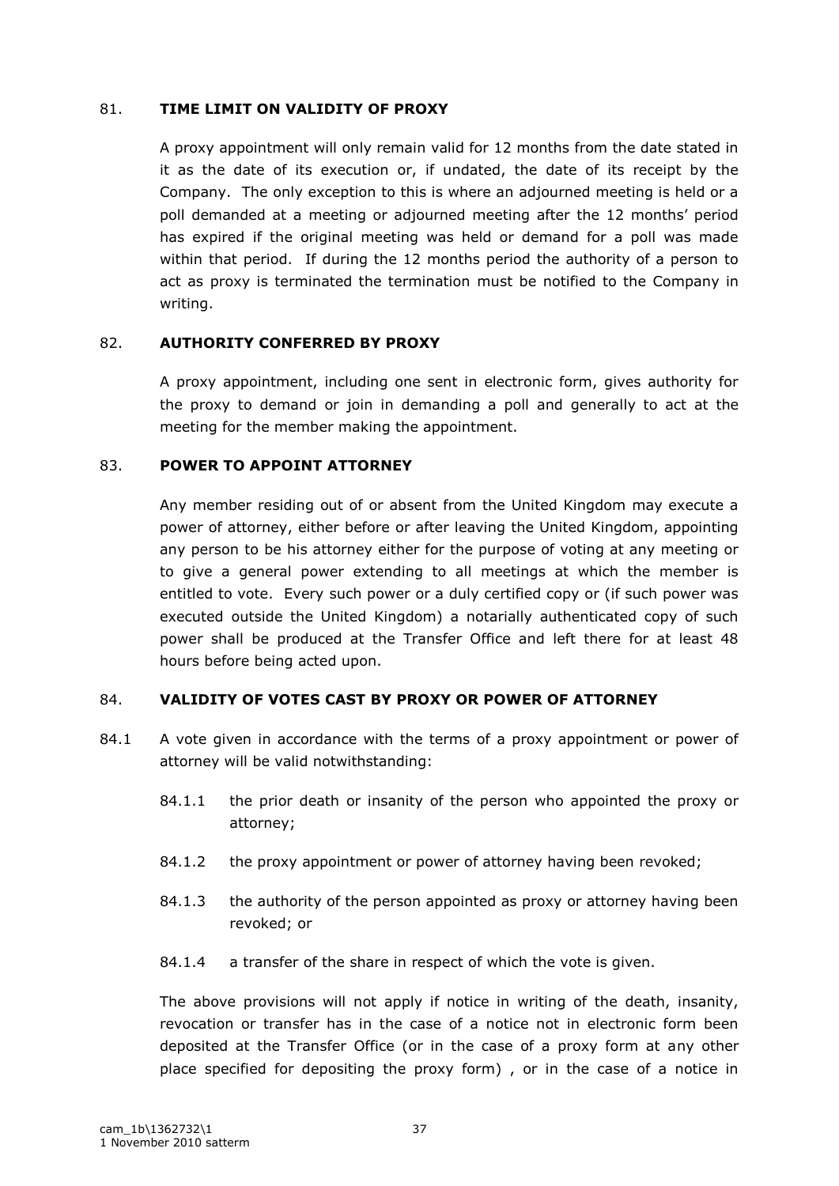### 81. **TIME LIMIT ON VALIDITY OF PROXY**

A proxy appointment will only remain valid for 12 months from the date stated in it as the date of its execution or, if undated, the date of its receipt by the Company. The only exception to this is where an adjourned meeting is held or a poll demanded at a meeting or adjourned meeting after the 12 months" period has expired if the original meeting was held or demand for a poll was made within that period. If during the 12 months period the authority of a person to act as proxy is terminated the termination must be notified to the Company in writing.

## 82. **AUTHORITY CONFERRED BY PROXY**

A proxy appointment, including one sent in electronic form, gives authority for the proxy to demand or join in demanding a poll and generally to act at the meeting for the member making the appointment.

#### 83. **POWER TO APPOINT ATTORNEY**

Any member residing out of or absent from the United Kingdom may execute a power of attorney, either before or after leaving the United Kingdom, appointing any person to be his attorney either for the purpose of voting at any meeting or to give a general power extending to all meetings at which the member is entitled to vote. Every such power or a duly certified copy or (if such power was executed outside the United Kingdom) a notarially authenticated copy of such power shall be produced at the Transfer Office and left there for at least 48 hours before being acted upon.

## 84. **VALIDITY OF VOTES CAST BY PROXY OR POWER OF ATTORNEY**

- 84.1 A vote given in accordance with the terms of a proxy appointment or power of attorney will be valid notwithstanding:
	- 84.1.1 the prior death or insanity of the person who appointed the proxy or attorney;
	- 84.1.2 the proxy appointment or power of attorney having been revoked;
	- 84.1.3 the authority of the person appointed as proxy or attorney having been revoked; or
	- 84.1.4 a transfer of the share in respect of which the vote is given.

The above provisions will not apply if notice in writing of the death, insanity, revocation or transfer has in the case of a notice not in electronic form been deposited at the Transfer Office (or in the case of a proxy form at any other place specified for depositing the proxy form) , or in the case of a notice in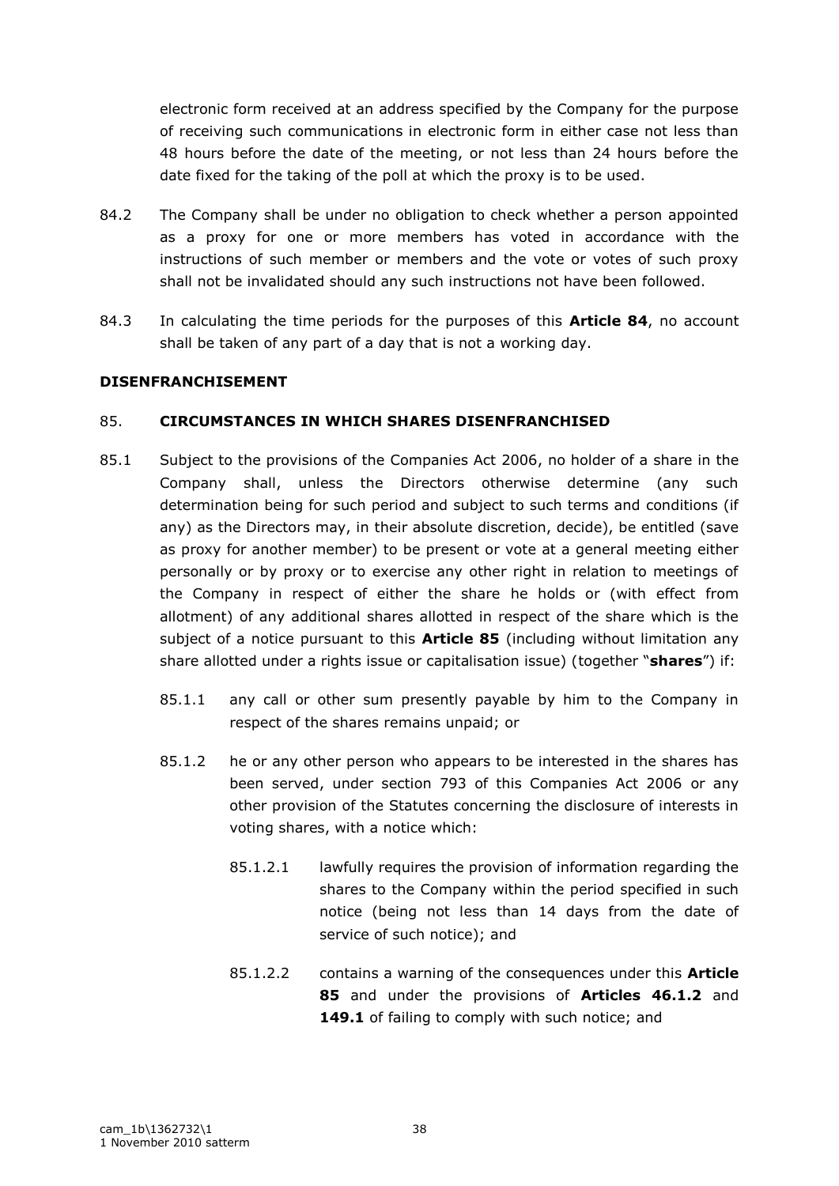electronic form received at an address specified by the Company for the purpose of receiving such communications in electronic form in either case not less than 48 hours before the date of the meeting, or not less than 24 hours before the date fixed for the taking of the poll at which the proxy is to be used.

- 84.2 The Company shall be under no obligation to check whether a person appointed as a proxy for one or more members has voted in accordance with the instructions of such member or members and the vote or votes of such proxy shall not be invalidated should any such instructions not have been followed.
- 84.3 In calculating the time periods for the purposes of this **Article 84**, no account shall be taken of any part of a day that is not a working day.

## **DISENFRANCHISEMENT**

## 85. **CIRCUMSTANCES IN WHICH SHARES DISENFRANCHISED**

- 85.1 Subject to the provisions of the Companies Act 2006, no holder of a share in the Company shall, unless the Directors otherwise determine (any such determination being for such period and subject to such terms and conditions (if any) as the Directors may, in their absolute discretion, decide), be entitled (save as proxy for another member) to be present or vote at a general meeting either personally or by proxy or to exercise any other right in relation to meetings of the Company in respect of either the share he holds or (with effect from allotment) of any additional shares allotted in respect of the share which is the subject of a notice pursuant to this **Article 85** (including without limitation any share allotted under a rights issue or capitalisation issue) (together "**shares**") if:
	- 85.1.1 any call or other sum presently payable by him to the Company in respect of the shares remains unpaid; or
	- 85.1.2 he or any other person who appears to be interested in the shares has been served, under section 793 of this Companies Act 2006 or any other provision of the Statutes concerning the disclosure of interests in voting shares, with a notice which:
		- 85.1.2.1 lawfully requires the provision of information regarding the shares to the Company within the period specified in such notice (being not less than 14 days from the date of service of such notice); and
		- 85.1.2.2 contains a warning of the consequences under this **Article 85** and under the provisions of **Articles 46.1.2** and 149.1 of failing to comply with such notice; and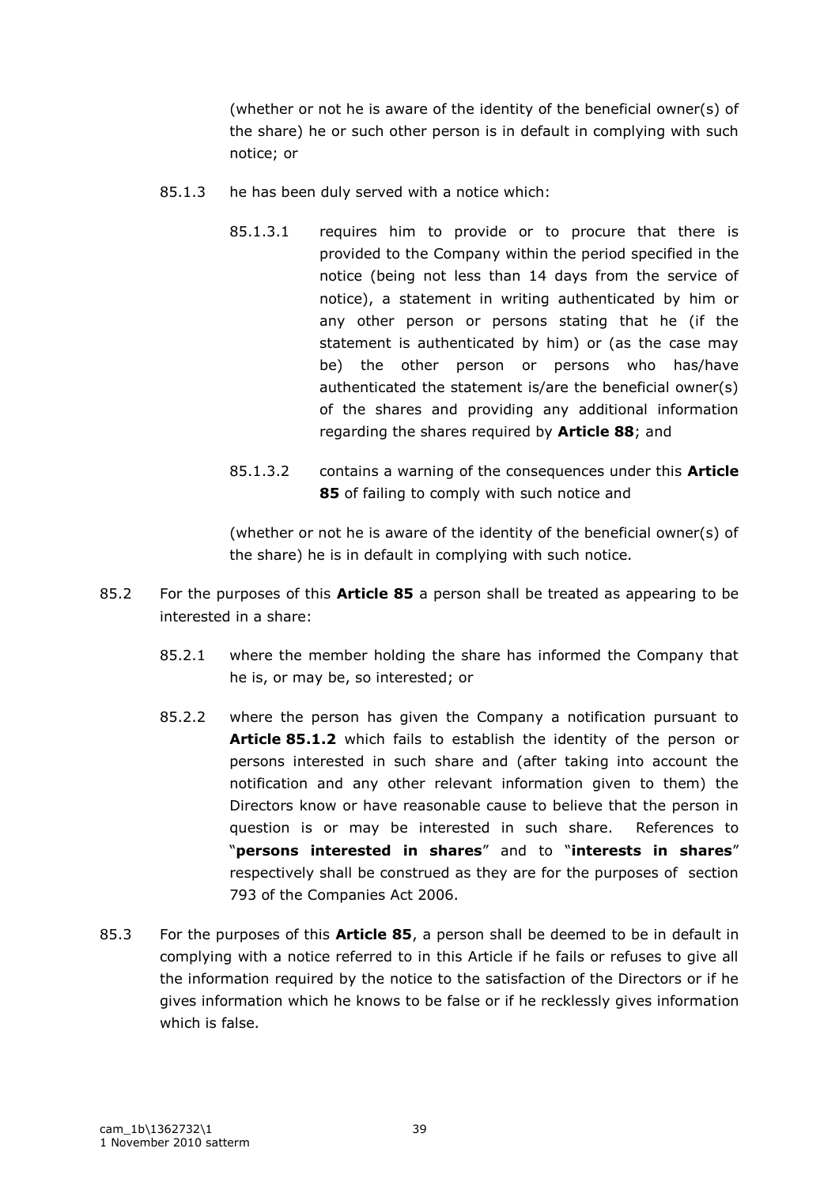(whether or not he is aware of the identity of the beneficial owner(s) of the share) he or such other person is in default in complying with such notice; or

- 85.1.3 he has been duly served with a notice which:
	- 85.1.3.1 requires him to provide or to procure that there is provided to the Company within the period specified in the notice (being not less than 14 days from the service of notice), a statement in writing authenticated by him or any other person or persons stating that he (if the statement is authenticated by him) or (as the case may be) the other person or persons who has/have authenticated the statement is/are the beneficial owner(s) of the shares and providing any additional information regarding the shares required by **Article 88**; and
	- 85.1.3.2 contains a warning of the consequences under this **Article 85** of failing to comply with such notice and

(whether or not he is aware of the identity of the beneficial owner(s) of the share) he is in default in complying with such notice.

- 85.2 For the purposes of this **Article 85** a person shall be treated as appearing to be interested in a share:
	- 85.2.1 where the member holding the share has informed the Company that he is, or may be, so interested; or
	- 85.2.2 where the person has given the Company a notification pursuant to **Article 85.1.2** which fails to establish the identity of the person or persons interested in such share and (after taking into account the notification and any other relevant information given to them) the Directors know or have reasonable cause to believe that the person in question is or may be interested in such share. References to "**persons interested in shares**" and to "**interests in shares**" respectively shall be construed as they are for the purposes of section 793 of the Companies Act 2006.
- 85.3 For the purposes of this **Article 85**, a person shall be deemed to be in default in complying with a notice referred to in this Article if he fails or refuses to give all the information required by the notice to the satisfaction of the Directors or if he gives information which he knows to be false or if he recklessly gives information which is false.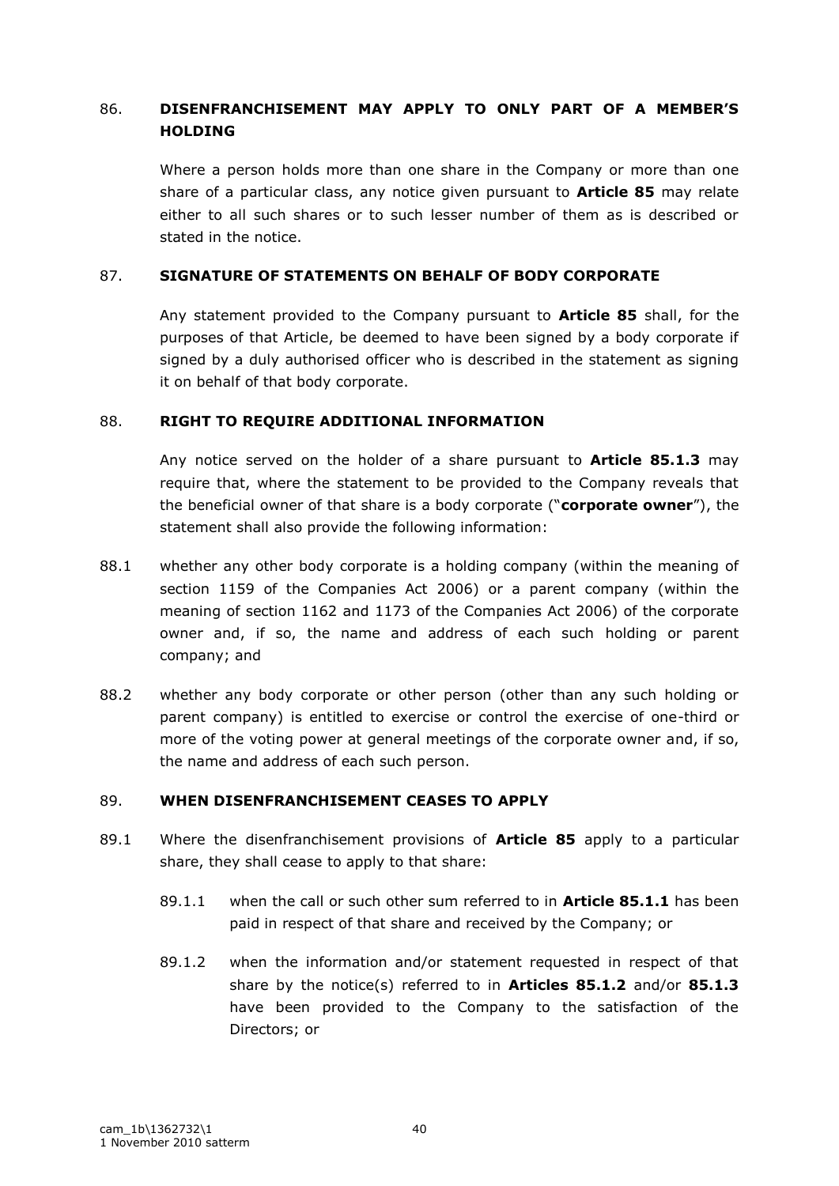## 86. **DISENFRANCHISEMENT MAY APPLY TO ONLY PART OF A MEMBER'S HOLDING**

Where a person holds more than one share in the Company or more than one share of a particular class, any notice given pursuant to **Article 85** may relate either to all such shares or to such lesser number of them as is described or stated in the notice.

### 87. **SIGNATURE OF STATEMENTS ON BEHALF OF BODY CORPORATE**

Any statement provided to the Company pursuant to **Article 85** shall, for the purposes of that Article, be deemed to have been signed by a body corporate if signed by a duly authorised officer who is described in the statement as signing it on behalf of that body corporate.

#### 88. **RIGHT TO REQUIRE ADDITIONAL INFORMATION**

Any notice served on the holder of a share pursuant to **Article 85.1.3** may require that, where the statement to be provided to the Company reveals that the beneficial owner of that share is a body corporate ("**corporate owner**"), the statement shall also provide the following information:

- 88.1 whether any other body corporate is a holding company (within the meaning of section 1159 of the Companies Act 2006) or a parent company (within the meaning of section 1162 and 1173 of the Companies Act 2006) of the corporate owner and, if so, the name and address of each such holding or parent company; and
- 88.2 whether any body corporate or other person (other than any such holding or parent company) is entitled to exercise or control the exercise of one-third or more of the voting power at general meetings of the corporate owner and, if so, the name and address of each such person.

#### 89. **WHEN DISENFRANCHISEMENT CEASES TO APPLY**

- 89.1 Where the disenfranchisement provisions of **Article 85** apply to a particular share, they shall cease to apply to that share:
	- 89.1.1 when the call or such other sum referred to in **Article 85.1.1** has been paid in respect of that share and received by the Company; or
	- 89.1.2 when the information and/or statement requested in respect of that share by the notice(s) referred to in **Articles 85.1.2** and/or **85.1.3** have been provided to the Company to the satisfaction of the Directors; or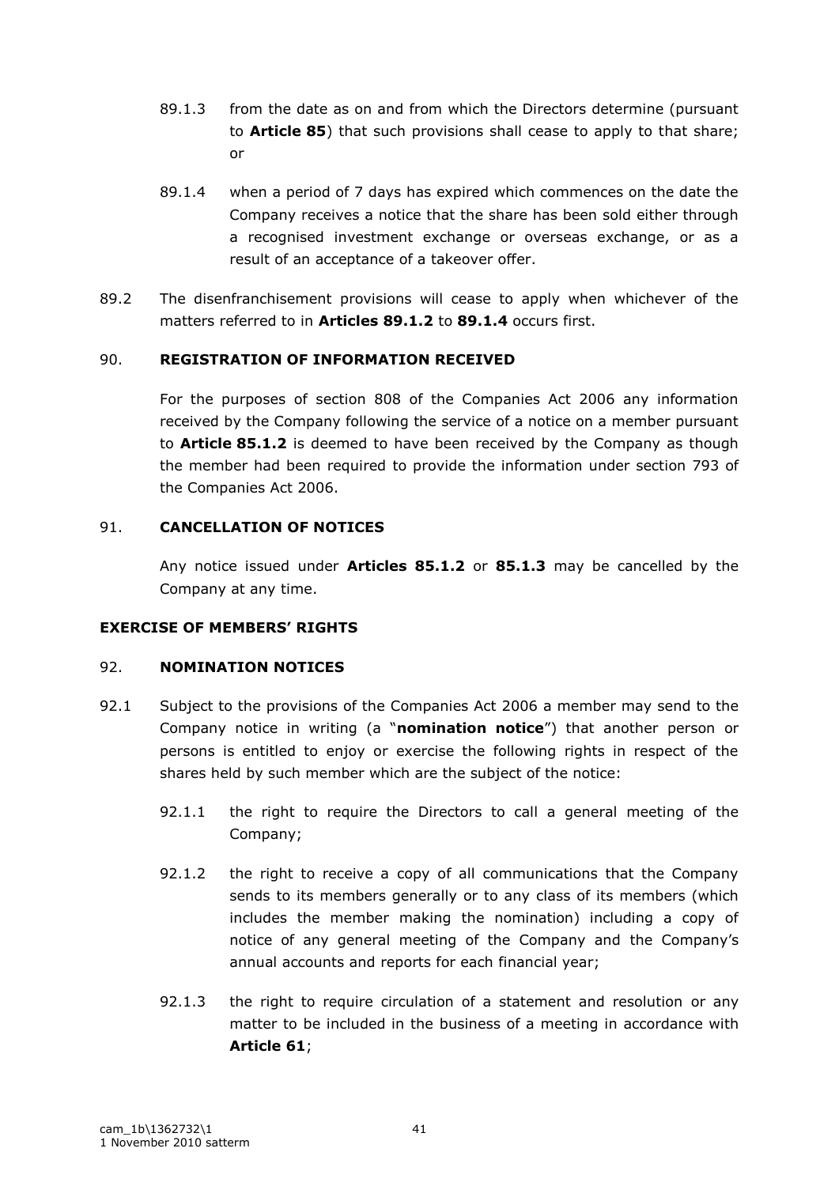- 89.1.3 from the date as on and from which the Directors determine (pursuant to **Article 85**) that such provisions shall cease to apply to that share; or
- 89.1.4 when a period of 7 days has expired which commences on the date the Company receives a notice that the share has been sold either through a recognised investment exchange or overseas exchange, or as a result of an acceptance of a takeover offer.
- 89.2 The disenfranchisement provisions will cease to apply when whichever of the matters referred to in **Articles 89.1.2** to **89.1.4** occurs first.

## 90. **REGISTRATION OF INFORMATION RECEIVED**

For the purposes of section 808 of the Companies Act 2006 any information received by the Company following the service of a notice on a member pursuant to **Article 85.1.2** is deemed to have been received by the Company as though the member had been required to provide the information under section 793 of the Companies Act 2006.

## 91. **CANCELLATION OF NOTICES**

Any notice issued under **Articles 85.1.2** or **85.1.3** may be cancelled by the Company at any time.

## **EXERCISE OF MEMBERS' RIGHTS**

## 92. **NOMINATION NOTICES**

- 92.1 Subject to the provisions of the Companies Act 2006 a member may send to the Company notice in writing (a "**nomination notice**") that another person or persons is entitled to enjoy or exercise the following rights in respect of the shares held by such member which are the subject of the notice:
	- 92.1.1 the right to require the Directors to call a general meeting of the Company;
	- 92.1.2 the right to receive a copy of all communications that the Company sends to its members generally or to any class of its members (which includes the member making the nomination) including a copy of notice of any general meeting of the Company and the Company"s annual accounts and reports for each financial year;
	- 92.1.3 the right to require circulation of a statement and resolution or any matter to be included in the business of a meeting in accordance with **Article 61**;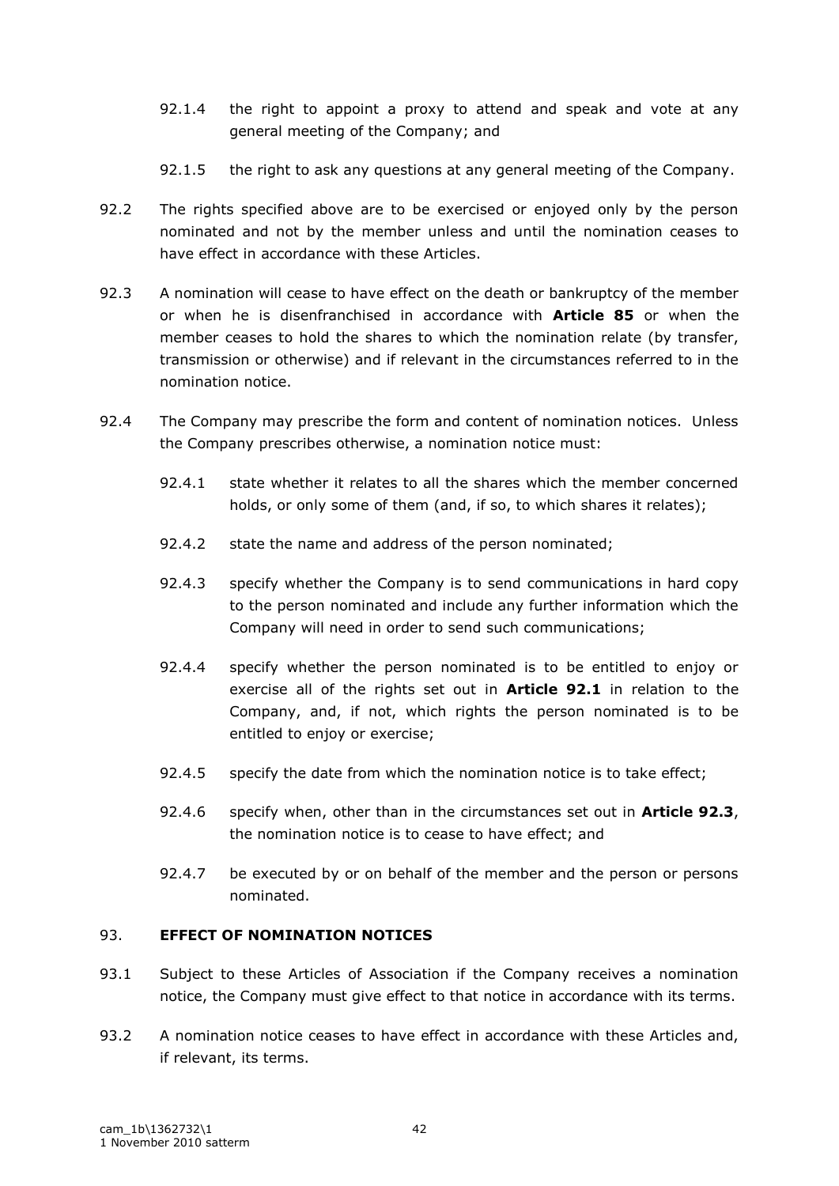- 92.1.4 the right to appoint a proxy to attend and speak and vote at any general meeting of the Company; and
- 92.1.5 the right to ask any questions at any general meeting of the Company.
- 92.2 The rights specified above are to be exercised or enjoyed only by the person nominated and not by the member unless and until the nomination ceases to have effect in accordance with these Articles.
- 92.3 A nomination will cease to have effect on the death or bankruptcy of the member or when he is disenfranchised in accordance with **Article 85** or when the member ceases to hold the shares to which the nomination relate (by transfer, transmission or otherwise) and if relevant in the circumstances referred to in the nomination notice.
- 92.4 The Company may prescribe the form and content of nomination notices. Unless the Company prescribes otherwise, a nomination notice must:
	- 92.4.1 state whether it relates to all the shares which the member concerned holds, or only some of them (and, if so, to which shares it relates);
	- 92.4.2 state the name and address of the person nominated;
	- 92.4.3 specify whether the Company is to send communications in hard copy to the person nominated and include any further information which the Company will need in order to send such communications;
	- 92.4.4 specify whether the person nominated is to be entitled to enjoy or exercise all of the rights set out in **Article 92.1** in relation to the Company, and, if not, which rights the person nominated is to be entitled to enjoy or exercise;
	- 92.4.5 specify the date from which the nomination notice is to take effect;
	- 92.4.6 specify when, other than in the circumstances set out in **Article 92.3**, the nomination notice is to cease to have effect; and
	- 92.4.7 be executed by or on behalf of the member and the person or persons nominated.

## 93. **EFFECT OF NOMINATION NOTICES**

- 93.1 Subject to these Articles of Association if the Company receives a nomination notice, the Company must give effect to that notice in accordance with its terms.
- 93.2 A nomination notice ceases to have effect in accordance with these Articles and, if relevant, its terms.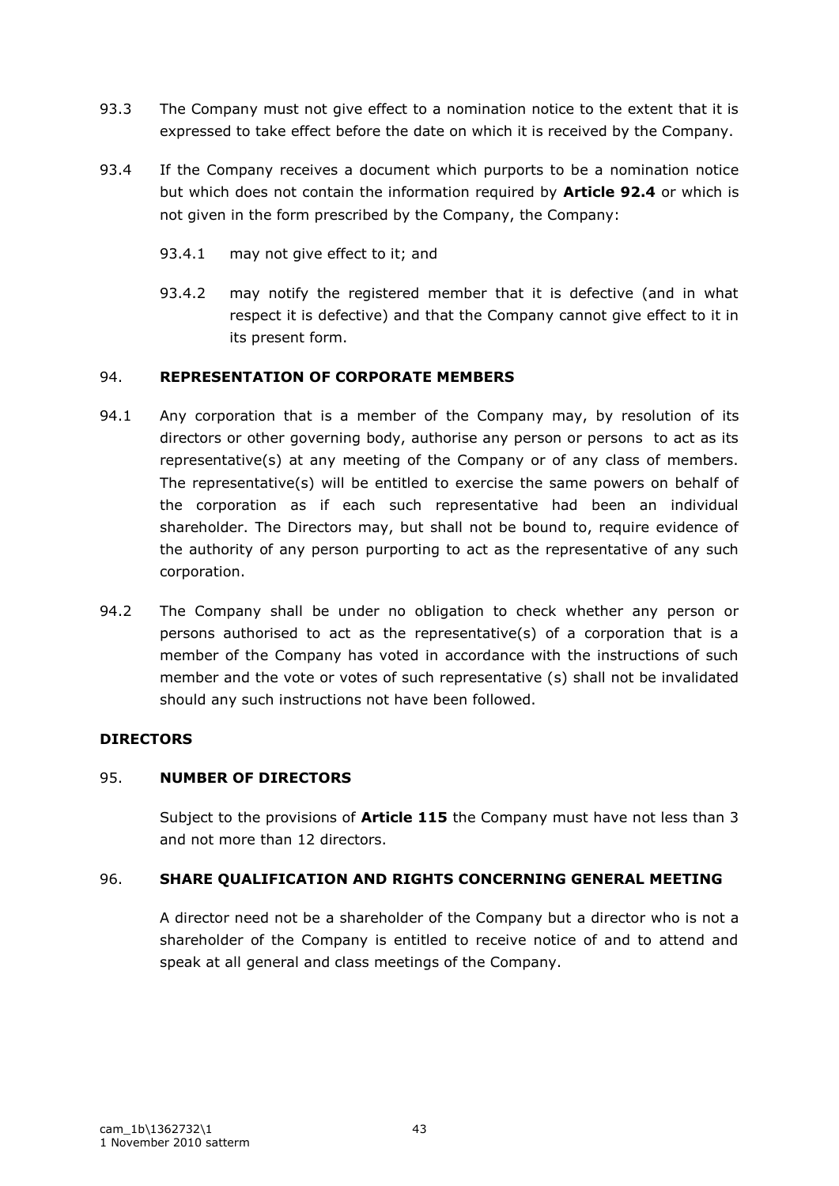- 93.3 The Company must not give effect to a nomination notice to the extent that it is expressed to take effect before the date on which it is received by the Company.
- 93.4 If the Company receives a document which purports to be a nomination notice but which does not contain the information required by **Article 92.4** or which is not given in the form prescribed by the Company, the Company:
	- 93.4.1 may not give effect to it; and
	- 93.4.2 may notify the registered member that it is defective (and in what respect it is defective) and that the Company cannot give effect to it in its present form.

## 94. **REPRESENTATION OF CORPORATE MEMBERS**

- 94.1 Any corporation that is a member of the Company may, by resolution of its directors or other governing body, authorise any person or persons to act as its representative(s) at any meeting of the Company or of any class of members. The representative(s) will be entitled to exercise the same powers on behalf of the corporation as if each such representative had been an individual shareholder. The Directors may, but shall not be bound to, require evidence of the authority of any person purporting to act as the representative of any such corporation.
- 94.2 The Company shall be under no obligation to check whether any person or persons authorised to act as the representative(s) of a corporation that is a member of the Company has voted in accordance with the instructions of such member and the vote or votes of such representative (s) shall not be invalidated should any such instructions not have been followed.

#### **DIRECTORS**

#### 95. **NUMBER OF DIRECTORS**

Subject to the provisions of **Article 115** the Company must have not less than 3 and not more than 12 directors.

## 96. **SHARE QUALIFICATION AND RIGHTS CONCERNING GENERAL MEETING**

A director need not be a shareholder of the Company but a director who is not a shareholder of the Company is entitled to receive notice of and to attend and speak at all general and class meetings of the Company.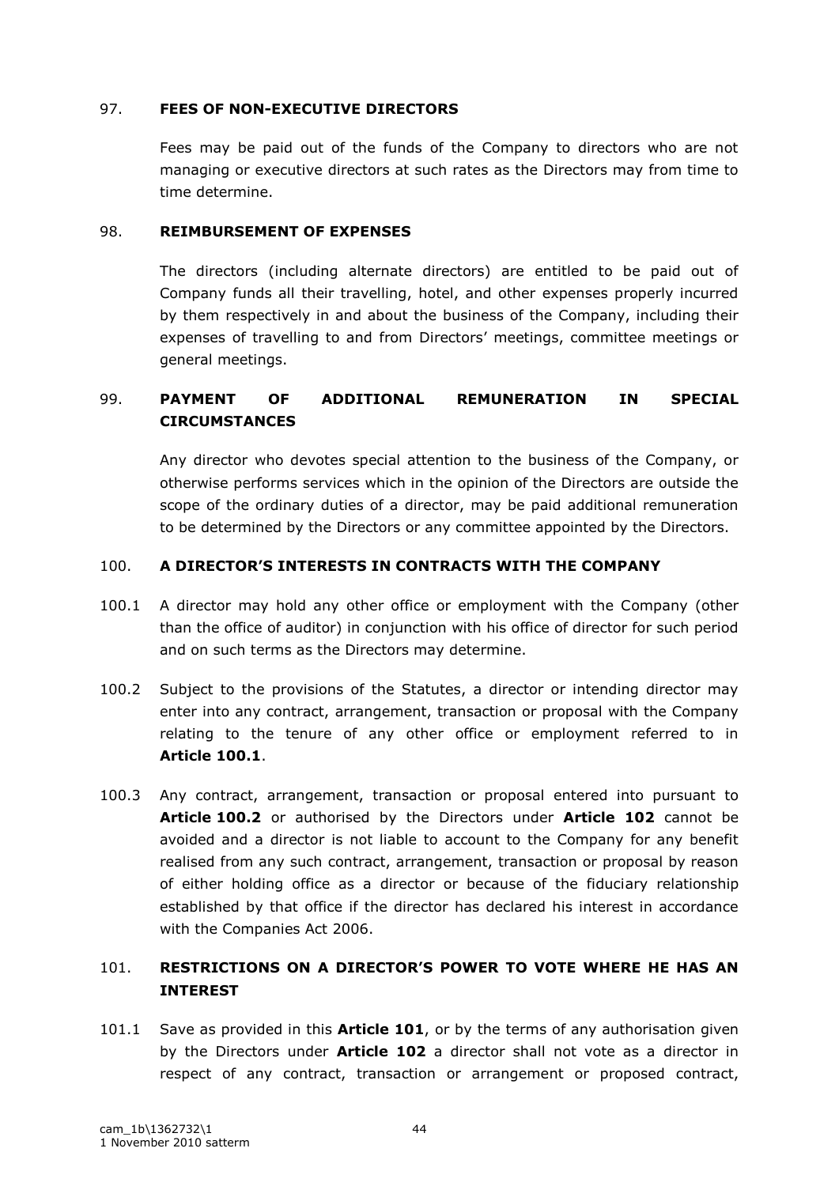### 97. **FEES OF NON-EXECUTIVE DIRECTORS**

Fees may be paid out of the funds of the Company to directors who are not managing or executive directors at such rates as the Directors may from time to time determine.

#### 98. **REIMBURSEMENT OF EXPENSES**

The directors (including alternate directors) are entitled to be paid out of Company funds all their travelling, hotel, and other expenses properly incurred by them respectively in and about the business of the Company, including their expenses of travelling to and from Directors" meetings, committee meetings or general meetings.

# 99. **PAYMENT OF ADDITIONAL REMUNERATION IN SPECIAL CIRCUMSTANCES**

Any director who devotes special attention to the business of the Company, or otherwise performs services which in the opinion of the Directors are outside the scope of the ordinary duties of a director, may be paid additional remuneration to be determined by the Directors or any committee appointed by the Directors.

## 100. **A DIRECTOR'S INTERESTS IN CONTRACTS WITH THE COMPANY**

- 100.1 A director may hold any other office or employment with the Company (other than the office of auditor) in conjunction with his office of director for such period and on such terms as the Directors may determine.
- 100.2 Subject to the provisions of the Statutes, a director or intending director may enter into any contract, arrangement, transaction or proposal with the Company relating to the tenure of any other office or employment referred to in **Article 100.1**.
- 100.3 Any contract, arrangement, transaction or proposal entered into pursuant to **Article 100.2** or authorised by the Directors under **Article 102** cannot be avoided and a director is not liable to account to the Company for any benefit realised from any such contract, arrangement, transaction or proposal by reason of either holding office as a director or because of the fiduciary relationship established by that office if the director has declared his interest in accordance with the Companies Act 2006.

# 101. **RESTRICTIONS ON A DIRECTOR'S POWER TO VOTE WHERE HE HAS AN INTEREST**

101.1 Save as provided in this **Article 101**, or by the terms of any authorisation given by the Directors under **Article 102** a director shall not vote as a director in respect of any contract, transaction or arrangement or proposed contract,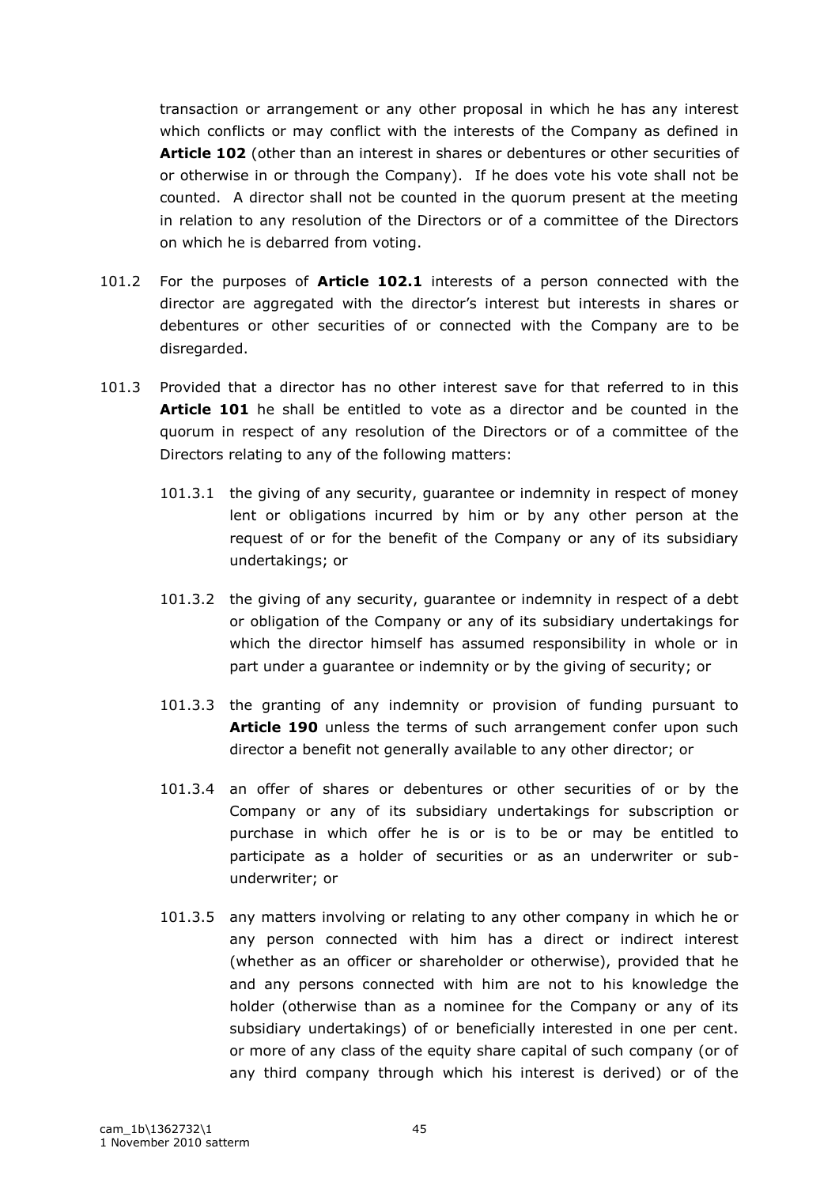transaction or arrangement or any other proposal in which he has any interest which conflicts or may conflict with the interests of the Company as defined in **Article 102** (other than an interest in shares or debentures or other securities of or otherwise in or through the Company). If he does vote his vote shall not be counted. A director shall not be counted in the quorum present at the meeting in relation to any resolution of the Directors or of a committee of the Directors on which he is debarred from voting.

- 101.2 For the purposes of **Article 102.1** interests of a person connected with the director are aggregated with the director"s interest but interests in shares or debentures or other securities of or connected with the Company are to be disregarded.
- 101.3 Provided that a director has no other interest save for that referred to in this **Article 101** he shall be entitled to vote as a director and be counted in the quorum in respect of any resolution of the Directors or of a committee of the Directors relating to any of the following matters:
	- 101.3.1 the giving of any security, guarantee or indemnity in respect of money lent or obligations incurred by him or by any other person at the request of or for the benefit of the Company or any of its subsidiary undertakings; or
	- 101.3.2 the giving of any security, guarantee or indemnity in respect of a debt or obligation of the Company or any of its subsidiary undertakings for which the director himself has assumed responsibility in whole or in part under a guarantee or indemnity or by the giving of security; or
	- 101.3.3 the granting of any indemnity or provision of funding pursuant to **Article 190** unless the terms of such arrangement confer upon such director a benefit not generally available to any other director; or
	- 101.3.4 an offer of shares or debentures or other securities of or by the Company or any of its subsidiary undertakings for subscription or purchase in which offer he is or is to be or may be entitled to participate as a holder of securities or as an underwriter or subunderwriter; or
	- 101.3.5 any matters involving or relating to any other company in which he or any person connected with him has a direct or indirect interest (whether as an officer or shareholder or otherwise), provided that he and any persons connected with him are not to his knowledge the holder (otherwise than as a nominee for the Company or any of its subsidiary undertakings) of or beneficially interested in one per cent. or more of any class of the equity share capital of such company (or of any third company through which his interest is derived) or of the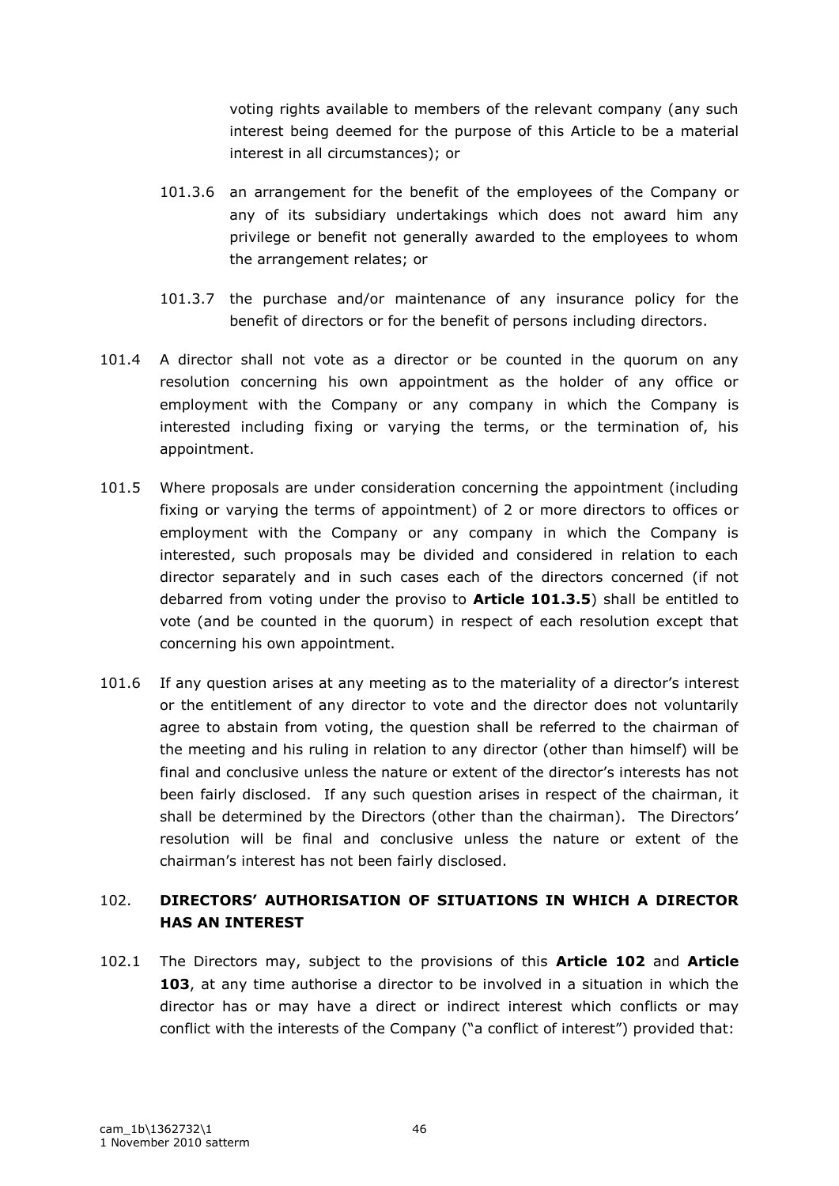voting rights available to members of the relevant company (any such interest being deemed for the purpose of this Article to be a material interest in all circumstances); or

- 101.3.6 an arrangement for the benefit of the employees of the Company or any of its subsidiary undertakings which does not award him any privilege or benefit not generally awarded to the employees to whom the arrangement relates; or
- 101.3.7 the purchase and/or maintenance of any insurance policy for the benefit of directors or for the benefit of persons including directors.
- 101.4 A director shall not vote as a director or be counted in the quorum on any resolution concerning his own appointment as the holder of any office or employment with the Company or any company in which the Company is interested including fixing or varying the terms, or the termination of, his appointment.
- 101.5 Where proposals are under consideration concerning the appointment (including fixing or varying the terms of appointment) of 2 or more directors to offices or employment with the Company or any company in which the Company is interested, such proposals may be divided and considered in relation to each director separately and in such cases each of the directors concerned (if not debarred from voting under the proviso to **Article 101.3.5**) shall be entitled to vote (and be counted in the quorum) in respect of each resolution except that concerning his own appointment.
- 101.6 If any question arises at any meeting as to the materiality of a director's interest or the entitlement of any director to vote and the director does not voluntarily agree to abstain from voting, the question shall be referred to the chairman of the meeting and his ruling in relation to any director (other than himself) will be final and conclusive unless the nature or extent of the director's interests has not been fairly disclosed. If any such question arises in respect of the chairman, it shall be determined by the Directors (other than the chairman). The Directors" resolution will be final and conclusive unless the nature or extent of the chairman"s interest has not been fairly disclosed.

# 102. **DIRECTORS' AUTHORISATION OF SITUATIONS IN WHICH A DIRECTOR HAS AN INTEREST**

102.1 The Directors may, subject to the provisions of this **Article 102** and **Article 103**, at any time authorise a director to be involved in a situation in which the director has or may have a direct or indirect interest which conflicts or may conflict with the interests of the Company ("a conflict of interest") provided that: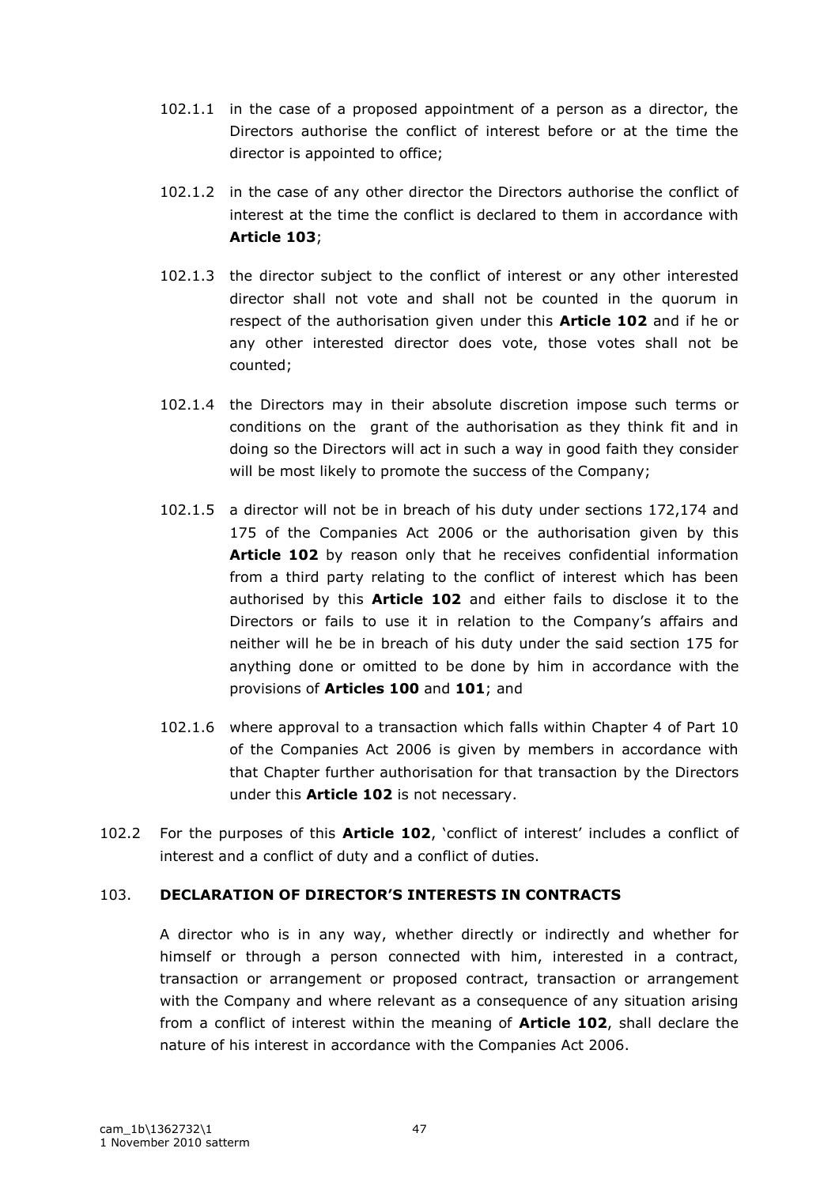- 102.1.1 in the case of a proposed appointment of a person as a director, the Directors authorise the conflict of interest before or at the time the director is appointed to office;
- 102.1.2 in the case of any other director the Directors authorise the conflict of interest at the time the conflict is declared to them in accordance with **Article 103**;
- 102.1.3 the director subject to the conflict of interest or any other interested director shall not vote and shall not be counted in the quorum in respect of the authorisation given under this **Article 102** and if he or any other interested director does vote, those votes shall not be counted;
- 102.1.4 the Directors may in their absolute discretion impose such terms or conditions on the grant of the authorisation as they think fit and in doing so the Directors will act in such a way in good faith they consider will be most likely to promote the success of the Company;
- 102.1.5 a director will not be in breach of his duty under sections 172,174 and 175 of the Companies Act 2006 or the authorisation given by this Article 102 by reason only that he receives confidential information from a third party relating to the conflict of interest which has been authorised by this **Article 102** and either fails to disclose it to the Directors or fails to use it in relation to the Company's affairs and neither will he be in breach of his duty under the said section 175 for anything done or omitted to be done by him in accordance with the provisions of **Articles 100** and **101**; and
- 102.1.6 where approval to a transaction which falls within Chapter 4 of Part 10 of the Companies Act 2006 is given by members in accordance with that Chapter further authorisation for that transaction by the Directors under this **Article 102** is not necessary.
- 102.2 For the purposes of this **Article 102**, "conflict of interest" includes a conflict of interest and a conflict of duty and a conflict of duties.

## 103. **DECLARATION OF DIRECTOR'S INTERESTS IN CONTRACTS**

A director who is in any way, whether directly or indirectly and whether for himself or through a person connected with him, interested in a contract, transaction or arrangement or proposed contract, transaction or arrangement with the Company and where relevant as a consequence of any situation arising from a conflict of interest within the meaning of **Article 102**, shall declare the nature of his interest in accordance with the Companies Act 2006.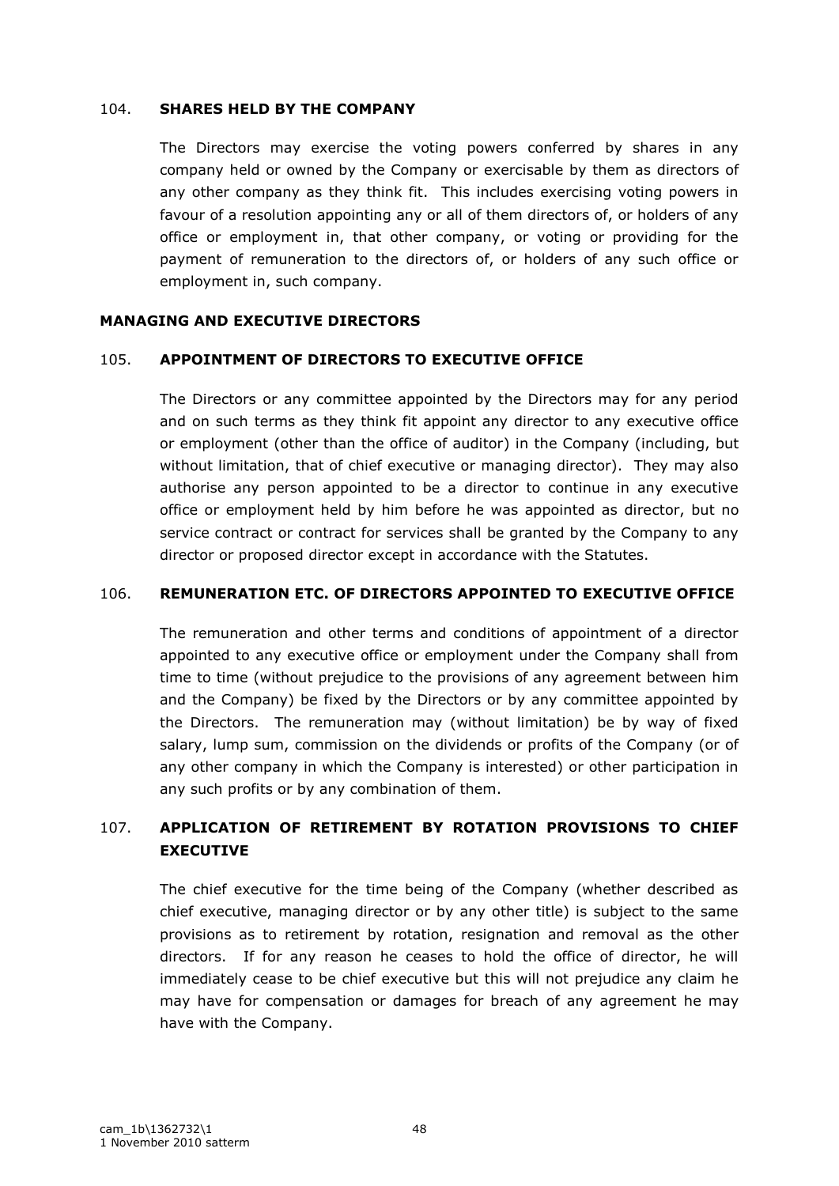#### 104. **SHARES HELD BY THE COMPANY**

The Directors may exercise the voting powers conferred by shares in any company held or owned by the Company or exercisable by them as directors of any other company as they think fit. This includes exercising voting powers in favour of a resolution appointing any or all of them directors of, or holders of any office or employment in, that other company, or voting or providing for the payment of remuneration to the directors of, or holders of any such office or employment in, such company.

#### **MANAGING AND EXECUTIVE DIRECTORS**

#### 105. **APPOINTMENT OF DIRECTORS TO EXECUTIVE OFFICE**

The Directors or any committee appointed by the Directors may for any period and on such terms as they think fit appoint any director to any executive office or employment (other than the office of auditor) in the Company (including, but without limitation, that of chief executive or managing director). They may also authorise any person appointed to be a director to continue in any executive office or employment held by him before he was appointed as director, but no service contract or contract for services shall be granted by the Company to any director or proposed director except in accordance with the Statutes.

## 106. **REMUNERATION ETC. OF DIRECTORS APPOINTED TO EXECUTIVE OFFICE**

The remuneration and other terms and conditions of appointment of a director appointed to any executive office or employment under the Company shall from time to time (without prejudice to the provisions of any agreement between him and the Company) be fixed by the Directors or by any committee appointed by the Directors. The remuneration may (without limitation) be by way of fixed salary, lump sum, commission on the dividends or profits of the Company (or of any other company in which the Company is interested) or other participation in any such profits or by any combination of them.

# 107. **APPLICATION OF RETIREMENT BY ROTATION PROVISIONS TO CHIEF EXECUTIVE**

The chief executive for the time being of the Company (whether described as chief executive, managing director or by any other title) is subject to the same provisions as to retirement by rotation, resignation and removal as the other directors. If for any reason he ceases to hold the office of director, he will immediately cease to be chief executive but this will not prejudice any claim he may have for compensation or damages for breach of any agreement he may have with the Company.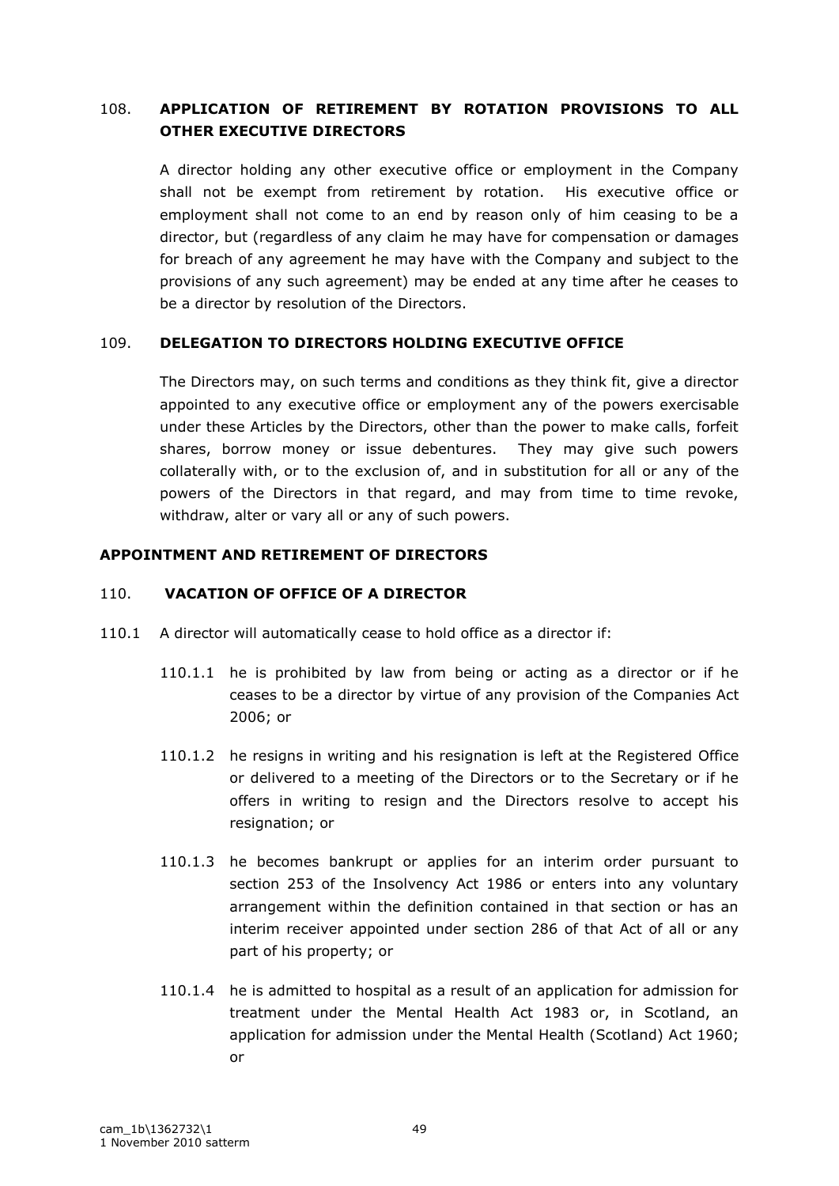## 108. **APPLICATION OF RETIREMENT BY ROTATION PROVISIONS TO ALL OTHER EXECUTIVE DIRECTORS**

A director holding any other executive office or employment in the Company shall not be exempt from retirement by rotation. His executive office or employment shall not come to an end by reason only of him ceasing to be a director, but (regardless of any claim he may have for compensation or damages for breach of any agreement he may have with the Company and subject to the provisions of any such agreement) may be ended at any time after he ceases to be a director by resolution of the Directors.

## 109. **DELEGATION TO DIRECTORS HOLDING EXECUTIVE OFFICE**

The Directors may, on such terms and conditions as they think fit, give a director appointed to any executive office or employment any of the powers exercisable under these Articles by the Directors, other than the power to make calls, forfeit shares, borrow money or issue debentures. They may give such powers collaterally with, or to the exclusion of, and in substitution for all or any of the powers of the Directors in that regard, and may from time to time revoke, withdraw, alter or vary all or any of such powers.

#### **APPOINTMENT AND RETIREMENT OF DIRECTORS**

### 110. **VACATION OF OFFICE OF A DIRECTOR**

- 110.1 A director will automatically cease to hold office as a director if:
	- 110.1.1 he is prohibited by law from being or acting as a director or if he ceases to be a director by virtue of any provision of the Companies Act 2006; or
	- 110.1.2 he resigns in writing and his resignation is left at the Registered Office or delivered to a meeting of the Directors or to the Secretary or if he offers in writing to resign and the Directors resolve to accept his resignation; or
	- 110.1.3 he becomes bankrupt or applies for an interim order pursuant to section 253 of the Insolvency Act 1986 or enters into any voluntary arrangement within the definition contained in that section or has an interim receiver appointed under section 286 of that Act of all or any part of his property; or
	- 110.1.4 he is admitted to hospital as a result of an application for admission for treatment under the Mental Health Act 1983 or, in Scotland, an application for admission under the Mental Health (Scotland) Act 1960; or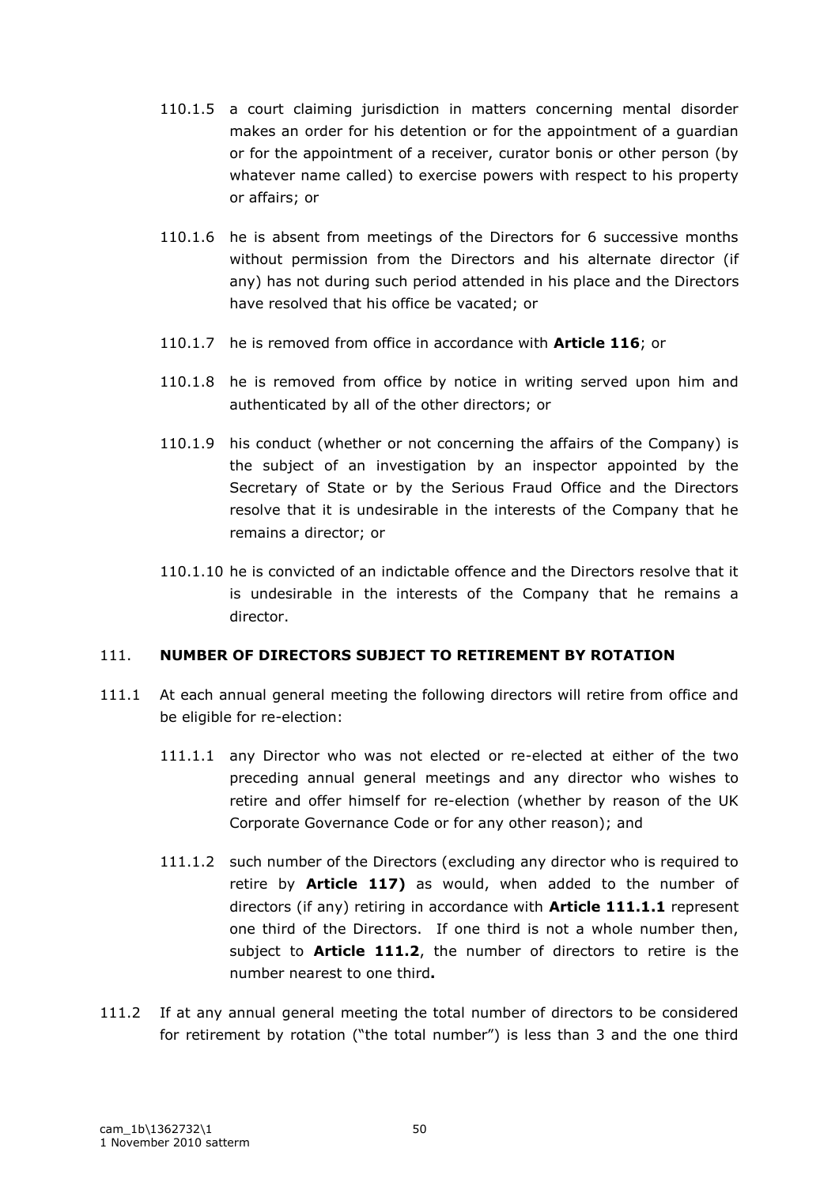- 110.1.5 a court claiming jurisdiction in matters concerning mental disorder makes an order for his detention or for the appointment of a guardian or for the appointment of a receiver, curator bonis or other person (by whatever name called) to exercise powers with respect to his property or affairs; or
- 110.1.6 he is absent from meetings of the Directors for 6 successive months without permission from the Directors and his alternate director (if any) has not during such period attended in his place and the Directors have resolved that his office be vacated; or
- 110.1.7 he is removed from office in accordance with **Article 116**; or
- 110.1.8 he is removed from office by notice in writing served upon him and authenticated by all of the other directors; or
- 110.1.9 his conduct (whether or not concerning the affairs of the Company) is the subject of an investigation by an inspector appointed by the Secretary of State or by the Serious Fraud Office and the Directors resolve that it is undesirable in the interests of the Company that he remains a director; or
- 110.1.10 he is convicted of an indictable offence and the Directors resolve that it is undesirable in the interests of the Company that he remains a director.

## 111. **NUMBER OF DIRECTORS SUBJECT TO RETIREMENT BY ROTATION**

- 111.1 At each annual general meeting the following directors will retire from office and be eligible for re-election:
	- 111.1.1 any Director who was not elected or re-elected at either of the two preceding annual general meetings and any director who wishes to retire and offer himself for re-election (whether by reason of the UK Corporate Governance Code or for any other reason); and
	- 111.1.2 such number of the Directors (excluding any director who is required to retire by **Article 117)** as would, when added to the number of directors (if any) retiring in accordance with **Article 111.1.1** represent one third of the Directors. If one third is not a whole number then, subject to **Article 111.2**, the number of directors to retire is the number nearest to one third**.**
- 111.2 If at any annual general meeting the total number of directors to be considered for retirement by rotation ("the total number") is less than 3 and the one third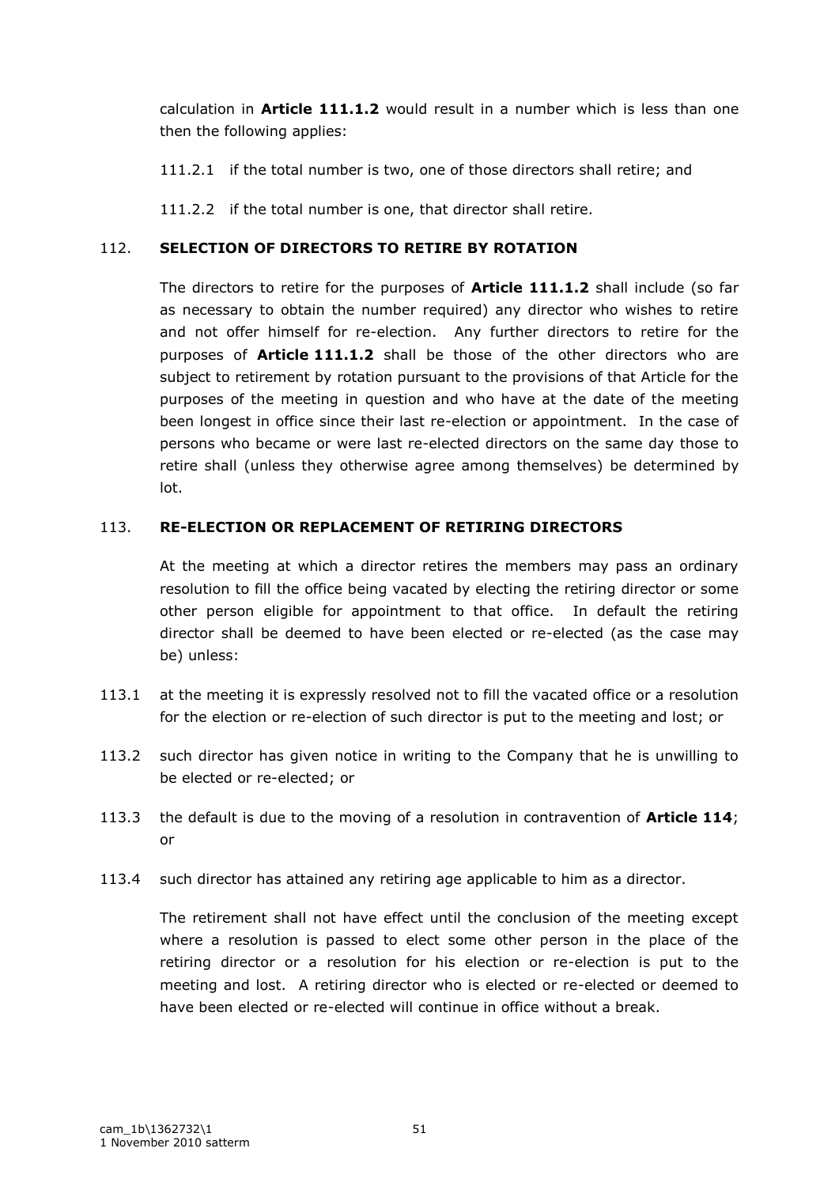calculation in **Article 111.1.2** would result in a number which is less than one then the following applies:

111.2.1 if the total number is two, one of those directors shall retire; and

111.2.2 if the total number is one, that director shall retire.

## 112. **SELECTION OF DIRECTORS TO RETIRE BY ROTATION**

The directors to retire for the purposes of **Article 111.1.2** shall include (so far as necessary to obtain the number required) any director who wishes to retire and not offer himself for re-election. Any further directors to retire for the purposes of **Article 111.1.2** shall be those of the other directors who are subject to retirement by rotation pursuant to the provisions of that Article for the purposes of the meeting in question and who have at the date of the meeting been longest in office since their last re-election or appointment. In the case of persons who became or were last re-elected directors on the same day those to retire shall (unless they otherwise agree among themselves) be determined by lot.

## 113. **RE-ELECTION OR REPLACEMENT OF RETIRING DIRECTORS**

At the meeting at which a director retires the members may pass an ordinary resolution to fill the office being vacated by electing the retiring director or some other person eligible for appointment to that office. In default the retiring director shall be deemed to have been elected or re-elected (as the case may be) unless:

- 113.1 at the meeting it is expressly resolved not to fill the vacated office or a resolution for the election or re-election of such director is put to the meeting and lost; or
- 113.2 such director has given notice in writing to the Company that he is unwilling to be elected or re-elected; or
- 113.3 the default is due to the moving of a resolution in contravention of **Article 114**; or
- 113.4 such director has attained any retiring age applicable to him as a director.

The retirement shall not have effect until the conclusion of the meeting except where a resolution is passed to elect some other person in the place of the retiring director or a resolution for his election or re-election is put to the meeting and lost. A retiring director who is elected or re-elected or deemed to have been elected or re-elected will continue in office without a break.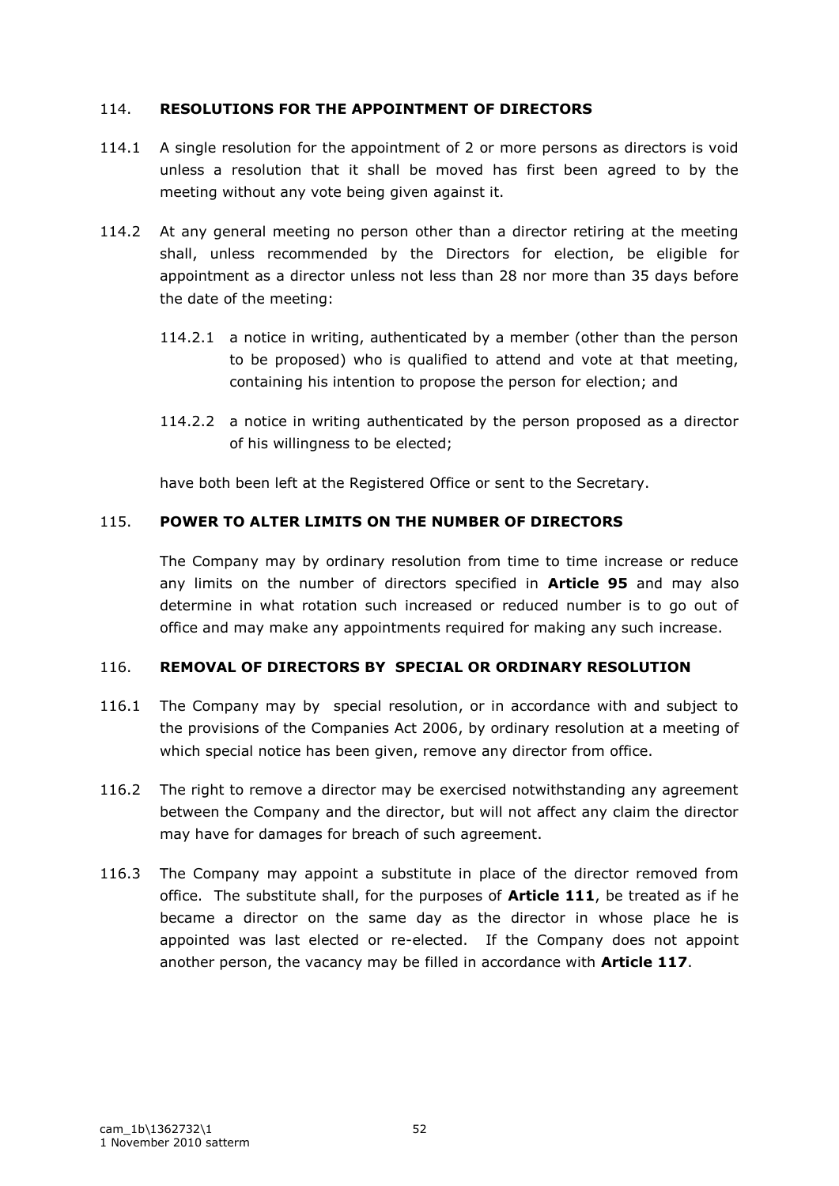## 114. **RESOLUTIONS FOR THE APPOINTMENT OF DIRECTORS**

- 114.1 A single resolution for the appointment of 2 or more persons as directors is void unless a resolution that it shall be moved has first been agreed to by the meeting without any vote being given against it.
- 114.2 At any general meeting no person other than a director retiring at the meeting shall, unless recommended by the Directors for election, be eligible for appointment as a director unless not less than 28 nor more than 35 days before the date of the meeting:
	- 114.2.1 a notice in writing, authenticated by a member (other than the person to be proposed) who is qualified to attend and vote at that meeting, containing his intention to propose the person for election; and
	- 114.2.2 a notice in writing authenticated by the person proposed as a director of his willingness to be elected;

have both been left at the Registered Office or sent to the Secretary.

## 115. **POWER TO ALTER LIMITS ON THE NUMBER OF DIRECTORS**

The Company may by ordinary resolution from time to time increase or reduce any limits on the number of directors specified in **Article 95** and may also determine in what rotation such increased or reduced number is to go out of office and may make any appointments required for making any such increase.

## 116. **REMOVAL OF DIRECTORS BY SPECIAL OR ORDINARY RESOLUTION**

- 116.1 The Company may by special resolution, or in accordance with and subject to the provisions of the Companies Act 2006, by ordinary resolution at a meeting of which special notice has been given, remove any director from office.
- 116.2 The right to remove a director may be exercised notwithstanding any agreement between the Company and the director, but will not affect any claim the director may have for damages for breach of such agreement.
- 116.3 The Company may appoint a substitute in place of the director removed from office. The substitute shall, for the purposes of **Article 111**, be treated as if he became a director on the same day as the director in whose place he is appointed was last elected or re-elected. If the Company does not appoint another person, the vacancy may be filled in accordance with **Article 117**.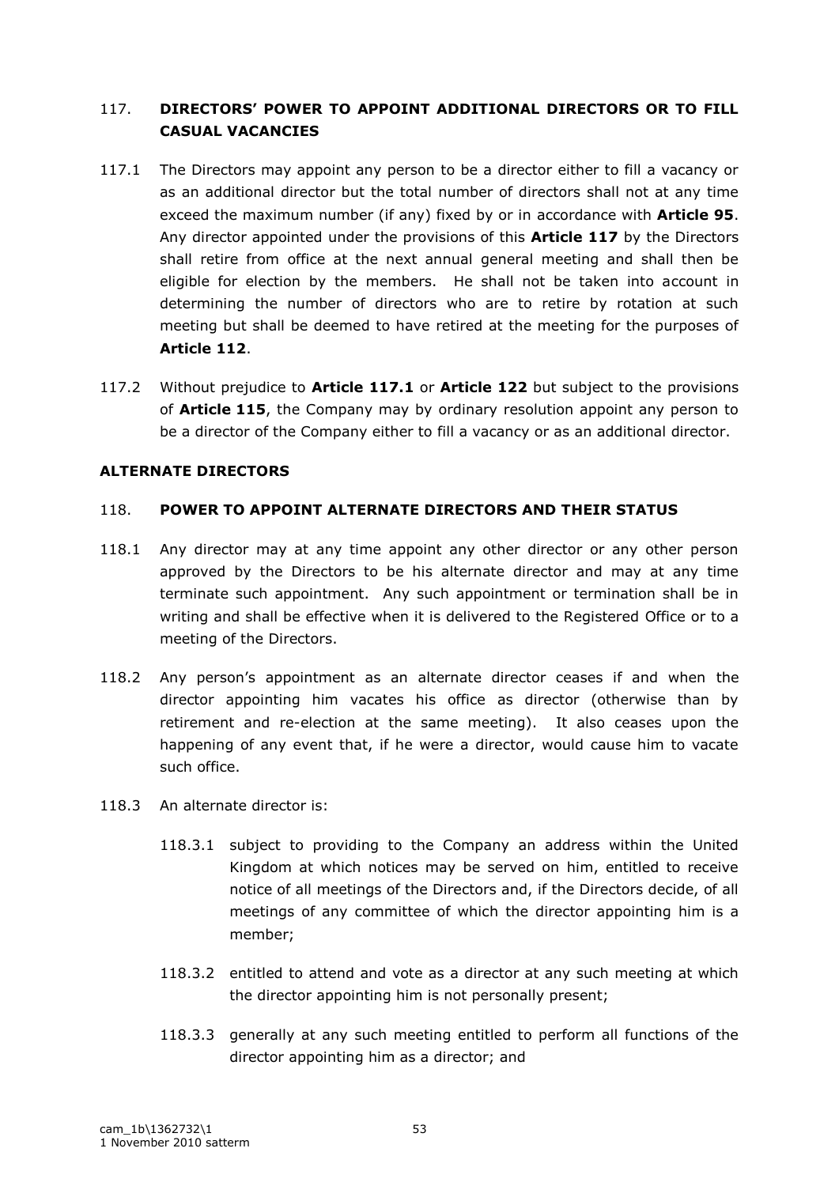## 117. **DIRECTORS' POWER TO APPOINT ADDITIONAL DIRECTORS OR TO FILL CASUAL VACANCIES**

- 117.1 The Directors may appoint any person to be a director either to fill a vacancy or as an additional director but the total number of directors shall not at any time exceed the maximum number (if any) fixed by or in accordance with **Article 95**. Any director appointed under the provisions of this **Article 117** by the Directors shall retire from office at the next annual general meeting and shall then be eligible for election by the members. He shall not be taken into account in determining the number of directors who are to retire by rotation at such meeting but shall be deemed to have retired at the meeting for the purposes of **Article 112**.
- 117.2 Without prejudice to **Article 117.1** or **Article 122** but subject to the provisions of **Article 115**, the Company may by ordinary resolution appoint any person to be a director of the Company either to fill a vacancy or as an additional director.

## **ALTERNATE DIRECTORS**

## 118. **POWER TO APPOINT ALTERNATE DIRECTORS AND THEIR STATUS**

- 118.1 Any director may at any time appoint any other director or any other person approved by the Directors to be his alternate director and may at any time terminate such appointment. Any such appointment or termination shall be in writing and shall be effective when it is delivered to the Registered Office or to a meeting of the Directors.
- 118.2 Any person's appointment as an alternate director ceases if and when the director appointing him vacates his office as director (otherwise than by retirement and re-election at the same meeting). It also ceases upon the happening of any event that, if he were a director, would cause him to vacate such office.
- 118.3 An alternate director is:
	- 118.3.1 subject to providing to the Company an address within the United Kingdom at which notices may be served on him, entitled to receive notice of all meetings of the Directors and, if the Directors decide, of all meetings of any committee of which the director appointing him is a member;
	- 118.3.2 entitled to attend and vote as a director at any such meeting at which the director appointing him is not personally present;
	- 118.3.3 generally at any such meeting entitled to perform all functions of the director appointing him as a director; and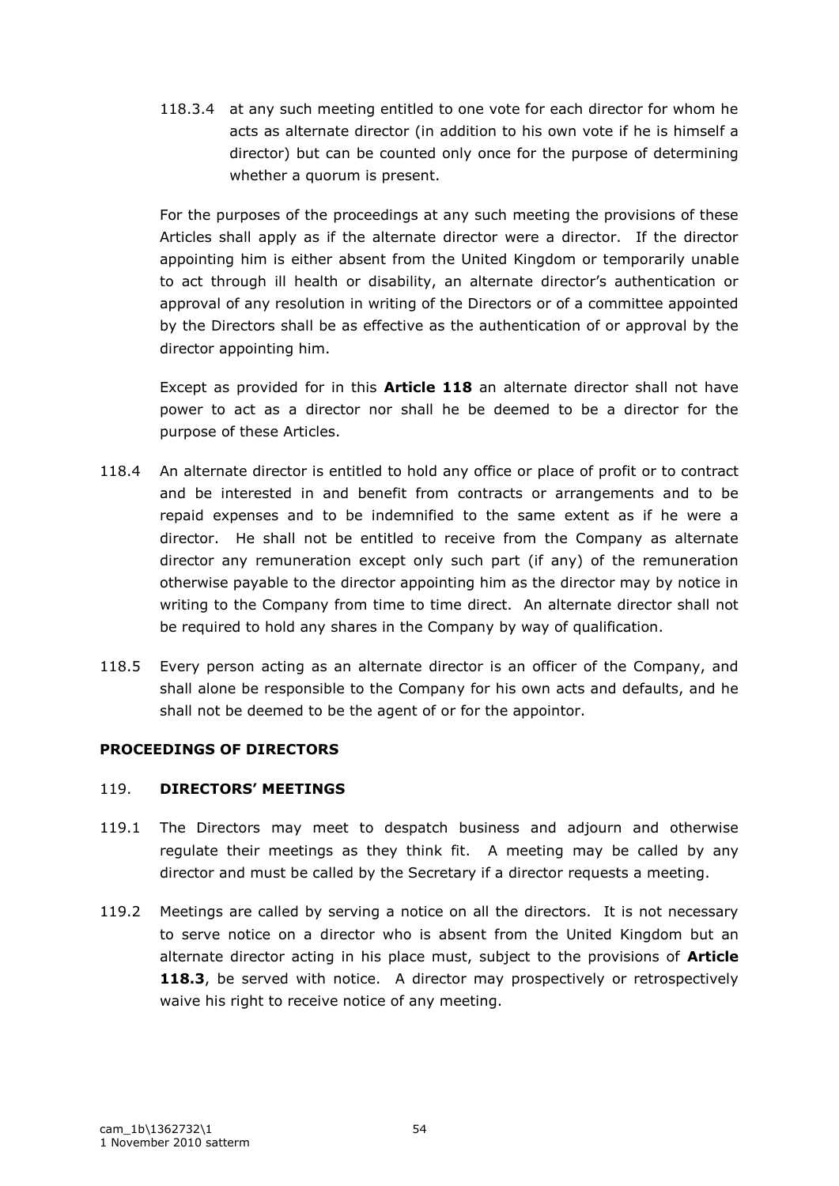118.3.4 at any such meeting entitled to one vote for each director for whom he acts as alternate director (in addition to his own vote if he is himself a director) but can be counted only once for the purpose of determining whether a quorum is present.

For the purposes of the proceedings at any such meeting the provisions of these Articles shall apply as if the alternate director were a director. If the director appointing him is either absent from the United Kingdom or temporarily unable to act through ill health or disability, an alternate director"s authentication or approval of any resolution in writing of the Directors or of a committee appointed by the Directors shall be as effective as the authentication of or approval by the director appointing him.

Except as provided for in this **Article 118** an alternate director shall not have power to act as a director nor shall he be deemed to be a director for the purpose of these Articles.

- 118.4 An alternate director is entitled to hold any office or place of profit or to contract and be interested in and benefit from contracts or arrangements and to be repaid expenses and to be indemnified to the same extent as if he were a director. He shall not be entitled to receive from the Company as alternate director any remuneration except only such part (if any) of the remuneration otherwise payable to the director appointing him as the director may by notice in writing to the Company from time to time direct. An alternate director shall not be required to hold any shares in the Company by way of qualification.
- 118.5 Every person acting as an alternate director is an officer of the Company, and shall alone be responsible to the Company for his own acts and defaults, and he shall not be deemed to be the agent of or for the appointor.

## **PROCEEDINGS OF DIRECTORS**

## 119. **DIRECTORS' MEETINGS**

- 119.1 The Directors may meet to despatch business and adjourn and otherwise regulate their meetings as they think fit. A meeting may be called by any director and must be called by the Secretary if a director requests a meeting.
- 119.2 Meetings are called by serving a notice on all the directors. It is not necessary to serve notice on a director who is absent from the United Kingdom but an alternate director acting in his place must, subject to the provisions of **Article 118.3**, be served with notice. A director may prospectively or retrospectively waive his right to receive notice of any meeting.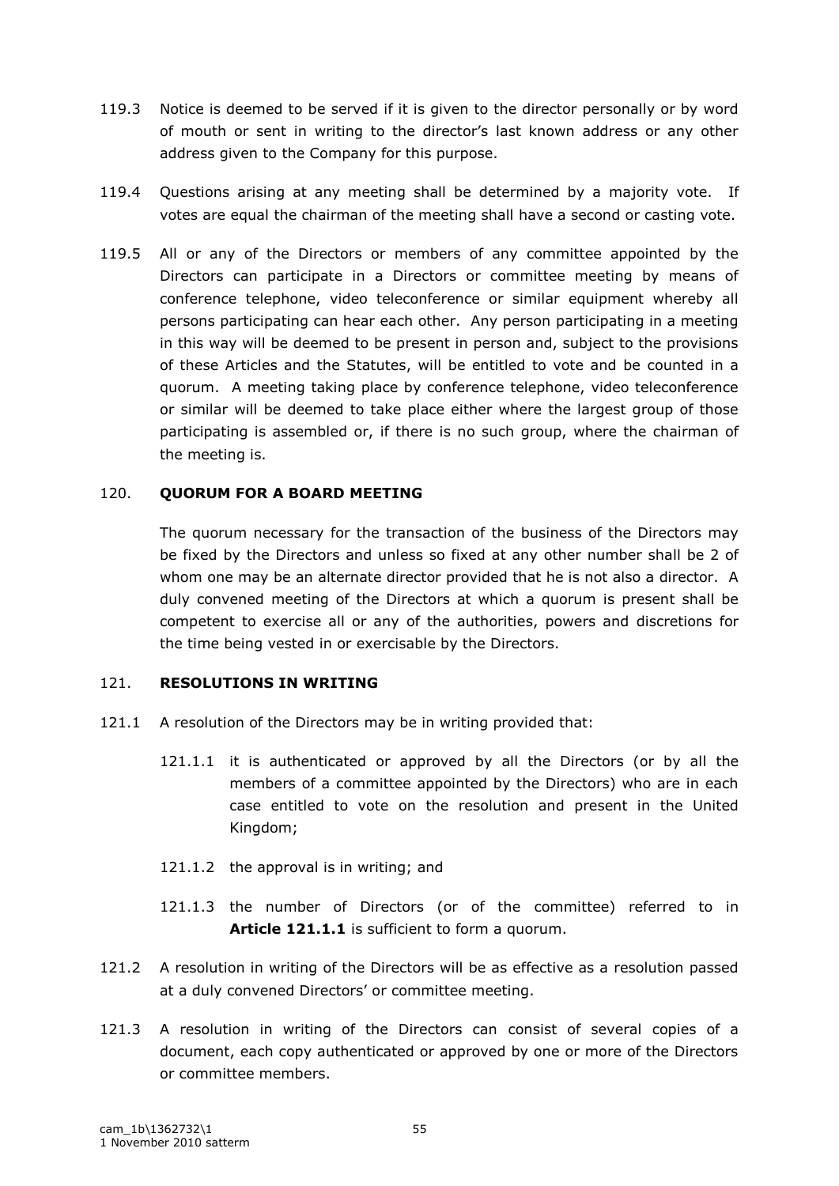- 119.3 Notice is deemed to be served if it is given to the director personally or by word of mouth or sent in writing to the director's last known address or any other address given to the Company for this purpose.
- 119.4 Questions arising at any meeting shall be determined by a majority vote. If votes are equal the chairman of the meeting shall have a second or casting vote.
- 119.5 All or any of the Directors or members of any committee appointed by the Directors can participate in a Directors or committee meeting by means of conference telephone, video teleconference or similar equipment whereby all persons participating can hear each other. Any person participating in a meeting in this way will be deemed to be present in person and, subject to the provisions of these Articles and the Statutes, will be entitled to vote and be counted in a quorum. A meeting taking place by conference telephone, video teleconference or similar will be deemed to take place either where the largest group of those participating is assembled or, if there is no such group, where the chairman of the meeting is.

#### 120. **QUORUM FOR A BOARD MEETING**

The quorum necessary for the transaction of the business of the Directors may be fixed by the Directors and unless so fixed at any other number shall be 2 of whom one may be an alternate director provided that he is not also a director. A duly convened meeting of the Directors at which a quorum is present shall be competent to exercise all or any of the authorities, powers and discretions for the time being vested in or exercisable by the Directors.

#### 121. **RESOLUTIONS IN WRITING**

- 121.1 A resolution of the Directors may be in writing provided that:
	- 121.1.1 it is authenticated or approved by all the Directors (or by all the members of a committee appointed by the Directors) who are in each case entitled to vote on the resolution and present in the United Kingdom;
	- 121.1.2 the approval is in writing; and
	- 121.1.3 the number of Directors (or of the committee) referred to in **Article 121.1.1** is sufficient to form a quorum.
- 121.2 A resolution in writing of the Directors will be as effective as a resolution passed at a duly convened Directors' or committee meeting.
- 121.3 A resolution in writing of the Directors can consist of several copies of a document, each copy authenticated or approved by one or more of the Directors or committee members.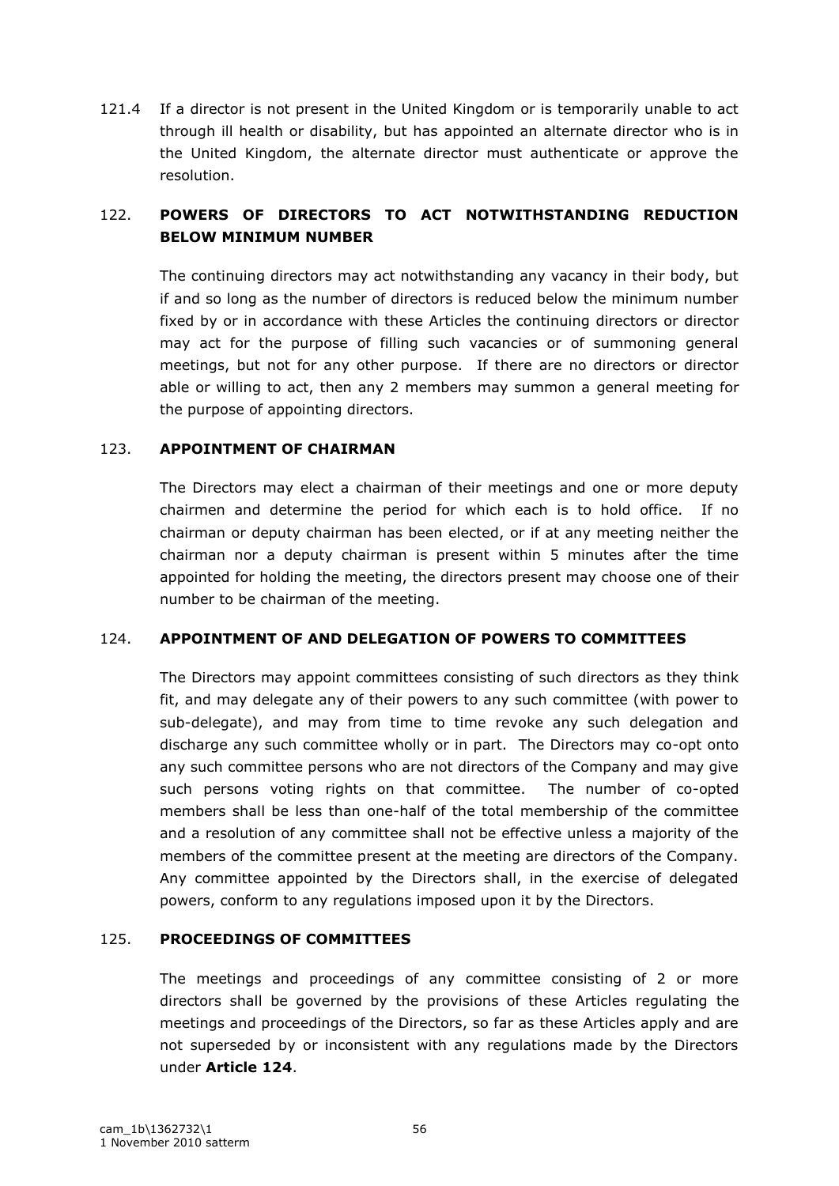121.4 If a director is not present in the United Kingdom or is temporarily unable to act through ill health or disability, but has appointed an alternate director who is in the United Kingdom, the alternate director must authenticate or approve the resolution.

# 122. **POWERS OF DIRECTORS TO ACT NOTWITHSTANDING REDUCTION BELOW MINIMUM NUMBER**

The continuing directors may act notwithstanding any vacancy in their body, but if and so long as the number of directors is reduced below the minimum number fixed by or in accordance with these Articles the continuing directors or director may act for the purpose of filling such vacancies or of summoning general meetings, but not for any other purpose. If there are no directors or director able or willing to act, then any 2 members may summon a general meeting for the purpose of appointing directors.

## 123. **APPOINTMENT OF CHAIRMAN**

The Directors may elect a chairman of their meetings and one or more deputy chairmen and determine the period for which each is to hold office. If no chairman or deputy chairman has been elected, or if at any meeting neither the chairman nor a deputy chairman is present within 5 minutes after the time appointed for holding the meeting, the directors present may choose one of their number to be chairman of the meeting.

## 124. **APPOINTMENT OF AND DELEGATION OF POWERS TO COMMITTEES**

The Directors may appoint committees consisting of such directors as they think fit, and may delegate any of their powers to any such committee (with power to sub-delegate), and may from time to time revoke any such delegation and discharge any such committee wholly or in part. The Directors may co-opt onto any such committee persons who are not directors of the Company and may give such persons voting rights on that committee. The number of co-opted members shall be less than one-half of the total membership of the committee and a resolution of any committee shall not be effective unless a majority of the members of the committee present at the meeting are directors of the Company. Any committee appointed by the Directors shall, in the exercise of delegated powers, conform to any regulations imposed upon it by the Directors.

## 125. **PROCEEDINGS OF COMMITTEES**

The meetings and proceedings of any committee consisting of 2 or more directors shall be governed by the provisions of these Articles regulating the meetings and proceedings of the Directors, so far as these Articles apply and are not superseded by or inconsistent with any regulations made by the Directors under **Article 124**.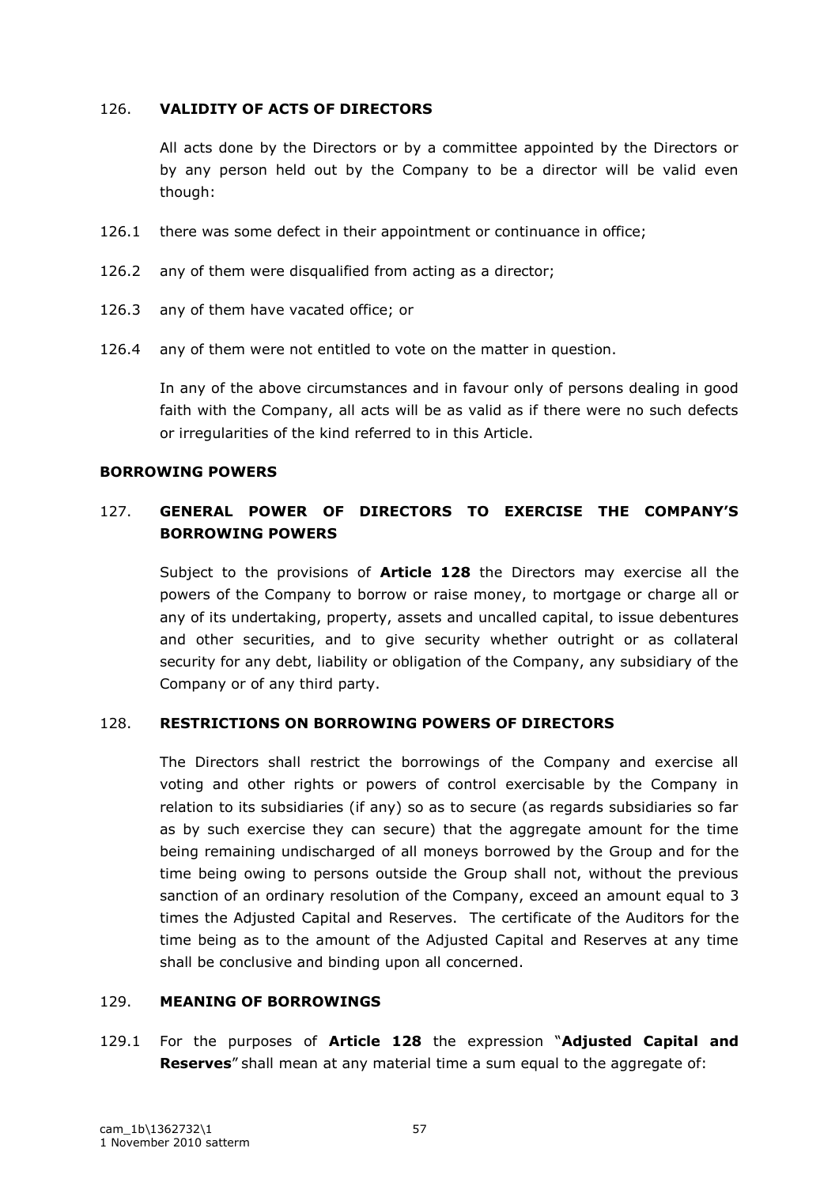### 126. **VALIDITY OF ACTS OF DIRECTORS**

All acts done by the Directors or by a committee appointed by the Directors or by any person held out by the Company to be a director will be valid even though:

- 126.1 there was some defect in their appointment or continuance in office;
- 126.2 any of them were disqualified from acting as a director;
- 126.3 any of them have vacated office; or
- 126.4 any of them were not entitled to vote on the matter in question.

In any of the above circumstances and in favour only of persons dealing in good faith with the Company, all acts will be as valid as if there were no such defects or irregularities of the kind referred to in this Article.

#### **BORROWING POWERS**

# 127. **GENERAL POWER OF DIRECTORS TO EXERCISE THE COMPANY'S BORROWING POWERS**

Subject to the provisions of **Article 128** the Directors may exercise all the powers of the Company to borrow or raise money, to mortgage or charge all or any of its undertaking, property, assets and uncalled capital, to issue debentures and other securities, and to give security whether outright or as collateral security for any debt, liability or obligation of the Company, any subsidiary of the Company or of any third party.

## 128. **RESTRICTIONS ON BORROWING POWERS OF DIRECTORS**

The Directors shall restrict the borrowings of the Company and exercise all voting and other rights or powers of control exercisable by the Company in relation to its subsidiaries (if any) so as to secure (as regards subsidiaries so far as by such exercise they can secure) that the aggregate amount for the time being remaining undischarged of all moneys borrowed by the Group and for the time being owing to persons outside the Group shall not, without the previous sanction of an ordinary resolution of the Company, exceed an amount equal to 3 times the Adjusted Capital and Reserves. The certificate of the Auditors for the time being as to the amount of the Adjusted Capital and Reserves at any time shall be conclusive and binding upon all concerned.

## 129. **MEANING OF BORROWINGS**

129.1 For the purposes of **Article 128** the expression "**Adjusted Capital and Reserves**" shall mean at any material time a sum equal to the aggregate of: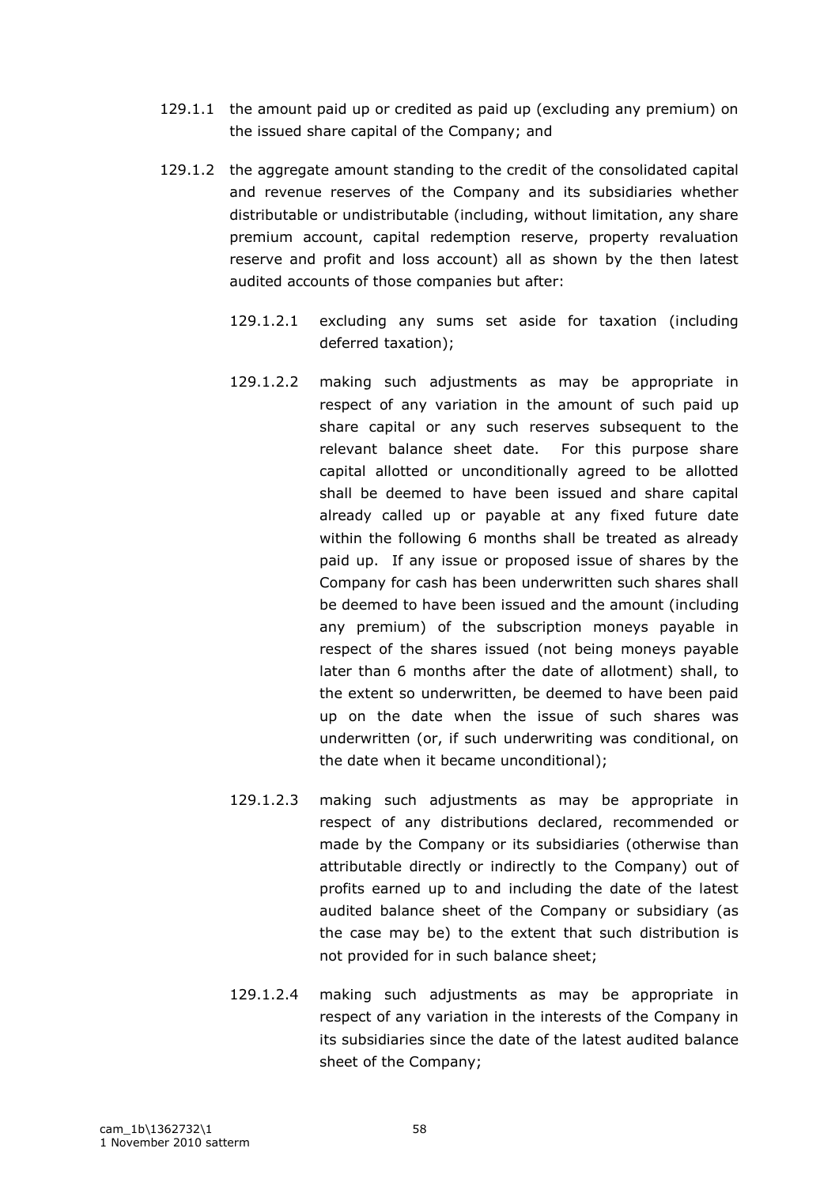- 129.1.1 the amount paid up or credited as paid up (excluding any premium) on the issued share capital of the Company; and
- 129.1.2 the aggregate amount standing to the credit of the consolidated capital and revenue reserves of the Company and its subsidiaries whether distributable or undistributable (including, without limitation, any share premium account, capital redemption reserve, property revaluation reserve and profit and loss account) all as shown by the then latest audited accounts of those companies but after:
	- 129.1.2.1 excluding any sums set aside for taxation (including deferred taxation);
	- 129.1.2.2 making such adjustments as may be appropriate in respect of any variation in the amount of such paid up share capital or any such reserves subsequent to the relevant balance sheet date. For this purpose share capital allotted or unconditionally agreed to be allotted shall be deemed to have been issued and share capital already called up or payable at any fixed future date within the following 6 months shall be treated as already paid up. If any issue or proposed issue of shares by the Company for cash has been underwritten such shares shall be deemed to have been issued and the amount (including any premium) of the subscription moneys payable in respect of the shares issued (not being moneys payable later than 6 months after the date of allotment) shall, to the extent so underwritten, be deemed to have been paid up on the date when the issue of such shares was underwritten (or, if such underwriting was conditional, on the date when it became unconditional);
	- 129.1.2.3 making such adjustments as may be appropriate in respect of any distributions declared, recommended or made by the Company or its subsidiaries (otherwise than attributable directly or indirectly to the Company) out of profits earned up to and including the date of the latest audited balance sheet of the Company or subsidiary (as the case may be) to the extent that such distribution is not provided for in such balance sheet;
	- 129.1.2.4 making such adjustments as may be appropriate in respect of any variation in the interests of the Company in its subsidiaries since the date of the latest audited balance sheet of the Company;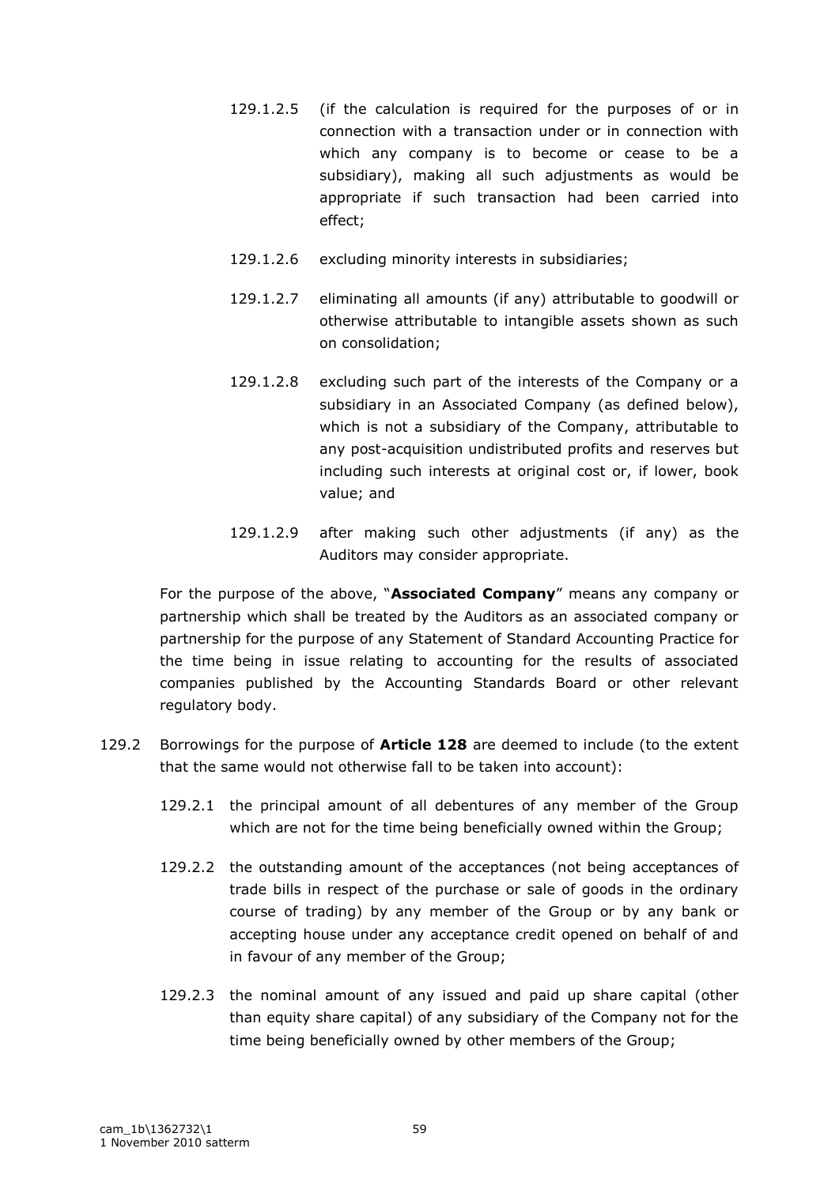- 129.1.2.5 (if the calculation is required for the purposes of or in connection with a transaction under or in connection with which any company is to become or cease to be a subsidiary), making all such adjustments as would be appropriate if such transaction had been carried into effect;
- 129.1.2.6 excluding minority interests in subsidiaries;
- 129.1.2.7 eliminating all amounts (if any) attributable to goodwill or otherwise attributable to intangible assets shown as such on consolidation;
- 129.1.2.8 excluding such part of the interests of the Company or a subsidiary in an Associated Company (as defined below), which is not a subsidiary of the Company, attributable to any post-acquisition undistributed profits and reserves but including such interests at original cost or, if lower, book value; and
- 129.1.2.9 after making such other adjustments (if any) as the Auditors may consider appropriate.

For the purpose of the above, "**Associated Company**" means any company or partnership which shall be treated by the Auditors as an associated company or partnership for the purpose of any Statement of Standard Accounting Practice for the time being in issue relating to accounting for the results of associated companies published by the Accounting Standards Board or other relevant regulatory body.

- 129.2 Borrowings for the purpose of **Article 128** are deemed to include (to the extent that the same would not otherwise fall to be taken into account):
	- 129.2.1 the principal amount of all debentures of any member of the Group which are not for the time being beneficially owned within the Group;
	- 129.2.2 the outstanding amount of the acceptances (not being acceptances of trade bills in respect of the purchase or sale of goods in the ordinary course of trading) by any member of the Group or by any bank or accepting house under any acceptance credit opened on behalf of and in favour of any member of the Group;
	- 129.2.3 the nominal amount of any issued and paid up share capital (other than equity share capital) of any subsidiary of the Company not for the time being beneficially owned by other members of the Group;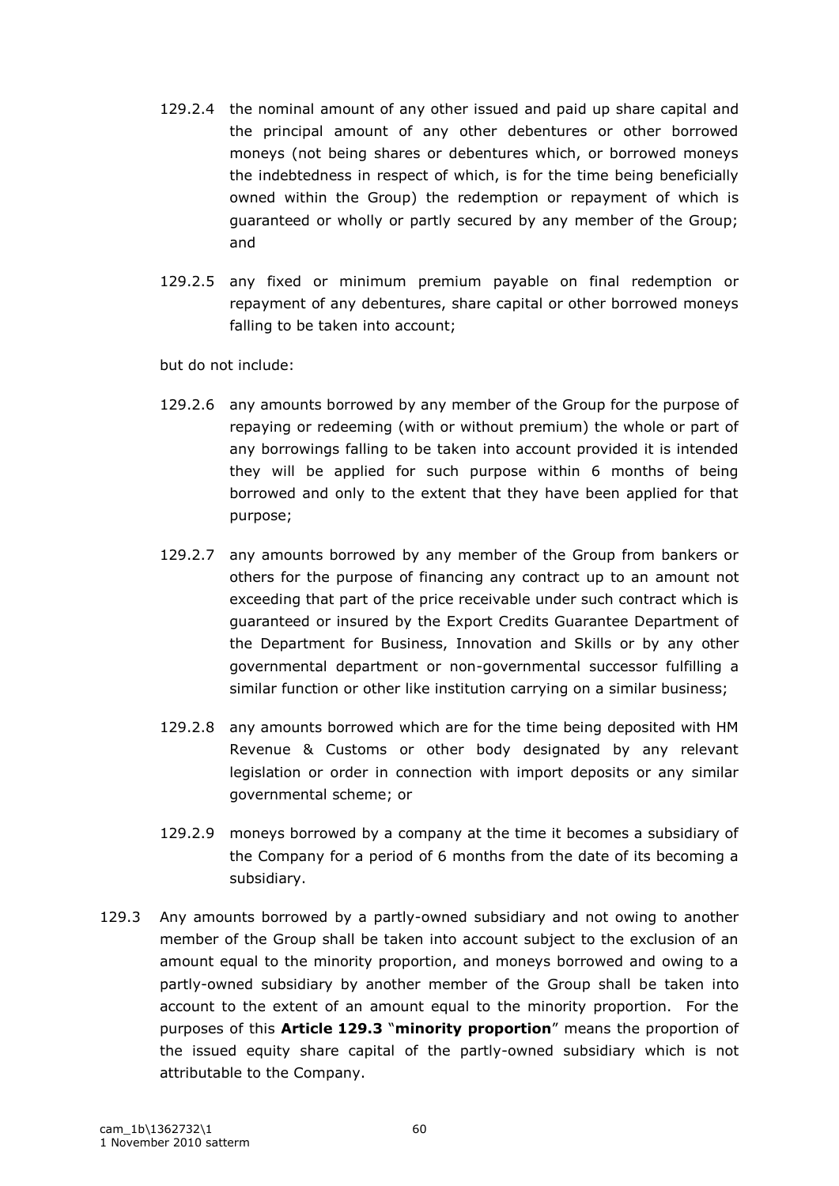- 129.2.4 the nominal amount of any other issued and paid up share capital and the principal amount of any other debentures or other borrowed moneys (not being shares or debentures which, or borrowed moneys the indebtedness in respect of which, is for the time being beneficially owned within the Group) the redemption or repayment of which is guaranteed or wholly or partly secured by any member of the Group; and
- 129.2.5 any fixed or minimum premium payable on final redemption or repayment of any debentures, share capital or other borrowed moneys falling to be taken into account;

but do not include:

- 129.2.6 any amounts borrowed by any member of the Group for the purpose of repaying or redeeming (with or without premium) the whole or part of any borrowings falling to be taken into account provided it is intended they will be applied for such purpose within 6 months of being borrowed and only to the extent that they have been applied for that purpose;
- 129.2.7 any amounts borrowed by any member of the Group from bankers or others for the purpose of financing any contract up to an amount not exceeding that part of the price receivable under such contract which is guaranteed or insured by the Export Credits Guarantee Department of the Department for Business, Innovation and Skills or by any other governmental department or non-governmental successor fulfilling a similar function or other like institution carrying on a similar business;
- 129.2.8 any amounts borrowed which are for the time being deposited with HM Revenue & Customs or other body designated by any relevant legislation or order in connection with import deposits or any similar governmental scheme; or
- 129.2.9 moneys borrowed by a company at the time it becomes a subsidiary of the Company for a period of 6 months from the date of its becoming a subsidiary.
- 129.3 Any amounts borrowed by a partly-owned subsidiary and not owing to another member of the Group shall be taken into account subject to the exclusion of an amount equal to the minority proportion, and moneys borrowed and owing to a partly-owned subsidiary by another member of the Group shall be taken into account to the extent of an amount equal to the minority proportion. For the purposes of this **Article 129.3** "**minority proportion**" means the proportion of the issued equity share capital of the partly-owned subsidiary which is not attributable to the Company.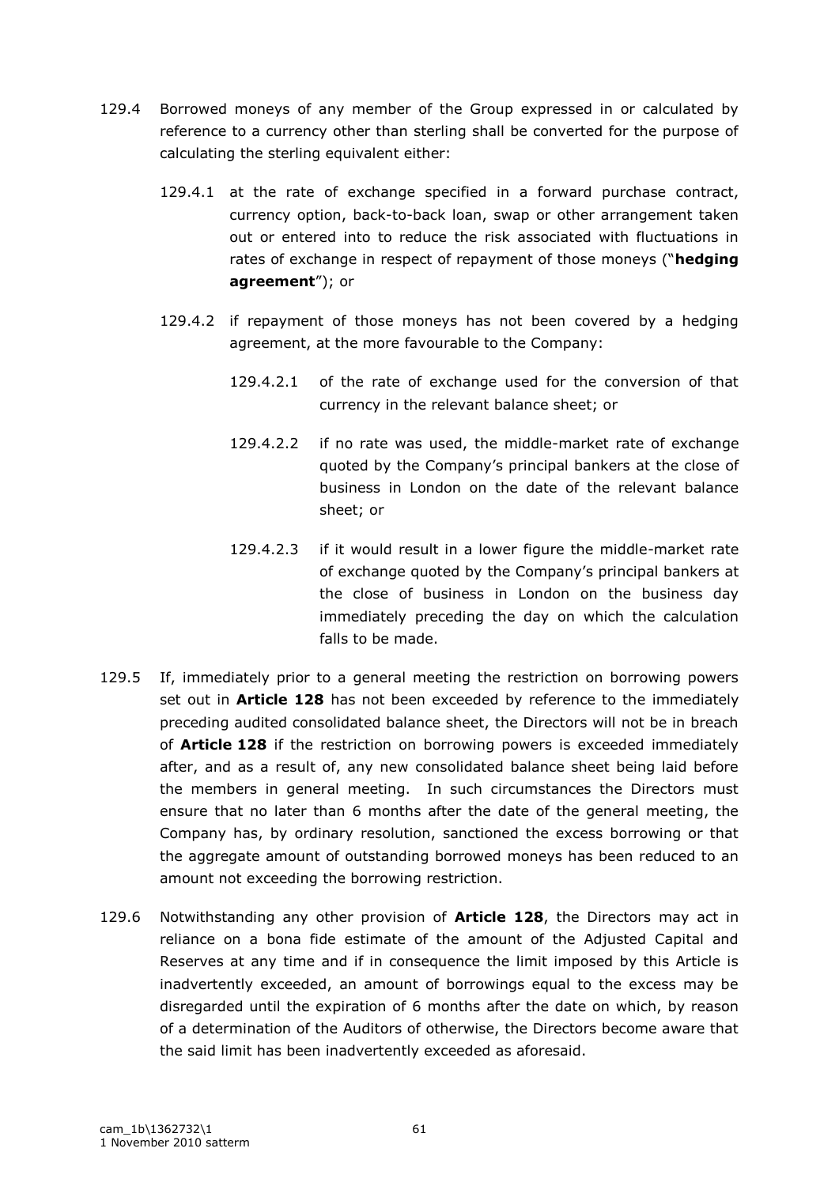- 129.4 Borrowed moneys of any member of the Group expressed in or calculated by reference to a currency other than sterling shall be converted for the purpose of calculating the sterling equivalent either:
	- 129.4.1 at the rate of exchange specified in a forward purchase contract, currency option, back-to-back loan, swap or other arrangement taken out or entered into to reduce the risk associated with fluctuations in rates of exchange in respect of repayment of those moneys ("**hedging agreement**"); or
	- 129.4.2 if repayment of those moneys has not been covered by a hedging agreement, at the more favourable to the Company:
		- 129.4.2.1 of the rate of exchange used for the conversion of that currency in the relevant balance sheet; or
		- 129.4.2.2 if no rate was used, the middle-market rate of exchange quoted by the Company"s principal bankers at the close of business in London on the date of the relevant balance sheet; or
		- 129.4.2.3 if it would result in a lower figure the middle-market rate of exchange quoted by the Company"s principal bankers at the close of business in London on the business day immediately preceding the day on which the calculation falls to be made.
- 129.5 If, immediately prior to a general meeting the restriction on borrowing powers set out in **Article 128** has not been exceeded by reference to the immediately preceding audited consolidated balance sheet, the Directors will not be in breach of **Article 128** if the restriction on borrowing powers is exceeded immediately after, and as a result of, any new consolidated balance sheet being laid before the members in general meeting. In such circumstances the Directors must ensure that no later than 6 months after the date of the general meeting, the Company has, by ordinary resolution, sanctioned the excess borrowing or that the aggregate amount of outstanding borrowed moneys has been reduced to an amount not exceeding the borrowing restriction.
- 129.6 Notwithstanding any other provision of **Article 128**, the Directors may act in reliance on a bona fide estimate of the amount of the Adjusted Capital and Reserves at any time and if in consequence the limit imposed by this Article is inadvertently exceeded, an amount of borrowings equal to the excess may be disregarded until the expiration of 6 months after the date on which, by reason of a determination of the Auditors of otherwise, the Directors become aware that the said limit has been inadvertently exceeded as aforesaid.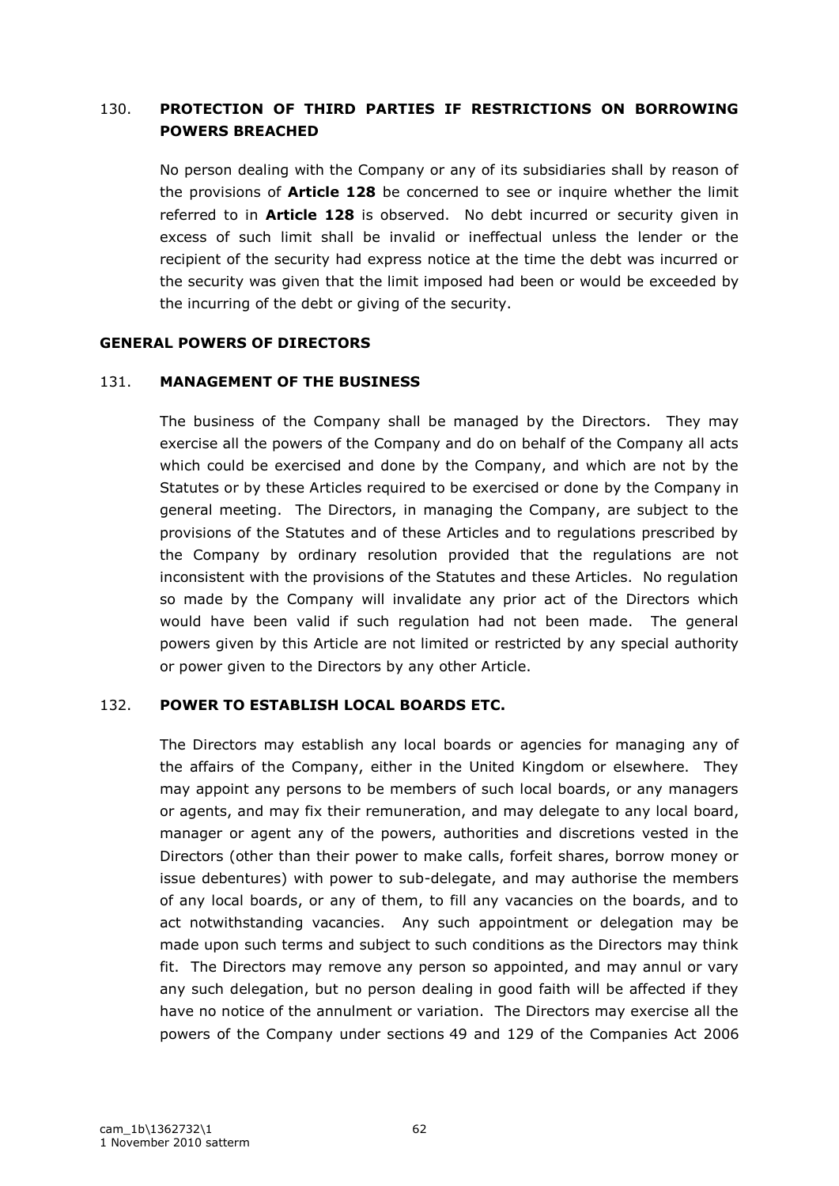## 130. **PROTECTION OF THIRD PARTIES IF RESTRICTIONS ON BORROWING POWERS BREACHED**

No person dealing with the Company or any of its subsidiaries shall by reason of the provisions of **Article 128** be concerned to see or inquire whether the limit referred to in **Article 128** is observed. No debt incurred or security given in excess of such limit shall be invalid or ineffectual unless the lender or the recipient of the security had express notice at the time the debt was incurred or the security was given that the limit imposed had been or would be exceeded by the incurring of the debt or giving of the security.

#### **GENERAL POWERS OF DIRECTORS**

## 131. **MANAGEMENT OF THE BUSINESS**

The business of the Company shall be managed by the Directors. They may exercise all the powers of the Company and do on behalf of the Company all acts which could be exercised and done by the Company, and which are not by the Statutes or by these Articles required to be exercised or done by the Company in general meeting. The Directors, in managing the Company, are subject to the provisions of the Statutes and of these Articles and to regulations prescribed by the Company by ordinary resolution provided that the regulations are not inconsistent with the provisions of the Statutes and these Articles. No regulation so made by the Company will invalidate any prior act of the Directors which would have been valid if such regulation had not been made. The general powers given by this Article are not limited or restricted by any special authority or power given to the Directors by any other Article.

#### 132. **POWER TO ESTABLISH LOCAL BOARDS ETC.**

The Directors may establish any local boards or agencies for managing any of the affairs of the Company, either in the United Kingdom or elsewhere. They may appoint any persons to be members of such local boards, or any managers or agents, and may fix their remuneration, and may delegate to any local board, manager or agent any of the powers, authorities and discretions vested in the Directors (other than their power to make calls, forfeit shares, borrow money or issue debentures) with power to sub-delegate, and may authorise the members of any local boards, or any of them, to fill any vacancies on the boards, and to act notwithstanding vacancies. Any such appointment or delegation may be made upon such terms and subject to such conditions as the Directors may think fit. The Directors may remove any person so appointed, and may annul or vary any such delegation, but no person dealing in good faith will be affected if they have no notice of the annulment or variation. The Directors may exercise all the powers of the Company under sections 49 and 129 of the Companies Act 2006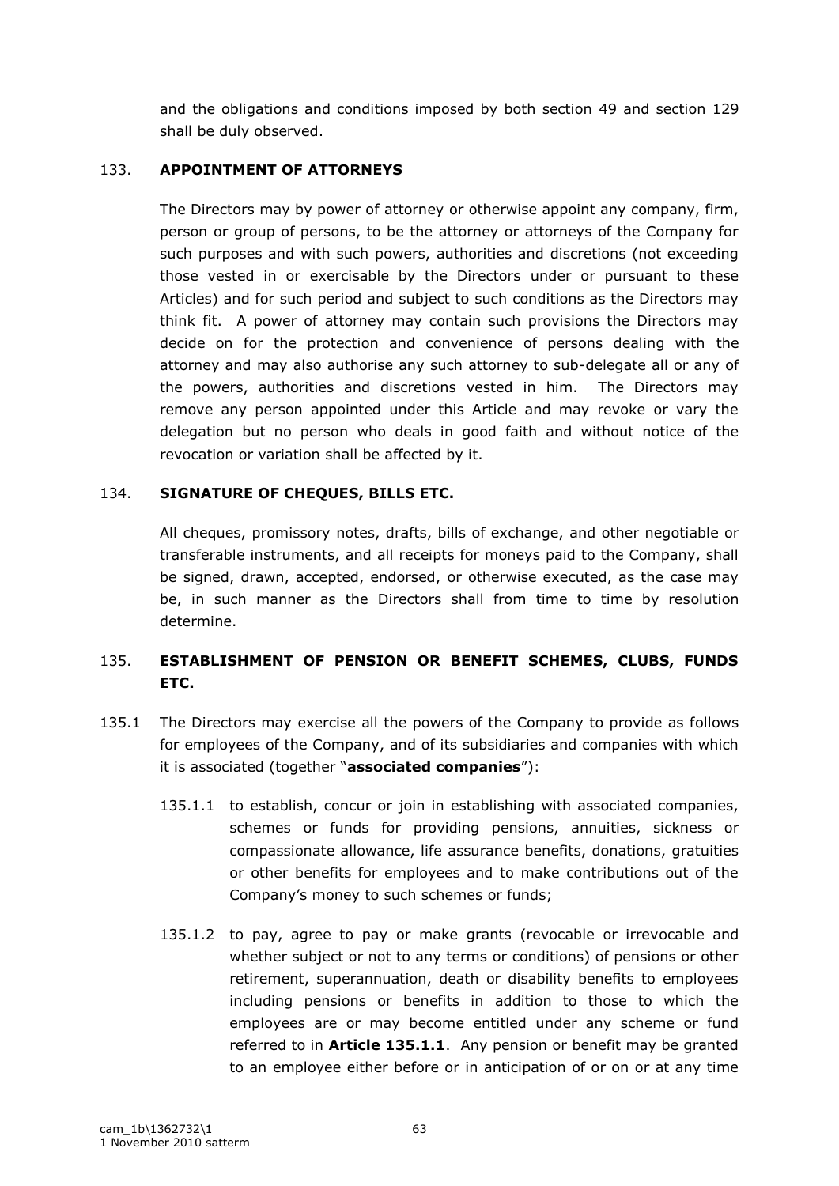and the obligations and conditions imposed by both section 49 and section 129 shall be duly observed.

## 133. **APPOINTMENT OF ATTORNEYS**

The Directors may by power of attorney or otherwise appoint any company, firm, person or group of persons, to be the attorney or attorneys of the Company for such purposes and with such powers, authorities and discretions (not exceeding those vested in or exercisable by the Directors under or pursuant to these Articles) and for such period and subject to such conditions as the Directors may think fit. A power of attorney may contain such provisions the Directors may decide on for the protection and convenience of persons dealing with the attorney and may also authorise any such attorney to sub-delegate all or any of the powers, authorities and discretions vested in him. The Directors may remove any person appointed under this Article and may revoke or vary the delegation but no person who deals in good faith and without notice of the revocation or variation shall be affected by it.

## 134. **SIGNATURE OF CHEQUES, BILLS ETC.**

All cheques, promissory notes, drafts, bills of exchange, and other negotiable or transferable instruments, and all receipts for moneys paid to the Company, shall be signed, drawn, accepted, endorsed, or otherwise executed, as the case may be, in such manner as the Directors shall from time to time by resolution determine.

# 135. **ESTABLISHMENT OF PENSION OR BENEFIT SCHEMES, CLUBS, FUNDS ETC.**

- 135.1 The Directors may exercise all the powers of the Company to provide as follows for employees of the Company, and of its subsidiaries and companies with which it is associated (together "**associated companies**"):
	- 135.1.1 to establish, concur or join in establishing with associated companies, schemes or funds for providing pensions, annuities, sickness or compassionate allowance, life assurance benefits, donations, gratuities or other benefits for employees and to make contributions out of the Company"s money to such schemes or funds;
	- 135.1.2 to pay, agree to pay or make grants (revocable or irrevocable and whether subject or not to any terms or conditions) of pensions or other retirement, superannuation, death or disability benefits to employees including pensions or benefits in addition to those to which the employees are or may become entitled under any scheme or fund referred to in **Article 135.1.1**. Any pension or benefit may be granted to an employee either before or in anticipation of or on or at any time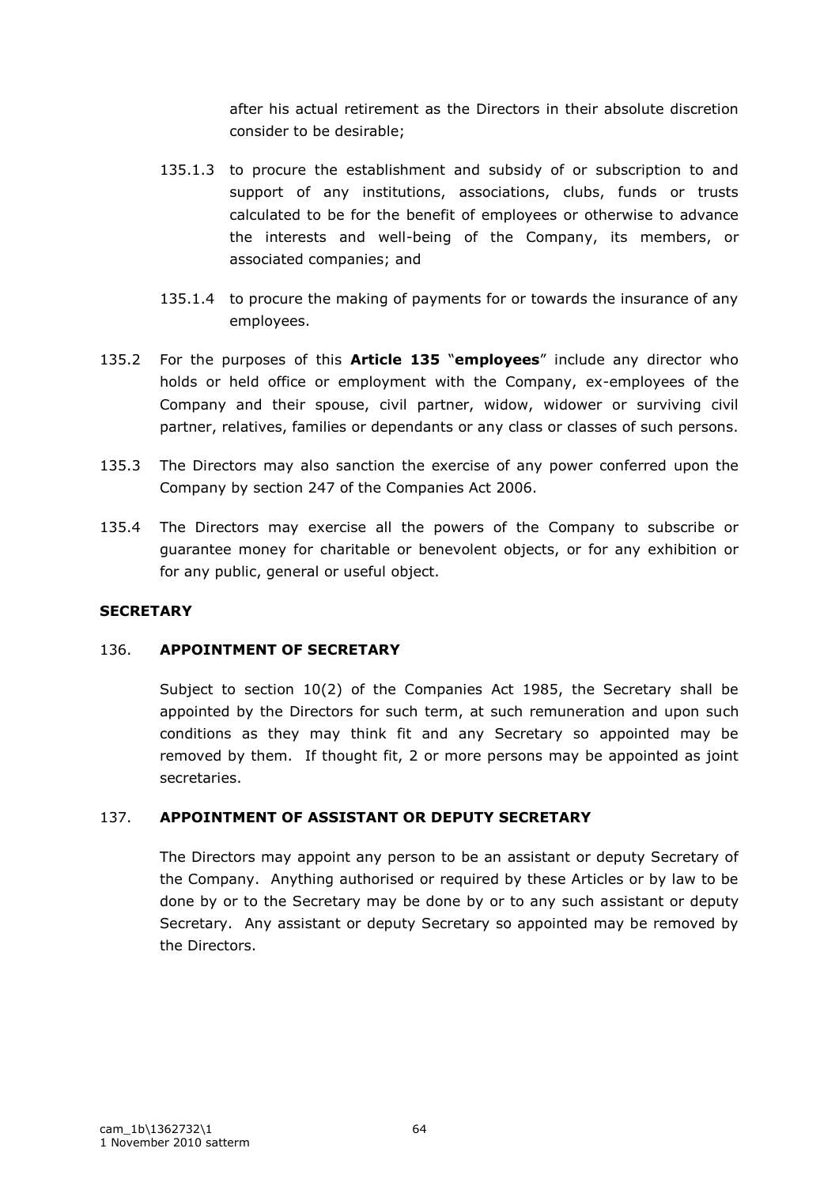after his actual retirement as the Directors in their absolute discretion consider to be desirable;

- 135.1.3 to procure the establishment and subsidy of or subscription to and support of any institutions, associations, clubs, funds or trusts calculated to be for the benefit of employees or otherwise to advance the interests and well-being of the Company, its members, or associated companies; and
- 135.1.4 to procure the making of payments for or towards the insurance of any employees.
- 135.2 For the purposes of this **Article 135** "**employees**" include any director who holds or held office or employment with the Company, ex-employees of the Company and their spouse, civil partner, widow, widower or surviving civil partner, relatives, families or dependants or any class or classes of such persons.
- 135.3 The Directors may also sanction the exercise of any power conferred upon the Company by section 247 of the Companies Act 2006.
- 135.4 The Directors may exercise all the powers of the Company to subscribe or guarantee money for charitable or benevolent objects, or for any exhibition or for any public, general or useful object.

## **SECRETARY**

#### 136. **APPOINTMENT OF SECRETARY**

Subject to section 10(2) of the Companies Act 1985, the Secretary shall be appointed by the Directors for such term, at such remuneration and upon such conditions as they may think fit and any Secretary so appointed may be removed by them. If thought fit, 2 or more persons may be appointed as joint secretaries.

## 137. **APPOINTMENT OF ASSISTANT OR DEPUTY SECRETARY**

The Directors may appoint any person to be an assistant or deputy Secretary of the Company. Anything authorised or required by these Articles or by law to be done by or to the Secretary may be done by or to any such assistant or deputy Secretary. Any assistant or deputy Secretary so appointed may be removed by the Directors.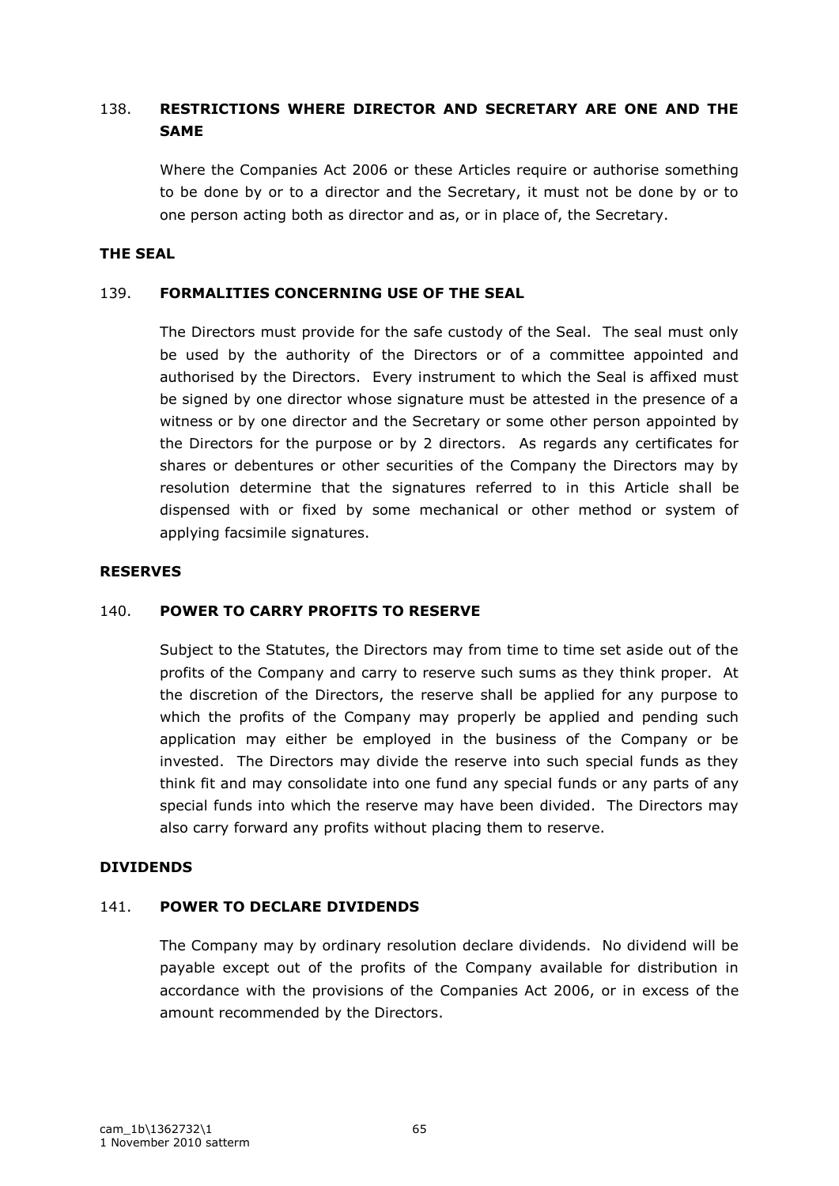## 138. **RESTRICTIONS WHERE DIRECTOR AND SECRETARY ARE ONE AND THE SAME**

Where the Companies Act 2006 or these Articles require or authorise something to be done by or to a director and the Secretary, it must not be done by or to one person acting both as director and as, or in place of, the Secretary.

#### **THE SEAL**

#### 139. **FORMALITIES CONCERNING USE OF THE SEAL**

The Directors must provide for the safe custody of the Seal. The seal must only be used by the authority of the Directors or of a committee appointed and authorised by the Directors. Every instrument to which the Seal is affixed must be signed by one director whose signature must be attested in the presence of a witness or by one director and the Secretary or some other person appointed by the Directors for the purpose or by 2 directors. As regards any certificates for shares or debentures or other securities of the Company the Directors may by resolution determine that the signatures referred to in this Article shall be dispensed with or fixed by some mechanical or other method or system of applying facsimile signatures.

#### **RESERVES**

## 140. **POWER TO CARRY PROFITS TO RESERVE**

Subject to the Statutes, the Directors may from time to time set aside out of the profits of the Company and carry to reserve such sums as they think proper. At the discretion of the Directors, the reserve shall be applied for any purpose to which the profits of the Company may properly be applied and pending such application may either be employed in the business of the Company or be invested. The Directors may divide the reserve into such special funds as they think fit and may consolidate into one fund any special funds or any parts of any special funds into which the reserve may have been divided. The Directors may also carry forward any profits without placing them to reserve.

#### **DIVIDENDS**

## 141. **POWER TO DECLARE DIVIDENDS**

The Company may by ordinary resolution declare dividends. No dividend will be payable except out of the profits of the Company available for distribution in accordance with the provisions of the Companies Act 2006, or in excess of the amount recommended by the Directors.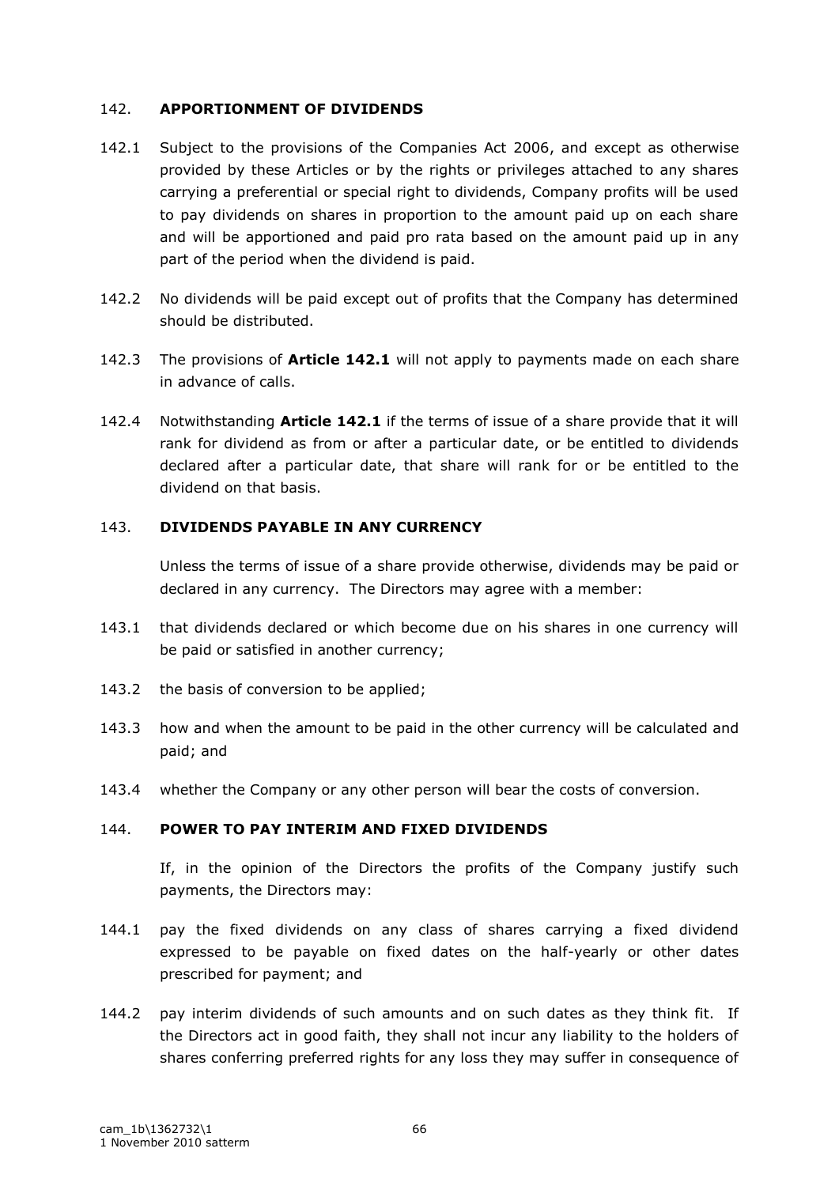## 142. **APPORTIONMENT OF DIVIDENDS**

- 142.1 Subject to the provisions of the Companies Act 2006, and except as otherwise provided by these Articles or by the rights or privileges attached to any shares carrying a preferential or special right to dividends, Company profits will be used to pay dividends on shares in proportion to the amount paid up on each share and will be apportioned and paid pro rata based on the amount paid up in any part of the period when the dividend is paid.
- 142.2 No dividends will be paid except out of profits that the Company has determined should be distributed.
- 142.3 The provisions of **Article 142.1** will not apply to payments made on each share in advance of calls.
- 142.4 Notwithstanding **Article 142.1** if the terms of issue of a share provide that it will rank for dividend as from or after a particular date, or be entitled to dividends declared after a particular date, that share will rank for or be entitled to the dividend on that basis.

## 143. **DIVIDENDS PAYABLE IN ANY CURRENCY**

Unless the terms of issue of a share provide otherwise, dividends may be paid or declared in any currency. The Directors may agree with a member:

- 143.1 that dividends declared or which become due on his shares in one currency will be paid or satisfied in another currency;
- 143.2 the basis of conversion to be applied;
- 143.3 how and when the amount to be paid in the other currency will be calculated and paid; and
- 143.4 whether the Company or any other person will bear the costs of conversion.

# 144. **POWER TO PAY INTERIM AND FIXED DIVIDENDS**

If, in the opinion of the Directors the profits of the Company justify such payments, the Directors may:

- 144.1 pay the fixed dividends on any class of shares carrying a fixed dividend expressed to be payable on fixed dates on the half-yearly or other dates prescribed for payment; and
- 144.2 pay interim dividends of such amounts and on such dates as they think fit. If the Directors act in good faith, they shall not incur any liability to the holders of shares conferring preferred rights for any loss they may suffer in consequence of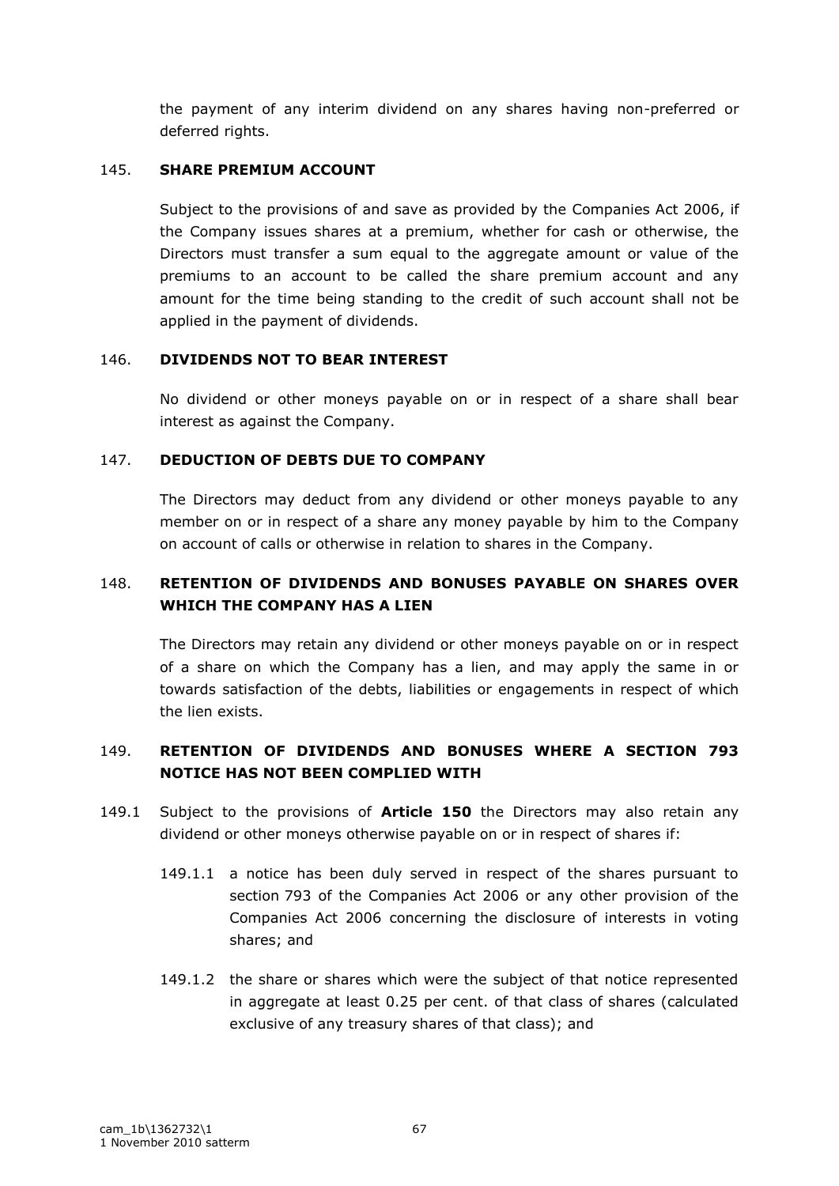the payment of any interim dividend on any shares having non-preferred or deferred rights.

## 145. **SHARE PREMIUM ACCOUNT**

Subject to the provisions of and save as provided by the Companies Act 2006, if the Company issues shares at a premium, whether for cash or otherwise, the Directors must transfer a sum equal to the aggregate amount or value of the premiums to an account to be called the share premium account and any amount for the time being standing to the credit of such account shall not be applied in the payment of dividends.

## 146. **DIVIDENDS NOT TO BEAR INTEREST**

No dividend or other moneys payable on or in respect of a share shall bear interest as against the Company.

# 147. **DEDUCTION OF DEBTS DUE TO COMPANY**

The Directors may deduct from any dividend or other moneys payable to any member on or in respect of a share any money payable by him to the Company on account of calls or otherwise in relation to shares in the Company.

# 148. **RETENTION OF DIVIDENDS AND BONUSES PAYABLE ON SHARES OVER WHICH THE COMPANY HAS A LIEN**

The Directors may retain any dividend or other moneys payable on or in respect of a share on which the Company has a lien, and may apply the same in or towards satisfaction of the debts, liabilities or engagements in respect of which the lien exists.

# 149. **RETENTION OF DIVIDENDS AND BONUSES WHERE A SECTION 793 NOTICE HAS NOT BEEN COMPLIED WITH**

- 149.1 Subject to the provisions of **Article 150** the Directors may also retain any dividend or other moneys otherwise payable on or in respect of shares if:
	- 149.1.1 a notice has been duly served in respect of the shares pursuant to section 793 of the Companies Act 2006 or any other provision of the Companies Act 2006 concerning the disclosure of interests in voting shares; and
	- 149.1.2 the share or shares which were the subject of that notice represented in aggregate at least 0.25 per cent. of that class of shares (calculated exclusive of any treasury shares of that class); and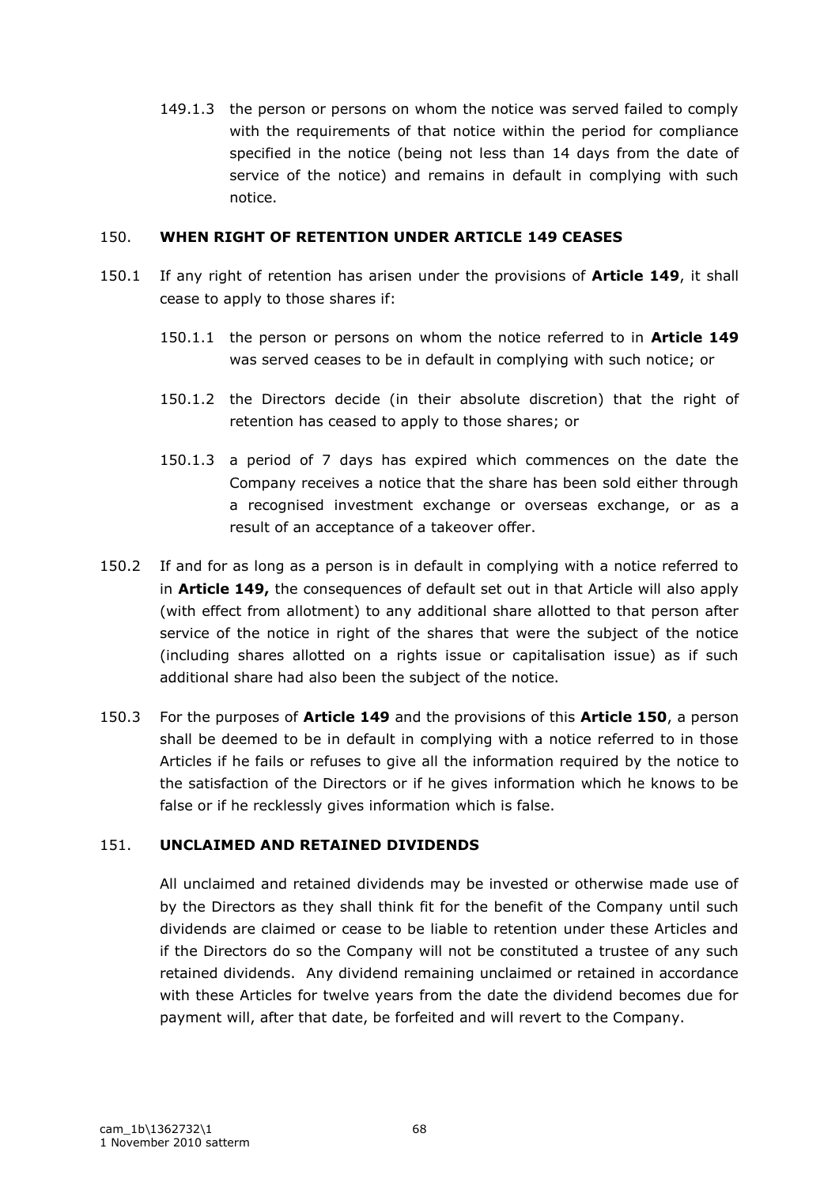149.1.3 the person or persons on whom the notice was served failed to comply with the requirements of that notice within the period for compliance specified in the notice (being not less than 14 days from the date of service of the notice) and remains in default in complying with such notice.

#### 150. **WHEN RIGHT OF RETENTION UNDER ARTICLE 149 CEASES**

- 150.1 If any right of retention has arisen under the provisions of **Article 149**, it shall cease to apply to those shares if:
	- 150.1.1 the person or persons on whom the notice referred to in **Article 149** was served ceases to be in default in complying with such notice; or
	- 150.1.2 the Directors decide (in their absolute discretion) that the right of retention has ceased to apply to those shares; or
	- 150.1.3 a period of 7 days has expired which commences on the date the Company receives a notice that the share has been sold either through a recognised investment exchange or overseas exchange, or as a result of an acceptance of a takeover offer.
- 150.2 If and for as long as a person is in default in complying with a notice referred to in **Article 149,** the consequences of default set out in that Article will also apply (with effect from allotment) to any additional share allotted to that person after service of the notice in right of the shares that were the subject of the notice (including shares allotted on a rights issue or capitalisation issue) as if such additional share had also been the subject of the notice.
- 150.3 For the purposes of **Article 149** and the provisions of this **Article 150**, a person shall be deemed to be in default in complying with a notice referred to in those Articles if he fails or refuses to give all the information required by the notice to the satisfaction of the Directors or if he gives information which he knows to be false or if he recklessly gives information which is false.

## 151. **UNCLAIMED AND RETAINED DIVIDENDS**

All unclaimed and retained dividends may be invested or otherwise made use of by the Directors as they shall think fit for the benefit of the Company until such dividends are claimed or cease to be liable to retention under these Articles and if the Directors do so the Company will not be constituted a trustee of any such retained dividends. Any dividend remaining unclaimed or retained in accordance with these Articles for twelve years from the date the dividend becomes due for payment will, after that date, be forfeited and will revert to the Company.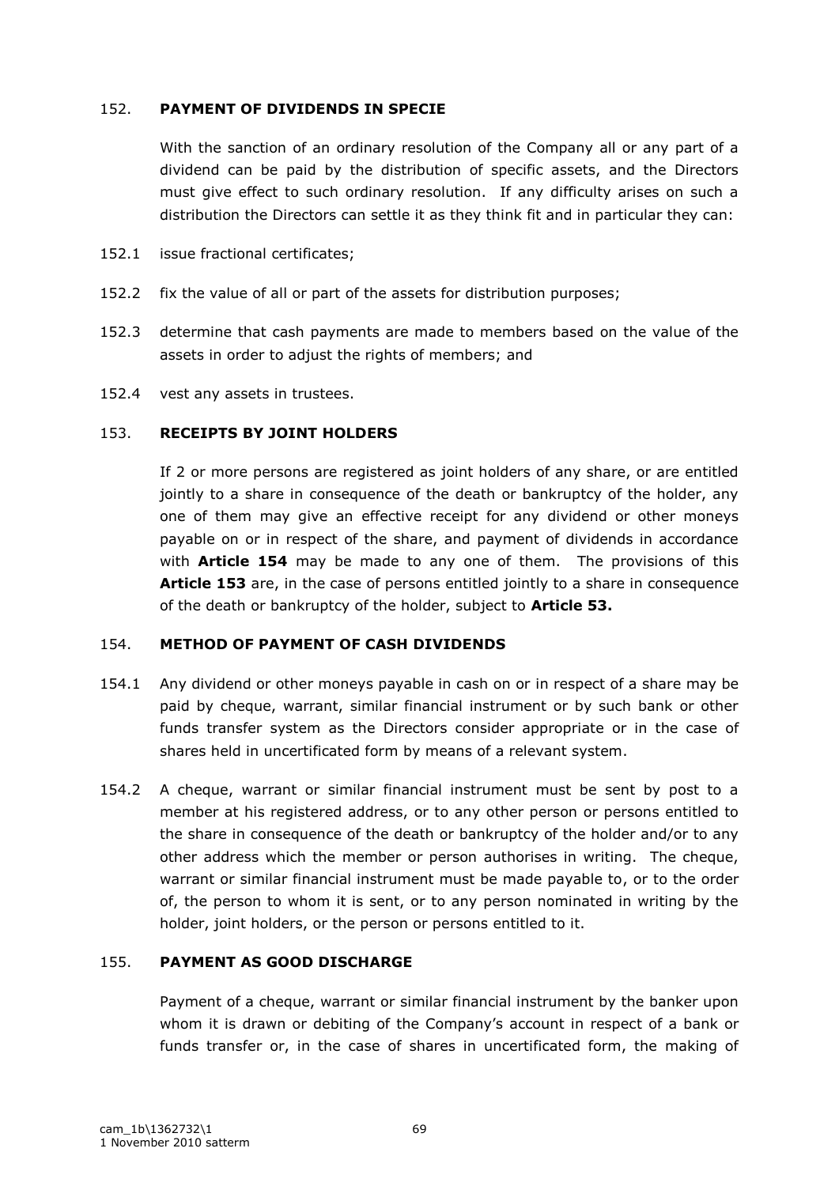## 152. **PAYMENT OF DIVIDENDS IN SPECIE**

With the sanction of an ordinary resolution of the Company all or any part of a dividend can be paid by the distribution of specific assets, and the Directors must give effect to such ordinary resolution. If any difficulty arises on such a distribution the Directors can settle it as they think fit and in particular they can:

- 152.1 issue fractional certificates;
- 152.2 fix the value of all or part of the assets for distribution purposes;
- 152.3 determine that cash payments are made to members based on the value of the assets in order to adjust the rights of members; and
- 152.4 vest any assets in trustees.

#### 153. **RECEIPTS BY JOINT HOLDERS**

If 2 or more persons are registered as joint holders of any share, or are entitled jointly to a share in consequence of the death or bankruptcy of the holder, any one of them may give an effective receipt for any dividend or other moneys payable on or in respect of the share, and payment of dividends in accordance with **Article 154** may be made to any one of them. The provisions of this **Article 153** are, in the case of persons entitled jointly to a share in consequence of the death or bankruptcy of the holder, subject to **Article 53.**

## 154. **METHOD OF PAYMENT OF CASH DIVIDENDS**

- 154.1 Any dividend or other moneys payable in cash on or in respect of a share may be paid by cheque, warrant, similar financial instrument or by such bank or other funds transfer system as the Directors consider appropriate or in the case of shares held in uncertificated form by means of a relevant system.
- 154.2 A cheque, warrant or similar financial instrument must be sent by post to a member at his registered address, or to any other person or persons entitled to the share in consequence of the death or bankruptcy of the holder and/or to any other address which the member or person authorises in writing. The cheque, warrant or similar financial instrument must be made payable to, or to the order of, the person to whom it is sent, or to any person nominated in writing by the holder, joint holders, or the person or persons entitled to it.

## 155. **PAYMENT AS GOOD DISCHARGE**

Payment of a cheque, warrant or similar financial instrument by the banker upon whom it is drawn or debiting of the Company's account in respect of a bank or funds transfer or, in the case of shares in uncertificated form, the making of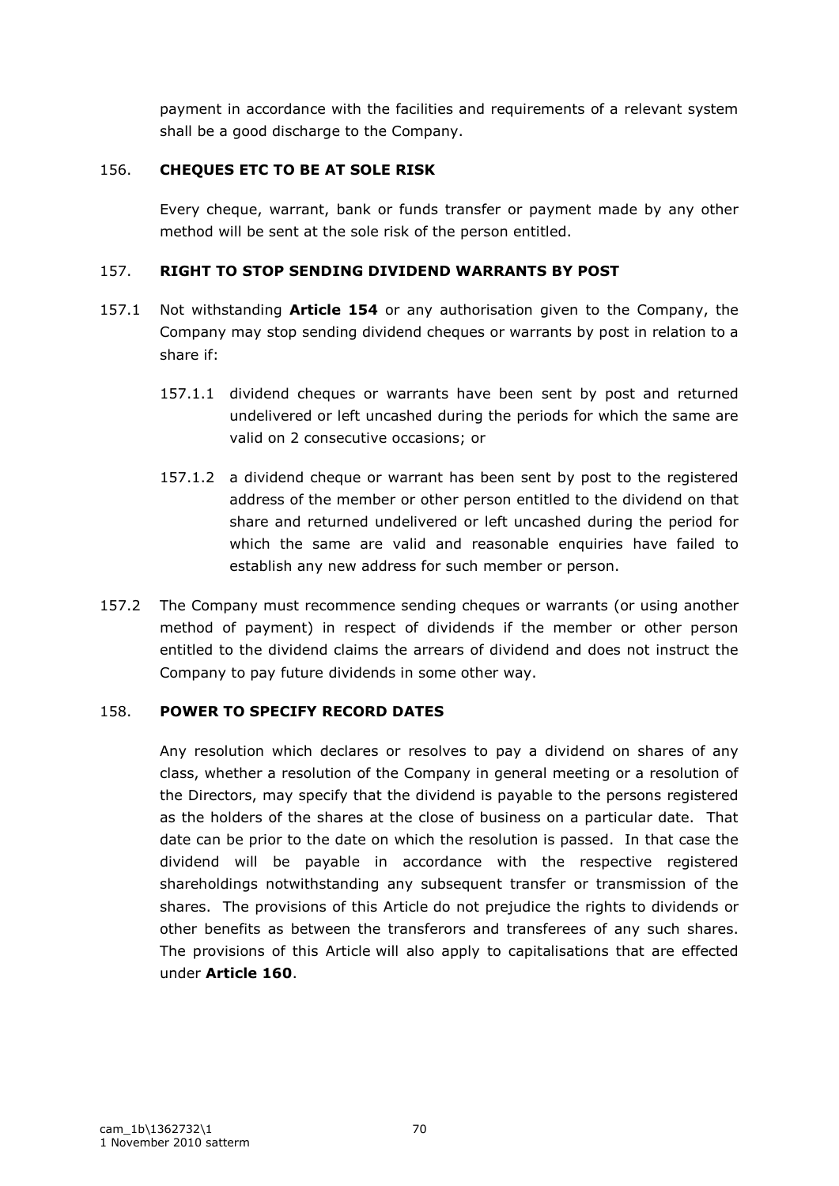payment in accordance with the facilities and requirements of a relevant system shall be a good discharge to the Company.

## 156. **CHEQUES ETC TO BE AT SOLE RISK**

Every cheque, warrant, bank or funds transfer or payment made by any other method will be sent at the sole risk of the person entitled.

## 157. **RIGHT TO STOP SENDING DIVIDEND WARRANTS BY POST**

- 157.1 Not withstanding **Article 154** or any authorisation given to the Company, the Company may stop sending dividend cheques or warrants by post in relation to a share if:
	- 157.1.1 dividend cheques or warrants have been sent by post and returned undelivered or left uncashed during the periods for which the same are valid on 2 consecutive occasions; or
	- 157.1.2 a dividend cheque or warrant has been sent by post to the registered address of the member or other person entitled to the dividend on that share and returned undelivered or left uncashed during the period for which the same are valid and reasonable enquiries have failed to establish any new address for such member or person.
- 157.2 The Company must recommence sending cheques or warrants (or using another method of payment) in respect of dividends if the member or other person entitled to the dividend claims the arrears of dividend and does not instruct the Company to pay future dividends in some other way.

# 158. **POWER TO SPECIFY RECORD DATES**

Any resolution which declares or resolves to pay a dividend on shares of any class, whether a resolution of the Company in general meeting or a resolution of the Directors, may specify that the dividend is payable to the persons registered as the holders of the shares at the close of business on a particular date. That date can be prior to the date on which the resolution is passed. In that case the dividend will be payable in accordance with the respective registered shareholdings notwithstanding any subsequent transfer or transmission of the shares. The provisions of this Article do not prejudice the rights to dividends or other benefits as between the transferors and transferees of any such shares. The provisions of this Article will also apply to capitalisations that are effected under **Article 160**.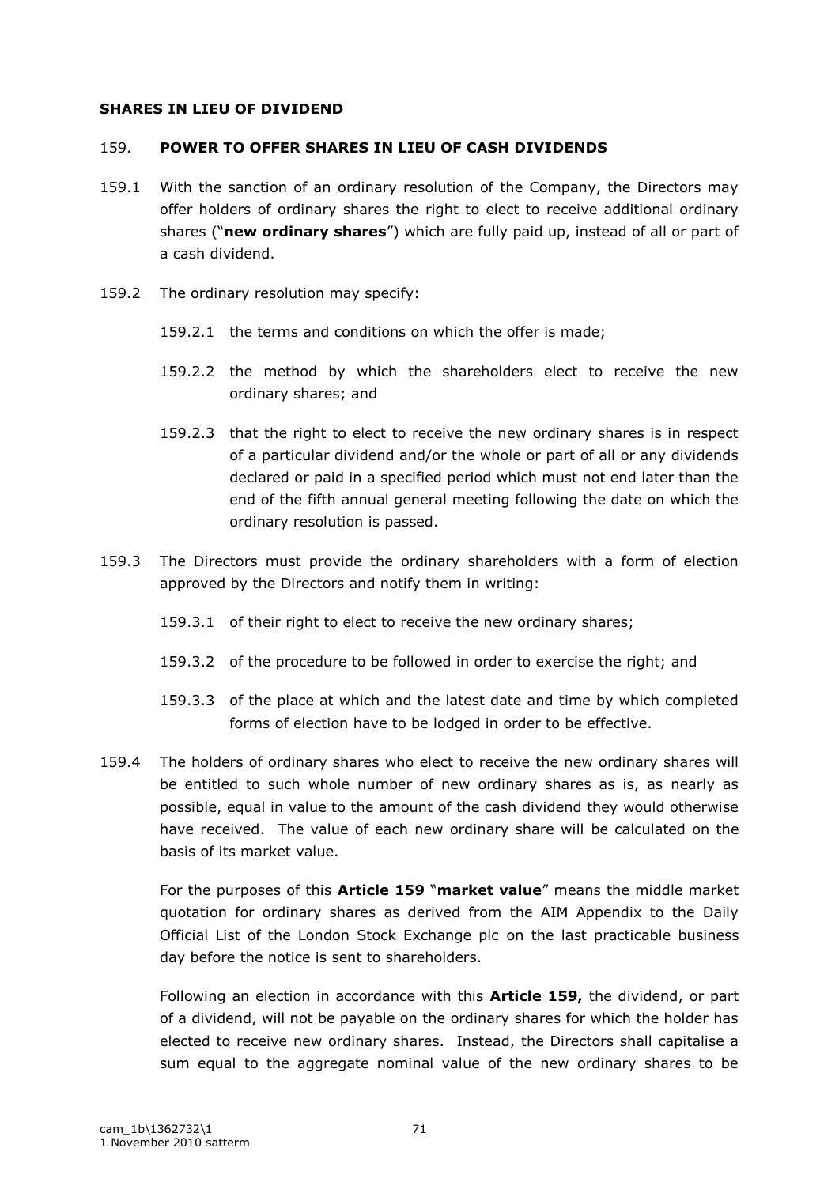#### **SHARES IN LIEU OF DIVIDEND**

#### 159. **POWER TO OFFER SHARES IN LIEU OF CASH DIVIDENDS**

- 159.1 With the sanction of an ordinary resolution of the Company, the Directors may offer holders of ordinary shares the right to elect to receive additional ordinary shares ("**new ordinary shares**") which are fully paid up, instead of all or part of a cash dividend.
- 159.2 The ordinary resolution may specify:
	- 159.2.1 the terms and conditions on which the offer is made;
	- 159.2.2 the method by which the shareholders elect to receive the new ordinary shares; and
	- 159.2.3 that the right to elect to receive the new ordinary shares is in respect of a particular dividend and/or the whole or part of all or any dividends declared or paid in a specified period which must not end later than the end of the fifth annual general meeting following the date on which the ordinary resolution is passed.
- 159.3 The Directors must provide the ordinary shareholders with a form of election approved by the Directors and notify them in writing:
	- 159.3.1 of their right to elect to receive the new ordinary shares;
	- 159.3.2 of the procedure to be followed in order to exercise the right; and
	- 159.3.3 of the place at which and the latest date and time by which completed forms of election have to be lodged in order to be effective.
- 159.4 The holders of ordinary shares who elect to receive the new ordinary shares will be entitled to such whole number of new ordinary shares as is, as nearly as possible, equal in value to the amount of the cash dividend they would otherwise have received. The value of each new ordinary share will be calculated on the basis of its market value.

For the purposes of this **Article 159** "**market value**" means the middle market quotation for ordinary shares as derived from the AIM Appendix to the Daily Official List of the London Stock Exchange plc on the last practicable business day before the notice is sent to shareholders.

Following an election in accordance with this **Article 159,** the dividend, or part of a dividend, will not be payable on the ordinary shares for which the holder has elected to receive new ordinary shares. Instead, the Directors shall capitalise a sum equal to the aggregate nominal value of the new ordinary shares to be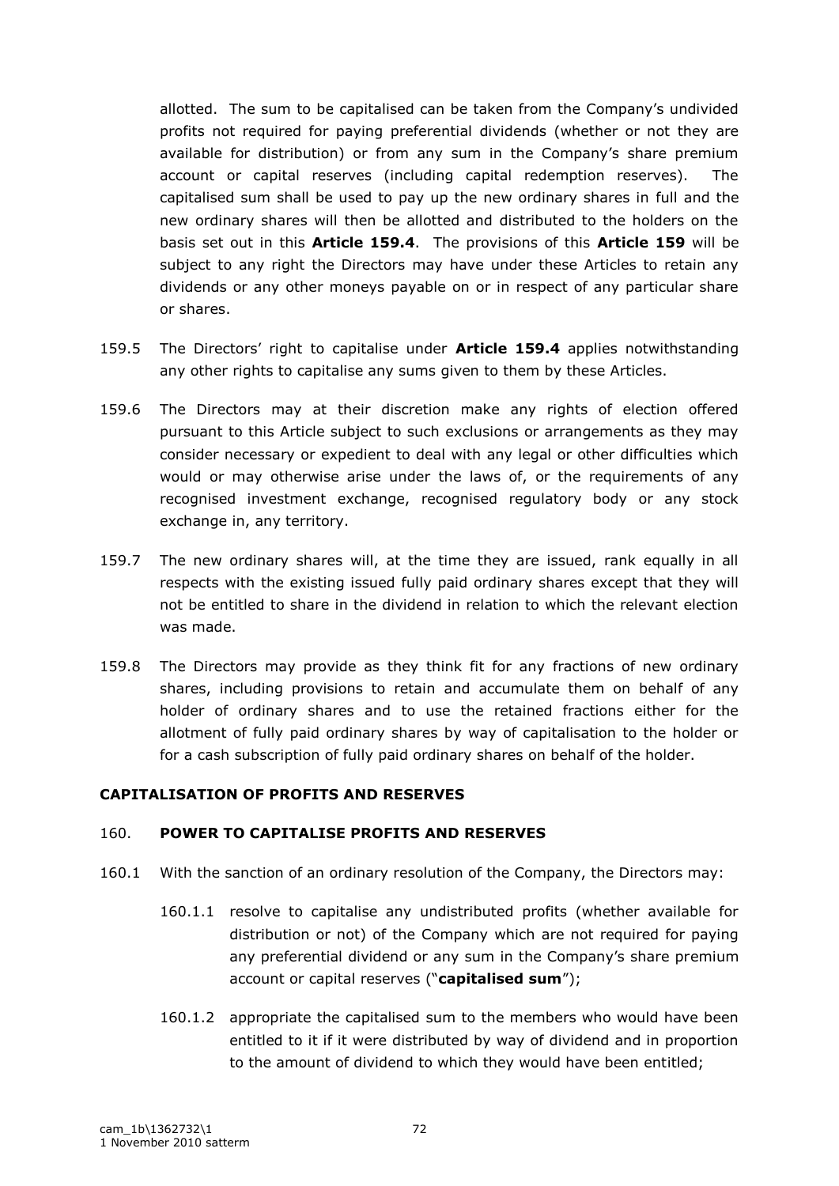allotted. The sum to be capitalised can be taken from the Company"s undivided profits not required for paying preferential dividends (whether or not they are available for distribution) or from any sum in the Company's share premium account or capital reserves (including capital redemption reserves). The capitalised sum shall be used to pay up the new ordinary shares in full and the new ordinary shares will then be allotted and distributed to the holders on the basis set out in this **Article 159.4**. The provisions of this **Article 159** will be subject to any right the Directors may have under these Articles to retain any dividends or any other moneys payable on or in respect of any particular share or shares.

- 159.5 The Directors" right to capitalise under **Article 159.4** applies notwithstanding any other rights to capitalise any sums given to them by these Articles.
- 159.6 The Directors may at their discretion make any rights of election offered pursuant to this Article subject to such exclusions or arrangements as they may consider necessary or expedient to deal with any legal or other difficulties which would or may otherwise arise under the laws of, or the requirements of any recognised investment exchange, recognised regulatory body or any stock exchange in, any territory.
- 159.7 The new ordinary shares will, at the time they are issued, rank equally in all respects with the existing issued fully paid ordinary shares except that they will not be entitled to share in the dividend in relation to which the relevant election was made.
- 159.8 The Directors may provide as they think fit for any fractions of new ordinary shares, including provisions to retain and accumulate them on behalf of any holder of ordinary shares and to use the retained fractions either for the allotment of fully paid ordinary shares by way of capitalisation to the holder or for a cash subscription of fully paid ordinary shares on behalf of the holder.

## **CAPITALISATION OF PROFITS AND RESERVES**

#### 160. **POWER TO CAPITALISE PROFITS AND RESERVES**

- 160.1 With the sanction of an ordinary resolution of the Company, the Directors may:
	- 160.1.1 resolve to capitalise any undistributed profits (whether available for distribution or not) of the Company which are not required for paying any preferential dividend or any sum in the Company's share premium account or capital reserves ("**capitalised sum**");
	- 160.1.2 appropriate the capitalised sum to the members who would have been entitled to it if it were distributed by way of dividend and in proportion to the amount of dividend to which they would have been entitled;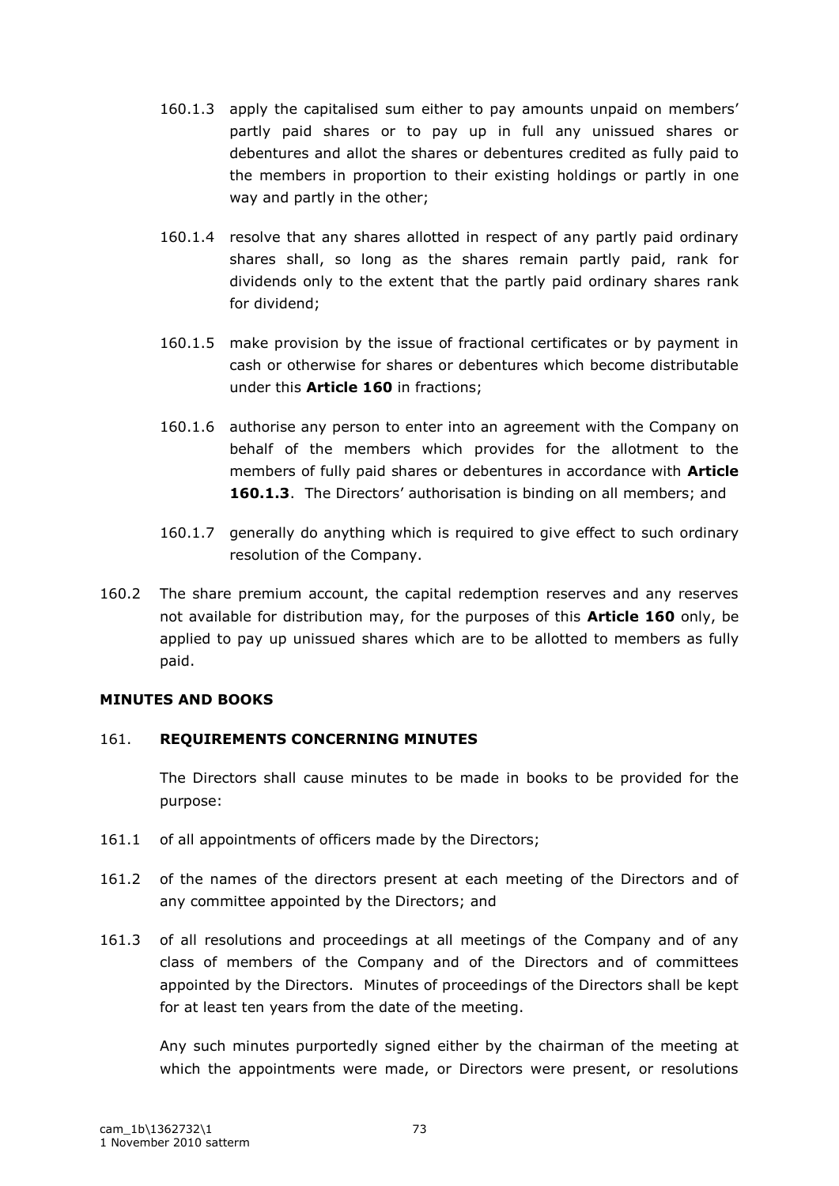- 160.1.3 apply the capitalised sum either to pay amounts unpaid on members" partly paid shares or to pay up in full any unissued shares or debentures and allot the shares or debentures credited as fully paid to the members in proportion to their existing holdings or partly in one way and partly in the other;
- 160.1.4 resolve that any shares allotted in respect of any partly paid ordinary shares shall, so long as the shares remain partly paid, rank for dividends only to the extent that the partly paid ordinary shares rank for dividend;
- 160.1.5 make provision by the issue of fractional certificates or by payment in cash or otherwise for shares or debentures which become distributable under this **Article 160** in fractions;
- 160.1.6 authorise any person to enter into an agreement with the Company on behalf of the members which provides for the allotment to the members of fully paid shares or debentures in accordance with **Article 160.1.3**. The Directors" authorisation is binding on all members; and
- 160.1.7 generally do anything which is required to give effect to such ordinary resolution of the Company.
- 160.2 The share premium account, the capital redemption reserves and any reserves not available for distribution may, for the purposes of this **Article 160** only, be applied to pay up unissued shares which are to be allotted to members as fully paid.

## **MINUTES AND BOOKS**

## 161. **REQUIREMENTS CONCERNING MINUTES**

The Directors shall cause minutes to be made in books to be provided for the purpose:

- 161.1 of all appointments of officers made by the Directors;
- 161.2 of the names of the directors present at each meeting of the Directors and of any committee appointed by the Directors; and
- 161.3 of all resolutions and proceedings at all meetings of the Company and of any class of members of the Company and of the Directors and of committees appointed by the Directors. Minutes of proceedings of the Directors shall be kept for at least ten years from the date of the meeting.

Any such minutes purportedly signed either by the chairman of the meeting at which the appointments were made, or Directors were present, or resolutions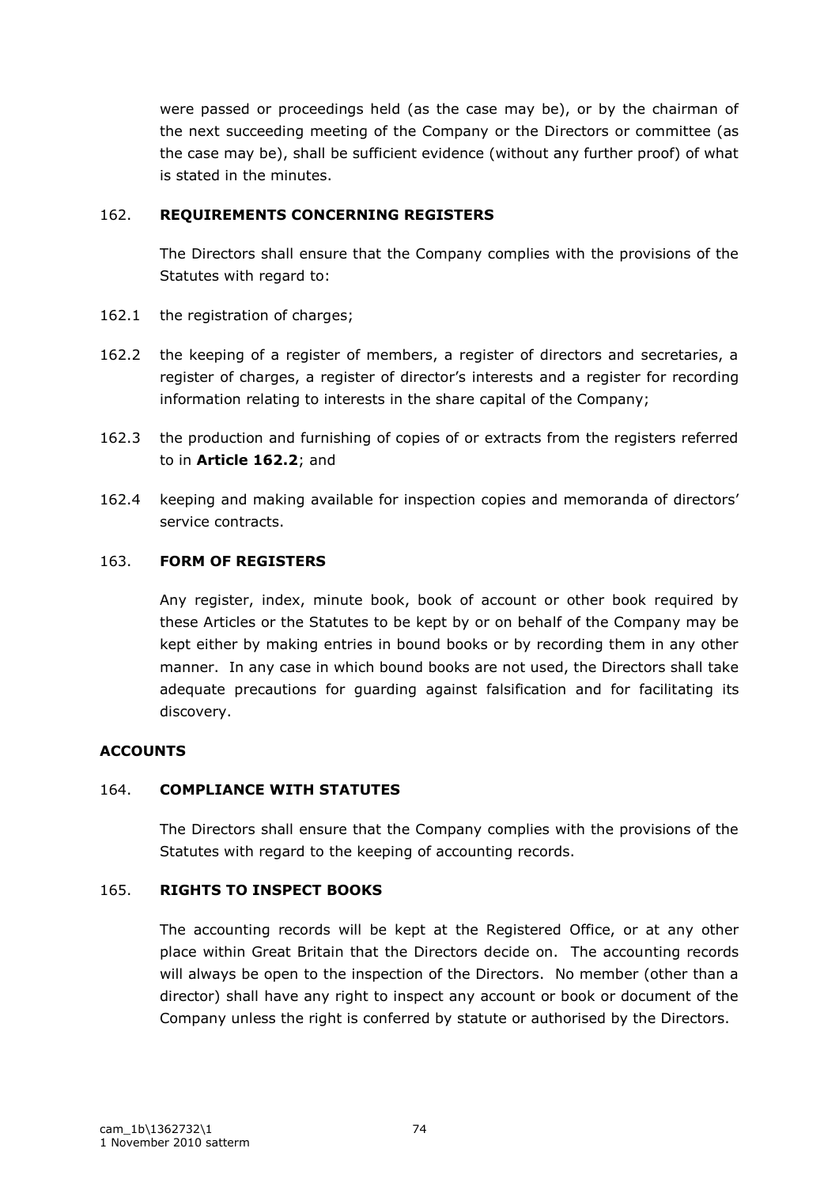were passed or proceedings held (as the case may be), or by the chairman of the next succeeding meeting of the Company or the Directors or committee (as the case may be), shall be sufficient evidence (without any further proof) of what is stated in the minutes.

# 162. **REQUIREMENTS CONCERNING REGISTERS**

The Directors shall ensure that the Company complies with the provisions of the Statutes with regard to:

- 162.1 the registration of charges;
- 162.2 the keeping of a register of members, a register of directors and secretaries, a register of charges, a register of director's interests and a register for recording information relating to interests in the share capital of the Company;
- 162.3 the production and furnishing of copies of or extracts from the registers referred to in **Article 162.2**; and
- 162.4 keeping and making available for inspection copies and memoranda of directors" service contracts.

## 163. **FORM OF REGISTERS**

Any register, index, minute book, book of account or other book required by these Articles or the Statutes to be kept by or on behalf of the Company may be kept either by making entries in bound books or by recording them in any other manner. In any case in which bound books are not used, the Directors shall take adequate precautions for guarding against falsification and for facilitating its discovery.

# **ACCOUNTS**

## 164. **COMPLIANCE WITH STATUTES**

The Directors shall ensure that the Company complies with the provisions of the Statutes with regard to the keeping of accounting records.

## 165. **RIGHTS TO INSPECT BOOKS**

The accounting records will be kept at the Registered Office, or at any other place within Great Britain that the Directors decide on. The accounting records will always be open to the inspection of the Directors. No member (other than a director) shall have any right to inspect any account or book or document of the Company unless the right is conferred by statute or authorised by the Directors.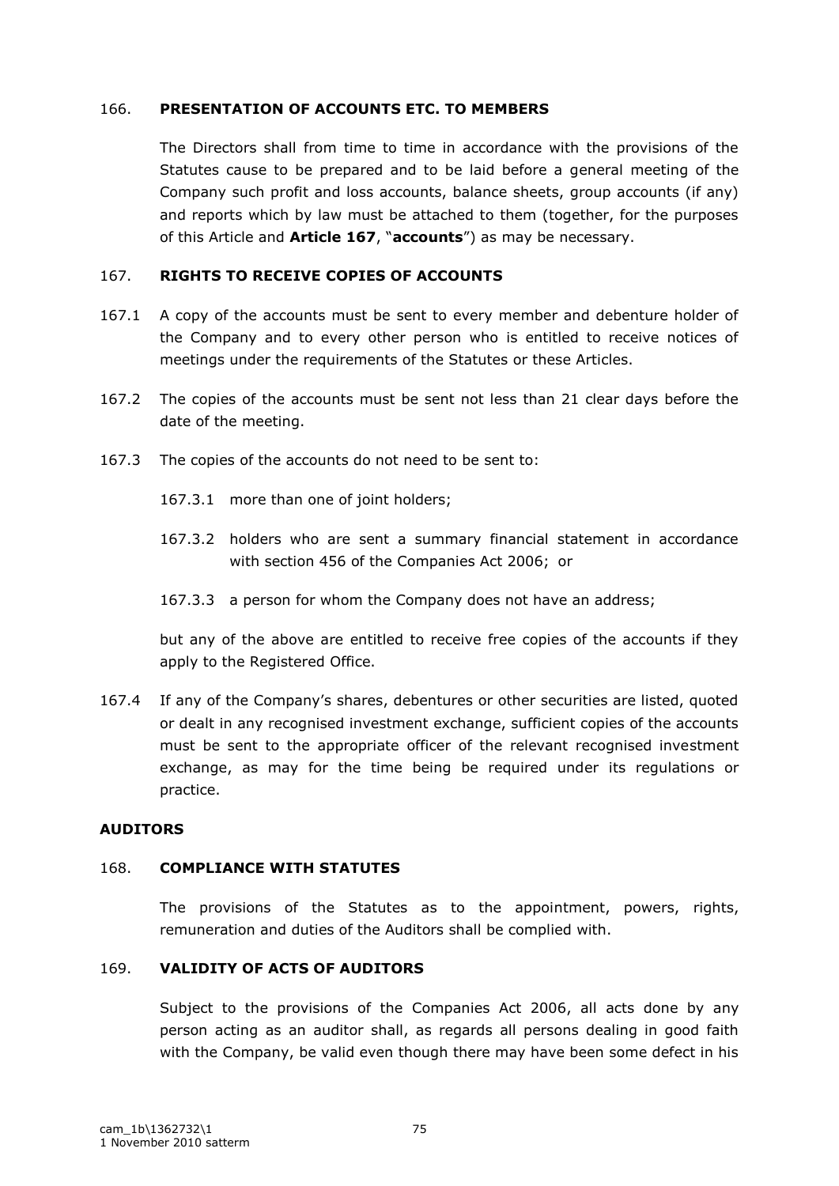#### 166. **PRESENTATION OF ACCOUNTS ETC. TO MEMBERS**

The Directors shall from time to time in accordance with the provisions of the Statutes cause to be prepared and to be laid before a general meeting of the Company such profit and loss accounts, balance sheets, group accounts (if any) and reports which by law must be attached to them (together, for the purposes of this Article and **Article 167**, "**accounts**") as may be necessary.

## 167. **RIGHTS TO RECEIVE COPIES OF ACCOUNTS**

- 167.1 A copy of the accounts must be sent to every member and debenture holder of the Company and to every other person who is entitled to receive notices of meetings under the requirements of the Statutes or these Articles.
- 167.2 The copies of the accounts must be sent not less than 21 clear days before the date of the meeting.
- 167.3 The copies of the accounts do not need to be sent to:
	- 167.3.1 more than one of joint holders;
	- 167.3.2 holders who are sent a summary financial statement in accordance with section 456 of the Companies Act 2006; or
	- 167.3.3 a person for whom the Company does not have an address;

but any of the above are entitled to receive free copies of the accounts if they apply to the Registered Office.

167.4 If any of the Company"s shares, debentures or other securities are listed, quoted or dealt in any recognised investment exchange, sufficient copies of the accounts must be sent to the appropriate officer of the relevant recognised investment exchange, as may for the time being be required under its regulations or practice.

#### **AUDITORS**

#### 168. **COMPLIANCE WITH STATUTES**

The provisions of the Statutes as to the appointment, powers, rights, remuneration and duties of the Auditors shall be complied with.

## 169. **VALIDITY OF ACTS OF AUDITORS**

Subject to the provisions of the Companies Act 2006, all acts done by any person acting as an auditor shall, as regards all persons dealing in good faith with the Company, be valid even though there may have been some defect in his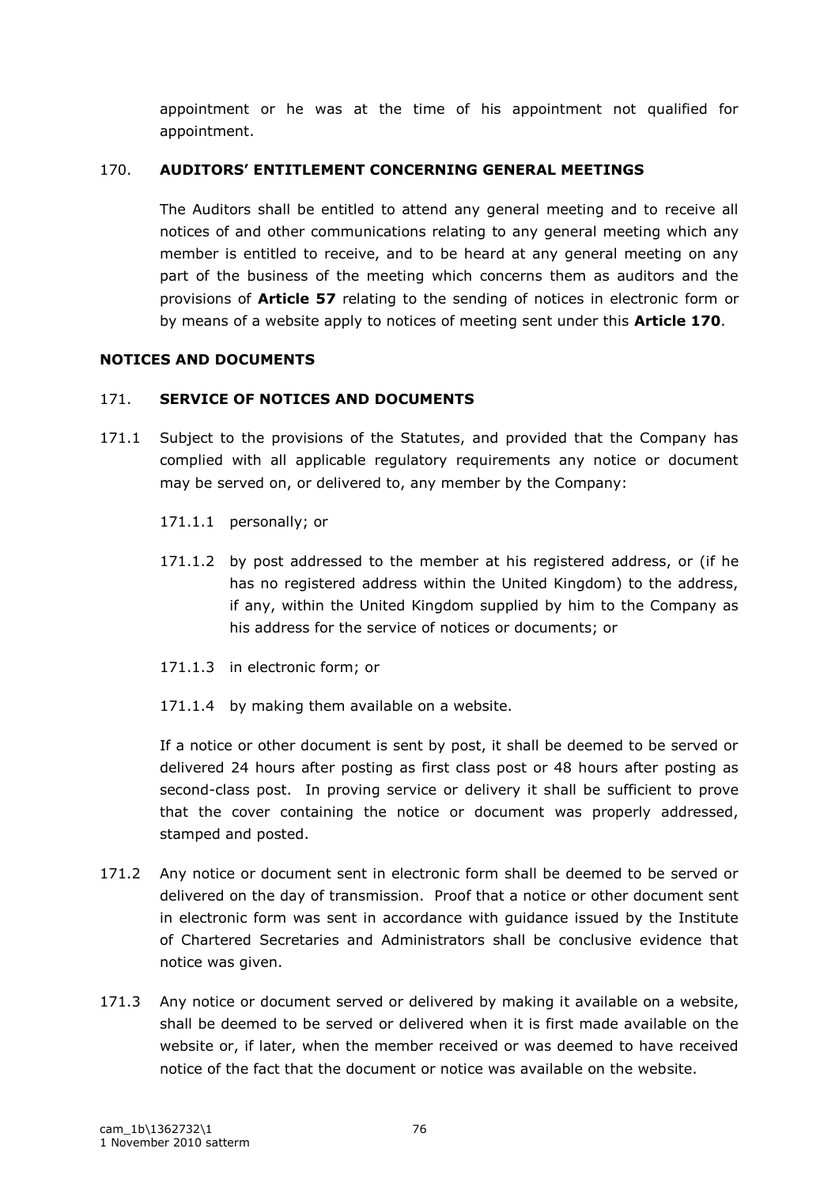appointment or he was at the time of his appointment not qualified for appointment.

## 170. **AUDITORS' ENTITLEMENT CONCERNING GENERAL MEETINGS**

The Auditors shall be entitled to attend any general meeting and to receive all notices of and other communications relating to any general meeting which any member is entitled to receive, and to be heard at any general meeting on any part of the business of the meeting which concerns them as auditors and the provisions of **Article 57** relating to the sending of notices in electronic form or by means of a website apply to notices of meeting sent under this **Article 170**.

## **NOTICES AND DOCUMENTS**

## 171. **SERVICE OF NOTICES AND DOCUMENTS**

- 171.1 Subject to the provisions of the Statutes, and provided that the Company has complied with all applicable regulatory requirements any notice or document may be served on, or delivered to, any member by the Company:
	- 171.1.1 personally; or
	- 171.1.2 by post addressed to the member at his registered address, or (if he has no registered address within the United Kingdom) to the address, if any, within the United Kingdom supplied by him to the Company as his address for the service of notices or documents; or
	- 171.1.3 in electronic form; or
	- 171.1.4 by making them available on a website.

If a notice or other document is sent by post, it shall be deemed to be served or delivered 24 hours after posting as first class post or 48 hours after posting as second-class post. In proving service or delivery it shall be sufficient to prove that the cover containing the notice or document was properly addressed, stamped and posted.

- 171.2 Any notice or document sent in electronic form shall be deemed to be served or delivered on the day of transmission. Proof that a notice or other document sent in electronic form was sent in accordance with guidance issued by the Institute of Chartered Secretaries and Administrators shall be conclusive evidence that notice was given.
- 171.3 Any notice or document served or delivered by making it available on a website, shall be deemed to be served or delivered when it is first made available on the website or, if later, when the member received or was deemed to have received notice of the fact that the document or notice was available on the website.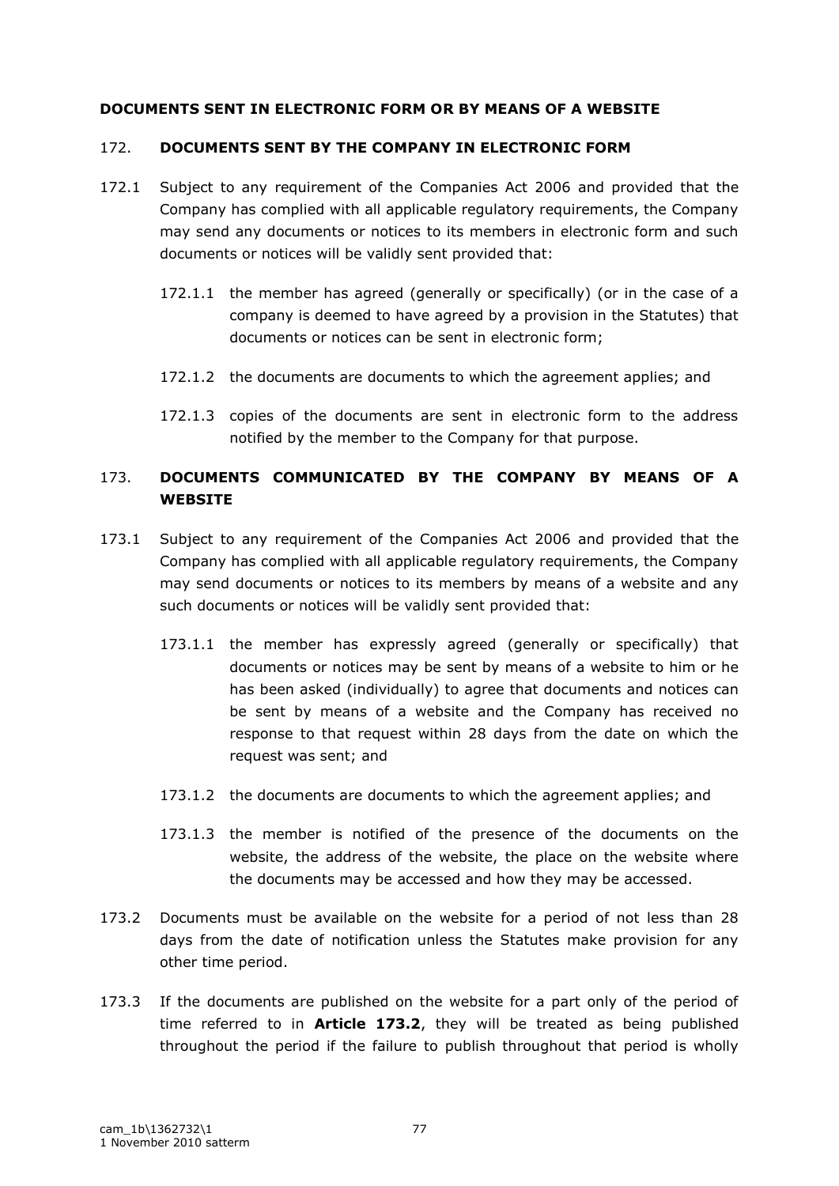## **DOCUMENTS SENT IN ELECTRONIC FORM OR BY MEANS OF A WEBSITE**

## 172. **DOCUMENTS SENT BY THE COMPANY IN ELECTRONIC FORM**

- 172.1 Subject to any requirement of the Companies Act 2006 and provided that the Company has complied with all applicable regulatory requirements, the Company may send any documents or notices to its members in electronic form and such documents or notices will be validly sent provided that:
	- 172.1.1 the member has agreed (generally or specifically) (or in the case of a company is deemed to have agreed by a provision in the Statutes) that documents or notices can be sent in electronic form;
	- 172.1.2 the documents are documents to which the agreement applies; and
	- 172.1.3 copies of the documents are sent in electronic form to the address notified by the member to the Company for that purpose.

# 173. **DOCUMENTS COMMUNICATED BY THE COMPANY BY MEANS OF A WEBSITE**

- 173.1 Subject to any requirement of the Companies Act 2006 and provided that the Company has complied with all applicable regulatory requirements, the Company may send documents or notices to its members by means of a website and any such documents or notices will be validly sent provided that:
	- 173.1.1 the member has expressly agreed (generally or specifically) that documents or notices may be sent by means of a website to him or he has been asked (individually) to agree that documents and notices can be sent by means of a website and the Company has received no response to that request within 28 days from the date on which the request was sent; and
	- 173.1.2 the documents are documents to which the agreement applies; and
	- 173.1.3 the member is notified of the presence of the documents on the website, the address of the website, the place on the website where the documents may be accessed and how they may be accessed.
- 173.2 Documents must be available on the website for a period of not less than 28 days from the date of notification unless the Statutes make provision for any other time period.
- 173.3 If the documents are published on the website for a part only of the period of time referred to in **Article 173.2**, they will be treated as being published throughout the period if the failure to publish throughout that period is wholly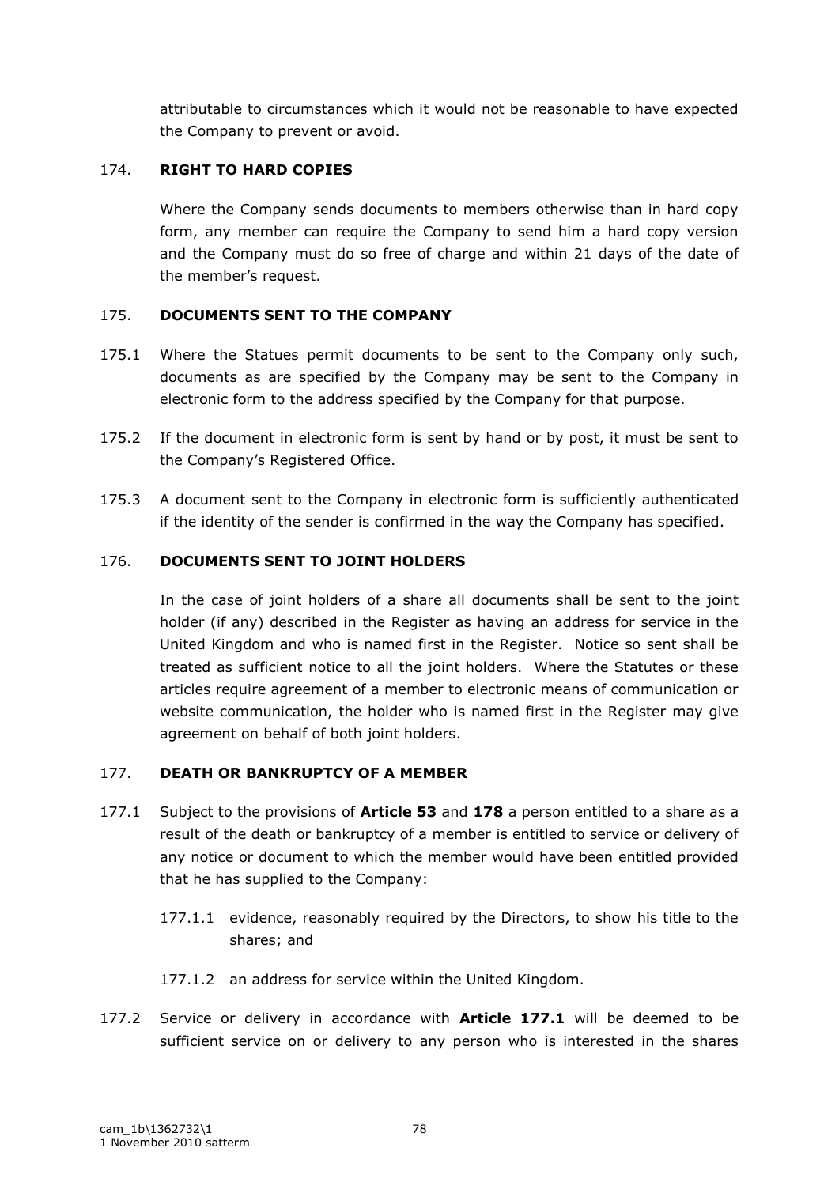attributable to circumstances which it would not be reasonable to have expected the Company to prevent or avoid.

# 174. **RIGHT TO HARD COPIES**

Where the Company sends documents to members otherwise than in hard copy form, any member can require the Company to send him a hard copy version and the Company must do so free of charge and within 21 days of the date of the member's request.

# 175. **DOCUMENTS SENT TO THE COMPANY**

- 175.1 Where the Statues permit documents to be sent to the Company only such, documents as are specified by the Company may be sent to the Company in electronic form to the address specified by the Company for that purpose.
- 175.2 If the document in electronic form is sent by hand or by post, it must be sent to the Company"s Registered Office.
- 175.3 A document sent to the Company in electronic form is sufficiently authenticated if the identity of the sender is confirmed in the way the Company has specified.

## 176. **DOCUMENTS SENT TO JOINT HOLDERS**

In the case of joint holders of a share all documents shall be sent to the joint holder (if any) described in the Register as having an address for service in the United Kingdom and who is named first in the Register. Notice so sent shall be treated as sufficient notice to all the joint holders. Where the Statutes or these articles require agreement of a member to electronic means of communication or website communication, the holder who is named first in the Register may give agreement on behalf of both joint holders.

## 177. **DEATH OR BANKRUPTCY OF A MEMBER**

- 177.1 Subject to the provisions of **Article 53** and **178** a person entitled to a share as a result of the death or bankruptcy of a member is entitled to service or delivery of any notice or document to which the member would have been entitled provided that he has supplied to the Company:
	- 177.1.1 evidence, reasonably required by the Directors, to show his title to the shares; and
	- 177.1.2 an address for service within the United Kingdom.
- 177.2 Service or delivery in accordance with **Article 177.1** will be deemed to be sufficient service on or delivery to any person who is interested in the shares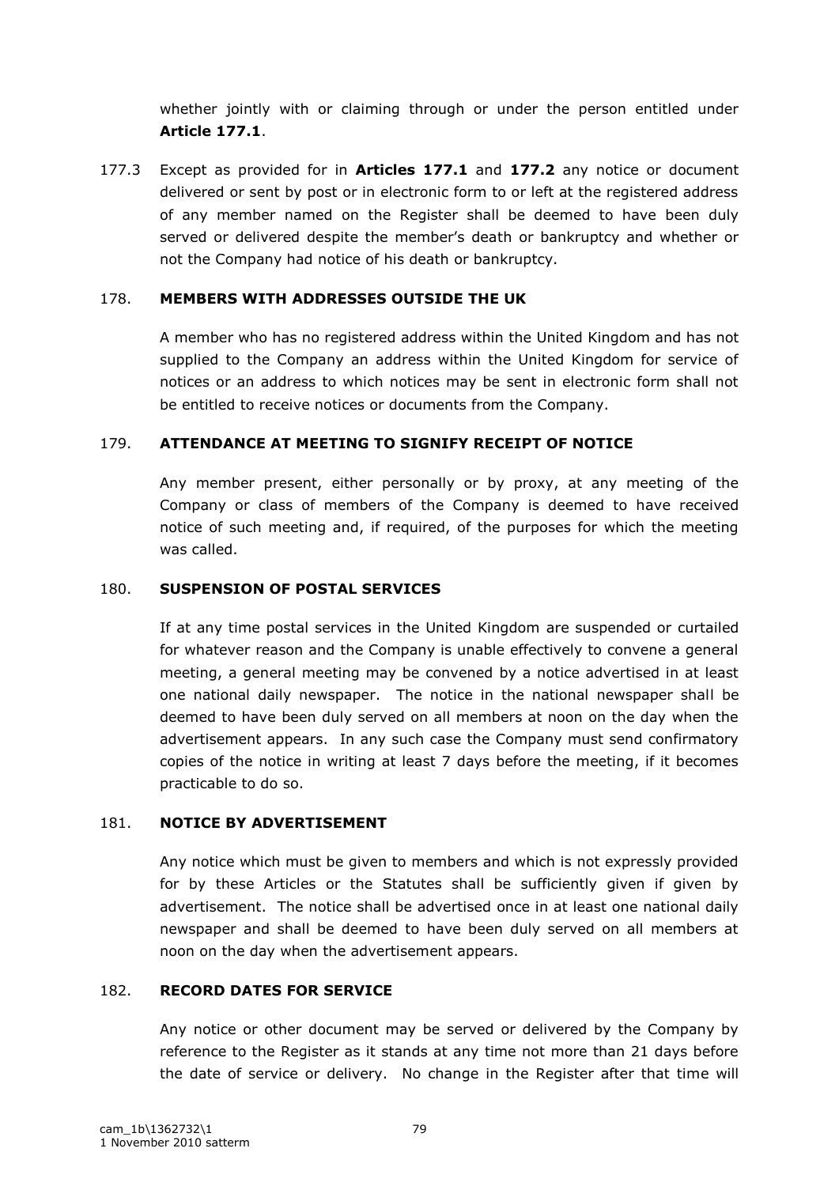whether jointly with or claiming through or under the person entitled under **Article 177.1**.

177.3 Except as provided for in **Articles 177.1** and **177.2** any notice or document delivered or sent by post or in electronic form to or left at the registered address of any member named on the Register shall be deemed to have been duly served or delivered despite the member"s death or bankruptcy and whether or not the Company had notice of his death or bankruptcy.

## 178. **MEMBERS WITH ADDRESSES OUTSIDE THE UK**

A member who has no registered address within the United Kingdom and has not supplied to the Company an address within the United Kingdom for service of notices or an address to which notices may be sent in electronic form shall not be entitled to receive notices or documents from the Company.

#### 179. **ATTENDANCE AT MEETING TO SIGNIFY RECEIPT OF NOTICE**

Any member present, either personally or by proxy, at any meeting of the Company or class of members of the Company is deemed to have received notice of such meeting and, if required, of the purposes for which the meeting was called.

#### 180. **SUSPENSION OF POSTAL SERVICES**

If at any time postal services in the United Kingdom are suspended or curtailed for whatever reason and the Company is unable effectively to convene a general meeting, a general meeting may be convened by a notice advertised in at least one national daily newspaper. The notice in the national newspaper shall be deemed to have been duly served on all members at noon on the day when the advertisement appears. In any such case the Company must send confirmatory copies of the notice in writing at least 7 days before the meeting, if it becomes practicable to do so.

#### 181. **NOTICE BY ADVERTISEMENT**

Any notice which must be given to members and which is not expressly provided for by these Articles or the Statutes shall be sufficiently given if given by advertisement. The notice shall be advertised once in at least one national daily newspaper and shall be deemed to have been duly served on all members at noon on the day when the advertisement appears.

#### 182. **RECORD DATES FOR SERVICE**

Any notice or other document may be served or delivered by the Company by reference to the Register as it stands at any time not more than 21 days before the date of service or delivery. No change in the Register after that time will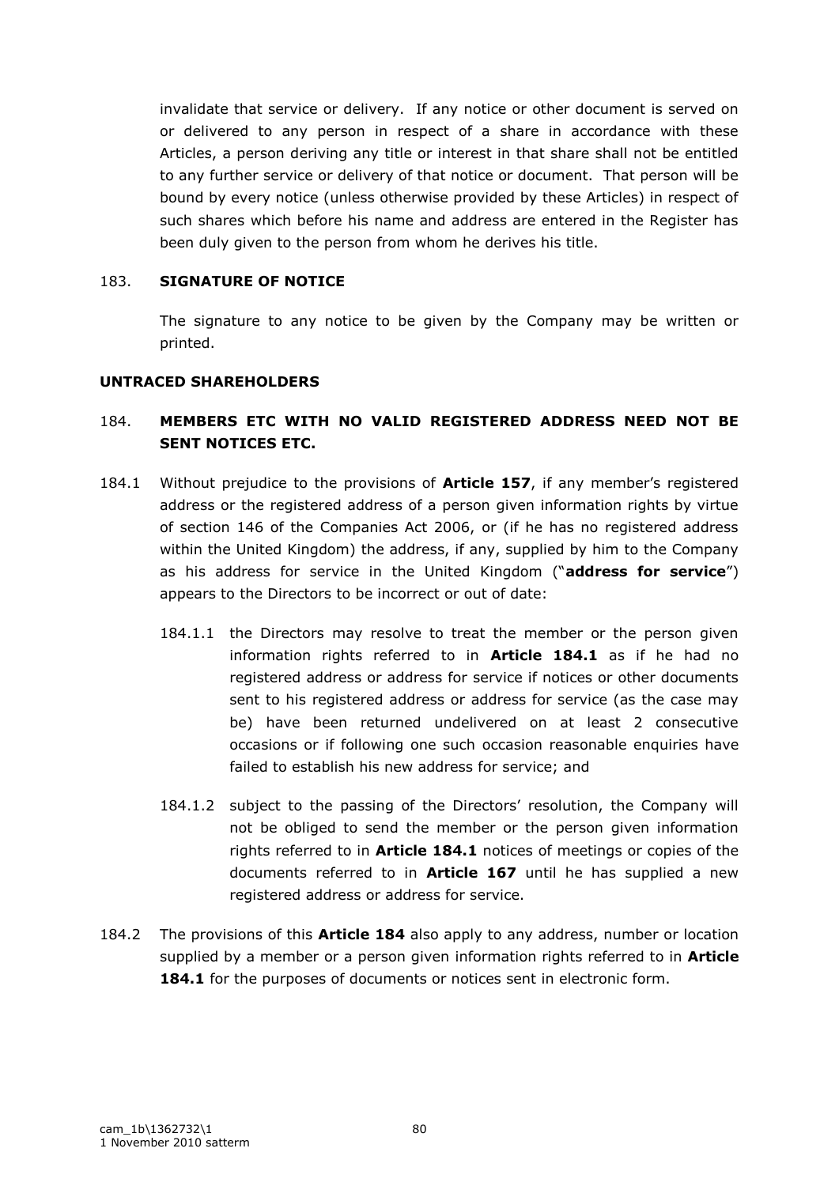invalidate that service or delivery. If any notice or other document is served on or delivered to any person in respect of a share in accordance with these Articles, a person deriving any title or interest in that share shall not be entitled to any further service or delivery of that notice or document. That person will be bound by every notice (unless otherwise provided by these Articles) in respect of such shares which before his name and address are entered in the Register has been duly given to the person from whom he derives his title.

#### 183. **SIGNATURE OF NOTICE**

The signature to any notice to be given by the Company may be written or printed.

#### **UNTRACED SHAREHOLDERS**

# 184. **MEMBERS ETC WITH NO VALID REGISTERED ADDRESS NEED NOT BE SENT NOTICES ETC.**

- 184.1 Without prejudice to the provisions of **Article 157**, if any member's registered address or the registered address of a person given information rights by virtue of section 146 of the Companies Act 2006, or (if he has no registered address within the United Kingdom) the address, if any, supplied by him to the Company as his address for service in the United Kingdom ("**address for service**") appears to the Directors to be incorrect or out of date:
	- 184.1.1 the Directors may resolve to treat the member or the person given information rights referred to in **Article 184.1** as if he had no registered address or address for service if notices or other documents sent to his registered address or address for service (as the case may be) have been returned undelivered on at least 2 consecutive occasions or if following one such occasion reasonable enquiries have failed to establish his new address for service; and
	- 184.1.2 subject to the passing of the Directors' resolution, the Company will not be obliged to send the member or the person given information rights referred to in **Article 184.1** notices of meetings or copies of the documents referred to in **Article 167** until he has supplied a new registered address or address for service.
- 184.2 The provisions of this **Article 184** also apply to any address, number or location supplied by a member or a person given information rights referred to in **Article 184.1** for the purposes of documents or notices sent in electronic form.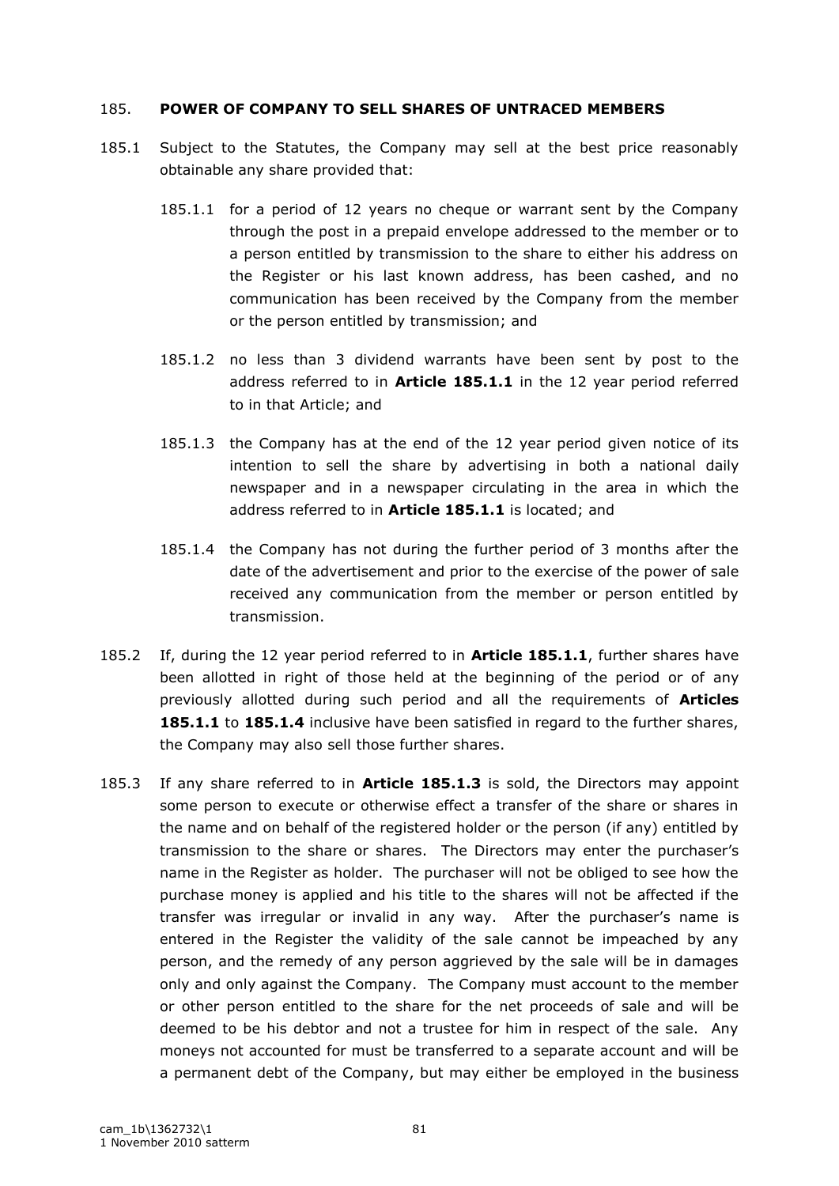#### 185. **POWER OF COMPANY TO SELL SHARES OF UNTRACED MEMBERS**

- 185.1 Subject to the Statutes, the Company may sell at the best price reasonably obtainable any share provided that:
	- 185.1.1 for a period of 12 years no cheque or warrant sent by the Company through the post in a prepaid envelope addressed to the member or to a person entitled by transmission to the share to either his address on the Register or his last known address, has been cashed, and no communication has been received by the Company from the member or the person entitled by transmission; and
	- 185.1.2 no less than 3 dividend warrants have been sent by post to the address referred to in **Article 185.1.1** in the 12 year period referred to in that Article; and
	- 185.1.3 the Company has at the end of the 12 year period given notice of its intention to sell the share by advertising in both a national daily newspaper and in a newspaper circulating in the area in which the address referred to in **Article 185.1.1** is located; and
	- 185.1.4 the Company has not during the further period of 3 months after the date of the advertisement and prior to the exercise of the power of sale received any communication from the member or person entitled by transmission.
- 185.2 If, during the 12 year period referred to in **Article 185.1.1**, further shares have been allotted in right of those held at the beginning of the period or of any previously allotted during such period and all the requirements of **Articles 185.1.1** to **185.1.4** inclusive have been satisfied in regard to the further shares, the Company may also sell those further shares.
- 185.3 If any share referred to in **Article 185.1.3** is sold, the Directors may appoint some person to execute or otherwise effect a transfer of the share or shares in the name and on behalf of the registered holder or the person (if any) entitled by transmission to the share or shares. The Directors may enter the purchaser"s name in the Register as holder. The purchaser will not be obliged to see how the purchase money is applied and his title to the shares will not be affected if the transfer was irregular or invalid in any way. After the purchaser's name is entered in the Register the validity of the sale cannot be impeached by any person, and the remedy of any person aggrieved by the sale will be in damages only and only against the Company. The Company must account to the member or other person entitled to the share for the net proceeds of sale and will be deemed to be his debtor and not a trustee for him in respect of the sale. Any moneys not accounted for must be transferred to a separate account and will be a permanent debt of the Company, but may either be employed in the business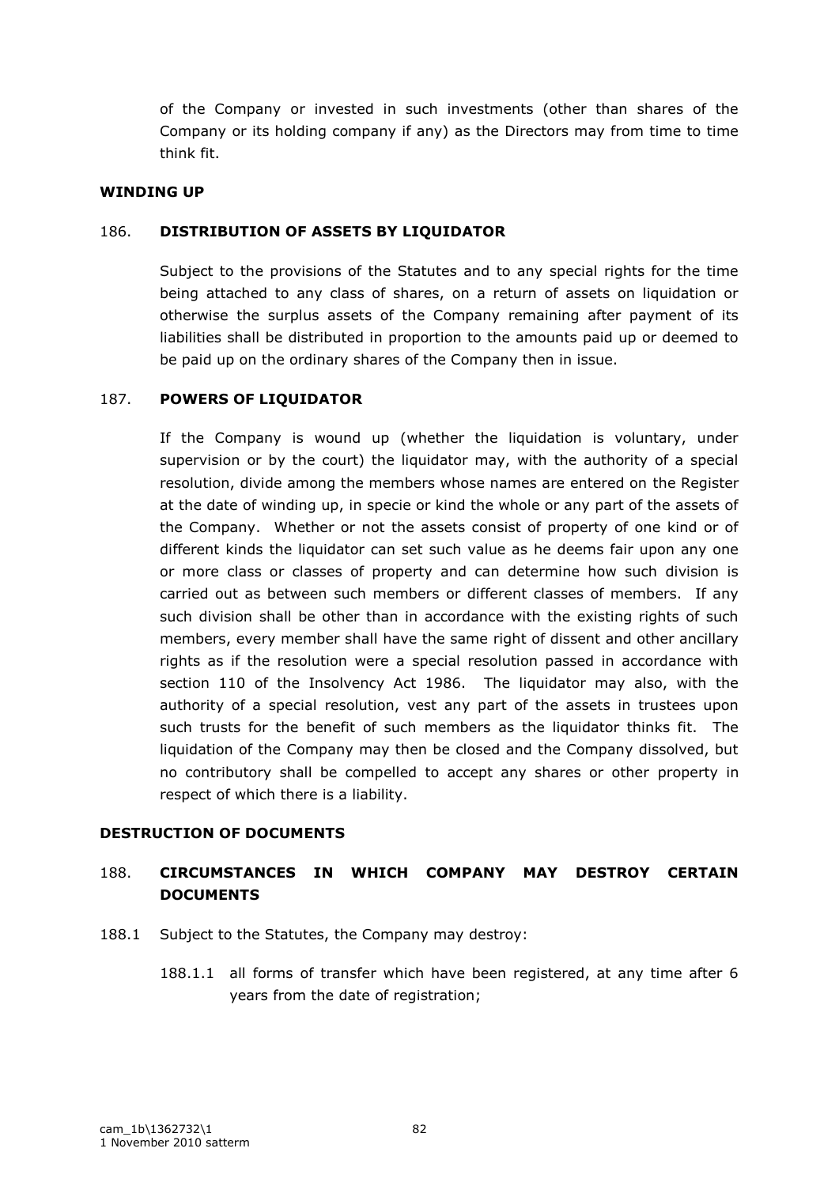of the Company or invested in such investments (other than shares of the Company or its holding company if any) as the Directors may from time to time think fit.

#### **WINDING UP**

#### 186. **DISTRIBUTION OF ASSETS BY LIQUIDATOR**

Subject to the provisions of the Statutes and to any special rights for the time being attached to any class of shares, on a return of assets on liquidation or otherwise the surplus assets of the Company remaining after payment of its liabilities shall be distributed in proportion to the amounts paid up or deemed to be paid up on the ordinary shares of the Company then in issue.

#### 187. **POWERS OF LIQUIDATOR**

If the Company is wound up (whether the liquidation is voluntary, under supervision or by the court) the liquidator may, with the authority of a special resolution, divide among the members whose names are entered on the Register at the date of winding up, in specie or kind the whole or any part of the assets of the Company. Whether or not the assets consist of property of one kind or of different kinds the liquidator can set such value as he deems fair upon any one or more class or classes of property and can determine how such division is carried out as between such members or different classes of members. If any such division shall be other than in accordance with the existing rights of such members, every member shall have the same right of dissent and other ancillary rights as if the resolution were a special resolution passed in accordance with section 110 of the Insolvency Act 1986. The liquidator may also, with the authority of a special resolution, vest any part of the assets in trustees upon such trusts for the benefit of such members as the liquidator thinks fit. The liquidation of the Company may then be closed and the Company dissolved, but no contributory shall be compelled to accept any shares or other property in respect of which there is a liability.

#### **DESTRUCTION OF DOCUMENTS**

# 188. **CIRCUMSTANCES IN WHICH COMPANY MAY DESTROY CERTAIN DOCUMENTS**

- 188.1 Subject to the Statutes, the Company may destroy:
	- 188.1.1 all forms of transfer which have been registered, at any time after 6 years from the date of registration;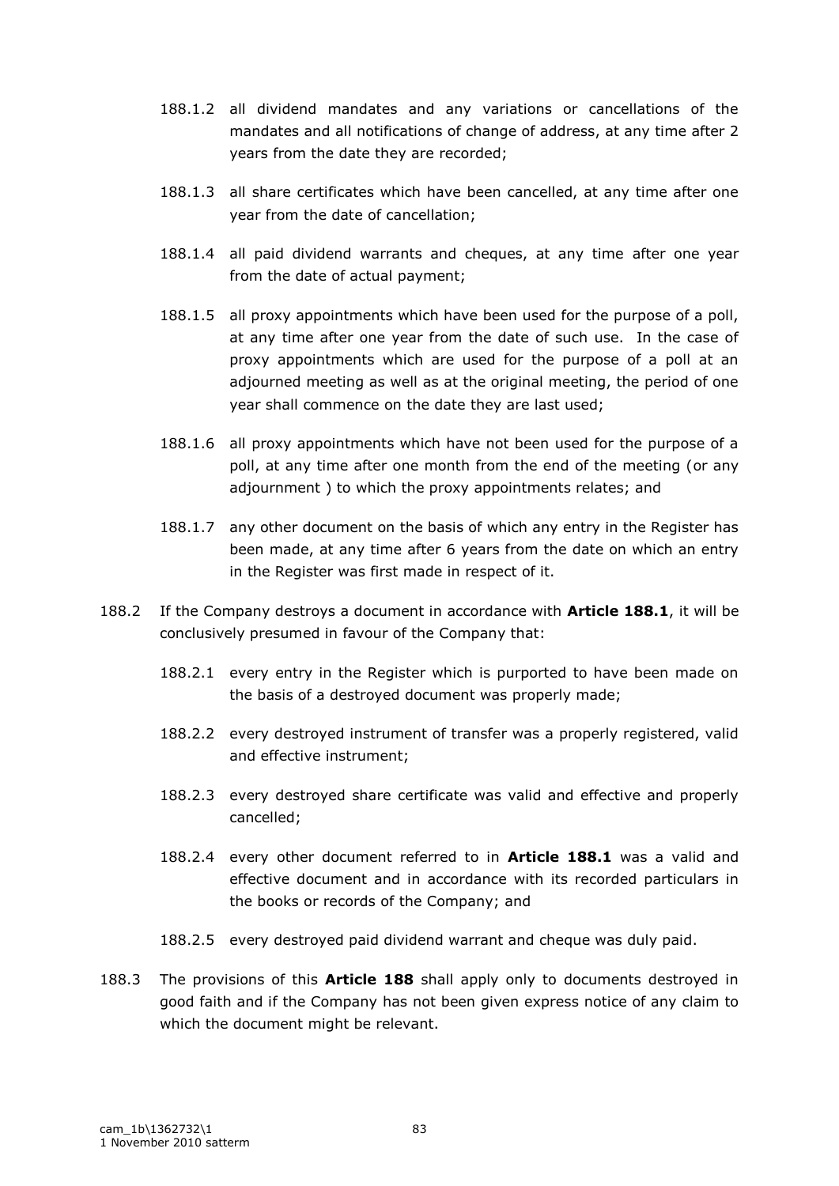- 188.1.2 all dividend mandates and any variations or cancellations of the mandates and all notifications of change of address, at any time after 2 years from the date they are recorded;
- 188.1.3 all share certificates which have been cancelled, at any time after one year from the date of cancellation;
- 188.1.4 all paid dividend warrants and cheques, at any time after one year from the date of actual payment;
- 188.1.5 all proxy appointments which have been used for the purpose of a poll, at any time after one year from the date of such use. In the case of proxy appointments which are used for the purpose of a poll at an adjourned meeting as well as at the original meeting, the period of one year shall commence on the date they are last used;
- 188.1.6 all proxy appointments which have not been used for the purpose of a poll, at any time after one month from the end of the meeting (or any adjournment ) to which the proxy appointments relates; and
- 188.1.7 any other document on the basis of which any entry in the Register has been made, at any time after 6 years from the date on which an entry in the Register was first made in respect of it.
- 188.2 If the Company destroys a document in accordance with **Article 188.1**, it will be conclusively presumed in favour of the Company that:
	- 188.2.1 every entry in the Register which is purported to have been made on the basis of a destroyed document was properly made;
	- 188.2.2 every destroyed instrument of transfer was a properly registered, valid and effective instrument;
	- 188.2.3 every destroyed share certificate was valid and effective and properly cancelled;
	- 188.2.4 every other document referred to in **Article 188.1** was a valid and effective document and in accordance with its recorded particulars in the books or records of the Company; and
	- 188.2.5 every destroyed paid dividend warrant and cheque was duly paid.
- 188.3 The provisions of this **Article 188** shall apply only to documents destroyed in good faith and if the Company has not been given express notice of any claim to which the document might be relevant.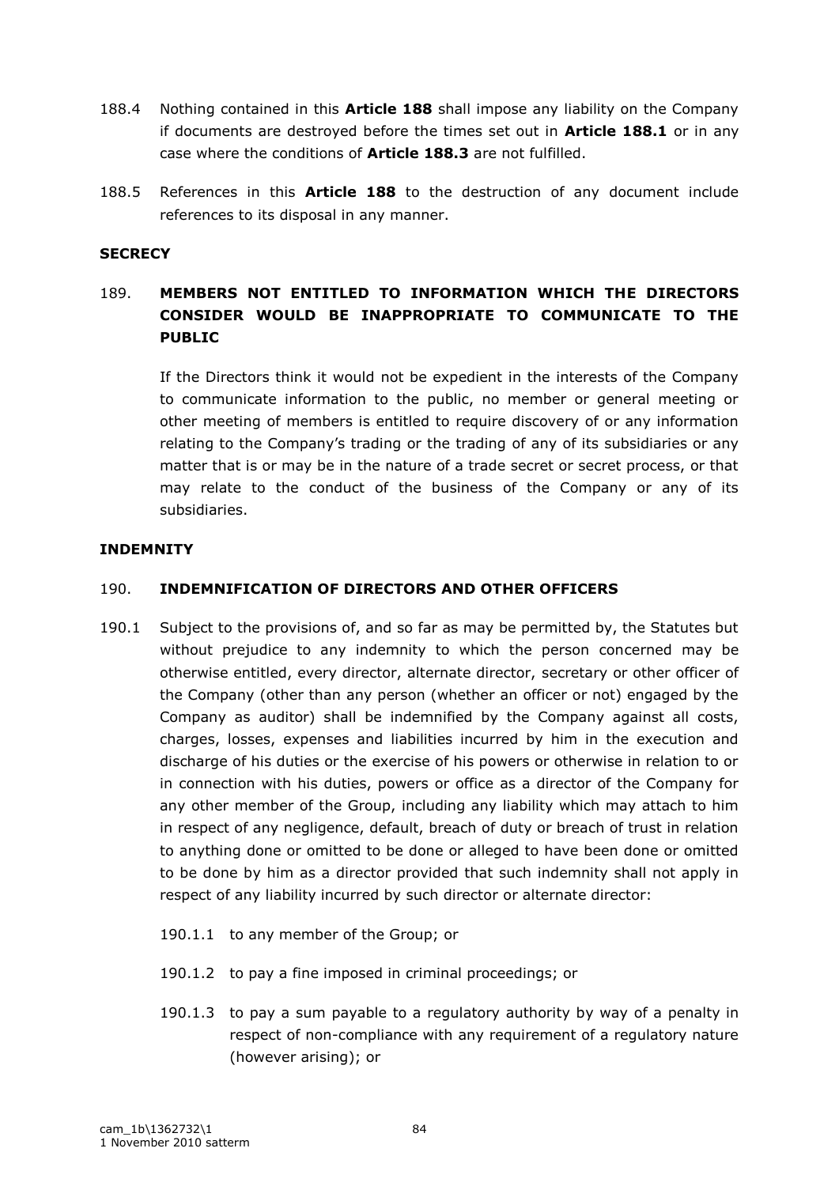- 188.4 Nothing contained in this **Article 188** shall impose any liability on the Company if documents are destroyed before the times set out in **Article 188.1** or in any case where the conditions of **Article 188.3** are not fulfilled.
- 188.5 References in this **Article 188** to the destruction of any document include references to its disposal in any manner.

#### **SECRECY**

# 189. **MEMBERS NOT ENTITLED TO INFORMATION WHICH THE DIRECTORS CONSIDER WOULD BE INAPPROPRIATE TO COMMUNICATE TO THE PUBLIC**

If the Directors think it would not be expedient in the interests of the Company to communicate information to the public, no member or general meeting or other meeting of members is entitled to require discovery of or any information relating to the Company"s trading or the trading of any of its subsidiaries or any matter that is or may be in the nature of a trade secret or secret process, or that may relate to the conduct of the business of the Company or any of its subsidiaries.

#### **INDEMNITY**

## 190. **INDEMNIFICATION OF DIRECTORS AND OTHER OFFICERS**

- 190.1 Subject to the provisions of, and so far as may be permitted by, the Statutes but without prejudice to any indemnity to which the person concerned may be otherwise entitled, every director, alternate director, secretary or other officer of the Company (other than any person (whether an officer or not) engaged by the Company as auditor) shall be indemnified by the Company against all costs, charges, losses, expenses and liabilities incurred by him in the execution and discharge of his duties or the exercise of his powers or otherwise in relation to or in connection with his duties, powers or office as a director of the Company for any other member of the Group, including any liability which may attach to him in respect of any negligence, default, breach of duty or breach of trust in relation to anything done or omitted to be done or alleged to have been done or omitted to be done by him as a director provided that such indemnity shall not apply in respect of any liability incurred by such director or alternate director:
	- 190.1.1 to any member of the Group; or
	- 190.1.2 to pay a fine imposed in criminal proceedings; or
	- 190.1.3 to pay a sum payable to a regulatory authority by way of a penalty in respect of non-compliance with any requirement of a regulatory nature (however arising); or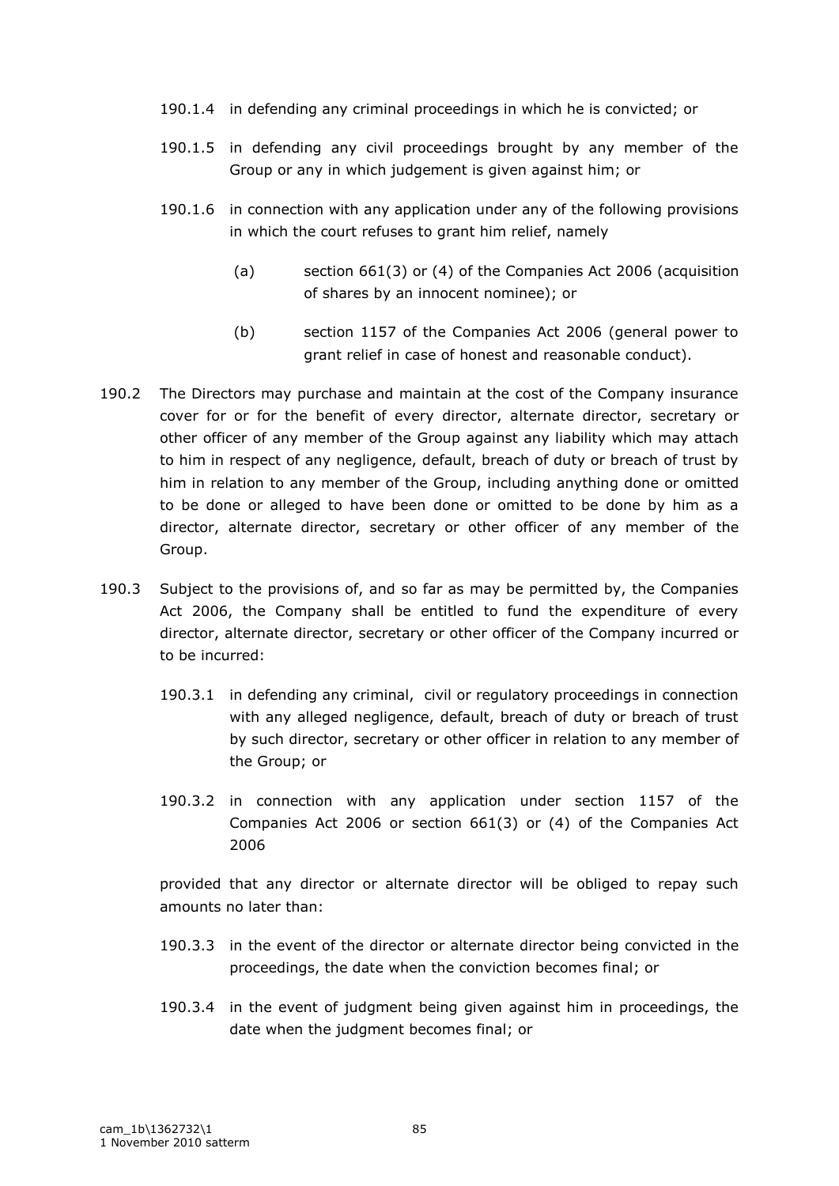- 190.1.4 in defending any criminal proceedings in which he is convicted; or
- 190.1.5 in defending any civil proceedings brought by any member of the Group or any in which judgement is given against him; or
- 190.1.6 in connection with any application under any of the following provisions in which the court refuses to grant him relief, namely
	- (a) section 661(3) or (4) of the Companies Act 2006 (acquisition of shares by an innocent nominee); or
	- (b) section 1157 of the Companies Act 2006 (general power to grant relief in case of honest and reasonable conduct).
- 190.2 The Directors may purchase and maintain at the cost of the Company insurance cover for or for the benefit of every director, alternate director, secretary or other officer of any member of the Group against any liability which may attach to him in respect of any negligence, default, breach of duty or breach of trust by him in relation to any member of the Group, including anything done or omitted to be done or alleged to have been done or omitted to be done by him as a director, alternate director, secretary or other officer of any member of the Group.
- 190.3 Subject to the provisions of, and so far as may be permitted by, the Companies Act 2006, the Company shall be entitled to fund the expenditure of every director, alternate director, secretary or other officer of the Company incurred or to be incurred:
	- 190.3.1 in defending any criminal, civil or regulatory proceedings in connection with any alleged negligence, default, breach of duty or breach of trust by such director, secretary or other officer in relation to any member of the Group; or
	- 190.3.2 in connection with any application under section 1157 of the Companies Act 2006 or section 661(3) or (4) of the Companies Act 2006

provided that any director or alternate director will be obliged to repay such amounts no later than:

- 190.3.3 in the event of the director or alternate director being convicted in the proceedings, the date when the conviction becomes final; or
- 190.3.4 in the event of judgment being given against him in proceedings, the date when the judgment becomes final; or